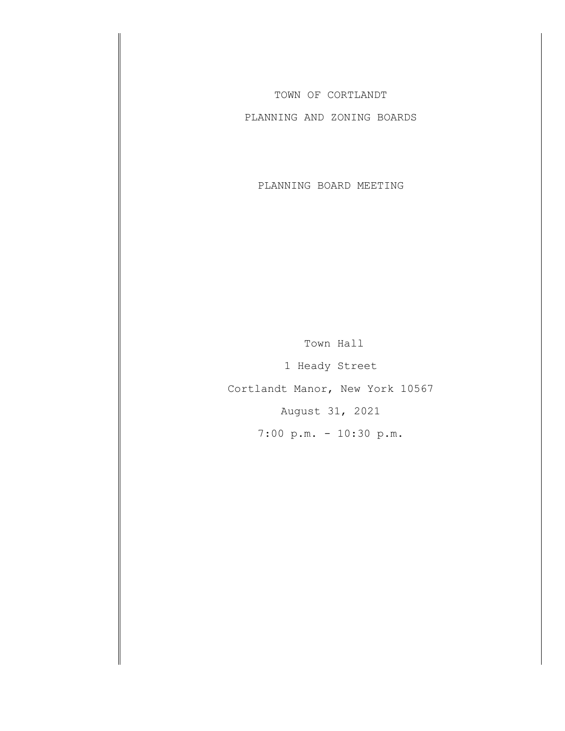TOWN OF CORTLANDT

PLANNING AND ZONING BOARDS

PLANNING BOARD MEETING

Town Hall 1 Heady Street Cortlandt Manor, New York 10567 August 31, 2021 7:00 p.m. - 10:30 p.m.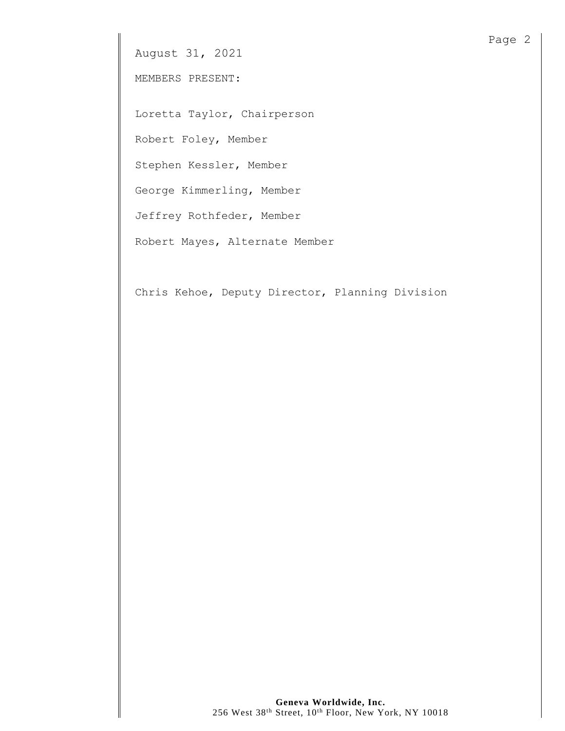MEMBERS PRESENT:

Loretta Taylor, Chairperson

Robert Foley, Member

Stephen Kessler, Member

George Kimmerling, Member

Jeffrey Rothfeder, Member

Robert Mayes, Alternate Member

Chris Kehoe, Deputy Director, Planning Division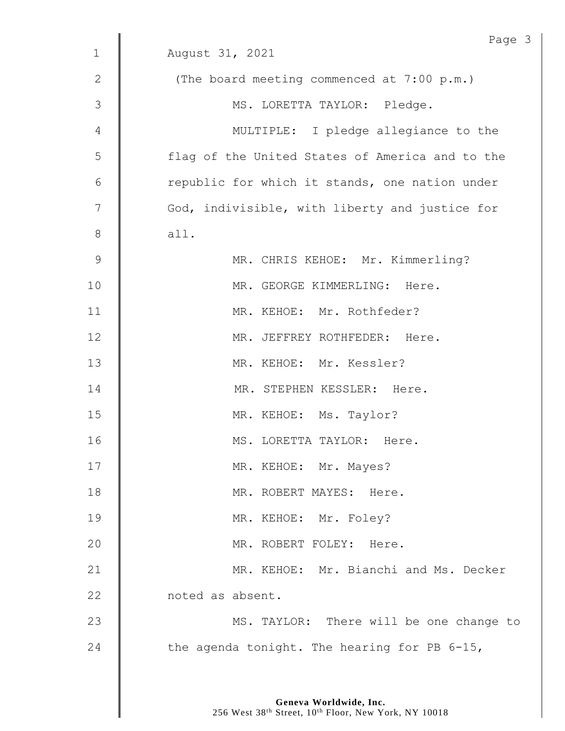|                | Page 3                                          |
|----------------|-------------------------------------------------|
| $\mathbf 1$    | August 31, 2021                                 |
| 2              | (The board meeting commenced at 7:00 p.m.)      |
| $\mathfrak{Z}$ | MS. LORETTA TAYLOR: Pledge.                     |
| 4              | MULTIPLE: I pledge allegiance to the            |
| 5              | flag of the United States of America and to the |
| 6              | republic for which it stands, one nation under  |
| 7              | God, indivisible, with liberty and justice for  |
| $8\,$          | all.                                            |
| $\mathsf 9$    | MR. CHRIS KEHOE: Mr. Kimmerling?                |
| 10             | MR. GEORGE KIMMERLING: Here.                    |
| 11             | MR. KEHOE: Mr. Rothfeder?                       |
| 12             | MR. JEFFREY ROTHFEDER: Here.                    |
| 13             | MR. KEHOE: Mr. Kessler?                         |
| 14             | MR. STEPHEN KESSLER: Here.                      |
| 15             | MR. KEHOE: Ms. Taylor?                          |
| 16             | MS. LORETTA TAYLOR: Here.                       |
| 17             | MR. KEHOE: Mr. Mayes?                           |
| 18             | MR. ROBERT MAYES: Here.                         |
| 19             | MR. KEHOE: Mr. Foley?                           |
| 20             | MR. ROBERT FOLEY: Here.                         |
| 21             | MR. KEHOE: Mr. Bianchi and Ms. Decker           |
| 22             | noted as absent.                                |
| 23             | MS. TAYLOR: There will be one change to         |
| 24             | the agenda tonight. The hearing for PB 6-15,    |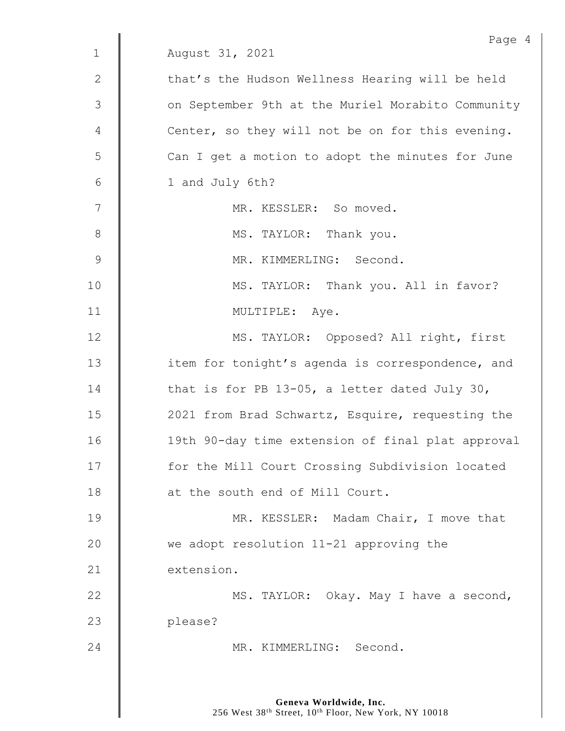|                | Page 4                                            |
|----------------|---------------------------------------------------|
| $\mathbf 1$    | August 31, 2021                                   |
| 2              | that's the Hudson Wellness Hearing will be held   |
| $\mathfrak{Z}$ | on September 9th at the Muriel Morabito Community |
| 4              | Center, so they will not be on for this evening.  |
| 5              | Can I get a motion to adopt the minutes for June  |
| $6\,$          | 1 and July 6th?                                   |
| 7              | MR. KESSLER: So moved.                            |
| $8\,$          | MS. TAYLOR: Thank you.                            |
| $\mathcal{G}$  | MR. KIMMERLING: Second.                           |
| 10             | MS. TAYLOR: Thank you. All in favor?              |
| 11             | MULTIPLE: Aye.                                    |
| 12             | MS. TAYLOR: Opposed? All right, first             |
| 13             | item for tonight's agenda is correspondence, and  |
| 14             | that is for PB 13-05, a letter dated July 30,     |
| 15             | 2021 from Brad Schwartz, Esquire, requesting the  |
| 16             | 19th 90-day time extension of final plat approval |
| 17             | for the Mill Court Crossing Subdivision located   |
| 18             | at the south end of Mill Court.                   |
| 19             | MR. KESSLER: Madam Chair, I move that             |
| 20             | we adopt resolution 11-21 approving the           |
| 21             | extension.                                        |
| 22             | MS. TAYLOR: Okay. May I have a second,            |
| 23             | please?                                           |
| 24             | MR. KIMMERLING: Second.                           |
|                |                                                   |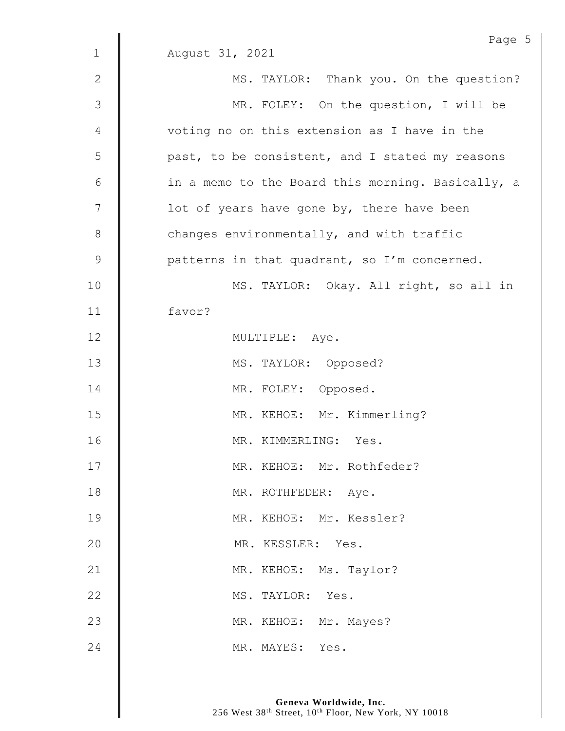|               | Page 5                                            |
|---------------|---------------------------------------------------|
| $\mathbf 1$   | August 31, 2021                                   |
| $\mathbf 2$   | MS. TAYLOR: Thank you. On the question?           |
| 3             | MR. FOLEY: On the question, I will be             |
| 4             | voting no on this extension as I have in the      |
| 5             | past, to be consistent, and I stated my reasons   |
| $\epsilon$    | in a memo to the Board this morning. Basically, a |
| 7             | lot of years have gone by, there have been        |
| $\,8\,$       | changes environmentally, and with traffic         |
| $\mathcal{G}$ | patterns in that quadrant, so I'm concerned.      |
| 10            | MS. TAYLOR: Okay. All right, so all in            |
| 11            | favor?                                            |
| 12            | MULTIPLE: Aye.                                    |
| 13            | MS. TAYLOR: Opposed?                              |
| 14            | MR. FOLEY: Opposed.                               |
| 15            | MR. KEHOE: Mr. Kimmerling?                        |
| 16            | MR. KIMMERLING: Yes.                              |
| 17            | MR. KEHOE: Mr. Rothfeder?                         |
| 18            | MR. ROTHFEDER: Aye.                               |
| 19            | MR. KEHOE: Mr. Kessler?                           |
| 20            | MR. KESSLER: Yes.                                 |
| 21            | MR. KEHOE: Ms. Taylor?                            |
| 22            | MS. TAYLOR: Yes.                                  |
| 23            | MR. KEHOE: Mr. Mayes?                             |
| 24            | MR. MAYES: Yes.                                   |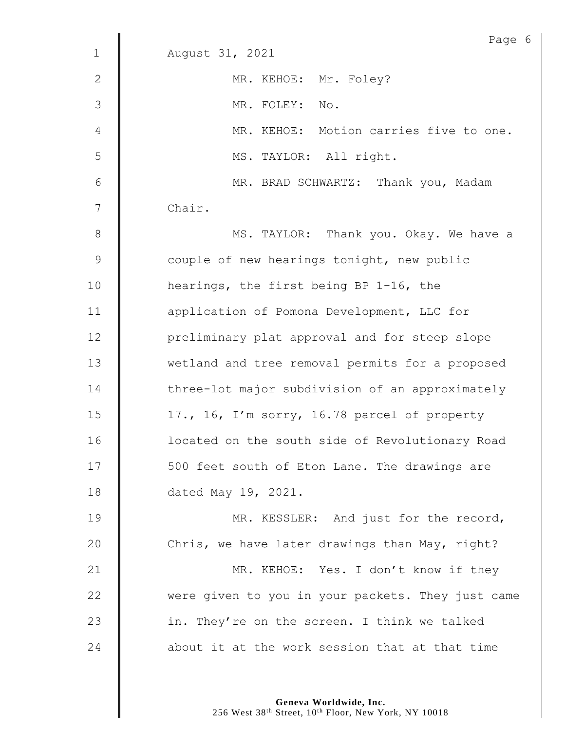|              | Page 6                                            |
|--------------|---------------------------------------------------|
| $\mathbf{1}$ | August 31, 2021                                   |
| $\mathbf{2}$ | MR. KEHOE: Mr. Foley?                             |
| 3            | MR. FOLEY: No.                                    |
| 4            | MR. KEHOE: Motion carries five to one.            |
| 5            | MS. TAYLOR: All right.                            |
| 6            | MR. BRAD SCHWARTZ: Thank you, Madam               |
| 7            | Chair.                                            |
| $8\,$        | MS. TAYLOR: Thank you. Okay. We have a            |
| 9            | couple of new hearings tonight, new public        |
| 10           | hearings, the first being BP 1-16, the            |
| 11           | application of Pomona Development, LLC for        |
| 12           | preliminary plat approval and for steep slope     |
| 13           | wetland and tree removal permits for a proposed   |
| 14           | three-lot major subdivision of an approximately   |
| 15           | 17., 16, I'm sorry, 16.78 parcel of property      |
| 16           | located on the south side of Revolutionary Road   |
| 17           | 500 feet south of Eton Lane. The drawings are     |
| 18           | dated May 19, 2021.                               |
| 19           | MR. KESSLER: And just for the record,             |
| 20           | Chris, we have later drawings than May, right?    |
| 21           | MR. KEHOE: Yes. I don't know if they              |
| 22           | were given to you in your packets. They just came |
| 23           | in. They're on the screen. I think we talked      |
| 24           | about it at the work session that at that time    |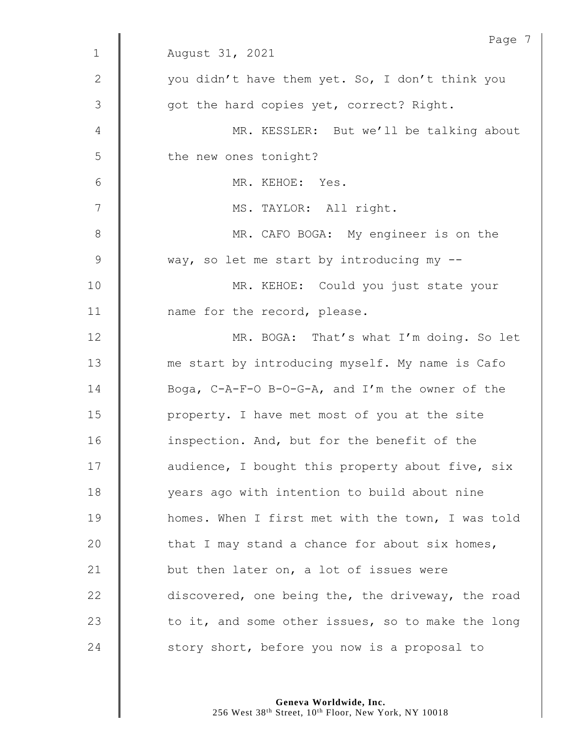|              | Page 7                                            |
|--------------|---------------------------------------------------|
| $\mathbf 1$  | August 31, 2021                                   |
| $\mathbf{2}$ | you didn't have them yet. So, I don't think you   |
| 3            | got the hard copies yet, correct? Right.          |
| 4            | MR. KESSLER: But we'll be talking about           |
| 5            | the new ones tonight?                             |
| 6            | MR. KEHOE: Yes.                                   |
| 7            | MS. TAYLOR: All right.                            |
| $\,8\,$      | MR. CAFO BOGA: My engineer is on the              |
| 9            | way, so let me start by introducing my --         |
| 10           | MR. KEHOE: Could you just state your              |
| 11           | name for the record, please.                      |
| 12           | MR. BOGA: That's what I'm doing. So let           |
| 13           | me start by introducing myself. My name is Cafo   |
| 14           | Boga, C-A-F-O B-O-G-A, and I'm the owner of the   |
| 15           | property. I have met most of you at the site      |
| 16           | inspection. And, but for the benefit of the       |
| 17           | audience, I bought this property about five, six  |
| 18           | years ago with intention to build about nine      |
| 19           | homes. When I first met with the town, I was told |
| 20           | that I may stand a chance for about six homes,    |
| 21           | but then later on, a lot of issues were           |
| 22           | discovered, one being the, the driveway, the road |
| 23           | to it, and some other issues, so to make the long |
| 24           | story short, before you now is a proposal to      |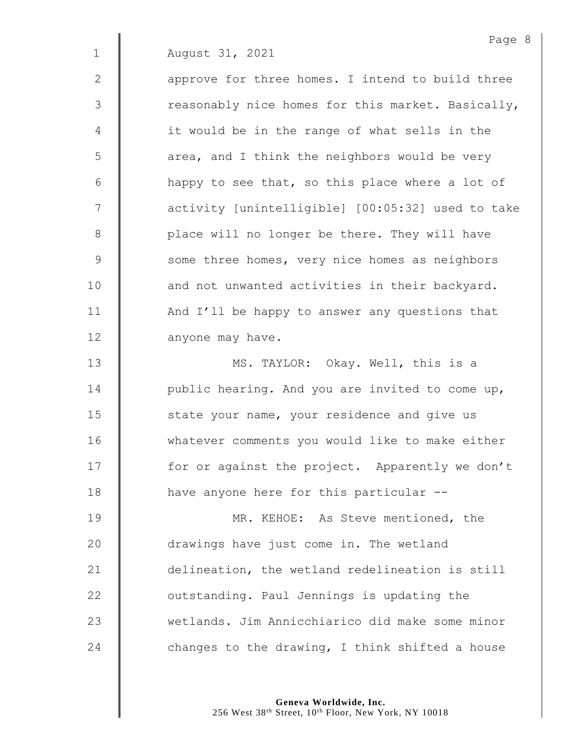$2 \parallel$  approve for three homes. I intend to build three  $3 \parallel$  reasonably nice homes for this market. Basically, 4 | it would be in the range of what sells in the  $5 \parallel$  area, and I think the neighbors would be very  $6 \parallel$  happy to see that, so this place where a lot of 7  $\parallel$  activity [unintelligible] [00:05:32] used to take 8 | place will no longer be there. They will have 9 Some three homes, very nice homes as neighbors 10 | and not unwanted activities in their backyard. 11 | And I'll be happy to answer any questions that 12 **anyone may have.** 

13 | MS. TAYLOR: Okay. Well, this is a 14  $\parallel$  public hearing. And you are invited to come up, 15 **S** state your name, your residence and give us 16 | whatever comments you would like to make either 17 | for or against the project. Apparently we don't 18 **have anyone here for this particular --**

**MR. KEHOE:** As Steve mentioned, the 20 drawings have just come in. The wetland **delineation**, the wetland redelineation is still **Julie 22** outstanding. Paul Jennings is updating the wetlands. Jim Annicchiarico did make some minor  $\parallel$  changes to the drawing, I think shifted a house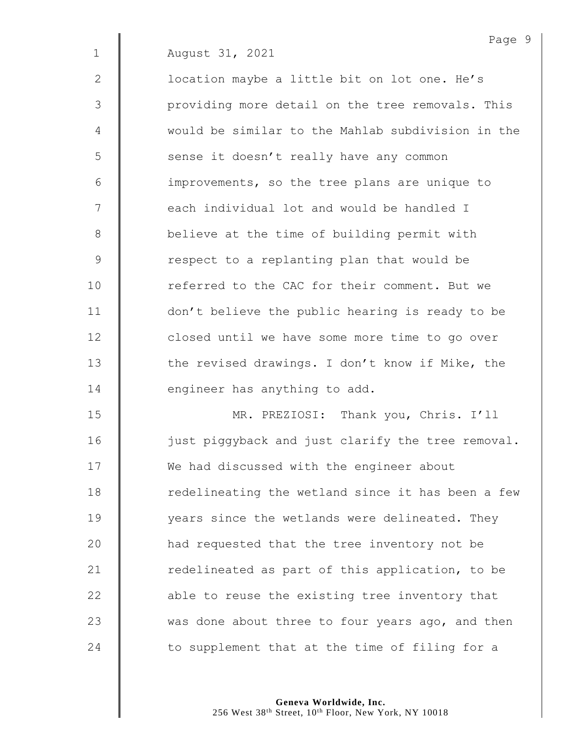2 | location maybe a little bit on lot one. He's 3 | providing more detail on the tree removals. This 4 would be similar to the Mahlab subdivision in the 5 | sense it doesn't really have any common 6 | improvements, so the tree plans are unique to 7 | each individual lot and would be handled I 8 **believe at the time of building permit with** 9 | Tespect to a replanting plan that would be 10 **follow** referred to the CAC for their comment. But we 11 | don't believe the public hearing is ready to be 12 **dec** closed until we have some more time to go over 13 the revised drawings. I don't know if Mike, the 14 **d** engineer has anything to add.

 MR. PREZIOSI: Thank you, Chris. I'll 16 | just piggyback and just clarify the tree removal. 17 | We had discussed with the engineer about 18 | redelineating the wetland since it has been a few **Wears** since the wetlands were delineated. They **had requested that the tree inventory not be dege** redelineated as part of this application, to be **a** able to reuse the existing tree inventory that  $\parallel$  was done about three to four years ago, and then  $\parallel$  to supplement that at the time of filing for a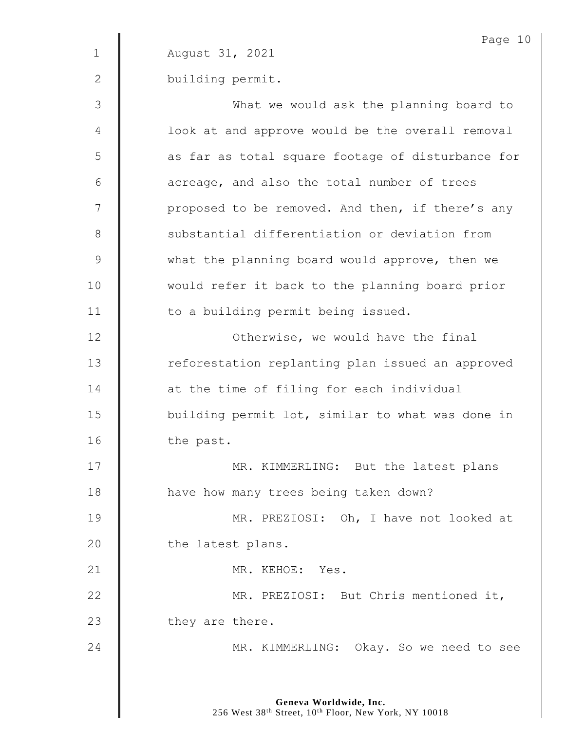|              | Page 10                                           |
|--------------|---------------------------------------------------|
| $\mathbf 1$  | August 31, 2021                                   |
| $\mathbf{2}$ | building permit.                                  |
| 3            | What we would ask the planning board to           |
| 4            | look at and approve would be the overall removal  |
| 5            | as far as total square footage of disturbance for |
| 6            | acreage, and also the total number of trees       |
| 7            | proposed to be removed. And then, if there's any  |
| $\,8\,$      | substantial differentiation or deviation from     |
| $\mathsf 9$  | what the planning board would approve, then we    |
| 10           | would refer it back to the planning board prior   |
| 11           | to a building permit being issued.                |
| 12           | Otherwise, we would have the final                |
| 13           | reforestation replanting plan issued an approved  |
| 14           | at the time of filing for each individual         |
| 15           | building permit lot, similar to what was done in  |
| 16           | the past.                                         |
| 17           | MR. KIMMERLING: But the latest plans              |
| $18\,$       | have how many trees being taken down?             |
| 19           | MR. PREZIOSI: Oh, I have not looked at            |
| 20           | the latest plans.                                 |
| 21           | MR. KEHOE: Yes.                                   |
| 22           | MR. PREZIOSI: But Chris mentioned it,             |
| 23           | they are there.                                   |
| 24           | MR. KIMMERLING: Okay. So we need to see           |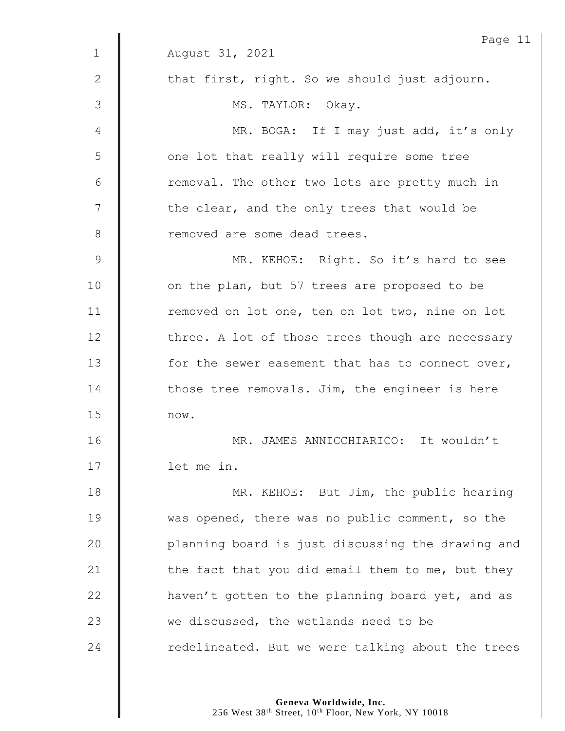|               | Page 11                                           |
|---------------|---------------------------------------------------|
| $\mathbf 1$   | August 31, 2021                                   |
| $\mathbf{2}$  | that first, right. So we should just adjourn.     |
| 3             | MS. TAYLOR: Okay.                                 |
| 4             | MR. BOGA: If I may just add, it's only            |
| 5             | one lot that really will require some tree        |
| 6             | removal. The other two lots are pretty much in    |
| 7             | the clear, and the only trees that would be       |
| 8             | removed are some dead trees.                      |
| $\mathcal{G}$ | MR. KEHOE: Right. So it's hard to see             |
| 10            | on the plan, but 57 trees are proposed to be      |
| 11            | removed on lot one, ten on lot two, nine on lot   |
| 12            | three. A lot of those trees though are necessary  |
| 13            | for the sewer easement that has to connect over,  |
| 14            | those tree removals. Jim, the engineer is here    |
| 15            | now.                                              |
| 16            | MR. JAMES ANNICCHIARICO: It wouldn't              |
| 17            | let me in.                                        |
| 18            | MR. KEHOE: But Jim, the public hearing            |
| 19            | was opened, there was no public comment, so the   |
| 20            | planning board is just discussing the drawing and |
| 21            | the fact that you did email them to me, but they  |
| 22            | haven't gotten to the planning board yet, and as  |
| 23            | we discussed, the wetlands need to be             |
| 24            | redelineated. But we were talking about the trees |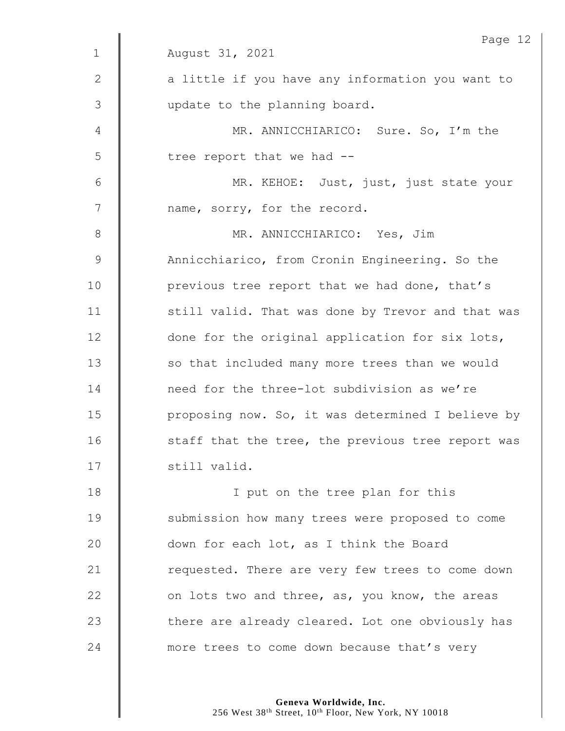|              | Page 12                                           |
|--------------|---------------------------------------------------|
| $\mathbf{1}$ | August 31, 2021                                   |
| $\mathbf{2}$ | a little if you have any information you want to  |
| 3            | update to the planning board.                     |
| 4            | MR. ANNICCHIARICO: Sure. So, I'm the              |
| 5            | tree report that we had --                        |
| 6            | MR. KEHOE: Just, just, just state your            |
| 7            | name, sorry, for the record.                      |
| 8            | MR. ANNICCHIARICO: Yes, Jim                       |
| 9            | Annicchiarico, from Cronin Engineering. So the    |
| 10           | previous tree report that we had done, that's     |
| 11           | still valid. That was done by Trevor and that was |
| 12           | done for the original application for six lots,   |
| 13           | so that included many more trees than we would    |
| 14           | need for the three-lot subdivision as we're       |
| 15           | proposing now. So, it was determined I believe by |
| 16           | staff that the tree, the previous tree report was |
| 17           | still valid.                                      |
| 18           | I put on the tree plan for this                   |
| 19           | submission how many trees were proposed to come   |
| 20           | down for each lot, as I think the Board           |
| 21           | requested. There are very few trees to come down  |
| 22           | on lots two and three, as, you know, the areas    |
| 23           | there are already cleared. Lot one obviously has  |
| 24           | more trees to come down because that's very       |
|              |                                                   |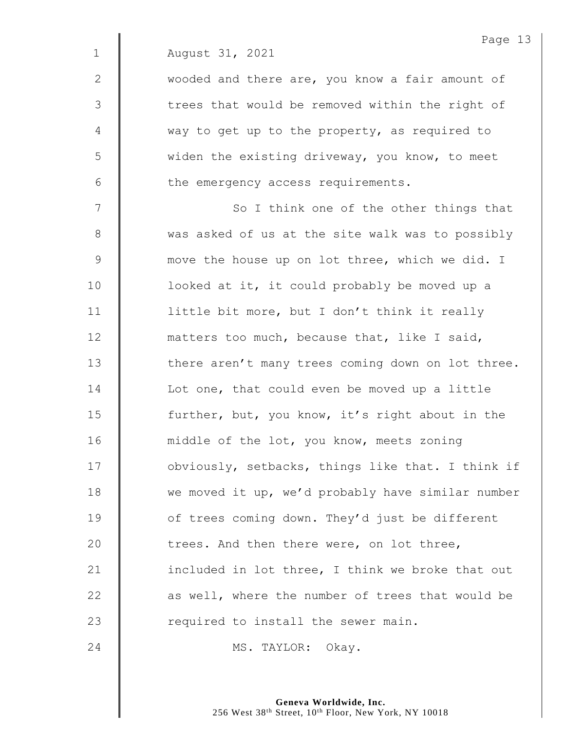2 | wooded and there are, you know a fair amount of 3 || trees that would be removed within the right of 4 way to get up to the property, as required to 5 | widen the existing driveway, you know, to meet  $6 \parallel$  the emergency access requirements.

7 || So I think one of the other things that 8 Was asked of us at the site walk was to possibly 9 **We Start Up in the Start Common Start Common Start Common Start Common Start Common Start Common Start Common Start Common Start Common Start Common Start Common Start Common Start Common Start Common Start Common Start** 10 | looked at it, it could probably be moved up a 11  $\parallel$  little bit more, but I don't think it really 12 **matters too much, because that, like I said,** 13 | there aren't many trees coming down on lot three. 14 **I** Lot one, that could even be moved up a little 15 **further, but, you know, it's right about in the** 16 | middle of the lot, you know, meets zoning 17 | obviously, setbacks, things like that. I think if 18 we moved it up, we'd probably have similar number 19 **deg 19** of trees coming down. They'd just be different 20 **trees.** And then there were, on lot three, 21  $\parallel$  included in lot three, I think we broke that out  $22$   $\parallel$  as well, where the number of trees that would be 23  $\parallel$  required to install the sewer main.

24 | MS. TAYLOR: Okay.

**Geneva Worldwide, Inc.** 256 West 38<sup>th</sup> Street, 10<sup>th</sup> Floor, New York, NY 10018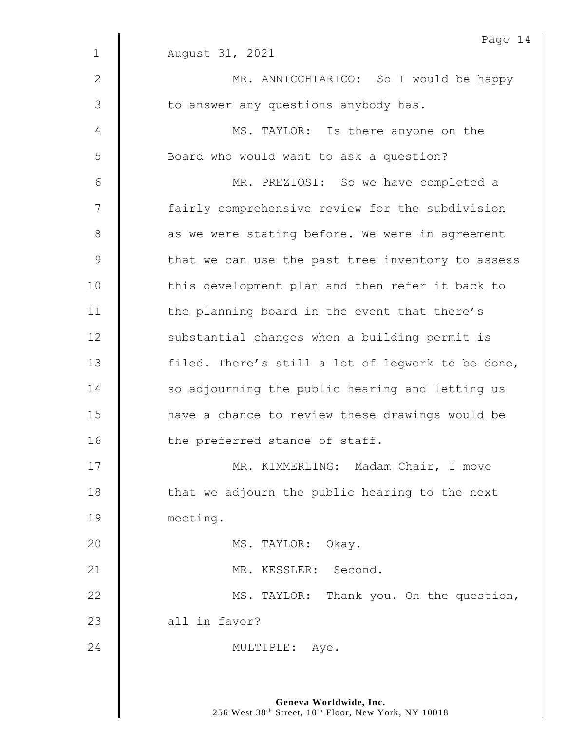|               | Page 14                                           |
|---------------|---------------------------------------------------|
| $\mathbf{1}$  | August 31, 2021                                   |
| $\mathbf{2}$  | MR. ANNICCHIARICO: So I would be happy            |
| 3             | to answer any questions anybody has.              |
| 4             | MS. TAYLOR: Is there anyone on the                |
| 5             | Board who would want to ask a question?           |
| 6             | MR. PREZIOSI: So we have completed a              |
| 7             | fairly comprehensive review for the subdivision   |
| $8\,$         | as we were stating before. We were in agreement   |
| $\mathcal{G}$ | that we can use the past tree inventory to assess |
| 10            | this development plan and then refer it back to   |
| 11            | the planning board in the event that there's      |
| 12            | substantial changes when a building permit is     |
| 13            | filed. There's still a lot of legwork to be done, |
| 14            | so adjourning the public hearing and letting us   |
| 15            | have a chance to review these drawings would be   |
| 16            | the preferred stance of staff.                    |
| 17            | MR. KIMMERLING: Madam Chair, I move               |
| 18            | that we adjourn the public hearing to the next    |
| 19            | meeting.                                          |
| 20            | MS. TAYLOR: Okay.                                 |
| 21            | MR. KESSLER: Second.                              |
| 22            | MS. TAYLOR: Thank you. On the question,           |
| 23            | all in favor?                                     |
| 24            | MULTIPLE: Aye.                                    |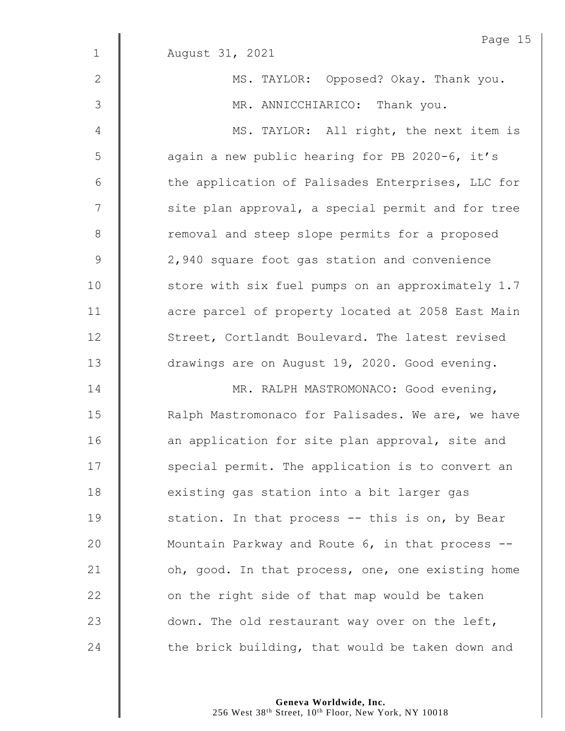|                | Page 15                                           |
|----------------|---------------------------------------------------|
| $\mathbf{1}$   | August 31, 2021                                   |
| $\mathbf{2}$   | MS. TAYLOR: Opposed? Okay. Thank you.             |
| 3              | MR. ANNICCHIARICO: Thank you.                     |
| 4              | MS. TAYLOR: All right, the next item is           |
| 5              | again a new public hearing for PB 2020-6, it's    |
| 6              | the application of Palisades Enterprises, LLC for |
| $\overline{7}$ | site plan approval, a special permit and for tree |
| $\,8\,$        | removal and steep slope permits for a proposed    |
| $\mathcal{G}$  | 2,940 square foot gas station and convenience     |
| 10             | store with six fuel pumps on an approximately 1.7 |
| 11             | acre parcel of property located at 2058 East Main |
| 12             | Street, Cortlandt Boulevard. The latest revised   |
| 13             | drawings are on August 19, 2020. Good evening.    |
| 14             | MR. RALPH MASTROMONACO: Good evening,             |
| 15             | Ralph Mastromonaco for Palisades. We are, we have |
| 16             | an application for site plan approval, site and   |
| 17             | special permit. The application is to convert an  |
| 18             | existing gas station into a bit larger gas        |
| 19             | station. In that process -- this is on, by Bear   |
| 20             | Mountain Parkway and Route 6, in that process --  |
| 21             | oh, good. In that process, one, one existing home |
| 22             | on the right side of that map would be taken      |
| 23             | down. The old restaurant way over on the left,    |
| 24             | the brick building, that would be taken down and  |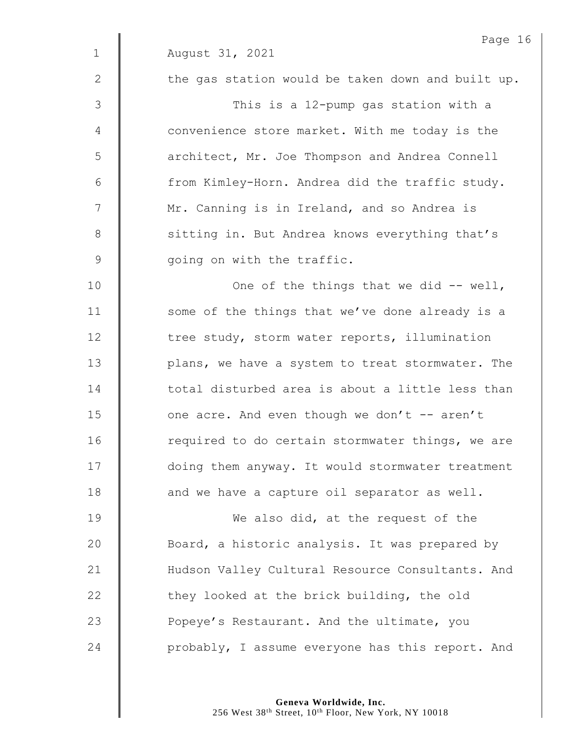|                 | Page 1                                            |
|-----------------|---------------------------------------------------|
| $\mathbf 1$     | August 31, 2021                                   |
| 2               | the gas station would be taken down and built up. |
| 3               | This is a 12-pump gas station with a              |
| 4               | convenience store market. With me today is the    |
| 5               | architect, Mr. Joe Thompson and Andrea Connell    |
| $6\phantom{.}6$ | from Kimley-Horn. Andrea did the traffic study.   |
| $7\phantom{.0}$ | Mr. Canning is in Ireland, and so Andrea is       |
| $8\,$           | sitting in. But Andrea knows everything that's    |
| $\mathcal{G}$   | going on with the traffic.                        |
| 10              | One of the things that we did -- well,            |
| 11              | some of the things that we've done already is a   |
| 12              | tree study, storm water reports, illumination     |
| 13              | plans, we have a system to treat stormwater. The  |
| 14              | total disturbed area is about a little less than  |
| 15              | one acre. And even though we don't -- aren't      |
| 16              | required to do certain stormwater things, we are  |
| 17              | doing them anyway. It would stormwater treatment  |
| 18              | and we have a capture oil separator as well.      |
| 19              | We also did, at the request of the                |
| 20              | Board, a historic analysis. It was prepared by    |
| 21              | Hudson Valley Cultural Resource Consultants. And  |
| 22              | they looked at the brick building, the old        |
| 23              | Popeye's Restaurant. And the ultimate, you        |
| 24              | probably, I assume everyone has this report. And  |
|                 |                                                   |

Page 16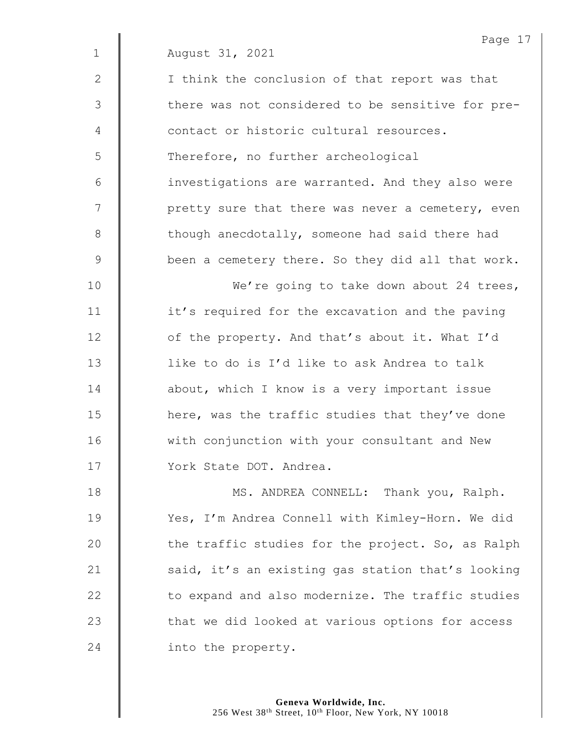|               | Page 1                                            |
|---------------|---------------------------------------------------|
| $\mathbf 1$   | August 31, 2021                                   |
| 2             | I think the conclusion of that report was that    |
| 3             | there was not considered to be sensitive for pre- |
| 4             | contact or historic cultural resources.           |
| 5             | Therefore, no further archeological               |
| 6             | investigations are warranted. And they also were  |
| 7             | pretty sure that there was never a cemetery, even |
| $8\,$         | though anecdotally, someone had said there had    |
| $\mathcal{G}$ | been a cemetery there. So they did all that work. |
| 10            | We're going to take down about 24 trees,          |
| 11            | it's required for the excavation and the paving   |
| 12            | of the property. And that's about it. What I'd    |
| 13            | like to do is I'd like to ask Andrea to talk      |
| 14            | about, which I know is a very important issue     |
| 15            | here, was the traffic studies that they've done   |
| 16            | with conjunction with your consultant and New     |
| 17            | York State DOT. Andrea.                           |
| 18            | MS. ANDREA CONNELL: Thank you, Ralph.             |
| 19            | Yes, I'm Andrea Connell with Kimley-Horn. We did  |
| 20            | the traffic studies for the project. So, as Ralph |
| 21            | said, it's an existing gas station that's looking |
| 22            | to expand and also modernize. The traffic studies |
| 23            | that we did looked at various options for access  |
| 24            | into the property.                                |

Page 17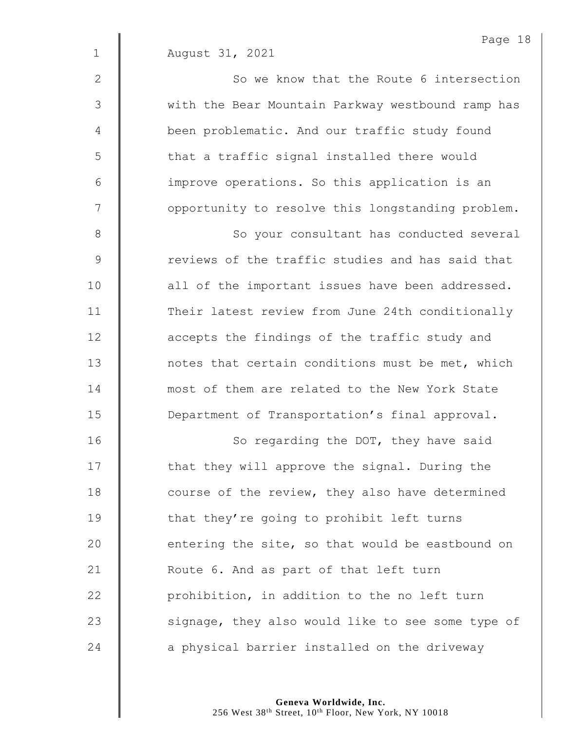| $1\,$           | August 31, 2021                                   |
|-----------------|---------------------------------------------------|
| 2               | So we know that the Route 6 intersection          |
| 3               | with the Bear Mountain Parkway westbound ramp has |
| $\overline{4}$  | been problematic. And our traffic study found     |
| 5               | that a traffic signal installed there would       |
| $6\phantom{1}6$ | improve operations. So this application is an     |
| 7               | opportunity to resolve this longstanding problem. |
| 8               | So your consultant has conducted several          |
| $\mathcal{G}$   | reviews of the traffic studies and has said that  |
| 10              | all of the important issues have been addressed.  |
| 11              | Their latest review from June 24th conditionally  |
| 12              | accepts the findings of the traffic study and     |
| 13              | notes that certain conditions must be met, which  |
| 14              | most of them are related to the New York State    |
| 15              | Department of Transportation's final approval.    |
| 16              | So regarding the DOT, they have said              |
| 17              | that they will approve the signal. During the     |
| 18              | course of the review, they also have determined   |
| 19              | that they're going to prohibit left turns         |
| 20              | entering the site, so that would be eastbound on  |
| 21              | Route 6. And as part of that left turn            |
| 22              | prohibition, in addition to the no left turn      |
| 23              | signage, they also would like to see some type of |
|                 |                                                   |

Page 18

24 a physical barrier installed on the driveway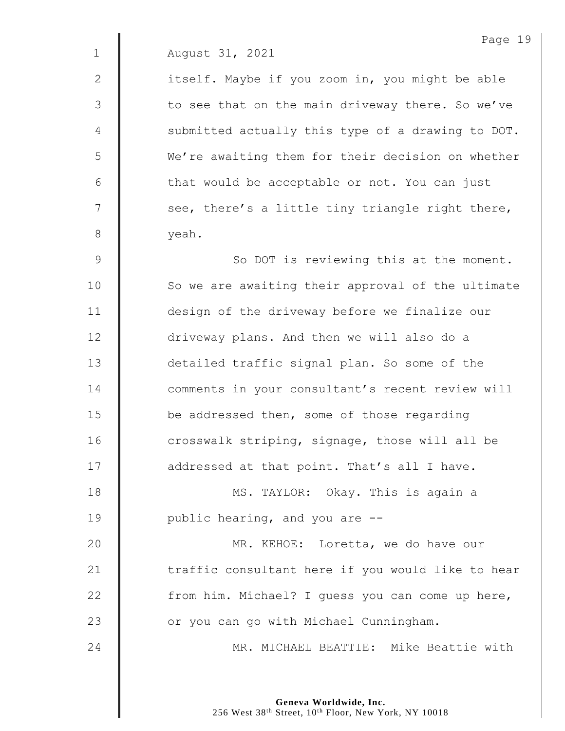2 | itself. Maybe if you zoom in, you might be able  $3 \parallel$  to see that on the main driveway there. So we've 4 | submitted actually this type of a drawing to DOT. 5 We're awaiting them for their decision on whether  $6$  | that would be acceptable or not. You can just  $7 \parallel$  see, there's a little tiny triangle right there, 8 | veah.

9 | So DOT is reviewing this at the moment. 10 | So we are awaiting their approval of the ultimate 11 design of the driveway before we finalize our 12 **driveway plans.** And then we will also do a 13 **detailed traffic signal plan. So some of the** 14 **d** comments in your consultant's recent review will 15 **be** addressed then, some of those regarding 16 **dec**rosswalk striping, signage, those will all be 17 | addressed at that point. That's all I have. 18 | MS. TAYLOR: Okay. This is again a 19 | public hearing, and you are --20 **MR. KEHOE:** Loretta, we do have our 21  $\parallel$  traffic consultant here if you would like to hear 22  $\parallel$  from him. Michael? I guess you can come up here, 23 | or you can go with Michael Cunningham.

24 | MR. MICHAEL BEATTIE: Mike Beattie with

**Geneva Worldwide, Inc.** 256 West 38<sup>th</sup> Street, 10<sup>th</sup> Floor, New York, NY 10018 Page 19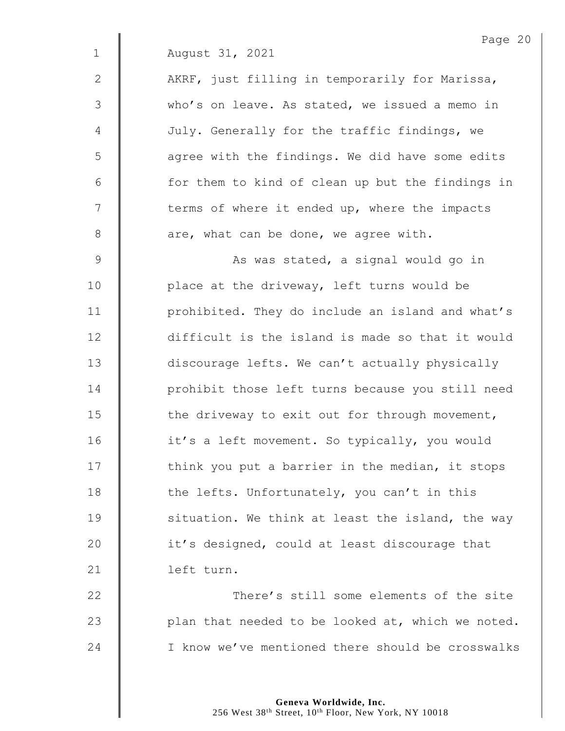2 | AKRF, just filling in temporarily for Marissa, 3 who's on leave. As stated, we issued a memo in 4 July. Generally for the traffic findings, we  $5 \parallel$  agree with the findings. We did have some edits  $6 \parallel$  for them to kind of clean up but the findings in 7 | terms of where it ended up, where the impacts  $8$  | are, what can be done, we agree with.

9 | No. 2010 As was stated, a signal would go in 10 | place at the driveway, left turns would be 11 | prohibited. They do include an island and what's 12 difficult is the island is made so that it would 13 discourage lefts. We can't actually physically 14 **| |** prohibit those left turns because you still need 15 The driveway to exit out for through movement, 16 | it's a left movement. So typically, you would 17 | think you put a barrier in the median, it stops 18  $\parallel$  the lefts. Unfortunately, you can't in this 19  $\parallel$  situation. We think at least the island, the way 20 | it's designed, could at least discourage that 21 | left turn.

22 **Number 22** There's still some elements of the site 23  $\parallel$  plan that needed to be looked at, which we noted. 24 | I know we've mentioned there should be crosswalks

> **Geneva Worldwide, Inc.** 256 West 38<sup>th</sup> Street, 10<sup>th</sup> Floor, New York, NY 10018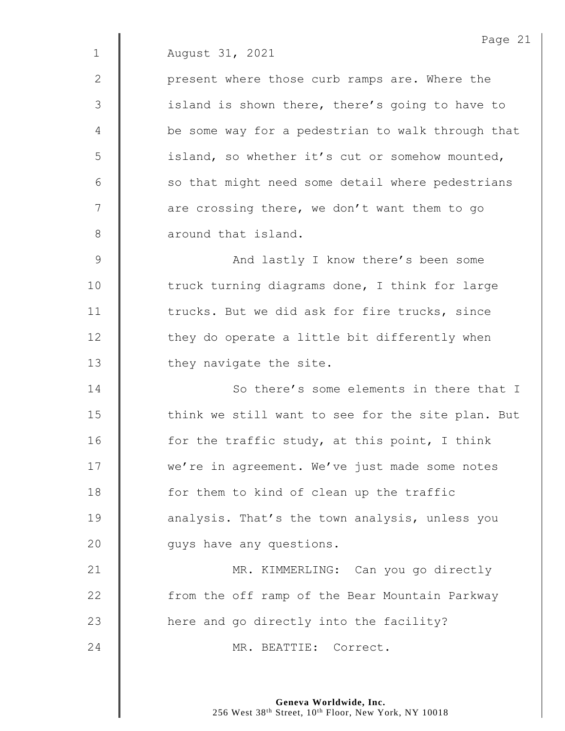2 | present where those curb ramps are. Where the 3 | island is shown there, there's going to have to 4 | be some way for a pedestrian to walk through that 5 | island, so whether it's cut or somehow mounted,  $6 \parallel$  so that might need some detail where pedestrians  $7 \parallel$  are crossing there, we don't want them to go 8 **6** around that island.

9 | And lastly I know there's been some 10 The truck turning diagrams done, I think for large 11 | trucks. But we did ask for fire trucks, since  $12$   $\parallel$  they do operate a little bit differently when 13 | they navigate the site.

**I** So there's some elements in there that I  $\parallel$  think we still want to see for the site plan. But  $\parallel$  for the traffic study, at this point, I think **we're in agreement.** We've just made some notes **for them to kind of clean up the traffic analysis.** That's the town analysis, unless you **quys** have any questions.

21 | MR. KIMMERLING: Can you go directly 22 | from the off ramp of the Bear Mountain Parkway 23  $\parallel$  here and go directly into the facility? 24 MR. BEATTIE: Correct.

> **Geneva Worldwide, Inc.** 256 West 38<sup>th</sup> Street, 10<sup>th</sup> Floor, New York, NY 10018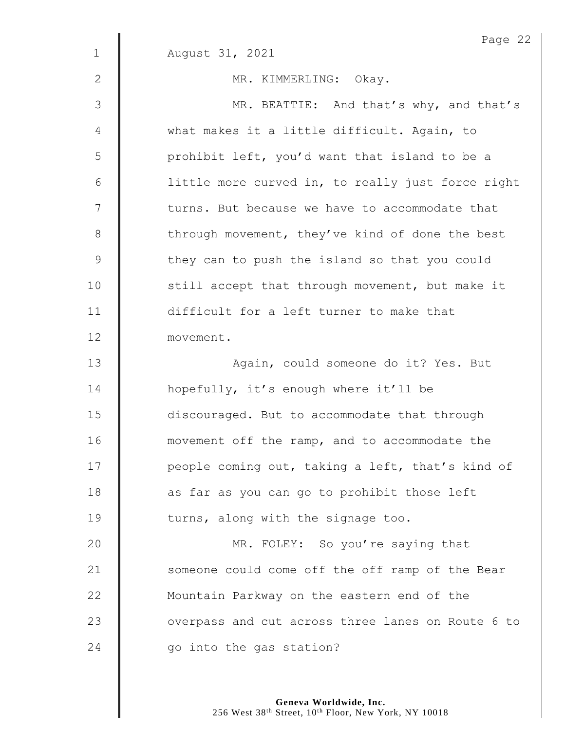|             | Page 22                                           |
|-------------|---------------------------------------------------|
| $\mathbf 1$ | August 31, 2021                                   |
| 2           | MR. KIMMERLING: Okay.                             |
| 3           | MR. BEATTIE: And that's why, and that's           |
| 4           | what makes it a little difficult. Again, to       |
| 5           | prohibit left, you'd want that island to be a     |
| 6           | little more curved in, to really just force right |
| 7           | turns. But because we have to accommodate that    |
| $8\,$       | through movement, they've kind of done the best   |
| $\mathsf 9$ | they can to push the island so that you could     |
| 10          | still accept that through movement, but make it   |
| 11          | difficult for a left turner to make that          |
| 12          | movement.                                         |
| 13          | Again, could someone do it? Yes. But              |
| 14          | hopefully, it's enough where it'll be             |
| 15          | discouraged. But to accommodate that through      |
| 16          | movement off the ramp, and to accommodate the     |
| 17          | people coming out, taking a left, that's kind of  |
| 18          | as far as you can go to prohibit those left       |
| 19          | turns, along with the signage too.                |
| 20          | MR. FOLEY: So you're saying that                  |
| 21          | someone could come off the off ramp of the Bear   |
| 22          | Mountain Parkway on the eastern end of the        |
| 23          | overpass and cut across three lanes on Route 6 to |
| 24          | go into the gas station?                          |
|             |                                                   |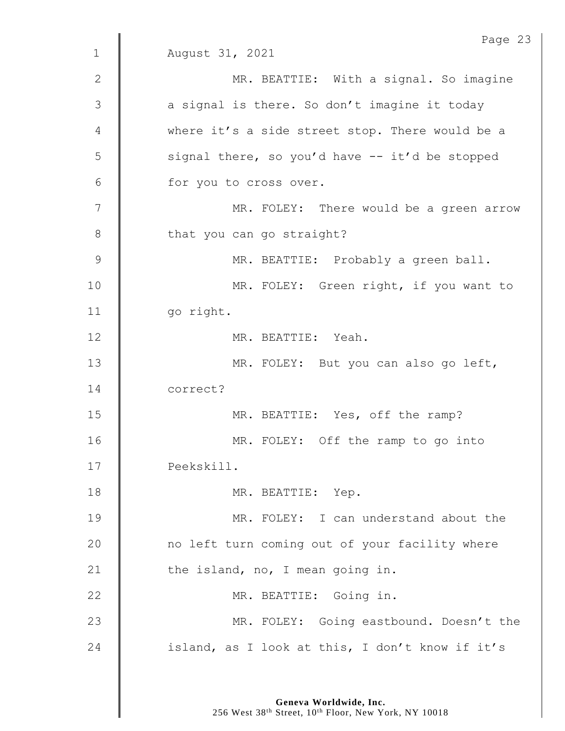|                | Page 23                                         |
|----------------|-------------------------------------------------|
| $\mathbf 1$    | August 31, 2021                                 |
| 2              | MR. BEATTIE: With a signal. So imagine          |
| $\mathfrak{Z}$ | a signal is there. So don't imagine it today    |
| 4              | where it's a side street stop. There would be a |
| 5              | signal there, so you'd have -- it'd be stopped  |
| 6              | for you to cross over.                          |
| 7              | MR. FOLEY: There would be a green arrow         |
| 8              | that you can go straight?                       |
| $\mathsf 9$    | MR. BEATTIE: Probably a green ball.             |
| 10             | MR. FOLEY: Green right, if you want to          |
| 11             | go right.                                       |
| 12             | MR. BEATTIE: Yeah.                              |
| 13             | MR. FOLEY: But you can also go left,            |
| 14             | correct?                                        |
| 15             | MR. BEATTIE: Yes, off the ramp?                 |
| 16             | MR. FOLEY: Off the ramp to go into              |
| 17             | Peekskill.                                      |
| 18             | MR. BEATTIE: Yep.                               |
| 19             | MR. FOLEY: I can understand about the           |
| 20             | no left turn coming out of your facility where  |
| 21             | the island, no, I mean going in.                |
| 22             | MR. BEATTIE: Going in.                          |
| 23             | MR. FOLEY: Going eastbound. Doesn't the         |
| 24             | island, as I look at this, I don't know if it's |
|                |                                                 |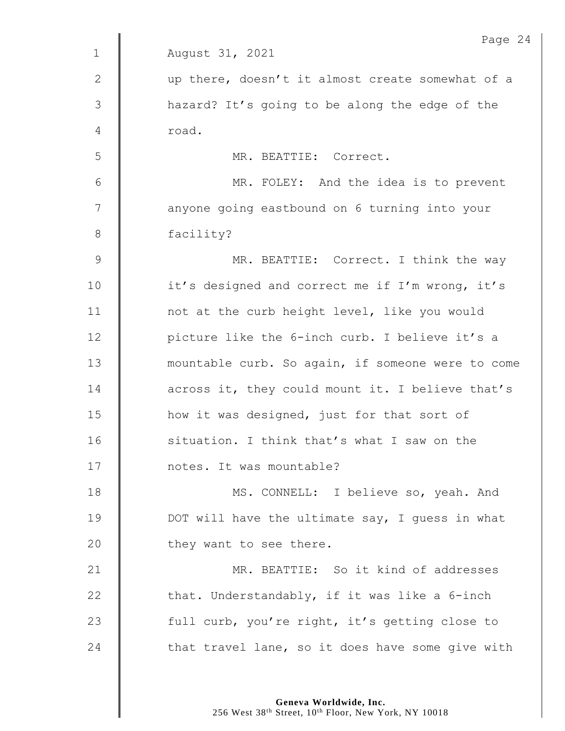|               | Page 24                                           |
|---------------|---------------------------------------------------|
| $\mathbf{1}$  | August 31, 2021                                   |
| 2             | up there, doesn't it almost create somewhat of a  |
| 3             | hazard? It's going to be along the edge of the    |
| 4             | road.                                             |
| 5             | MR. BEATTIE: Correct.                             |
| 6             | MR. FOLEY: And the idea is to prevent             |
| 7             | anyone going eastbound on 6 turning into your     |
| 8             | facility?                                         |
| $\mathcal{G}$ | MR. BEATTIE: Correct. I think the way             |
| 10            | it's designed and correct me if I'm wrong, it's   |
| 11            | not at the curb height level, like you would      |
| 12            | picture like the 6-inch curb. I believe it's a    |
| 13            | mountable curb. So again, if someone were to come |
| 14            | across it, they could mount it. I believe that's  |
| 15            | how it was designed, just for that sort of        |
| 16            | situation. I think that's what I saw on the       |
| 17            | notes. It was mountable?                          |
| 18            | MS. CONNELL: I believe so, yeah. And              |
| 19            | DOT will have the ultimate say, I quess in what   |
| 20            | they want to see there.                           |
| 21            | MR. BEATTIE: So it kind of addresses              |
| 22            | that. Understandably, if it was like a 6-inch     |
| 23            | full curb, you're right, it's getting close to    |
| 24            | that travel lane, so it does have some give with  |
|               |                                                   |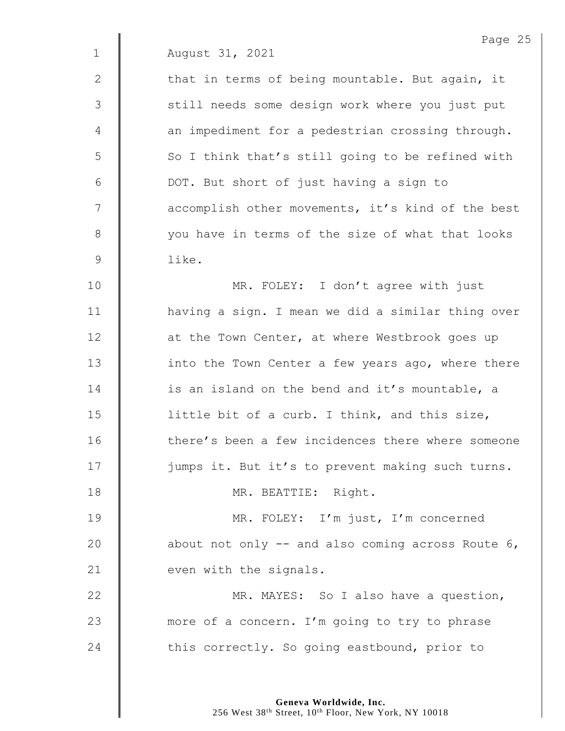2  $\parallel$  that in terms of being mountable. But again, it 3 || still needs some design work where you just put 4 | an impediment for a pedestrian crossing through.  $5 \parallel$  So I think that's still going to be refined with 6 DOT. But short of just having a sign to 7 | accomplish other movements, it's kind of the best 8 | vou have in terms of the size of what that looks 9 like.

10 | MR. FOLEY: I don't agree with just 11 | having a sign. I mean we did a similar thing over **d** at the Town Center, at where Westbrook goes up 13 | into the Town Center a few years ago, where there **is an island on the bend and it's mountable, a l** little bit of a curb. I think, and this size, **there's** been a few incidences there where someone  $\parallel$  jumps it. But it's to prevent making such turns.

18 || MR. BEATTIE: Right.

19 | MR. FOLEY: I'm just, I'm concerned 20  $\parallel$  about not only  $-$  and also coming across Route 6, 21  $\parallel$  even with the signals.

22 | MR. MAYES: So I also have a question, 23 more of a concern. I'm going to try to phrase 24  $\parallel$  this correctly. So going eastbound, prior to

> **Geneva Worldwide, Inc.** 256 West 38<sup>th</sup> Street, 10<sup>th</sup> Floor, New York, NY 10018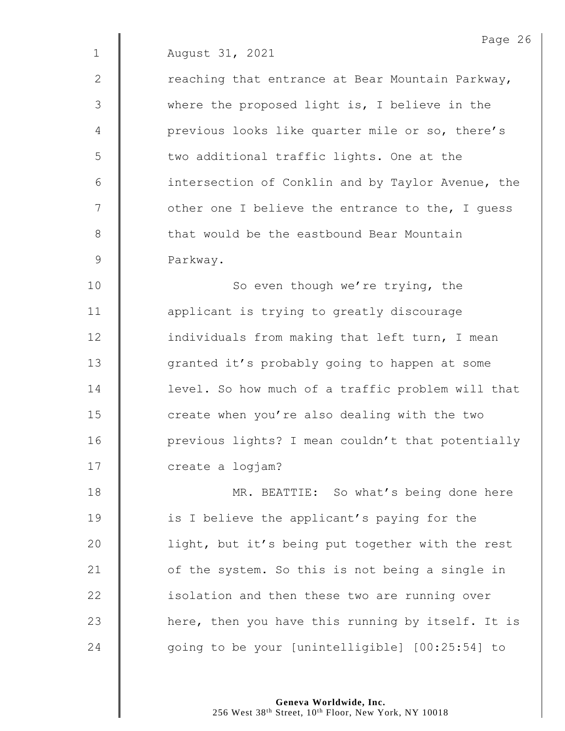2  $\parallel$  reaching that entrance at Bear Mountain Parkway, 3 | where the proposed light is, I believe in the 4 | previous looks like quarter mile or so, there's 5 | two additional traffic lights. One at the 6 **intersection of Conklin and by Taylor Avenue, the**  $7 \parallel$  other one I believe the entrance to the, I quess 8 that would be the eastbound Bear Mountain 9 **Parkway.** 

10 | So even though we're trying, the 11 | applicant is trying to greatly discourage 12 **individuals from making that left turn, I mean** 13 | granted it's probably going to happen at some 14 **d** level. So how much of a traffic problem will that 15 **deg 15** create when you're also dealing with the two 16 | previous lights? I mean couldn't that potentially 17 | create a logjam?

18 | MR. BEATTIE: So what's being done here 19 **is I** believe the applicant's paying for the 20 | light, but it's being put together with the rest 21 | of the system. So this is not being a single in 22 **isolation and then these two are running over** 23  $\parallel$  here, then you have this running by itself. It is 24  $\parallel$  going to be your [unintelligible] [00:25:54] to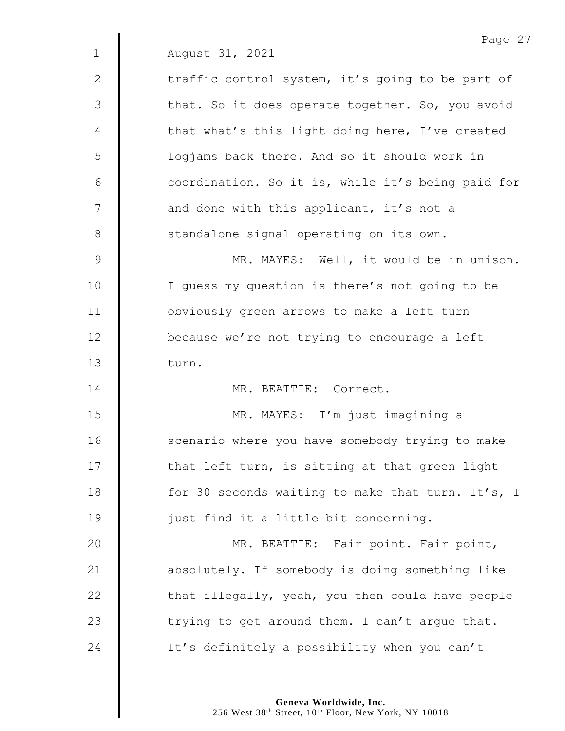|             | Page 27                                           |
|-------------|---------------------------------------------------|
| $\mathbf 1$ | August 31, 2021                                   |
| 2           | traffic control system, it's going to be part of  |
| 3           | that. So it does operate together. So, you avoid  |
| 4           | that what's this light doing here, I've created   |
| 5           | logjams back there. And so it should work in      |
| $6\,$       | coordination. So it is, while it's being paid for |
| 7           | and done with this applicant, it's not a          |
| $8\,$       | standalone signal operating on its own.           |
| 9           | MR. MAYES: Well, it would be in unison.           |
| 10          | I quess my question is there's not going to be    |
| 11          | obviously green arrows to make a left turn        |
| 12          | because we're not trying to encourage a left      |
| 13          | turn.                                             |
| 14          | MR. BEATTIE: Correct.                             |
| 15          | MR. MAYES: I'm just imagining a                   |
| 16          | scenario where you have somebody trying to make   |
| 17          | that left turn, is sitting at that green light    |
| 18          | for 30 seconds waiting to make that turn. It's, I |
| 19          | just find it a little bit concerning.             |
| 20          | MR. BEATTIE: Fair point. Fair point,              |
| 21          | absolutely. If somebody is doing something like   |
| 22          | that illegally, yeah, you then could have people  |
| 23          | trying to get around them. I can't argue that.    |
| 24          | It's definitely a possibility when you can't      |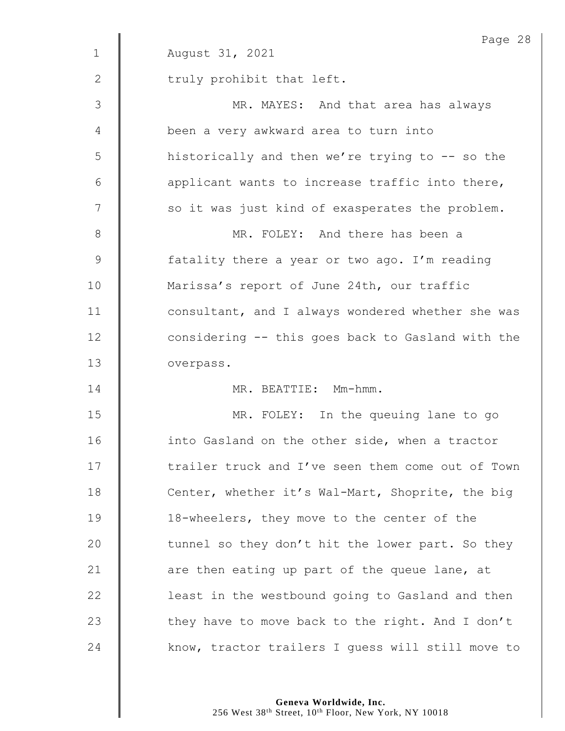|              | Page 28                                           |
|--------------|---------------------------------------------------|
| $\mathbf{1}$ | August 31, 2021                                   |
| 2            | truly prohibit that left.                         |
| 3            | MR. MAYES: And that area has always               |
| 4            | been a very awkward area to turn into             |
| 5            | historically and then we're trying to -- so the   |
| 6            | applicant wants to increase traffic into there,   |
| 7            | so it was just kind of exasperates the problem.   |
| 8            | MR. FOLEY: And there has been a                   |
| 9            | fatality there a year or two ago. I'm reading     |
| 10           | Marissa's report of June 24th, our traffic        |
| 11           | consultant, and I always wondered whether she was |
| 12           | considering -- this goes back to Gasland with the |
| 13           | overpass.                                         |
| 14           | MR. BEATTIE: Mm-hmm.                              |
| 15           | MR. FOLEY: In the queuing lane to go              |
| 16           | into Gasland on the other side, when a tractor    |
| 17           | trailer truck and I've seen them come out of Town |
| 18           | Center, whether it's Wal-Mart, Shoprite, the big  |
| 19           | 18-wheelers, they move to the center of the       |
| 20           | tunnel so they don't hit the lower part. So they  |
| 21           | are then eating up part of the queue lane, at     |
| 22           | least in the westbound going to Gasland and then  |
| 23           | they have to move back to the right. And I don't  |
| 24           | know, tractor trailers I guess will still move to |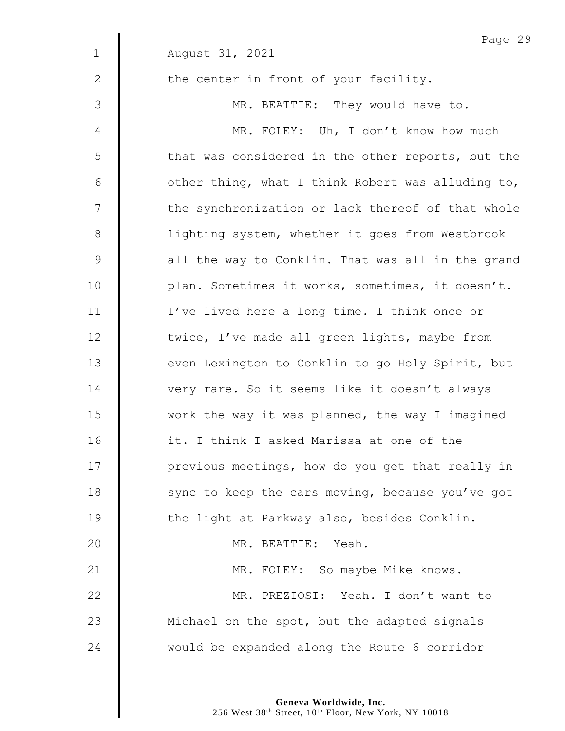| Page 29                                           |
|---------------------------------------------------|
| August 31, 2021                                   |
| the center in front of your facility.             |
| MR. BEATTIE: They would have to.                  |
| MR. FOLEY: Uh, I don't know how much              |
| that was considered in the other reports, but the |
| other thing, what I think Robert was alluding to, |
| the synchronization or lack thereof of that whole |
| lighting system, whether it goes from Westbrook   |
| all the way to Conklin. That was all in the grand |
| plan. Sometimes it works, sometimes, it doesn't.  |
| I've lived here a long time. I think once or      |
| twice, I've made all green lights, maybe from     |
| even Lexington to Conklin to go Holy Spirit, but  |
| very rare. So it seems like it doesn't always     |
| work the way it was planned, the way I imagined   |
| it. I think I asked Marissa at one of the         |
| previous meetings, how do you get that really in  |
| sync to keep the cars moving, because you've got  |
| the light at Parkway also, besides Conklin.       |
| MR. BEATTIE: Yeah.                                |
| MR. FOLEY: So maybe Mike knows.                   |
| MR. PREZIOSI: Yeah. I don't want to               |
| Michael on the spot, but the adapted signals      |
| would be expanded along the Route 6 corridor      |
|                                                   |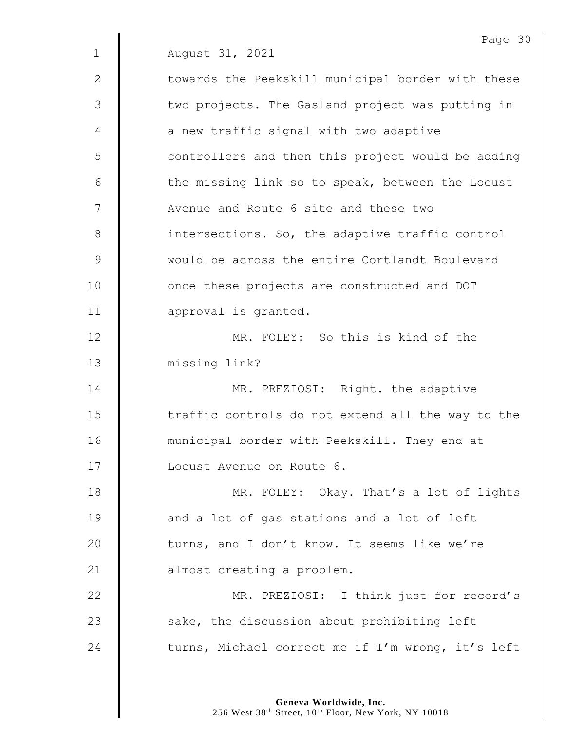|               | Page 30                                           |
|---------------|---------------------------------------------------|
| $\mathbf 1$   | August 31, 2021                                   |
| 2             | towards the Peekskill municipal border with these |
| 3             | two projects. The Gasland project was putting in  |
| 4             | a new traffic signal with two adaptive            |
| 5             | controllers and then this project would be adding |
| 6             | the missing link so to speak, between the Locust  |
| 7             | Avenue and Route 6 site and these two             |
| $8\,$         | intersections. So, the adaptive traffic control   |
| $\mathcal{G}$ | would be across the entire Cortlandt Boulevard    |
| 10            | once these projects are constructed and DOT       |
| 11            | approval is granted.                              |
| 12            | MR. FOLEY: So this is kind of the                 |
| 13            | missing link?                                     |
| 14            | MR. PREZIOSI: Right. the adaptive                 |
| 15            | traffic controls do not extend all the way to the |
| 16            | municipal border with Peekskill. They end at      |
| 17            | Locust Avenue on Route 6.                         |
| 18            | MR. FOLEY: Okay. That's a lot of lights           |
| 19            | and a lot of gas stations and a lot of left       |
| 20            | turns, and I don't know. It seems like we're      |
| 21            | almost creating a problem.                        |
| 22            | MR. PREZIOSI: I think just for record's           |
| 23            | sake, the discussion about prohibiting left       |
| 24            | turns, Michael correct me if I'm wrong, it's left |
|               |                                                   |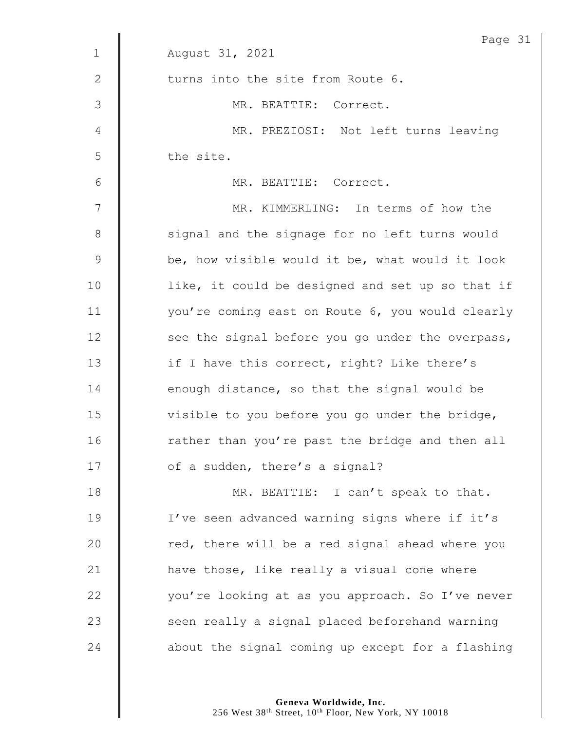|               | Page 31                                          |
|---------------|--------------------------------------------------|
| $\mathbf{1}$  | August 31, 2021                                  |
| $\mathbf{2}$  | turns into the site from Route 6.                |
| 3             | MR. BEATTIE: Correct.                            |
| 4             | MR. PREZIOSI: Not left turns leaving             |
| 5             | the site.                                        |
| 6             | MR. BEATTIE: Correct.                            |
| 7             | MR. KIMMERLING: In terms of how the              |
| $8\,$         | signal and the signage for no left turns would   |
| $\mathcal{G}$ | be, how visible would it be, what would it look  |
| 10            | like, it could be designed and set up so that if |
| 11            | you're coming east on Route 6, you would clearly |
| 12            | see the signal before you go under the overpass, |
| 13            | if I have this correct, right? Like there's      |
| 14            | enough distance, so that the signal would be     |
| 15            | visible to you before you go under the bridge,   |
| 16            | rather than you're past the bridge and then all  |
| 17            | of a sudden, there's a signal?                   |
| 18            | MR. BEATTIE: I can't speak to that.              |
| 19            | I've seen advanced warning signs where if it's   |
| 20            | red, there will be a red signal ahead where you  |
| 21            | have those, like really a visual cone where      |
| 22            | you're looking at as you approach. So I've never |
| 23            | seen really a signal placed beforehand warning   |
| 24            | about the signal coming up except for a flashing |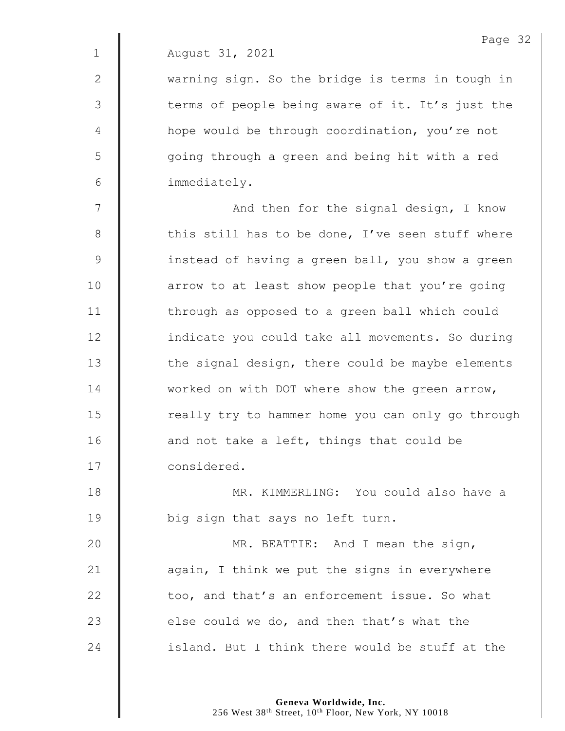2 | warning sign. So the bridge is terms in tough in 3 || terms of people being aware of it. It's just the 4 | hope would be through coordination, you're not 5 || going through a green and being hit with a red 6 immediately.

7 | And then for the signal design, I know 8  $\parallel$  this still has to be done, I've seen stuff where 9 | instead of having a green ball, you show a green 10 **deg** arrow to at least show people that you're going 11 | through as opposed to a green ball which could 12 | indicate you could take all movements. So during  $13$   $\parallel$  the signal design, there could be maybe elements 14 worked on with DOT where show the green arrow,  $15$   $\parallel$  really try to hammer home you can only go through 16 **a** and not take a left, things that could be 17 **Considered.** 

18 MR. KIMMERLING: You could also have a 19 **big sign that says no left turn.** 

**MR. BEATTIE:** And I mean the sign,  $\parallel$  again, I think we put the signs in everywhere  $\parallel$  too, and that's an enforcement issue. So what  $\parallel$  else could we do, and then that's what the  $\parallel$  island. But I think there would be stuff at the

> **Geneva Worldwide, Inc.** 256 West 38<sup>th</sup> Street, 10<sup>th</sup> Floor, New York, NY 10018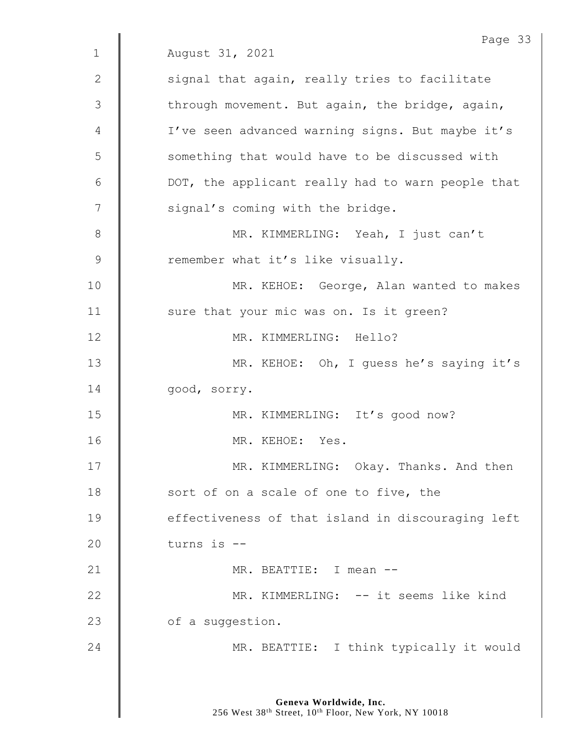|              | Page 33                                           |
|--------------|---------------------------------------------------|
| $\mathbf{1}$ | August 31, 2021                                   |
| $\mathbf{2}$ | signal that again, really tries to facilitate     |
| 3            | through movement. But again, the bridge, again,   |
| 4            | I've seen advanced warning signs. But maybe it's  |
| 5            | something that would have to be discussed with    |
| 6            | DOT, the applicant really had to warn people that |
| 7            | signal's coming with the bridge.                  |
| 8            | MR. KIMMERLING: Yeah, I just can't                |
| 9            | remember what it's like visually.                 |
| 10           | MR. KEHOE: George, Alan wanted to makes           |
| 11           | sure that your mic was on. Is it green?           |
| 12           | MR. KIMMERLING: Hello?                            |
| 13           | MR. KEHOE: Oh, I guess he's saying it's           |
| 14           | good, sorry.                                      |
| 15           | MR. KIMMERLING: It's good now?                    |
| 16           | MR. KEHOE: Yes.                                   |
| 17           | MR. KIMMERLING: Okay. Thanks. And then            |
| 18           | sort of on a scale of one to five, the            |
| 19           | effectiveness of that island in discouraging left |
| 20           | turns is --                                       |
| 21           | MR. BEATTIE: I mean --                            |
| 22           | MR. KIMMERLING: -- it seems like kind             |
| 23           | of a suggestion.                                  |
| 24           | MR. BEATTIE: I think typically it would           |
|              |                                                   |

**Geneva Worldwide, Inc.**

256 West 38th Street, 10th Floor, New York, NY 10018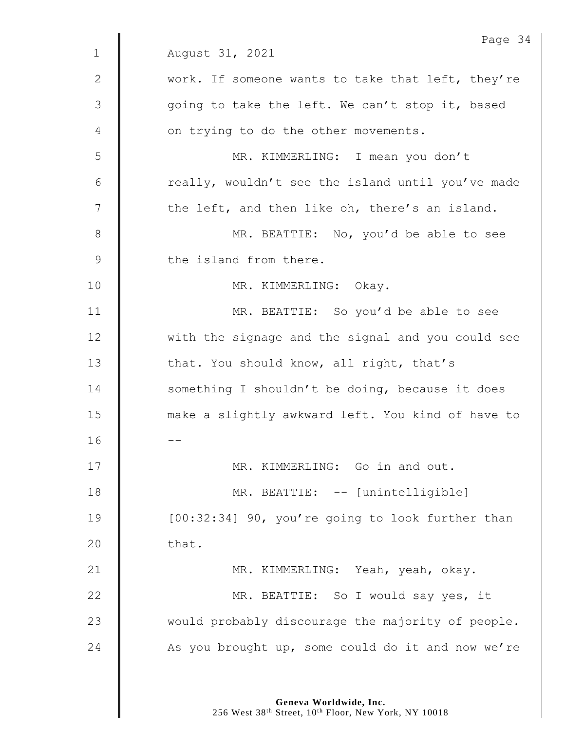|               | Page 34                                           |
|---------------|---------------------------------------------------|
| $\mathbf 1$   | August 31, 2021                                   |
| $\mathbf{2}$  | work. If someone wants to take that left, they're |
| 3             | going to take the left. We can't stop it, based   |
| 4             | on trying to do the other movements.              |
| 5             | MR. KIMMERLING: I mean you don't                  |
| 6             | really, wouldn't see the island until you've made |
| 7             | the left, and then like oh, there's an island.    |
| 8             | MR. BEATTIE: No, you'd be able to see             |
| $\mathcal{G}$ | the island from there.                            |
| 10            | MR. KIMMERLING: Okay.                             |
| 11            | MR. BEATTIE: So you'd be able to see              |
| 12            | with the signage and the signal and you could see |
| 13            | that. You should know, all right, that's          |
| 14            | something I shouldn't be doing, because it does   |
| 15            | make a slightly awkward left. You kind of have to |
| 16            |                                                   |
| 17            | MR. KIMMERLING: Go in and out.                    |
| 18            | MR. BEATTIE: -- [unintelligible]                  |
| 19            | [00:32:34] 90, you're going to look further than  |
| 20            | that.                                             |
| 21            | MR. KIMMERLING: Yeah, yeah, okay.                 |
| 22            | MR. BEATTIE: So I would say yes, it               |
| 23            | would probably discourage the majority of people. |
| 24            | As you brought up, some could do it and now we're |
|               |                                                   |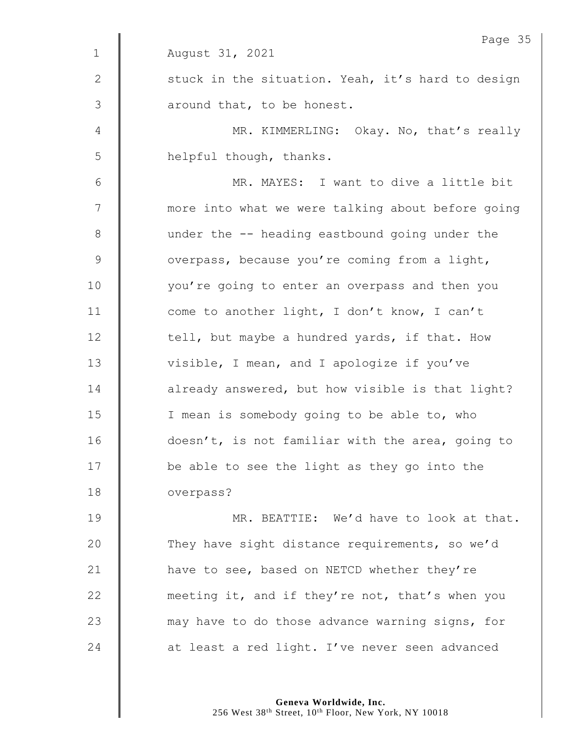|              | Page 35                                           |
|--------------|---------------------------------------------------|
| $\mathbf{1}$ | August 31, 2021                                   |
| 2            | stuck in the situation. Yeah, it's hard to design |
| 3            | around that, to be honest.                        |
| 4            | MR. KIMMERLING: Okay. No, that's really           |
| 5            | helpful though, thanks.                           |
| 6            | MR. MAYES: I want to dive a little bit            |
| 7            | more into what we were talking about before going |
| $8\,$        | under the -- heading eastbound going under the    |
| $\mathsf 9$  | overpass, because you're coming from a light,     |
| 10           | you're going to enter an overpass and then you    |
| 11           | come to another light, I don't know, I can't      |
| 12           | tell, but maybe a hundred yards, if that. How     |
| 13           | visible, I mean, and I apologize if you've        |
| 14           | already answered, but how visible is that light?  |
| 15           | I mean is somebody going to be able to, who       |
| 16           | doesn't, is not familiar with the area, going to  |
| 17           | be able to see the light as they go into the      |
| 18           | overpass?                                         |
| 19           | MR. BEATTIE: We'd have to look at that.           |
| 20           | They have sight distance requirements, so we'd    |
| 21           | have to see, based on NETCD whether they're       |
| 22           | meeting it, and if they're not, that's when you   |
| 23           | may have to do those advance warning signs, for   |
| 24           | at least a red light. I've never seen advanced    |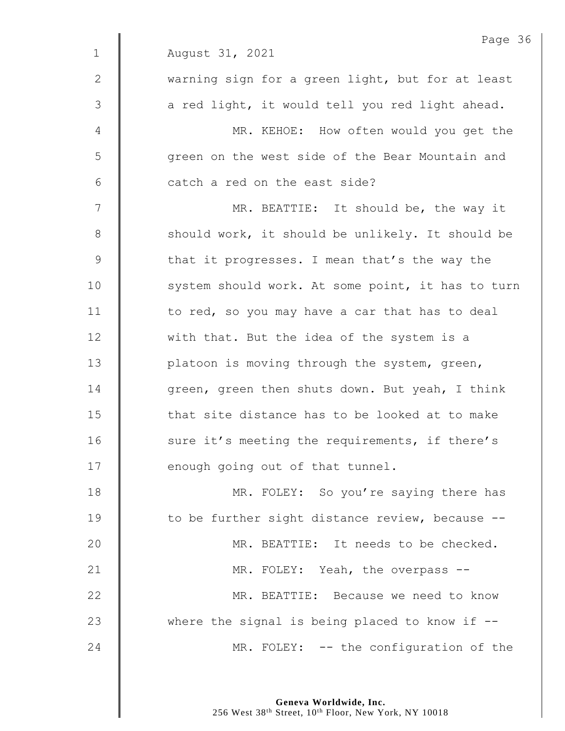|                | Page 36                                           |
|----------------|---------------------------------------------------|
| $\mathbf 1$    | August 31, 2021                                   |
| 2              | warning sign for a green light, but for at least  |
| 3              | a red light, it would tell you red light ahead.   |
| $\overline{4}$ | MR. KEHOE: How often would you get the            |
| 5              | green on the west side of the Bear Mountain and   |
| 6              | catch a red on the east side?                     |
| 7              | MR. BEATTIE: It should be, the way it             |
| $8\,$          | should work, it should be unlikely. It should be  |
| $\mathcal{G}$  | that it progresses. I mean that's the way the     |
| 10             | system should work. At some point, it has to turn |
| 11             | to red, so you may have a car that has to deal    |
| 12             | with that. But the idea of the system is a        |
| 13             | platoon is moving through the system, green,      |
| 14             | green, green then shuts down. But yeah, I think   |
| 15             | that site distance has to be looked at to make    |
| 16             | sure it's meeting the requirements, if there's    |
| 17             | enough going out of that tunnel.                  |
| 18             | MR. FOLEY: So you're saying there has             |
| 19             | to be further sight distance review, because --   |
| 20             | MR. BEATTIE: It needs to be checked.              |
| 21             | MR. FOLEY: Yeah, the overpass --                  |
| 22             | MR. BEATTIE: Because we need to know              |
| 23             | where the signal is being placed to know if $-$ - |
| 24             | MR. FOLEY: -- the configuration of the            |
|                |                                                   |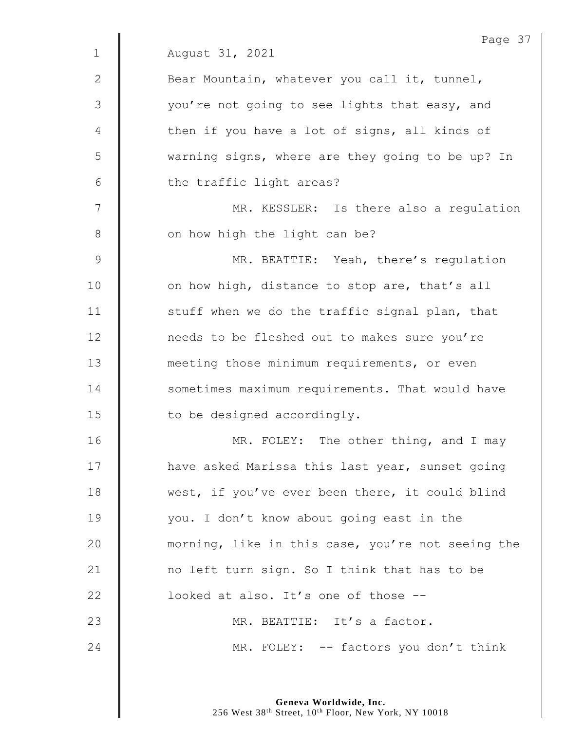|              | Page 37                                           |
|--------------|---------------------------------------------------|
| $\mathbf{1}$ | August 31, 2021                                   |
| $\mathbf{2}$ | Bear Mountain, whatever you call it, tunnel,      |
| 3            | you're not going to see lights that easy, and     |
| 4            | then if you have a lot of signs, all kinds of     |
| 5            | warning signs, where are they going to be up? In  |
| 6            | the traffic light areas?                          |
| 7            | MR. KESSLER: Is there also a regulation           |
| 8            | on how high the light can be?                     |
| $\mathsf 9$  | MR. BEATTIE: Yeah, there's regulation             |
| 10           | on how high, distance to stop are, that's all     |
| 11           | stuff when we do the traffic signal plan, that    |
| 12           | needs to be fleshed out to makes sure you're      |
| 13           | meeting those minimum requirements, or even       |
| 14           | sometimes maximum requirements. That would have   |
| 15           | to be designed accordingly.                       |
| 16           | MR. FOLEY: The other thing, and I may             |
| 17           | have asked Marissa this last year, sunset going   |
| 18           | west, if you've ever been there, it could blind   |
| 19           | you. I don't know about going east in the         |
| 20           | morning, like in this case, you're not seeing the |
| 21           | no left turn sign. So I think that has to be      |
| 22           | looked at also. It's one of those --              |
| 23           | MR. BEATTIE: It's a factor.                       |
| 24           | MR. FOLEY: -- factors you don't think             |
|              |                                                   |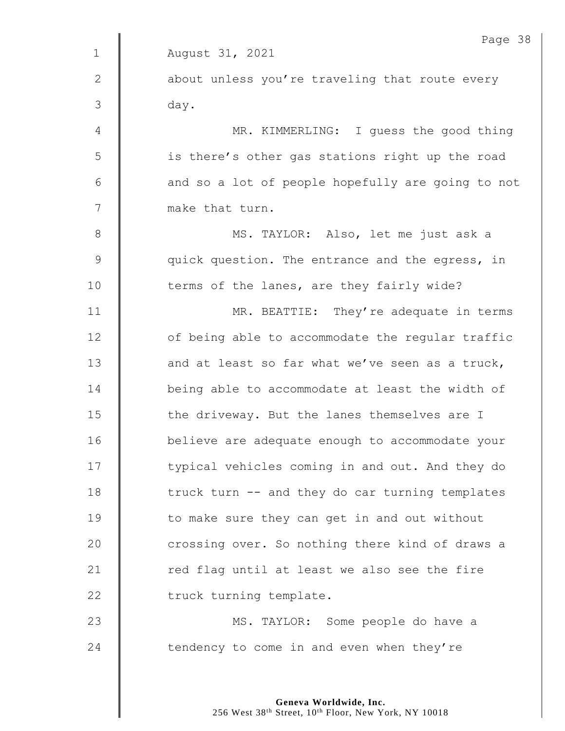|             | Page 38                                           |
|-------------|---------------------------------------------------|
| $\mathbf 1$ | August 31, 2021                                   |
| 2           | about unless you're traveling that route every    |
| 3           | day.                                              |
| 4           | MR. KIMMERLING: I guess the good thing            |
| 5           | is there's other gas stations right up the road   |
| 6           | and so a lot of people hopefully are going to not |
| 7           | make that turn.                                   |
| $\,8\,$     | MS. TAYLOR: Also, let me just ask a               |
| 9           | quick question. The entrance and the egress, in   |
| 10          | terms of the lanes, are they fairly wide?         |
| 11          | MR. BEATTIE: They're adequate in terms            |
| 12          | of being able to accommodate the regular traffic  |
| 13          | and at least so far what we've seen as a truck,   |
| 14          | being able to accommodate at least the width of   |
| 15          | the driveway. But the lanes themselves are I      |
| 16          | believe are adequate enough to accommodate your   |
| 17          | typical vehicles coming in and out. And they do   |
| 18          | truck turn -- and they do car turning templates   |
| 19          | to make sure they can get in and out without      |
| 20          | crossing over. So nothing there kind of draws a   |
| 21          | red flag until at least we also see the fire      |
| 22          | truck turning template.                           |
| 23          | MS. TAYLOR: Some people do have a                 |
| 24          | tendency to come in and even when they're         |
|             |                                                   |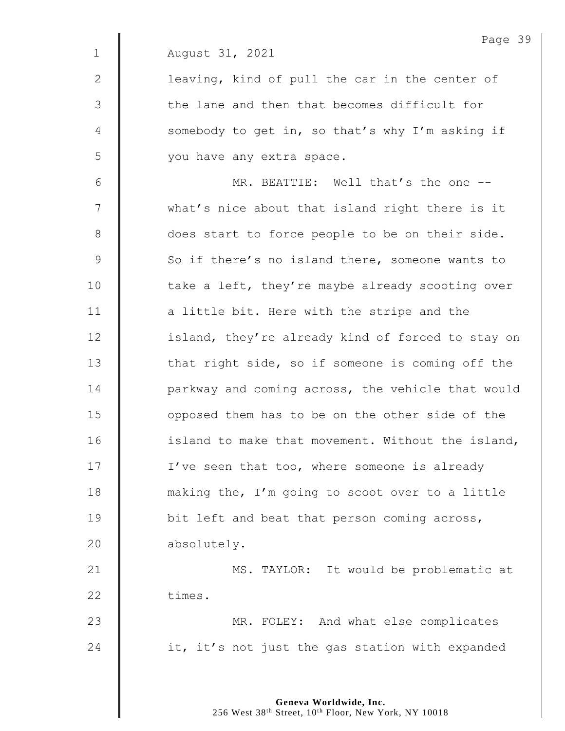|               | Page 39                                           |
|---------------|---------------------------------------------------|
| $\mathbf 1$   | August 31, 2021                                   |
| 2             | leaving, kind of pull the car in the center of    |
| 3             | the lane and then that becomes difficult for      |
| 4             | somebody to get in, so that's why I'm asking if   |
| 5             | you have any extra space.                         |
| 6             | MR. BEATTIE: Well that's the one --               |
| 7             | what's nice about that island right there is it   |
| 8             | does start to force people to be on their side.   |
| $\mathcal{G}$ | So if there's no island there, someone wants to   |
| 10            | take a left, they're maybe already scooting over  |
| 11            | a little bit. Here with the stripe and the        |
| 12            | island, they're already kind of forced to stay on |
| 13            | that right side, so if someone is coming off the  |
| 14            | parkway and coming across, the vehicle that would |
| 15            | opposed them has to be on the other side of the   |
| 16            | island to make that movement. Without the island, |
| 17            | I've seen that too, where someone is already      |
| 18            | making the, I'm going to scoot over to a little   |
| 19            | bit left and beat that person coming across,      |
| 20            | absolutely.                                       |
| 21            | MS. TAYLOR: It would be problematic at            |
| 22            | times.                                            |
| 23            | MR. FOLEY: And what else complicates              |
| 24            | it, it's not just the gas station with expanded   |
|               |                                                   |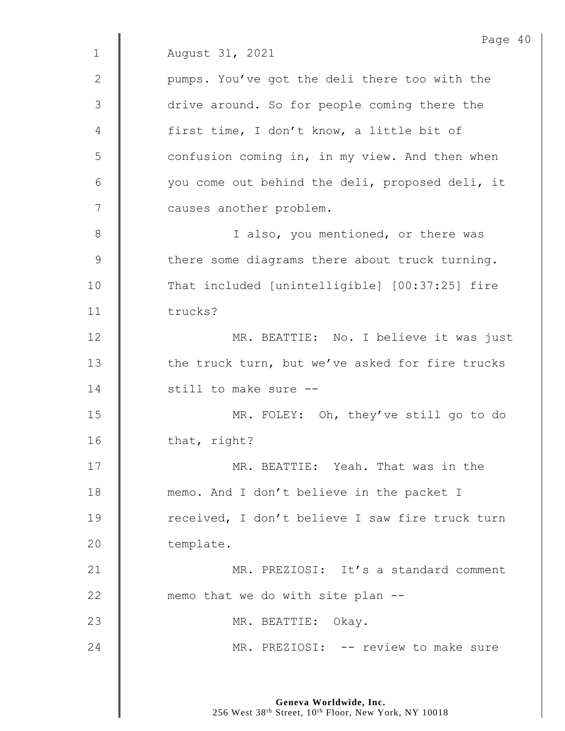Page 40 1 August 31, 2021 2 | pumps. You've got the deli there too with the 3  $\parallel$  drive around. So for people coming there the 4 | first time, I don't know, a little bit of 5 | confusion coming in, in my view. And then when 6 | vou come out behind the deli, proposed deli, it 7 | causes another problem. 8 || I also, you mentioned, or there was  $9 \parallel$  there some diagrams there about truck turning. 10 That included [unintelligible] [00:37:25] fire 11 trucks? 12 | MR. BEATTIE: No. I believe it was just 13 the truck turn, but we've asked for fire trucks 14 **decimal 14** still to make sure --15 MR. FOLEY: Oh, they've still go to do 16 that, right? 17 MR. BEATTIE: Yeah. That was in the 18 **memo.** And I don't believe in the packet I 19 The received, I don't believe I saw fire truck turn 20 | template. 21 | MR. PREZIOSI: It's a standard comment 22  $\parallel$  memo that we do with site plan  $-$ 23 || MR. BEATTIE: Okay. 24 | MR. PREZIOSI: -- review to make sure

> **Geneva Worldwide, Inc.** 256 West 38<sup>th</sup> Street, 10<sup>th</sup> Floor, New York, NY 10018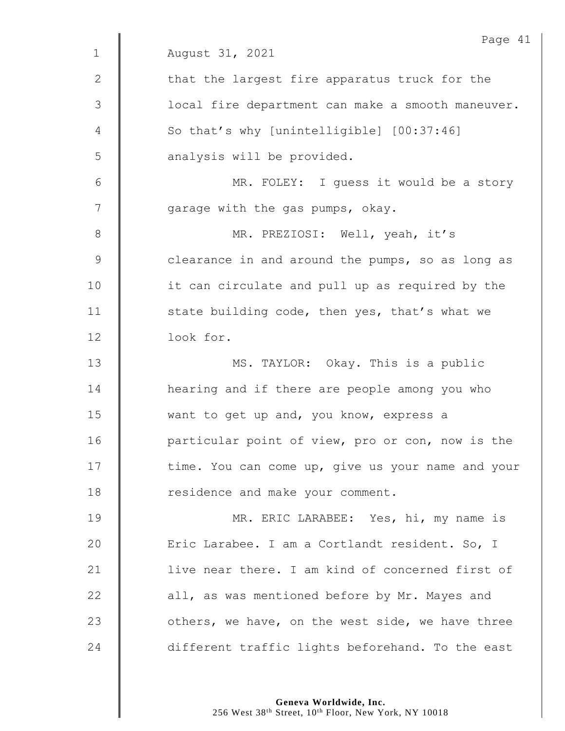|               | Page 41                                           |
|---------------|---------------------------------------------------|
| $\mathbf 1$   | August 31, 2021                                   |
| 2             | that the largest fire apparatus truck for the     |
| 3             | local fire department can make a smooth maneuver. |
| 4             | So that's why [unintelligible] [00:37:46]         |
| 5             | analysis will be provided.                        |
| $6\,$         | MR. FOLEY: I guess it would be a story            |
| 7             | garage with the gas pumps, okay.                  |
| $8\,$         | MR. PREZIOSI: Well, yeah, it's                    |
| $\mathcal{G}$ | clearance in and around the pumps, so as long as  |
| 10            | it can circulate and pull up as required by the   |
| 11            | state building code, then yes, that's what we     |
| 12            | look for.                                         |
| 13            | MS. TAYLOR: Okay. This is a public                |
| 14            | hearing and if there are people among you who     |
| 15            | want to get up and, you know, express a           |
| 16            | particular point of view, pro or con, now is the  |
| 17            | time. You can come up, give us your name and your |
| 18            | residence and make your comment.                  |
| 19            | MR. ERIC LARABEE: Yes, hi, my name is             |
| 20            | Eric Larabee. I am a Cortlandt resident. So, I    |
| 21            | live near there. I am kind of concerned first of  |
| 22            | all, as was mentioned before by Mr. Mayes and     |
| 23            | others, we have, on the west side, we have three  |
| 24            | different traffic lights beforehand. To the east  |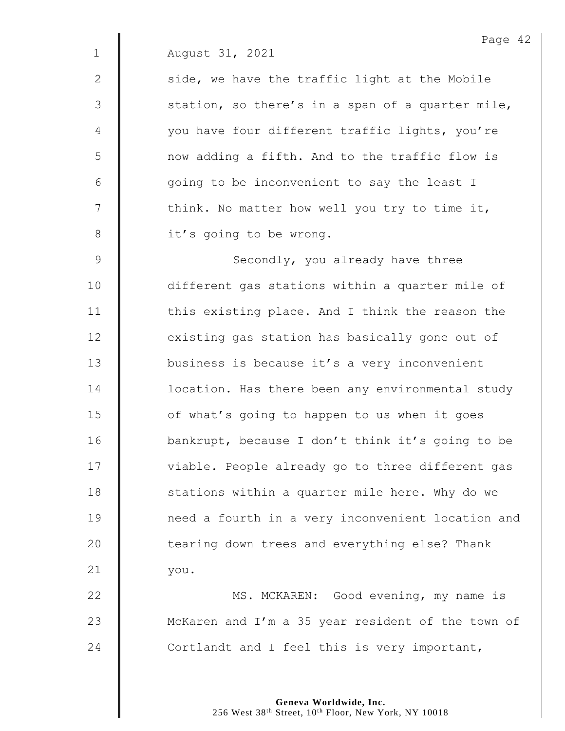2  $\parallel$  side, we have the traffic light at the Mobile  $3 \parallel$  station, so there's in a span of a quarter mile, 4 | vou have four different traffic lights, you're 5 | now adding a fifth. And to the traffic flow is  $6 \parallel$  going to be inconvenient to say the least I  $7 \parallel$  think. No matter how well you try to time it, 8 | it's going to be wrong.

9 Secondly, you already have three 10 different gas stations within a quarter mile of 11 | this existing place. And I think the reason the 12 **existing gas station has basically gone out of** 13 **business is because it's a very inconvenient** 14 **deg is a location.** Has there been any environmental study  $15$   $\parallel$  of what's going to happen to us when it goes 16 | bankrupt, because I don't think it's going to be 17 | viable. People already go to three different gas 18 **S** itations within a quarter mile here. Why do we 19 | need a fourth in a very inconvenient location and  $20$   $\parallel$  tearing down trees and everything else? Thank 21 you.

22 | MS. MCKAREN: Good evening, my name is 23 | McKaren and I'm a 35 year resident of the town of 24  $\parallel$  Cortlandt and I feel this is very important,

> **Geneva Worldwide, Inc.** 256 West 38<sup>th</sup> Street, 10<sup>th</sup> Floor, New York, NY 10018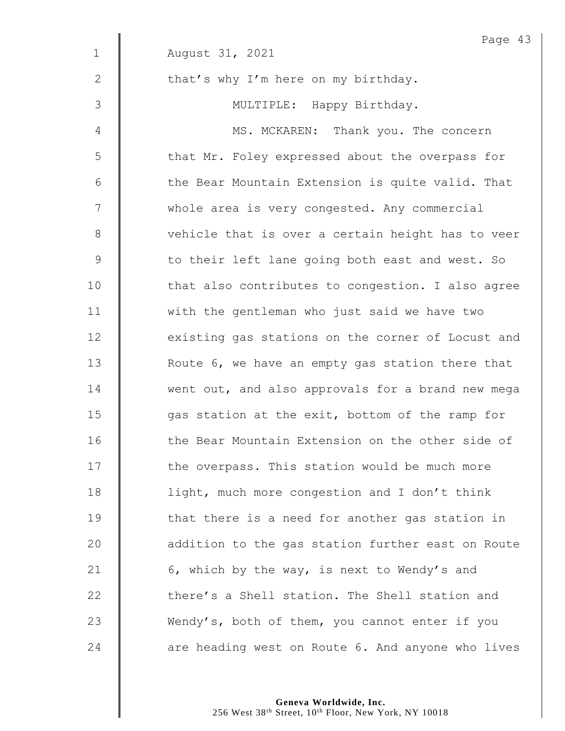|                | Page 43                                           |
|----------------|---------------------------------------------------|
| $\mathbf 1$    | August 31, 2021                                   |
| 2              | that's why I'm here on my birthday.               |
| 3              | MULTIPLE: Happy Birthday.                         |
| $\overline{4}$ | MS. MCKAREN: Thank you. The concern               |
| 5              | that Mr. Foley expressed about the overpass for   |
| 6              | the Bear Mountain Extension is quite valid. That  |
| 7              | whole area is very congested. Any commercial      |
| $8\,$          | vehicle that is over a certain height has to veer |
| $\mathsf 9$    | to their left lane going both east and west. So   |
| 10             | that also contributes to congestion. I also agree |
| 11             | with the gentleman who just said we have two      |
| 12             | existing gas stations on the corner of Locust and |
| 13             | Route 6, we have an empty gas station there that  |
| 14             | went out, and also approvals for a brand new mega |
| 15             | gas station at the exit, bottom of the ramp for   |
| 16             | the Bear Mountain Extension on the other side of  |
| 17             | the overpass. This station would be much more     |
| 18             | light, much more congestion and I don't think     |
| 19             | that there is a need for another gas station in   |
| 20             | addition to the gas station further east on Route |
| 21             | 6, which by the way, is next to Wendy's and       |
| 22             | there's a Shell station. The Shell station and    |
| 23             | Wendy's, both of them, you cannot enter if you    |
| 24             | are heading west on Route 6. And anyone who lives |

Page 43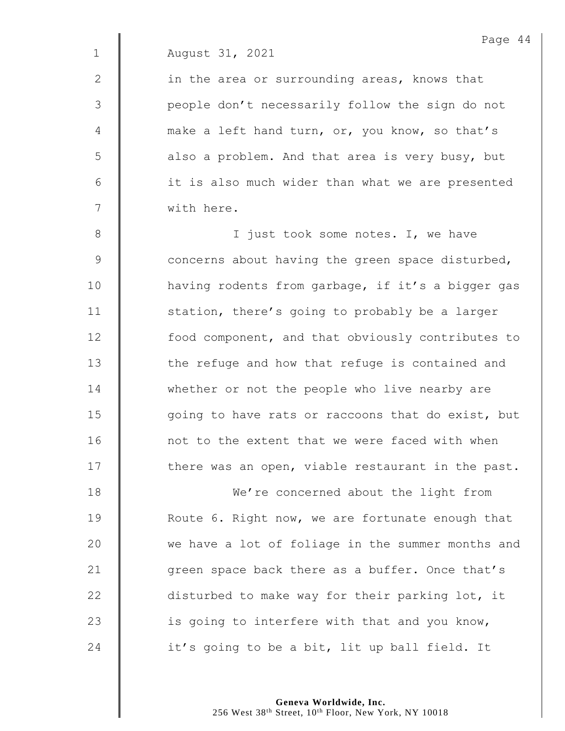$2 \parallel$  in the area or surrounding areas, knows that 3 || people don't necessarily follow the sign do not 4  $\parallel$  make a left hand turn, or, you know, so that's  $5 \parallel$  also a problem. And that area is very busy, but 6 || it is also much wider than what we are presented 7 with here.

8 || I just took some notes. I, we have 9 Concerns about having the green space disturbed, 10 | having rodents from garbage, if it's a bigger gas 11 | station, there's going to probably be a larger 12 **food component, and that obviously contributes to** 13 The refuge and how that refuge is contained and 14 whether or not the people who live nearby are 15 | qoing to have rats or raccoons that do exist, but 16 | not to the extent that we were faced with when 17 | there was an open, viable restaurant in the past.

**We're concerned about the light from Number 19** Route 6. Right now, we are fortunate enough that  $\parallel$  we have a lot of foliage in the summer months and **d** green space back there as a buffer. Once that's 22 disturbed to make way for their parking lot, it  $\parallel$  is going to interfere with that and you know,  $\parallel$  it's going to be a bit, lit up ball field. It

> **Geneva Worldwide, Inc.** 256 West 38<sup>th</sup> Street, 10<sup>th</sup> Floor, New York, NY 10018

Page 44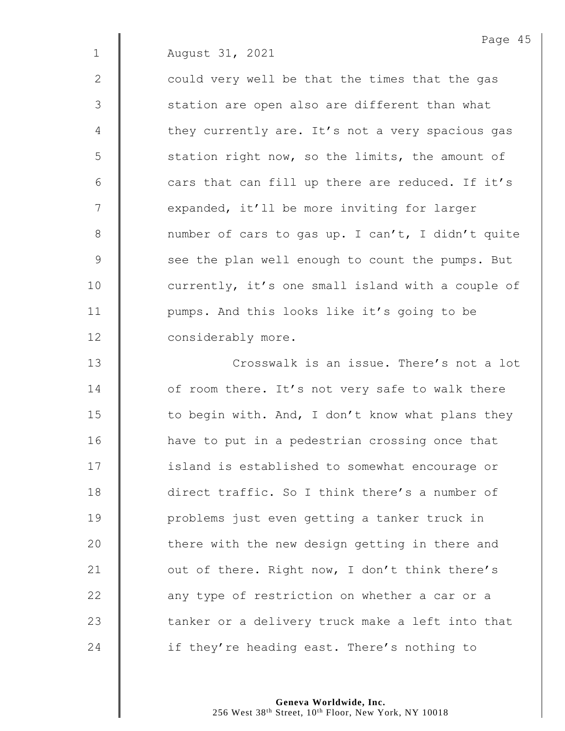2  $\parallel$  could very well be that the times that the gas 3 || station are open also are different than what 4 | they currently are. It's not a very spacious gas  $5 \parallel$  station right now, so the limits, the amount of  $6 \parallel$  cars that can fill up there are reduced. If it's 7 | expanded, it'll be more inviting for larger 8 mumber of cars to gas up. I can't, I didn't quite 9 See the plan well enough to count the pumps. But 10 | currently, it's one small island with a couple of 11 | pumps. And this looks like it's going to be 12 **considerably more.** 

13 **Number 13** Crosswalk is an issue. There's not a lot 14 **d** of room there. It's not very safe to walk there 15  $\parallel$  to begin with. And, I don't know what plans they 16 | have to put in a pedestrian crossing once that 17 | island is established to somewhat encourage or 18 direct traffic. So I think there's a number of 19 | problems just even getting a tanker truck in 20 | there with the new design getting in there and 21  $\parallel$  out of there. Right now, I don't think there's 22  $\parallel$  any type of restriction on whether a car or a  $23$   $\parallel$  tanker or a delivery truck make a left into that 24  $\parallel$  if they're heading east. There's nothing to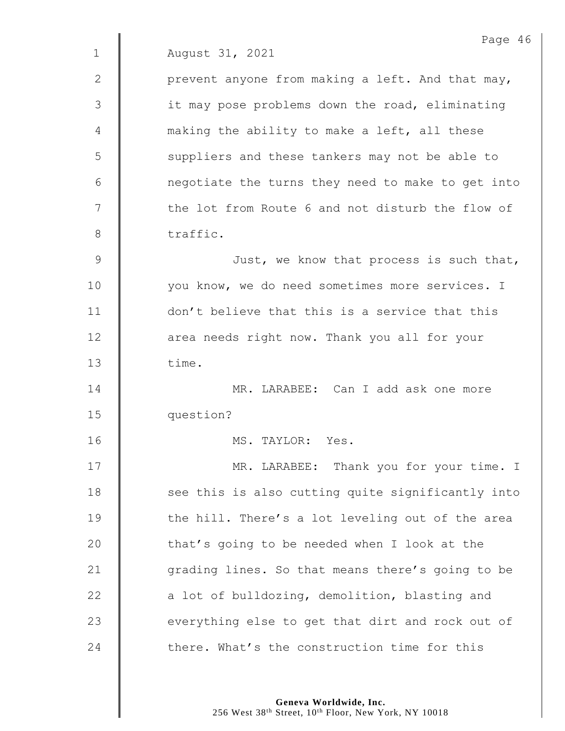|              | Page 46                                           |
|--------------|---------------------------------------------------|
| $\mathbf{1}$ | August 31, 2021                                   |
| $\mathbf{2}$ | prevent anyone from making a left. And that may,  |
| 3            | it may pose problems down the road, eliminating   |
| 4            | making the ability to make a left, all these      |
| 5            | suppliers and these tankers may not be able to    |
| 6            | negotiate the turns they need to make to get into |
| 7            | the lot from Route 6 and not disturb the flow of  |
| 8            | traffic.                                          |
| 9            | Just, we know that process is such that,          |
| 10           | you know, we do need sometimes more services. I   |
| 11           | don't believe that this is a service that this    |
| 12           | area needs right now. Thank you all for your      |
| 13           | time.                                             |
| 14           | MR. LARABEE: Can I add ask one more               |
| 15           | question?                                         |
| 16           | MS. TAYLOR:<br>Yes.                               |
| 17           | MR. LARABEE: Thank you for your time. I           |
| 18           | see this is also cutting quite significantly into |
| 19           | the hill. There's a lot leveling out of the area  |
| 20           | that's going to be needed when I look at the      |
| 21           | grading lines. So that means there's going to be  |
| 22           | a lot of bulldozing, demolition, blasting and     |
| 23           | everything else to get that dirt and rock out of  |
| 24           | there. What's the construction time for this      |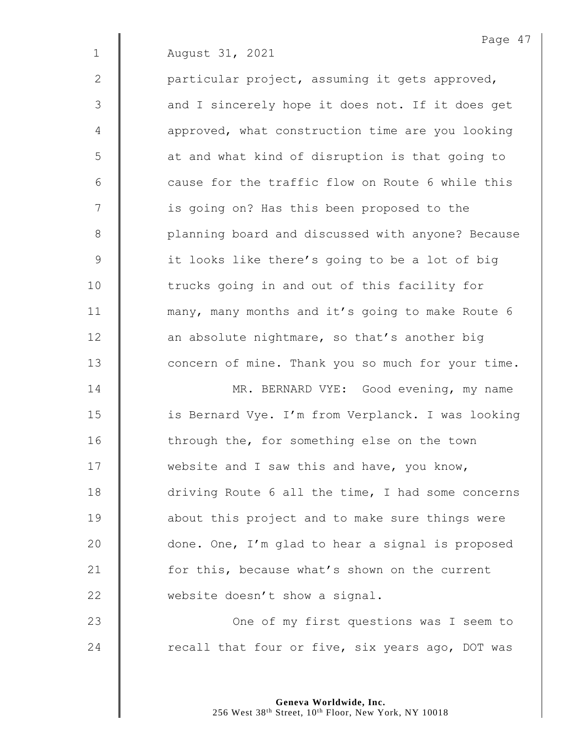2  $\parallel$  particular project, assuming it gets approved, 3 || and I sincerely hope it does not. If it does get 4 | approved, what construction time are you looking 5 | at and what kind of disruption is that going to  $6$   $\parallel$  cause for the traffic flow on Route 6 while this 7 | is going on? Has this been proposed to the 8 | planning board and discussed with anyone? Because 9 | it looks like there's going to be a lot of big 10 | trucks going in and out of this facility for 11 | many, many months and it's going to make Route 6  $12$   $\parallel$  an absolute nightmare, so that's another big 13 **Concern of mine.** Thank you so much for your time.

14 | MR. BERNARD VYE: Good evening, my name 15 | is Bernard Vye. I'm from Verplanck. I was looking 16 | through the, for something else on the town 17 Website and I saw this and have, you know, 18 driving Route 6 all the time, I had some concerns 19 **about this project and to make sure things were** 20  $\parallel$  done. One, I'm glad to hear a signal is proposed 21 **for this, because what's shown on the current** 22 website doesn't show a signal.

23 | One of my first questions was I seem to 24  $\parallel$  recall that four or five, six years ago, DOT was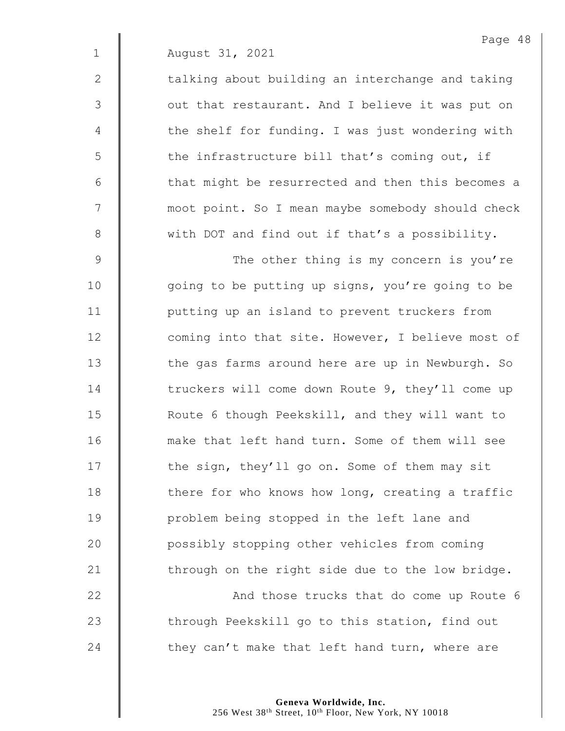$2 \parallel$  talking about building an interchange and taking 3 || out that restaurant. And I believe it was put on 4 | the shelf for funding. I was just wondering with  $5 \parallel$  the infrastructure bill that's coming out, if 6 || that might be resurrected and then this becomes a 7 | moot point. So I mean maybe somebody should check 8 We with DOT and find out if that's a possibility.

9 | The other thing is my concern is you're 10 | qoing to be putting up signs, you're going to be 11 | putting up an island to prevent truckers from 12 **coming into that site. However, I believe most of** 13 | the gas farms around here are up in Newburgh. So 14 The truckers will come down Route 9, they'll come up 15 | Route 6 though Peekskill, and they will want to 16 make that left hand turn. Some of them will see 17 | the sign, they'll go on. Some of them may sit  $18$  | there for who knows how long, creating a traffic 19 **I** problem being stopped in the left lane and 20 **Quare 20** possibly stopping other vehicles from coming 21  $\parallel$  through on the right side due to the low bridge.

22 | And those trucks that do come up Route 6 23 The through Peekskill go to this station, find out 24  $\parallel$  they can't make that left hand turn, where are

> **Geneva Worldwide, Inc.** 256 West 38<sup>th</sup> Street, 10<sup>th</sup> Floor, New York, NY 10018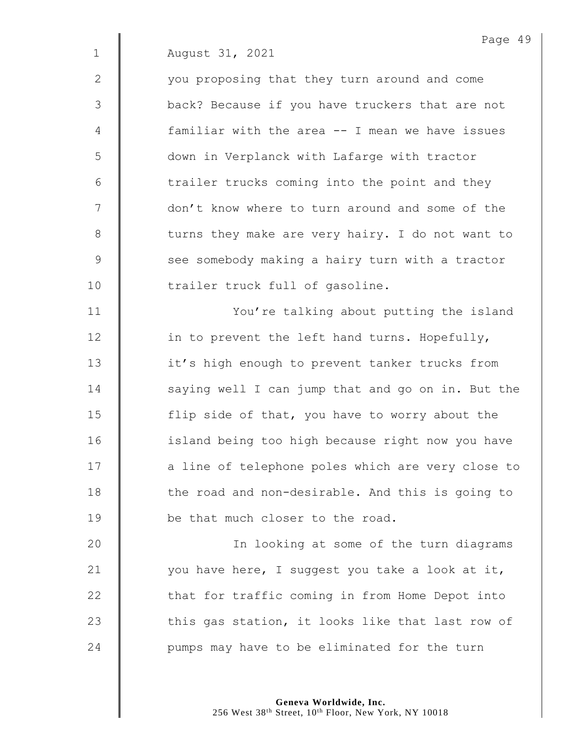2 | vou proposing that they turn around and come 3 back? Because if you have truckers that are not 4 familiar with the area -- I mean we have issues 5 down in Verplanck with Lafarge with tractor  $6$  | trailer trucks coming into the point and they 7 | don't know where to turn around and some of the 8 U turns they make are very hairy. I do not want to 9 See somebody making a hairy turn with a tractor 10 | trailer truck full of gasoline.

11 | You're talking about putting the island 12 | in to prevent the left hand turns. Hopefully, 13 | it's high enough to prevent tanker trucks from 14 Saying well I can jump that and go on in. But the 15 **fillum** 15 flip side of that, you have to worry about the 16 | island being too high because right now you have 17 | a line of telephone poles which are very close to 18 The road and non-desirable. And this is going to 19 **be** that much closer to the road.

20 | In looking at some of the turn diagrams 21  $\parallel$  you have here, I suggest you take a look at it, 22 that for traffic coming in from Home Depot into 23  $\parallel$  this gas station, it looks like that last row of 24  $\parallel$  pumps may have to be eliminated for the turn

> **Geneva Worldwide, Inc.** 256 West 38<sup>th</sup> Street, 10<sup>th</sup> Floor, New York, NY 10018

Page 49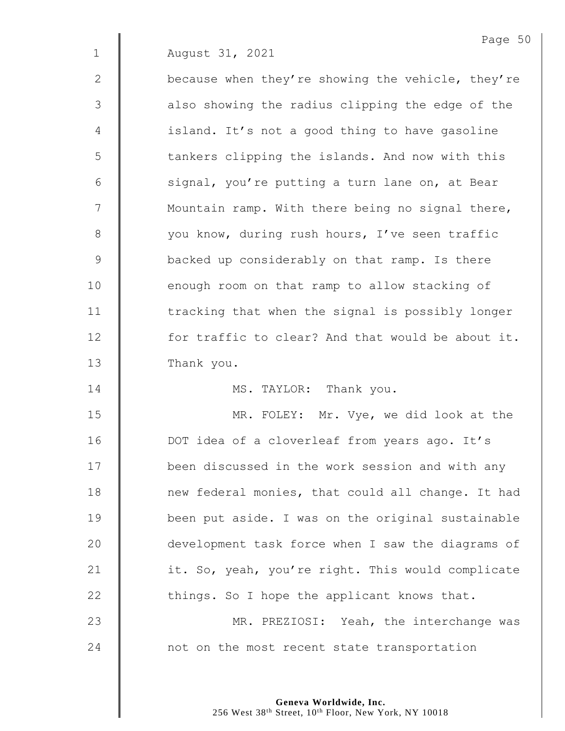2 | because when they're showing the vehicle, they're  $3$   $\parallel$  also showing the radius clipping the edge of the 4 | island. It's not a good thing to have gasoline 5 | tankers clipping the islands. And now with this 6  $\parallel$  signal, you're putting a turn lane on, at Bear 7 | Mountain ramp. With there being no signal there, 8 | vou know, during rush hours, I've seen traffic 9 Solution backed up considerably on that ramp. Is there 10 | enough room on that ramp to allow stacking of 11 | tracking that when the signal is possibly longer 12 **for traffic to clear?** And that would be about it. 13 | Thank you.

14 | MS. TAYLOR: Thank you.

15 **MR. FOLEY:** Mr. Vye, we did look at the 16 | DOT idea of a cloverleaf from years ago. It's 17 | been discussed in the work session and with any 18 **new federal monies, that could all change.** It had 19 **been put aside.** I was on the original sustainable 20 development task force when I saw the diagrams of 21 | it. So, yeah, you're right. This would complicate  $22$   $\parallel$  things. So I hope the applicant knows that. 23 **MR. PREZIOSI:** Yeah, the interchange was 24 mot on the most recent state transportation

> **Geneva Worldwide, Inc.** 256 West 38<sup>th</sup> Street, 10<sup>th</sup> Floor, New York, NY 10018

Page 50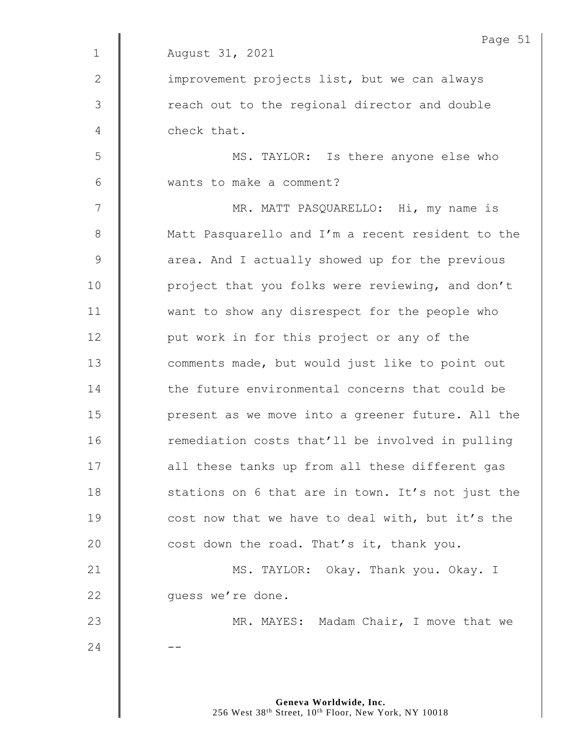|              | Page 51                                           |
|--------------|---------------------------------------------------|
| $\mathbf{1}$ | August 31, 2021                                   |
| 2            | improvement projects list, but we can always      |
| 3            | reach out to the regional director and double     |
| 4            | check that.                                       |
| 5            | MS. TAYLOR: Is there anyone else who              |
| 6            | wants to make a comment?                          |
| 7            | MR. MATT PASQUARELLO: Hi, my name is              |
| $8\,$        | Matt Pasquarello and I'm a recent resident to the |
| 9            | area. And I actually showed up for the previous   |
| 10           | project that you folks were reviewing, and don't  |
| 11           | want to show any disrespect for the people who    |
| 12           | put work in for this project or any of the        |
| 13           | comments made, but would just like to point out   |
| 14           | the future environmental concerns that could be   |
| 15           | present as we move into a greener future. All the |
| 16           | remediation costs that'll be involved in pulling  |
| 17           | all these tanks up from all these different gas   |
| 18           | stations on 6 that are in town. It's not just the |
| 19           | cost now that we have to deal with, but it's the  |
| 20           | cost down the road. That's it, thank you.         |
| 21           | MS. TAYLOR: Okay. Thank you. Okay. I              |
| 22           | guess we're done.                                 |
| 23           | MR. MAYES: Madam Chair, I move that we            |
| 24           |                                                   |
|              |                                                   |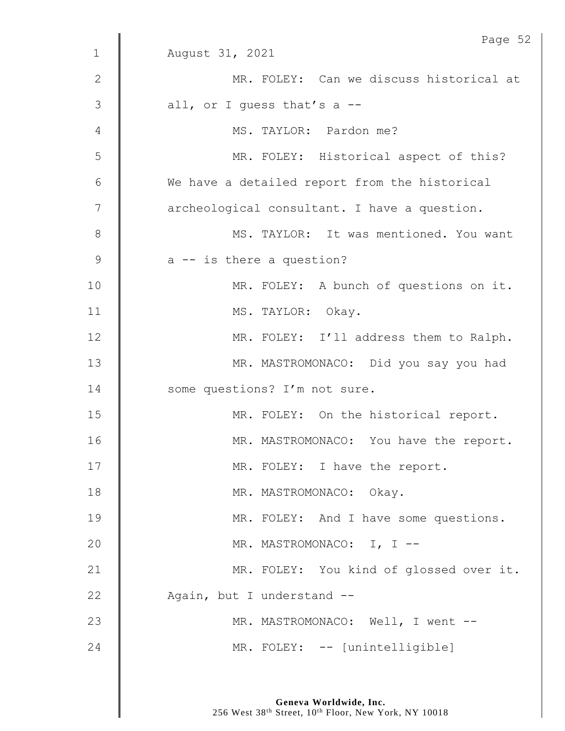|                  | Page 52                                       |
|------------------|-----------------------------------------------|
| $1\,$            | August 31, 2021                               |
| $\mathbf{2}$     | MR. FOLEY: Can we discuss historical at       |
| 3                | all, or I guess that's a $-$ -                |
| 4                | MS. TAYLOR: Pardon me?                        |
| 5                | MR. FOLEY: Historical aspect of this?         |
| 6                | We have a detailed report from the historical |
| $\boldsymbol{7}$ | archeological consultant. I have a question.  |
| $\,8\,$          | MS. TAYLOR: It was mentioned. You want        |
| $\mathcal{G}$    | $a$ -- is there a question?                   |
| 10               | MR. FOLEY: A bunch of questions on it.        |
| 11               | MS. TAYLOR: Okay.                             |
| 12               | MR. FOLEY: I'll address them to Ralph.        |
| 13               | MR. MASTROMONACO: Did you say you had         |
| 14               | some questions? I'm not sure.                 |
| 15               | MR. FOLEY: On the historical report.          |
| 16               | MR. MASTROMONACO: You have the report.        |
| 17               | MR. FOLEY: I have the report.                 |
| 18               | MR. MASTROMONACO: Okay.                       |
| 19               | MR. FOLEY: And I have some questions.         |
| 20               | MR. MASTROMONACO: I, I --                     |
| 21               | MR. FOLEY: You kind of glossed over it.       |
| 22               | Again, but I understand --                    |
| 23               | MR. MASTROMONACO: Well, I went --             |
| 24               | MR. FOLEY: -- [unintelligible]                |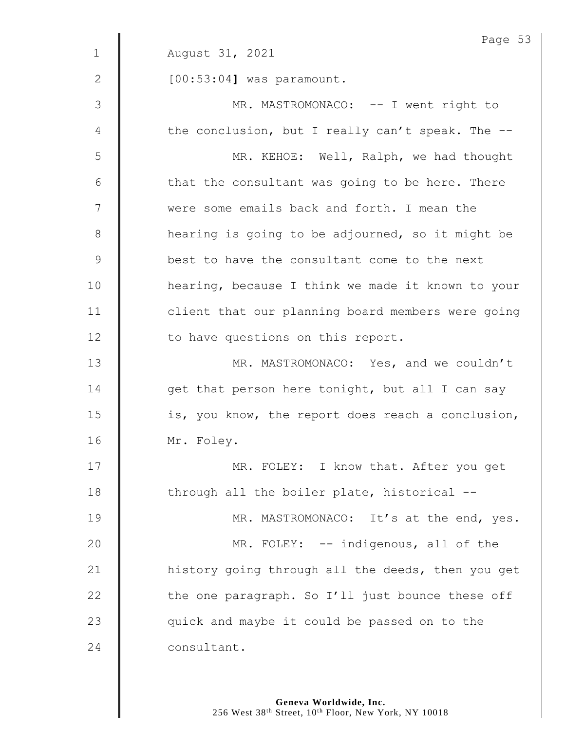|               | Page 53                                           |
|---------------|---------------------------------------------------|
| $\mathbf 1$   | August 31, 2021                                   |
| 2             | $[00:53:04]$ was paramount.                       |
| $\mathcal{S}$ | MR. MASTROMONACO: -- I went right to              |
| 4             | the conclusion, but I really can't speak. The --  |
| 5             | MR. KEHOE: Well, Ralph, we had thought            |
| 6             | that the consultant was going to be here. There   |
| 7             | were some emails back and forth. I mean the       |
| 8             | hearing is going to be adjourned, so it might be  |
| $\mathsf 9$   | best to have the consultant come to the next      |
| 10            | hearing, because I think we made it known to your |
| 11            | client that our planning board members were going |
| 12            | to have questions on this report.                 |
| 13            | MR. MASTROMONACO: Yes, and we couldn't            |
| 14            | get that person here tonight, but all I can say   |
| 15            | is, you know, the report does reach a conclusion, |
| 16            | Mr. Foley.                                        |
| 17            | MR. FOLEY: I know that. After you get             |
| 18            | through all the boiler plate, historical --       |
| 19            | MR. MASTROMONACO: It's at the end, yes.           |
| 20            | MR. FOLEY: -- indigenous, all of the              |
| 21            | history going through all the deeds, then you get |
| 22            | the one paragraph. So I'll just bounce these off  |
| 23            | quick and maybe it could be passed on to the      |
| 24            | consultant.                                       |
|               |                                                   |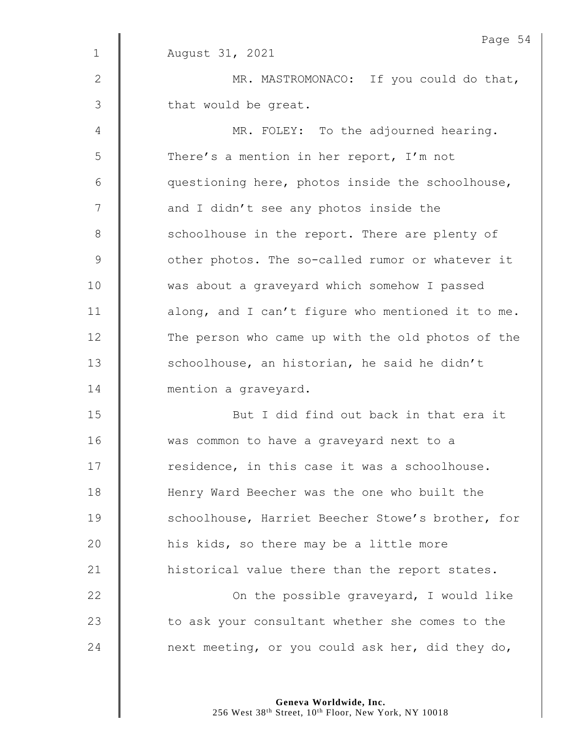|               | Page 54                                           |
|---------------|---------------------------------------------------|
| $\mathbf 1$   | August 31, 2021                                   |
| $\mathbf{2}$  | MR. MASTROMONACO: If you could do that,           |
| 3             | that would be great.                              |
| 4             | MR. FOLEY: To the adjourned hearing.              |
| 5             | There's a mention in her report, I'm not          |
| 6             | questioning here, photos inside the schoolhouse,  |
| 7             | and I didn't see any photos inside the            |
| $8\,$         | schoolhouse in the report. There are plenty of    |
| $\mathcal{G}$ | other photos. The so-called rumor or whatever it  |
| 10            | was about a graveyard which somehow I passed      |
| 11            | along, and I can't figure who mentioned it to me. |
| 12            | The person who came up with the old photos of the |
| 13            | schoolhouse, an historian, he said he didn't      |
| 14            | mention a graveyard.                              |
| 15            | But I did find out back in that era it            |
| 16            | was common to have a graveyard next to a          |
| 17            | residence, in this case it was a schoolhouse.     |
| 18            | Henry Ward Beecher was the one who built the      |
| 19            | schoolhouse, Harriet Beecher Stowe's brother, for |
| 20            | his kids, so there may be a little more           |
| 21            | historical value there than the report states.    |
| 22            | On the possible graveyard, I would like           |
| 23            | to ask your consultant whether she comes to the   |
| 24            | next meeting, or you could ask her, did they do,  |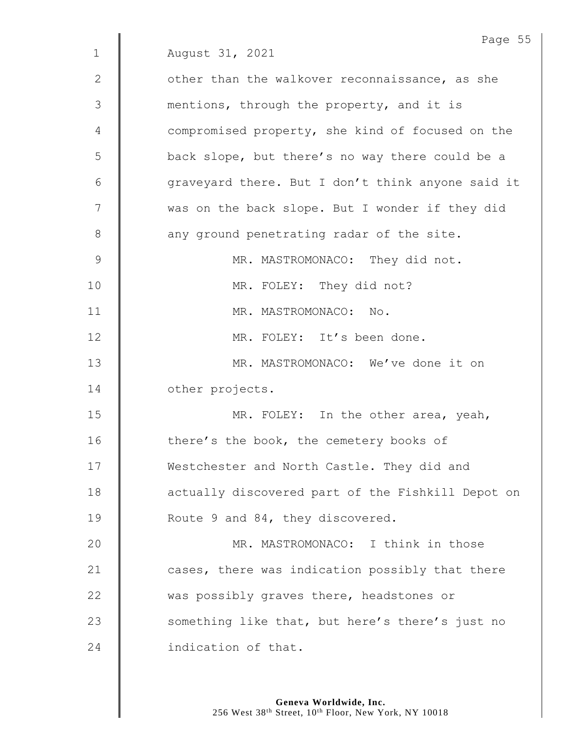|              | Page 55                                           |
|--------------|---------------------------------------------------|
| $\mathbf{1}$ | August 31, 2021                                   |
| $\mathbf{2}$ | other than the walkover reconnaissance, as she    |
| 3            | mentions, through the property, and it is         |
| 4            | compromised property, she kind of focused on the  |
| 5            | back slope, but there's no way there could be a   |
| 6            | graveyard there. But I don't think anyone said it |
| 7            | was on the back slope. But I wonder if they did   |
| 8            | any ground penetrating radar of the site.         |
| 9            | MR. MASTROMONACO: They did not.                   |
| 10           | MR. FOLEY: They did not?                          |
| 11           | MR. MASTROMONACO: No.                             |
| 12           | MR. FOLEY: It's been done.                        |
| 13           | MR. MASTROMONACO: We've done it on                |
| 14           | other projects.                                   |
| 15           | MR. FOLEY: In the other area, yeah,               |
| 16           | there's the book, the cemetery books of           |
| 17           | Westchester and North Castle. They did and        |
| 18           | actually discovered part of the Fishkill Depot on |
| 19           | Route 9 and 84, they discovered.                  |
| 20           | MR. MASTROMONACO: I think in those                |
| 21           | cases, there was indication possibly that there   |
| 22           | was possibly graves there, headstones or          |
| 23           | something like that, but here's there's just no   |
| 24           | indication of that.                               |
|              |                                                   |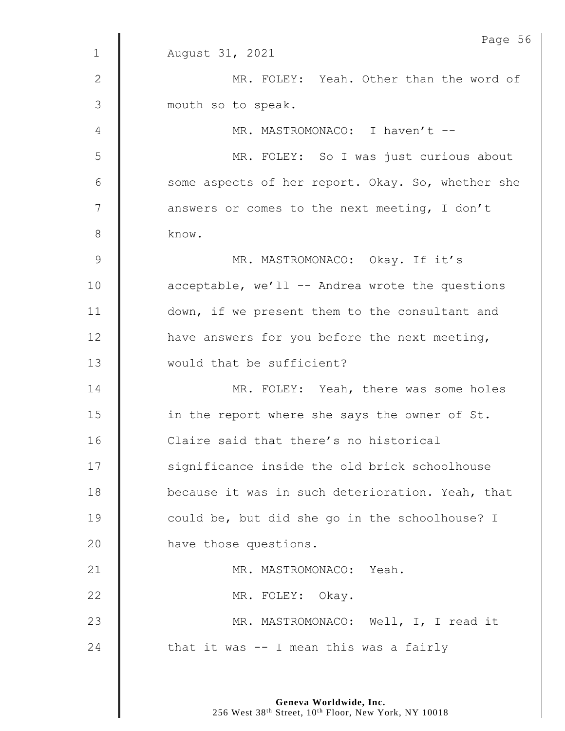|             | Page 56                                           |
|-------------|---------------------------------------------------|
| $\mathbf 1$ | August 31, 2021                                   |
| 2           | MR. FOLEY: Yeah. Other than the word of           |
| 3           | mouth so to speak.                                |
| 4           | MR. MASTROMONACO: I haven't --                    |
| 5           | MR. FOLEY: So I was just curious about            |
| 6           | some aspects of her report. Okay. So, whether she |
| 7           | answers or comes to the next meeting, I don't     |
| 8           | know.                                             |
| $\mathsf 9$ | MR. MASTROMONACO: Okay. If it's                   |
| 10          | acceptable, we'll -- Andrea wrote the questions   |
| 11          | down, if we present them to the consultant and    |
| 12          | have answers for you before the next meeting,     |
| 13          | would that be sufficient?                         |
| 14          | MR. FOLEY: Yeah, there was some holes             |
| 15          | in the report where she says the owner of St.     |
| 16          | Claire said that there's no historical            |
| 17          | significance inside the old brick schoolhouse     |
| 18          | because it was in such deterioration. Yeah, that  |
| 19          | could be, but did she go in the schoolhouse? I    |
| 20          | have those questions.                             |
| 21          | MR. MASTROMONACO: Yeah.                           |
| 22          | MR. FOLEY: Okay.                                  |
| 23          | MR. MASTROMONACO: Well, I, I read it              |
| 24          | that it was -- I mean this was a fairly           |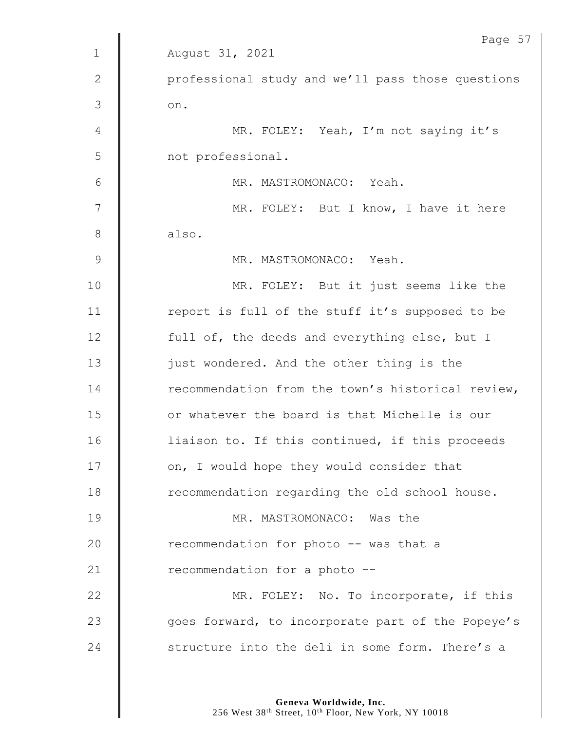|                | Page 57                                           |
|----------------|---------------------------------------------------|
| $\mathbf 1$    | August 31, 2021                                   |
| 2              | professional study and we'll pass those questions |
| 3              | on.                                               |
| $\overline{4}$ | MR. FOLEY: Yeah, I'm not saying it's              |
| 5              | not professional.                                 |
| 6              | MR. MASTROMONACO: Yeah.                           |
| 7              | MR. FOLEY: But I know, I have it here             |
| $8\,$          | also.                                             |
| 9              | MR. MASTROMONACO: Yeah.                           |
| 10             | MR. FOLEY: But it just seems like the             |
| 11             | report is full of the stuff it's supposed to be   |
| 12             | full of, the deeds and everything else, but I     |
| 13             | just wondered. And the other thing is the         |
| 14             | recommendation from the town's historical review, |
| 15             | or whatever the board is that Michelle is our     |
| 16             | liaison to. If this continued, if this proceeds   |
| 17             | on, I would hope they would consider that         |
| 18             | recommendation regarding the old school house.    |
| 19             | MR. MASTROMONACO: Was the                         |
| 20             | recommendation for photo -- was that a            |
| 21             | recommendation for a photo --                     |
| 22             | MR. FOLEY: No. To incorporate, if this            |
| 23             | goes forward, to incorporate part of the Popeye's |
| 24             | structure into the deli in some form. There's a   |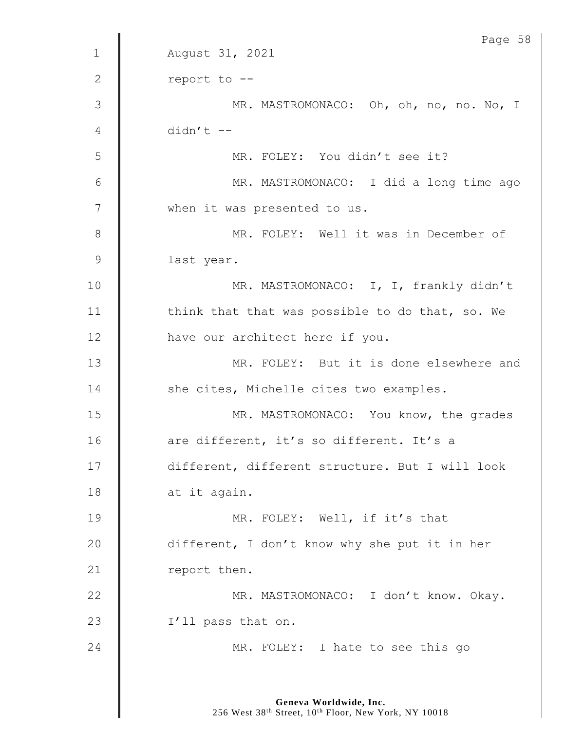|               | Page 58                                         |
|---------------|-------------------------------------------------|
| $\mathbf 1$   | August 31, 2021                                 |
| 2             | report to --                                    |
| $\mathcal{S}$ | MR. MASTROMONACO: Oh, oh, no, no. No, I         |
| 4             | $didn't$ --                                     |
| 5             | MR. FOLEY: You didn't see it?                   |
| 6             | MR. MASTROMONACO: I did a long time ago         |
| 7             | when it was presented to us.                    |
| 8             | MR. FOLEY: Well it was in December of           |
| $\mathsf 9$   | last year.                                      |
| 10            | MR. MASTROMONACO: I, I, frankly didn't          |
| 11            | think that that was possible to do that, so. We |
| 12            | have our architect here if you.                 |
| 13            | MR. FOLEY: But it is done elsewhere and         |
| 14            | she cites, Michelle cites two examples.         |
| 15            | MR. MASTROMONACO: You know, the grades          |
| 16            | are different, it's so different. It's a        |
| 17            | different, different structure. But I will look |
| 18            | at it again.                                    |
| 19            | MR. FOLEY: Well, if it's that                   |
| 20            | different, I don't know why she put it in her   |
| 21            | report then.                                    |
| 22            | MR. MASTROMONACO: I don't know. Okay.           |
| 23            | I'll pass that on.                              |
| 24            | MR. FOLEY: I hate to see this go                |
|               |                                                 |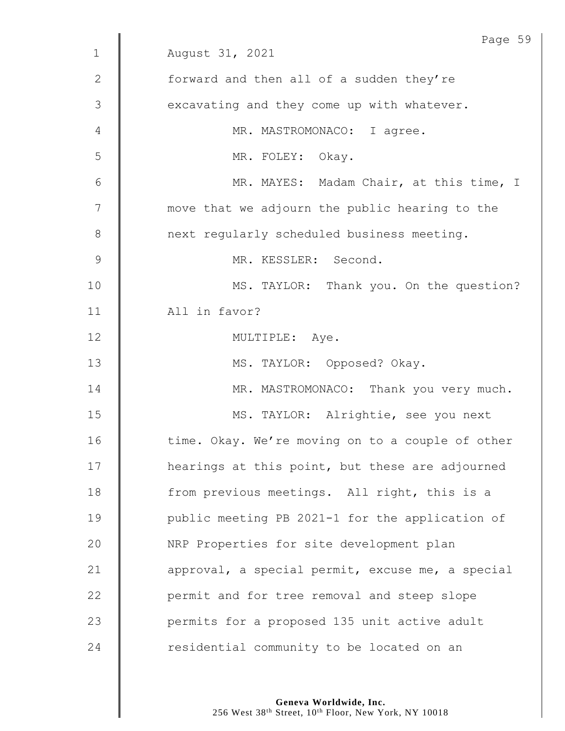|             | Page 59                                          |
|-------------|--------------------------------------------------|
| $\mathbf 1$ | August 31, 2021                                  |
| 2           | forward and then all of a sudden they're         |
| 3           | excavating and they come up with whatever.       |
| 4           | MR. MASTROMONACO: I agree.                       |
| 5           | MR. FOLEY: Okay.                                 |
| 6           | MR. MAYES: Madam Chair, at this time, I          |
| 7           | move that we adjourn the public hearing to the   |
| $8\,$       | next regularly scheduled business meeting.       |
| $\mathsf 9$ | MR. KESSLER: Second.                             |
| 10          | MS. TAYLOR: Thank you. On the question?          |
| 11          | All in favor?                                    |
| 12          | MULTIPLE: Aye.                                   |
| 13          | MS. TAYLOR: Opposed? Okay.                       |
| 14          | MR. MASTROMONACO: Thank you very much.           |
| 15          | MS. TAYLOR: Alrightie, see you next              |
| 16          | time. Okay. We're moving on to a couple of other |
| 17          | hearings at this point, but these are adjourned  |
| 18          | from previous meetings. All right, this is a     |
| 19          | public meeting PB 2021-1 for the application of  |
| 20          | NRP Properties for site development plan         |
| 21          | approval, a special permit, excuse me, a special |
| 22          | permit and for tree removal and steep slope      |
| 23          | permits for a proposed 135 unit active adult     |
| 24          | residential community to be located on an        |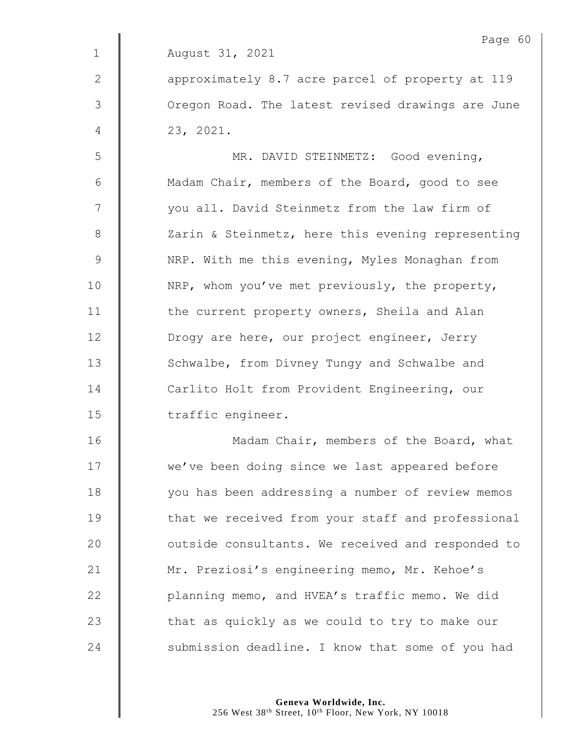|              | Page 60                                           |
|--------------|---------------------------------------------------|
| $\mathbf 1$  | August 31, 2021                                   |
| $\mathbf{2}$ | approximately 8.7 acre parcel of property at 119  |
| 3            | Oregon Road. The latest revised drawings are June |
| 4            | 23, 2021.                                         |
| 5            | MR. DAVID STEINMETZ: Good evening,                |
| 6            | Madam Chair, members of the Board, good to see    |
| 7            | you all. David Steinmetz from the law firm of     |
| 8            | Zarin & Steinmetz, here this evening representing |
| $\mathsf 9$  | NRP. With me this evening, Myles Monaghan from    |
| 10           | NRP, whom you've met previously, the property,    |
| 11           | the current property owners, Sheila and Alan      |
| 12           | Drogy are here, our project engineer, Jerry       |
| 13           | Schwalbe, from Divney Tungy and Schwalbe and      |
| 14           | Carlito Holt from Provident Engineering, our      |
| 15           | traffic engineer.                                 |
| 16           | Madam Chair, members of the Board, what           |
| 17           | we've been doing since we last appeared before    |
| 18           | you has been addressing a number of review memos  |
| 19           | that we received from your staff and professional |
| 20           | outside consultants. We received and responded to |
| 21           | Mr. Preziosi's engineering memo, Mr. Kehoe's      |
| 22           | planning memo, and HVEA's traffic memo. We did    |
| 23           | that as quickly as we could to try to make our    |
| 24           | submission deadline. I know that some of you had  |
|              |                                                   |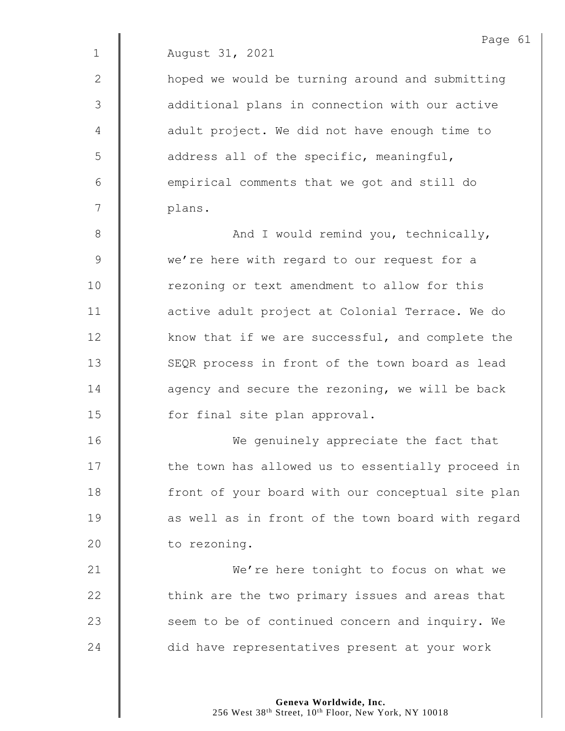2 | hoped we would be turning around and submitting 3 | additional plans in connection with our active 4 | adult project. We did not have enough time to 5 | address all of the specific, meaningful,  $6$   $\parallel$  empirical comments that we got and still do 7 plans.

8 || And I would remind you, technically, 9 we're here with regard to our request for a 10 Tezoning or text amendment to allow for this 11 **dece** adult project at Colonial Terrace. We do  $12$   $\parallel$  know that if we are successful, and complete the 13 SEQR process in front of the town board as lead 14 **dec** agency and secure the rezoning, we will be back 15 | for final site plan approval.

16 | We genuinely appreciate the fact that 17 | the town has allowed us to essentially proceed in 18 | front of your board with our conceptual site plan  $19$   $\parallel$  as well as in front of the town board with regard 20 | to rezoning.

21 **We're here tonight to focus on what we**  $22$   $\parallel$  think are the two primary issues and areas that 23 Seem to be of continued concern and inquiry. We 24 did have representatives present at your work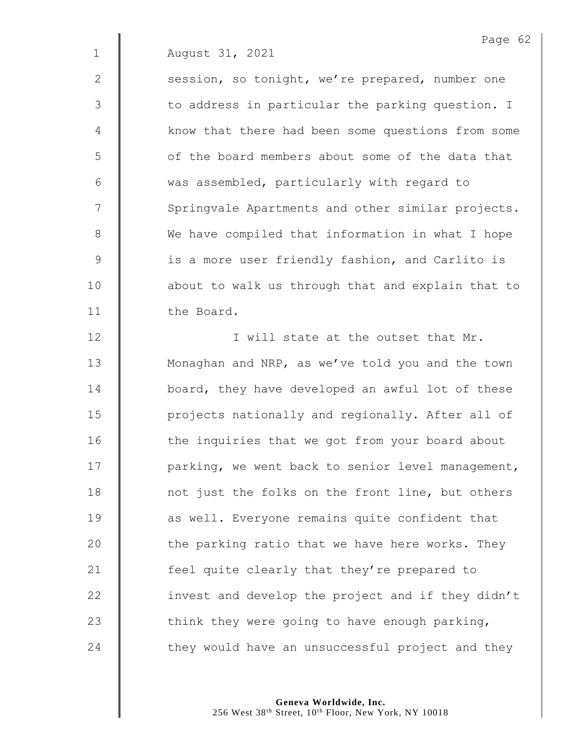2 | session, so tonight, we're prepared, number one 3 | to address in particular the parking question. I 4 | know that there had been some questions from some 5 | of the board members about some of the data that 6 Was assembled, particularly with regard to 7 | Springvale Apartments and other similar projects. 8 We have compiled that information in what I hope 9 | is a more user friendly fashion, and Carlito is 10 | about to walk us through that and explain that to 11 | the Board.

12 | I will state at the outset that Mr. 13 | Monaghan and NRP, as we've told you and the town **board,** they have developed an awful lot of these **Quare 15** projects nationally and regionally. After all of 16 | the inquiries that we got from your board about 17 | parking, we went back to senior level management, 18 | not just the folks on the front line, but others **as well.** Everyone remains quite confident that  $\parallel$  the parking ratio that we have here works. They **feel quite clearly that they're prepared to i** invest and develop the project and if they didn't  $\parallel$  think they were going to have enough parking,  $\parallel$  they would have an unsuccessful project and they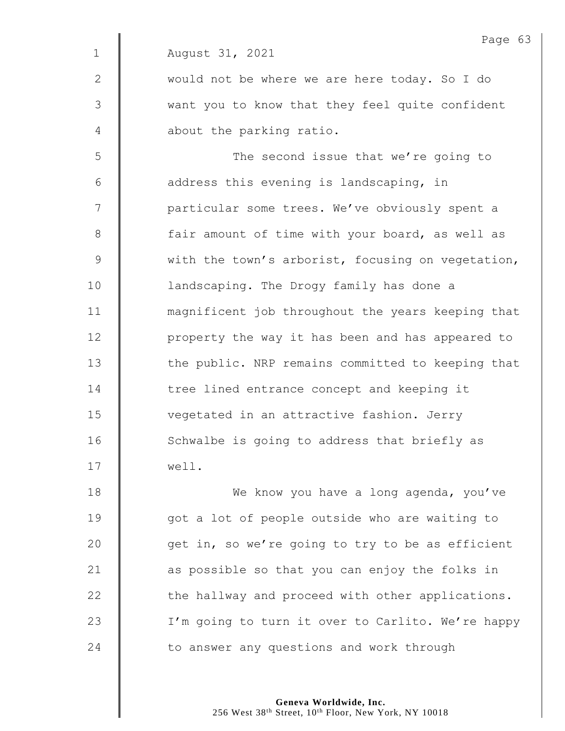Page 63 1 August 31, 2021 2 | would not be where we are here today. So I do 3 || want you to know that they feel quite confident 4 **d** about the parking ratio. 5 || The second issue that we're going to  $6 \parallel$  address this evening is landscaping, in 7 | particular some trees. We've obviously spent a 8 | fair amount of time with your board, as well as 9 With the town's arborist, focusing on vegetation, 10 | landscaping. The Drogy family has done a 11 **magnificent** job throughout the years keeping that 12 | property the way it has been and has appeared to 13 | the public. NRP remains committed to keeping that 14 The tree lined entrance concept and keeping it 15 | vegetated in an attractive fashion. Jerry 16 | Schwalbe is going to address that briefly as 17 well. 18 **We know you have a long agenda, you've** 19 | qot a lot of people outside who are waiting to 20  $\parallel$  get in, so we're going to try to be as efficient

 $\parallel$  as possible so that you can enjoy the folks in  $\parallel$  the hallway and proceed with other applications. 23 | I'm going to turn it over to Carlito. We're happy  $\parallel$  to answer any questions and work through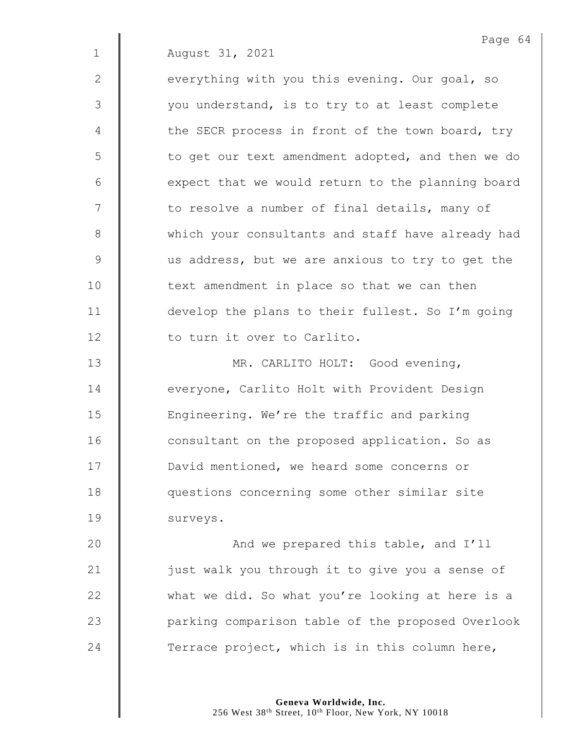|             | Page 64                                           |
|-------------|---------------------------------------------------|
| $\mathbf 1$ | August 31, 2021                                   |
| 2           | everything with you this evening. Our goal, so    |
| 3           | you understand, is to try to at least complete    |
| 4           | the SECR process in front of the town board, try  |
| 5           | to get our text amendment adopted, and then we do |
| 6           | expect that we would return to the planning board |
| 7           | to resolve a number of final details, many of     |
| $8\,$       | which your consultants and staff have already had |
| $\mathsf 9$ | us address, but we are anxious to try to get the  |
| 10          | text amendment in place so that we can then       |
| 11          | develop the plans to their fullest. So I'm going  |
| 12          | to turn it over to Carlito.                       |
| 13          | MR. CARLITO HOLT: Good evening,                   |
| 14          | everyone, Carlito Holt with Provident Design      |
| 15          | Engineering. We're the traffic and parking        |
| 16          | consultant on the proposed application. So as     |
| 17          | David mentioned, we heard some concerns or        |
| 18          | questions concerning some other similar site      |
| 19          | surveys.                                          |
| 20          | And we prepared this table, and I'll              |
| 21          | just walk you through it to give you a sense of   |
| 22          | what we did. So what you're looking at here is a  |
| 23          | parking comparison table of the proposed Overlook |
| 24          | Terrace project, which is in this column here,    |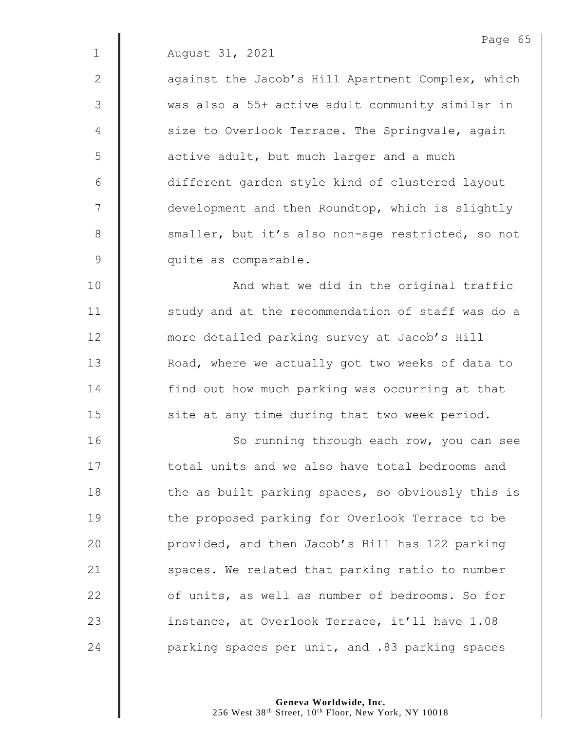2 | aqainst the Jacob's Hill Apartment Complex, which 3 was also a 55+ active adult community similar in 4 | size to Overlook Terrace. The Springvale, again  $5 \parallel$  active adult, but much larger and a much 6 different garden style kind of clustered layout 7  $\parallel$  development and then Roundtop, which is slightly 8 smaller, but it's also non-age restricted, so not 9 quite as comparable.

10 | And what we did in the original traffic 11 | study and at the recommendation of staff was do a 12 **more detailed parking survey at Jacob's Hill** 13 | Road, where we actually got two weeks of data to 14 | find out how much parking was occurring at that  $15$   $\parallel$  site at any time during that two week period.

16 | So running through each row, you can see 17 **total units and we also have total bedrooms and** 18 The as built parking spaces, so obviously this is 19 | the proposed parking for Overlook Terrace to be 20 | provided, and then Jacob's Hill has 122 parking 21  $\parallel$  spaces. We related that parking ratio to number 22 **deg of units, as well as number of bedrooms.** So for 23 **instance, at Overlook Terrace, it'll have 1.08** 24 **parking spaces per unit, and .83 parking spaces**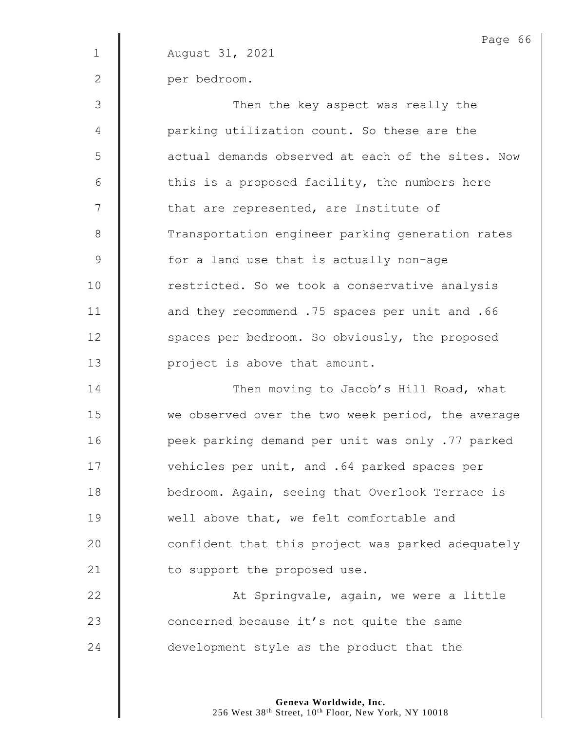|             | Page 66                                           |
|-------------|---------------------------------------------------|
| $\mathbf 1$ | August 31, 2021                                   |
| 2           | per bedroom.                                      |
| 3           | Then the key aspect was really the                |
| 4           | parking utilization count. So these are the       |
| 5           | actual demands observed at each of the sites. Now |
| 6           | this is a proposed facility, the numbers here     |
| 7           | that are represented, are Institute of            |
| $8\,$       | Transportation engineer parking generation rates  |
| $\mathsf 9$ | for a land use that is actually non-age           |
| 10          | restricted. So we took a conservative analysis    |
| 11          | and they recommend .75 spaces per unit and .66    |
| 12          | spaces per bedroom. So obviously, the proposed    |
| 13          | project is above that amount.                     |
| 14          | Then moving to Jacob's Hill Road, what            |
| 15          | we observed over the two week period, the average |
| 16          | peek parking demand per unit was only .77 parked  |
| 17          | vehicles per unit, and .64 parked spaces per      |
| 18          | bedroom. Again, seeing that Overlook Terrace is   |
| 19          | well above that, we felt comfortable and          |
| 20          | confident that this project was parked adequately |
| 21          | to support the proposed use.                      |
| 22          | At Springvale, again, we were a little            |
| 23          | concerned because it's not quite the same         |
| 24          | development style as the product that the         |
|             |                                                   |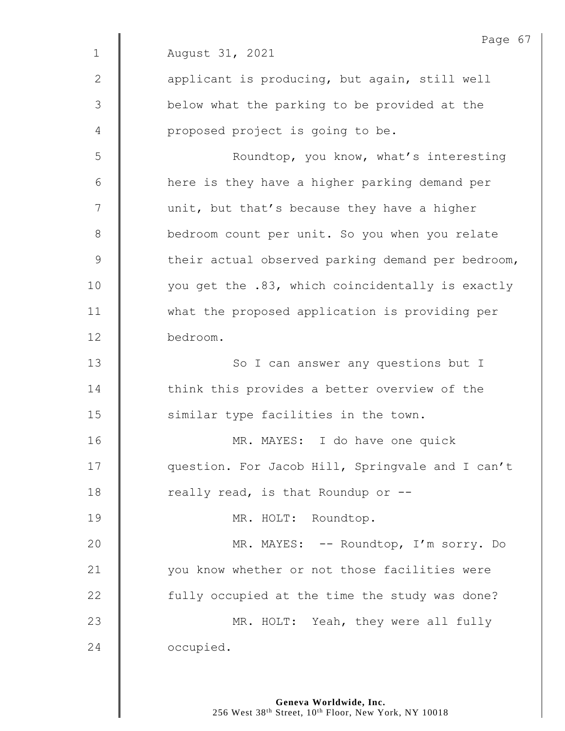|              | Page 67                                           |
|--------------|---------------------------------------------------|
| $\mathbf 1$  | August 31, 2021                                   |
| $\mathbf{2}$ | applicant is producing, but again, still well     |
| 3            | below what the parking to be provided at the      |
| 4            | proposed project is going to be.                  |
| 5            | Roundtop, you know, what's interesting            |
| 6            | here is they have a higher parking demand per     |
| 7            | unit, but that's because they have a higher       |
| 8            | bedroom count per unit. So you when you relate    |
| $\mathsf 9$  | their actual observed parking demand per bedroom, |
| 10           | you get the .83, which coincidentally is exactly  |
| 11           | what the proposed application is providing per    |
| 12           | bedroom.                                          |
| 13           | So I can answer any questions but I               |
| 14           | think this provides a better overview of the      |
| 15           | similar type facilities in the town.              |
| 16           | MR. MAYES: I do have one quick                    |
| 17           | question. For Jacob Hill, Springvale and I can't  |
| 18           | really read, is that Roundup or --                |
| 19           | MR. HOLT: Roundtop.                               |
| 20           | MR. MAYES: -- Roundtop, I'm sorry. Do             |
| 21           | you know whether or not those facilities were     |
| 22           | fully occupied at the time the study was done?    |
| 23           | MR. HOLT: Yeah, they were all fully               |
| 24           | occupied.                                         |
|              |                                                   |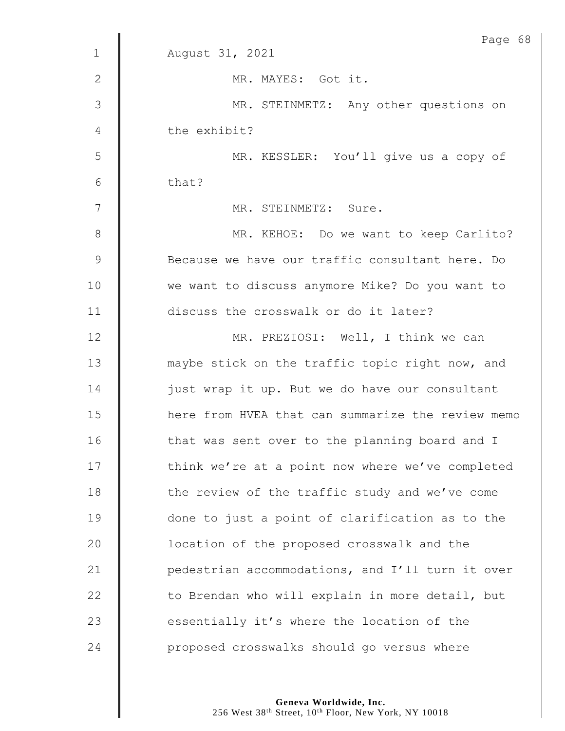|               | Page 68                                           |
|---------------|---------------------------------------------------|
| $\mathbf{1}$  | August 31, 2021                                   |
| $\mathbf{2}$  | MR. MAYES: Got it.                                |
| 3             | MR. STEINMETZ: Any other questions on             |
| 4             | the exhibit?                                      |
| 5             | MR. KESSLER: You'll give us a copy of             |
| 6             | that?                                             |
| 7             | MR. STEINMETZ: Sure.                              |
| $8\,$         | MR. KEHOE: Do we want to keep Carlito?            |
| $\mathcal{G}$ | Because we have our traffic consultant here. Do   |
| 10            | we want to discuss anymore Mike? Do you want to   |
| 11            | discuss the crosswalk or do it later?             |
| 12            | MR. PREZIOSI: Well, I think we can                |
| 13            | maybe stick on the traffic topic right now, and   |
| 14            | just wrap it up. But we do have our consultant    |
| 15            | here from HVEA that can summarize the review memo |
| 16            | that was sent over to the planning board and I    |
| 17            | think we're at a point now where we've completed  |
| 18            | the review of the traffic study and we've come    |
| 19            | done to just a point of clarification as to the   |
| 20            | location of the proposed crosswalk and the        |
| 21            | pedestrian accommodations, and I'll turn it over  |
| 22            | to Brendan who will explain in more detail, but   |
| 23            | essentially it's where the location of the        |
| 24            | proposed crosswalks should go versus where        |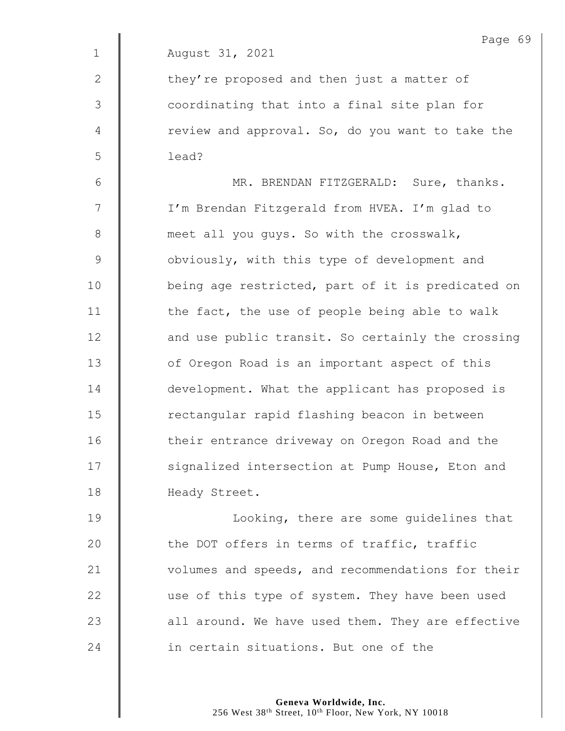|              | Page 69                                           |
|--------------|---------------------------------------------------|
| $\mathbf 1$  | August 31, 2021                                   |
| $\mathbf{2}$ | they're proposed and then just a matter of        |
| 3            | coordinating that into a final site plan for      |
| 4            | review and approval. So, do you want to take the  |
| 5            | lead?                                             |
| $6\,$        | MR. BRENDAN FITZGERALD: Sure, thanks.             |
| 7            | I'm Brendan Fitzgerald from HVEA. I'm glad to     |
| $\,8\,$      | meet all you guys. So with the crosswalk,         |
| 9            | obviously, with this type of development and      |
| 10           | being age restricted, part of it is predicated on |
| 11           | the fact, the use of people being able to walk    |
| 12           | and use public transit. So certainly the crossing |
| 13           | of Oregon Road is an important aspect of this     |
| 14           | development. What the applicant has proposed is   |
| 15           | rectangular rapid flashing beacon in between      |
| 16           | their entrance driveway on Oregon Road and the    |
| 17           | signalized intersection at Pump House, Eton and   |
| 18           | Heady Street.                                     |
| 19           | Looking, there are some guidelines that           |
| 20           | the DOT offers in terms of traffic, traffic       |
| 21           | volumes and speeds, and recommendations for their |
| 22           | use of this type of system. They have been used   |

**in certain situations.** But one of the

23  $\parallel$  all around. We have used them. They are effective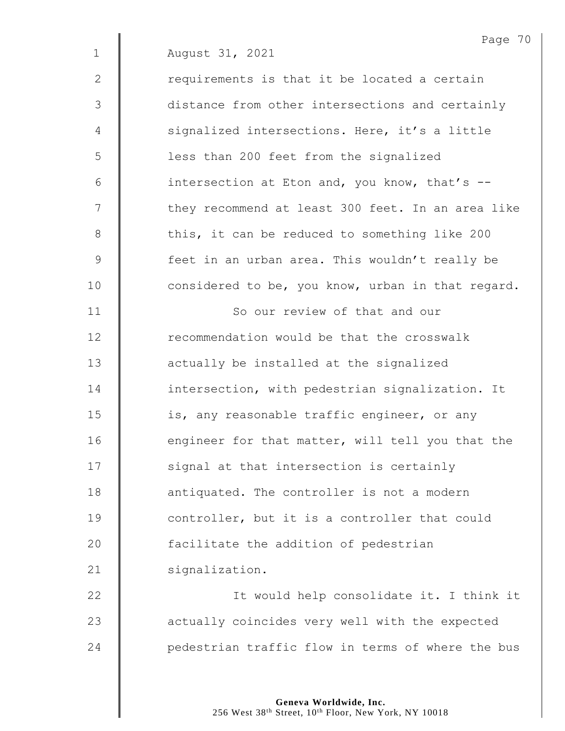|                | Page 70                                           |
|----------------|---------------------------------------------------|
| $\mathbf 1$    | August 31, 2021                                   |
| $\mathbf{2}$   | requirements is that it be located a certain      |
| 3              | distance from other intersections and certainly   |
| $\overline{4}$ | signalized intersections. Here, it's a little     |
| 5              | less than 200 feet from the signalized            |
| 6              | intersection at Eton and, you know, that's --     |
| 7              | they recommend at least 300 feet. In an area like |
| $\,8\,$        | this, it can be reduced to something like 200     |
| $\mathsf 9$    | feet in an urban area. This wouldn't really be    |
| 10             | considered to be, you know, urban in that regard. |
| 11             | So our review of that and our                     |
| 12             | recommendation would be that the crosswalk        |
| 13             | actually be installed at the signalized           |
| 14             | intersection, with pedestrian signalization. It   |
| 15             | is, any reasonable traffic engineer, or any       |
| 16             | engineer for that matter, will tell you that the  |
| 17             | signal at that intersection is certainly          |
| 18             | antiquated. The controller is not a modern        |
| 19             | controller, but it is a controller that could     |
| 20             | facilitate the addition of pedestrian             |
| 21             | signalization.                                    |
| 22             | It would help consolidate it. I think it          |
| 23             | actually coincides very well with the expected    |
| 24             | pedestrian traffic flow in terms of where the bus |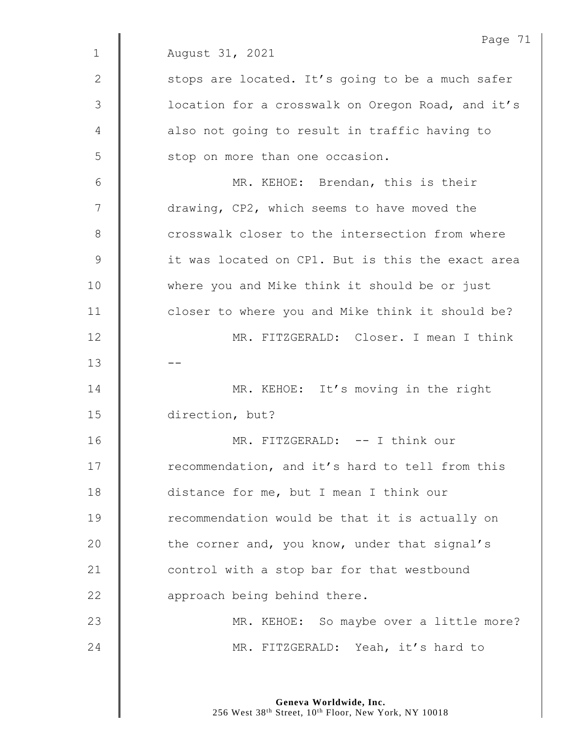|               | Page 71                                           |
|---------------|---------------------------------------------------|
| $\mathbf 1$   | August 31, 2021                                   |
| $\mathbf{2}$  | stops are located. It's going to be a much safer  |
| 3             | location for a crosswalk on Oregon Road, and it's |
| 4             | also not going to result in traffic having to     |
| 5             | stop on more than one occasion.                   |
| 6             | MR. KEHOE: Brendan, this is their                 |
| 7             | drawing, CP2, which seems to have moved the       |
| $8\,$         | crosswalk closer to the intersection from where   |
| $\mathcal{G}$ | it was located on CP1. But is this the exact area |
| 10            | where you and Mike think it should be or just     |
| 11            | closer to where you and Mike think it should be?  |
| 12            | MR. FITZGERALD: Closer. I mean I think            |
| 13            |                                                   |
| 14            | MR. KEHOE: It's moving in the right               |
| 15            | direction, but?                                   |
| 16            | MR. FITZGERALD: -- I think our                    |
| 17            | recommendation, and it's hard to tell from this   |
| 18            | distance for me, but I mean I think our           |
| 19            | recommendation would be that it is actually on    |
| 20            | the corner and, you know, under that signal's     |
| 21            | control with a stop bar for that westbound        |
| 22            | approach being behind there.                      |
| 23            | MR. KEHOE: So maybe over a little more?           |
| 24            | MR. FITZGERALD: Yeah, it's hard to                |
|               |                                                   |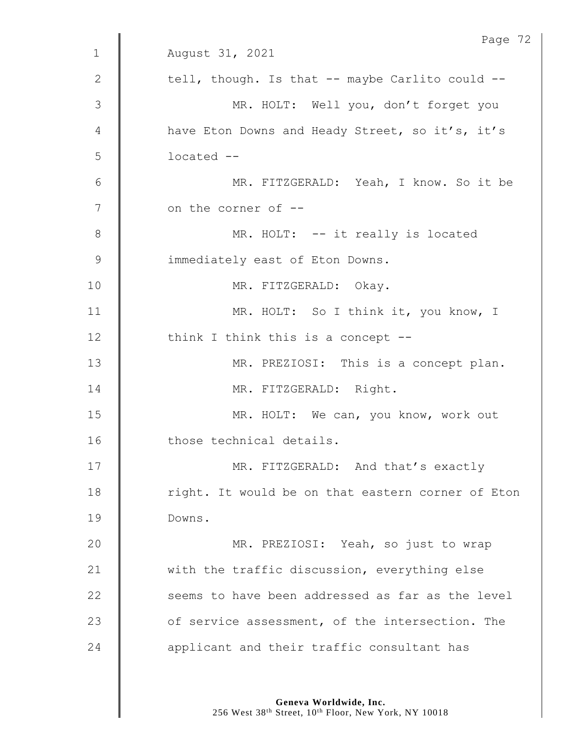|              | Page 72                                           |
|--------------|---------------------------------------------------|
| $\mathbf{1}$ | August 31, 2021                                   |
| $\mathbf{2}$ | tell, though. Is that -- maybe Carlito could --   |
| 3            | MR. HOLT: Well you, don't forget you              |
| 4            | have Eton Downs and Heady Street, so it's, it's   |
| 5            | located --                                        |
| 6            | MR. FITZGERALD: Yeah, I know. So it be            |
| 7            | on the corner of --                               |
| 8            | MR. HOLT: -- it really is located                 |
| 9            | immediately east of Eton Downs.                   |
| 10           | MR. FITZGERALD: Okay.                             |
| 11           | MR. HOLT: So I think it, you know, I              |
| 12           | think I think this is a concept --                |
| 13           | MR. PREZIOSI: This is a concept plan.             |
| 14           | MR. FITZGERALD: Right.                            |
| 15           | MR. HOLT: We can, you know, work out              |
| 16           | those technical details.                          |
| 17           | MR. FITZGERALD: And that's exactly                |
| 18           | right. It would be on that eastern corner of Eton |
| 19           | Downs.                                            |
| 20           | MR. PREZIOSI: Yeah, so just to wrap               |
| 21           | with the traffic discussion, everything else      |
| 22           | seems to have been addressed as far as the level  |
| 23           | of service assessment, of the intersection. The   |
| 24           | applicant and their traffic consultant has        |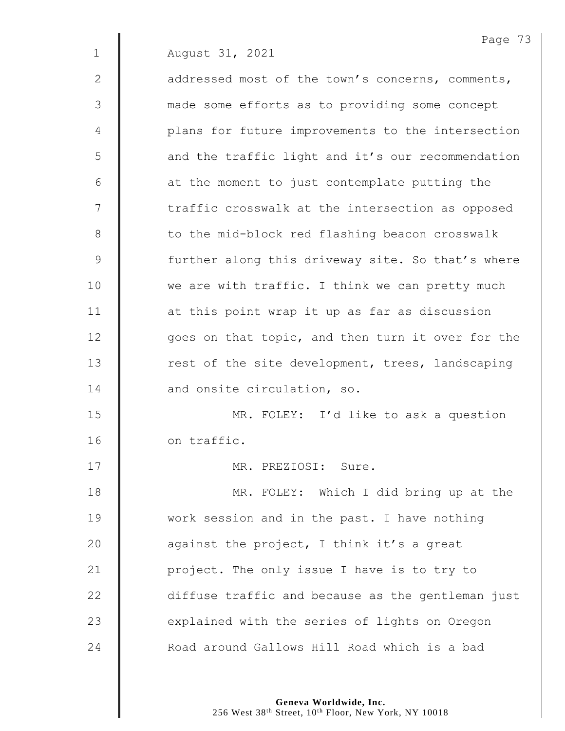2 **d** addressed most of the town's concerns, comments, 3 made some efforts as to providing some concept 4 | plans for future improvements to the intersection 5 || and the traffic light and it's our recommendation  $6$  |  $\blacksquare$  at the moment to just contemplate putting the 7 | traffic crosswalk at the intersection as opposed 8 | to the mid-block red flashing beacon crosswalk 9 Some further along this driveway site. So that's where 10 We are with traffic. I think we can pretty much 11 | at this point wrap it up as far as discussion 12 | goes on that topic, and then turn it over for the 13 Test of the site development, trees, landscaping 14 | and onsite circulation, so. 15 MR. FOLEY: I'd like to ask a question

16 on traffic.

17 MR. PREZIOSI: Sure.

18 | MR. FOLEY: Which I did bring up at the 19 Work session and in the past. I have nothing  $\parallel$  against the project, I think it's a great **| project.** The only issue I have is to try to **diffuse traffic and because as the gentleman just**   $\parallel$  explained with the series of lights on Oregon **Number 24 Number 24 Number 24 Number** 24 Number 24 Number 24 Number 24 Number 26 Number 26 Number 26 Number 2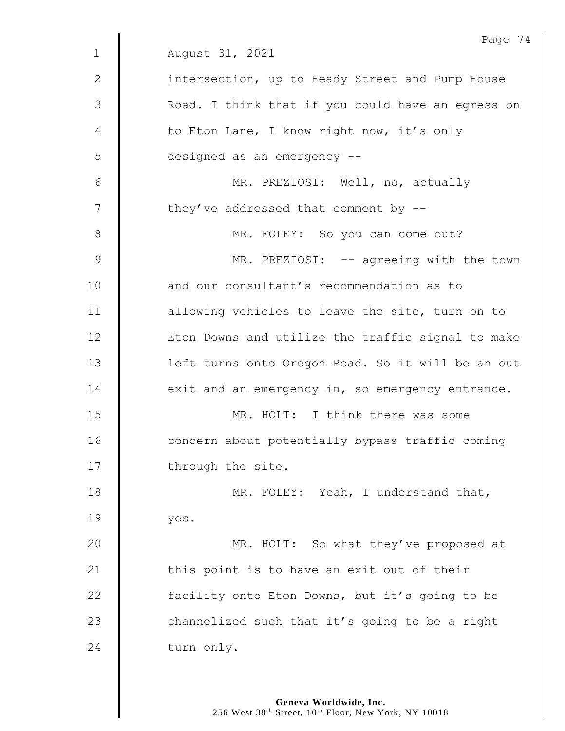|                | Page 74                                           |
|----------------|---------------------------------------------------|
| $\mathbf 1$    | August 31, 2021                                   |
| 2              | intersection, up to Heady Street and Pump House   |
| 3              | Road. I think that if you could have an egress on |
| 4              | to Eton Lane, I know right now, it's only         |
| 5              | designed as an emergency --                       |
| 6              | MR. PREZIOSI: Well, no, actually                  |
| 7              | they've addressed that comment by --              |
| $8\,$          | MR. FOLEY: So you can come out?                   |
| $\overline{9}$ | MR. PREZIOSI: -- agreeing with the town           |
| 10             | and our consultant's recommendation as to         |
| 11             | allowing vehicles to leave the site, turn on to   |
| 12             | Eton Downs and utilize the traffic signal to make |
| 13             | left turns onto Oregon Road. So it will be an out |
| 14             | exit and an emergency in, so emergency entrance.  |
| 15             | MR. HOLT: I think there was some                  |
| 16             | concern about potentially bypass traffic coming   |
| 17             | through the site.                                 |
| 18             | MR. FOLEY: Yeah, I understand that,               |
| 19             | yes.                                              |
| 20             | MR. HOLT: So what they've proposed at             |
| 21             | this point is to have an exit out of their        |
| 22             | facility onto Eton Downs, but it's going to be    |
| 23             | channelized such that it's going to be a right    |
| 24             | turn only.                                        |
|                |                                                   |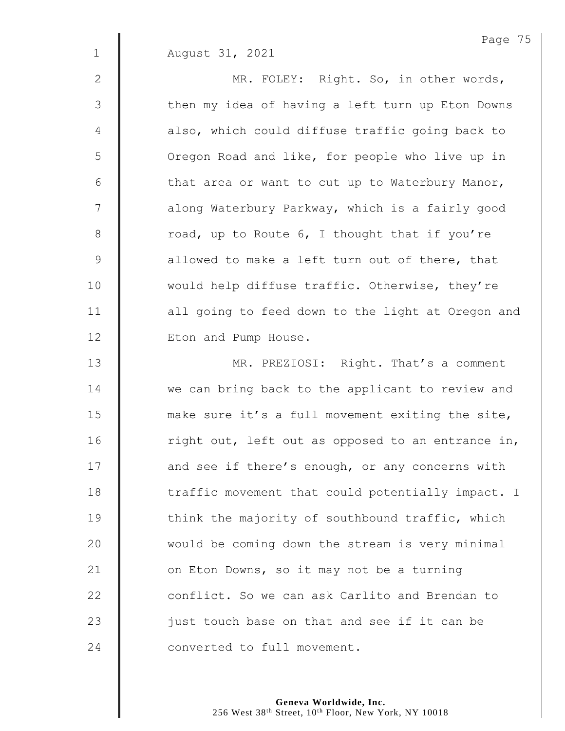2 || MR. FOLEY: Right. So, in other words, 3 | then my idea of having a left turn up Eton Downs 4 | also, which could diffuse traffic going back to 5 | Oregon Road and like, for people who live up in  $6 \parallel$  that area or want to cut up to Waterbury Manor, 7 | along Waterbury Parkway, which is a fairly good  $8 \parallel$  road, up to Route 6, I thought that if you're 9 **a** allowed to make a left turn out of there, that 10 | would help diffuse traffic. Otherwise, they're 11 | all going to feed down to the light at Oregon and 12 | Eton and Pump House.

13 | MR. PREZIOSI: Right. That's a comment 14 We can bring back to the applicant to review and 15 make sure it's a full movement exiting the site, 16  $\parallel$  right out, left out as opposed to an entrance in, 17 **and see if there's enough, or any concerns with** 18 The traffic movement that could potentially impact. I 19 Think the majority of southbound traffic, which 20 Would be coming down the stream is very minimal 21  $\parallel$  on Eton Downs, so it may not be a turning 22 **Conflict.** So we can ask Carlito and Brendan to 23  $\parallel$  just touch base on that and see if it can be 24 **Converted** to full movement.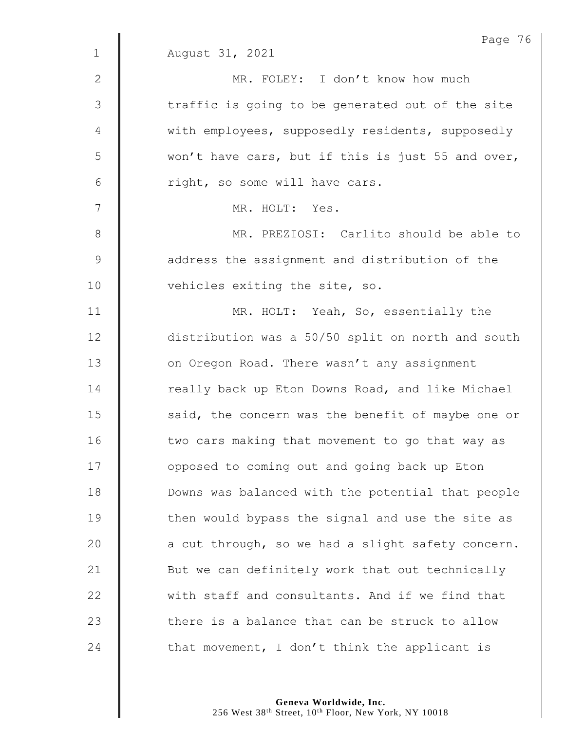|                | Page 76                                           |
|----------------|---------------------------------------------------|
| $\mathbf 1$    | August 31, 2021                                   |
| $\mathbf{2}$   | MR. FOLEY: I don't know how much                  |
| 3              | traffic is going to be generated out of the site  |
| $\overline{4}$ | with employees, supposedly residents, supposedly  |
| 5              | won't have cars, but if this is just 55 and over, |
| 6              | right, so some will have cars.                    |
| 7              | MR. HOLT: Yes.                                    |
| $\,8\,$        | MR. PREZIOSI: Carlito should be able to           |
| $\mathcal{G}$  | address the assignment and distribution of the    |
| 10             | vehicles exiting the site, so.                    |
| 11             | MR. HOLT: Yeah, So, essentially the               |
| 12             | distribution was a 50/50 split on north and south |
| 13             | on Oregon Road. There wasn't any assignment       |
| 14             | really back up Eton Downs Road, and like Michael  |
| 15             | said, the concern was the benefit of maybe one or |
| 16             | two cars making that movement to go that way as   |
| 17             | opposed to coming out and going back up Eton      |
| 18             | Downs was balanced with the potential that people |
| 19             | then would bypass the signal and use the site as  |
| 20             | a cut through, so we had a slight safety concern. |
| 21             | But we can definitely work that out technically   |
| 22             | with staff and consultants. And if we find that   |
| 23             | there is a balance that can be struck to allow    |
| 24             | that movement, I don't think the applicant is     |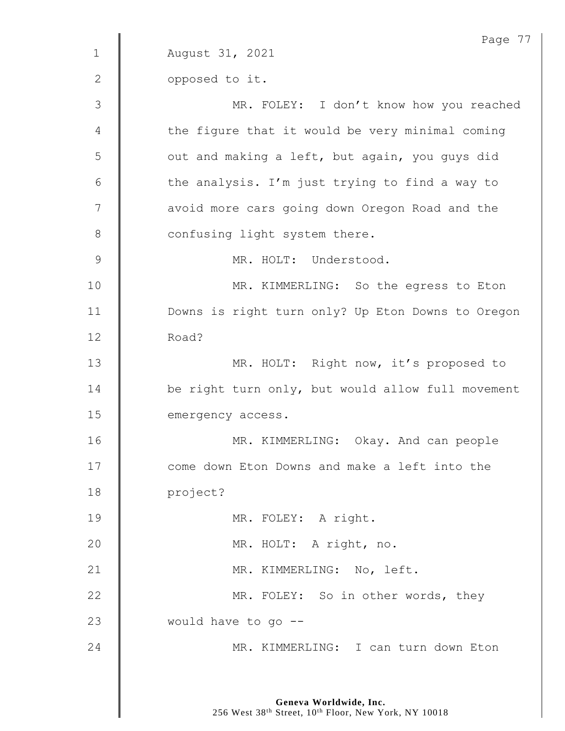Page 77 1 August 31, 2021 2 **0pposed** to it. 3 MR. FOLEY: I don't know how you reached 4 | the figure that it would be very minimal coming 5 | out and making a left, but again, you guys did 6  $\parallel$  the analysis. I'm just trying to find a way to 7 | avoid more cars going down Oregon Road and the 8 **Confusing light system there.** 9 | MR. HOLT: Understood. 10 | MR. KIMMERLING: So the egress to Eton 11 | Downs is right turn only? Up Eton Downs to Oregon 12 Road? 13 | MR. HOLT: Right now, it's proposed to 14 **be right turn only, but would allow full movement** 15 emergency access. 16 | MR. KIMMERLING: Okay. And can people 17 **Come down Eton Downs and make a left into the** 18 project? 19 | MR. FOLEY: A right. 20 | MR. HOLT: A right, no. 21 | MR. KIMMERLING: No, left. 22 **MR. FOLEY:** So in other words, they 23 **would have to go --**24 | MR. KIMMERLING: I can turn down Eton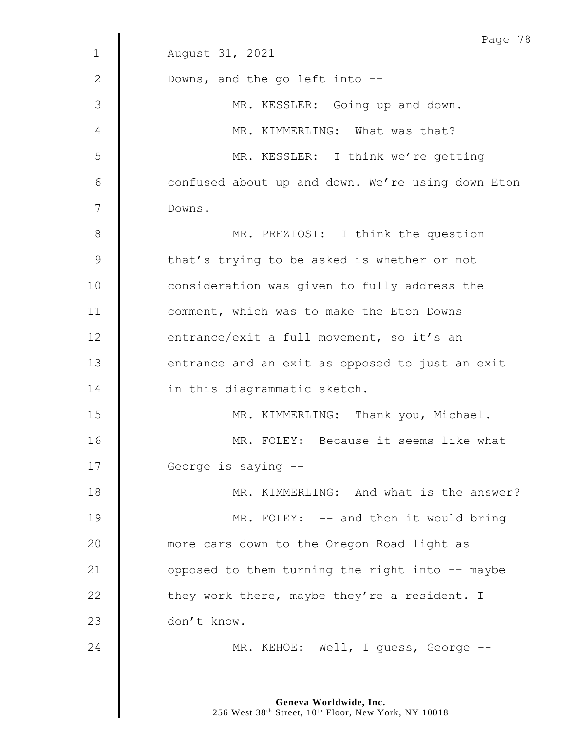|              | Page 78                                           |
|--------------|---------------------------------------------------|
| $\mathbf{1}$ | August 31, 2021                                   |
| $\mathbf{2}$ | Downs, and the go left into --                    |
| 3            | MR. KESSLER: Going up and down.                   |
| 4            | MR. KIMMERLING: What was that?                    |
| 5            | MR. KESSLER: I think we're getting                |
| 6            | confused about up and down. We're using down Eton |
| 7            | Downs.                                            |
| 8            | MR. PREZIOSI: I think the question                |
| $\mathsf 9$  | that's trying to be asked is whether or not       |
| 10           | consideration was given to fully address the      |
| 11           | comment, which was to make the Eton Downs         |
| 12           | entrance/exit a full movement, so it's an         |
| 13           | entrance and an exit as opposed to just an exit   |
| 14           | in this diagrammatic sketch.                      |
| 15           | MR. KIMMERLING: Thank you, Michael.               |
| 16           | MR. FOLEY: Because it seems like what             |
| 17           | George is saying --                               |
| 18           | MR. KIMMERLING: And what is the answer?           |
| 19           | MR. FOLEY: -- and then it would bring             |
| 20           | more cars down to the Oregon Road light as        |
| 21           | opposed to them turning the right into -- maybe   |
| 22           | they work there, maybe they're a resident. I      |
| 23           | don't know.                                       |
| 24           | MR. KEHOE: Well, I guess, George --               |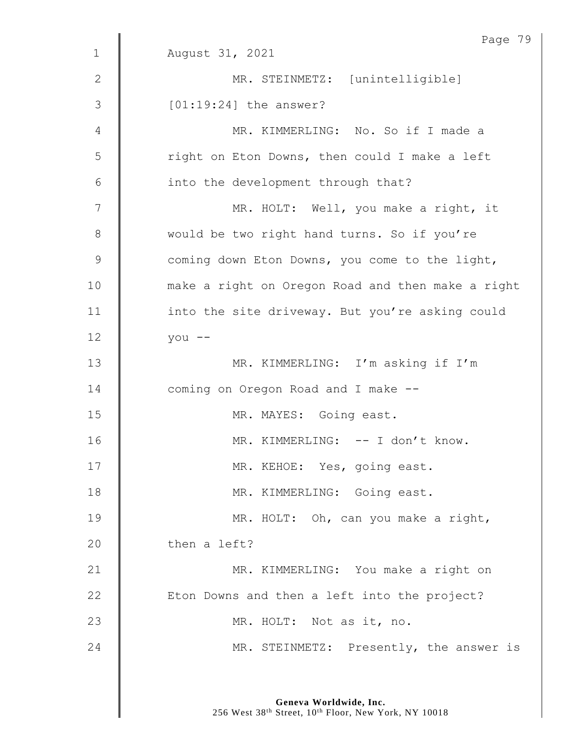| Page 79                                           |
|---------------------------------------------------|
| August 31, 2021                                   |
| MR. STEINMETZ: [unintelligible]                   |
| $[01:19:24]$ the answer?                          |
| MR. KIMMERLING: No. So if I made a                |
| right on Eton Downs, then could I make a left     |
| into the development through that?                |
| MR. HOLT: Well, you make a right, it              |
| would be two right hand turns. So if you're       |
| coming down Eton Downs, you come to the light,    |
| make a right on Oregon Road and then make a right |
| into the site driveway. But you're asking could   |
| you --                                            |
| MR. KIMMERLING: I'm asking if I'm                 |
| coming on Oregon Road and I make --               |
| MR. MAYES: Going east.                            |
| MR. KIMMERLING: -- I don't know.                  |
| MR. KEHOE: Yes, going east.                       |
| MR. KIMMERLING: Going east.                       |
| MR. HOLT: Oh, can you make a right,               |
| then a left?                                      |
| MR. KIMMERLING: You make a right on               |
| Eton Downs and then a left into the project?      |
| MR. HOLT: Not as it, no.                          |
| MR. STEINMETZ: Presently, the answer is           |
|                                                   |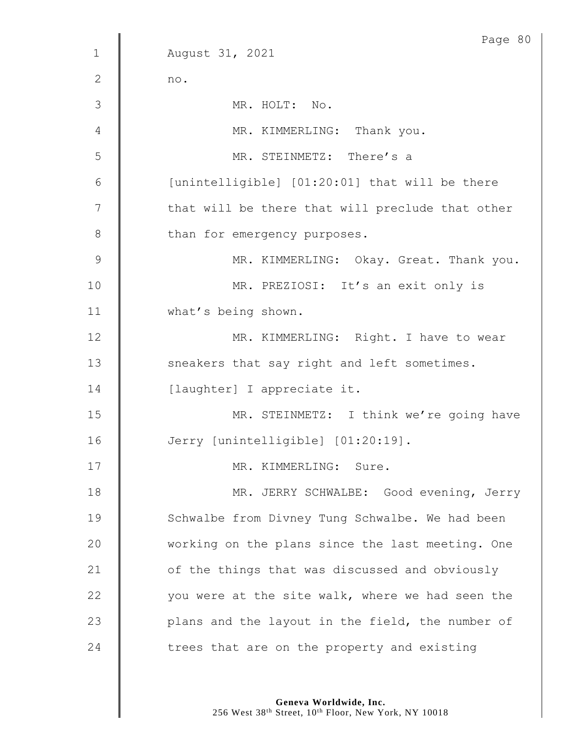|               | Page 80                                          |
|---------------|--------------------------------------------------|
| $\mathbf 1$   | August 31, 2021                                  |
| 2             | no.                                              |
| 3             | MR. HOLT: No.                                    |
| 4             | MR. KIMMERLING: Thank you.                       |
| 5             | MR. STEINMETZ: There's a                         |
| 6             | [unintelligible] [01:20:01] that will be there   |
| 7             | that will be there that will preclude that other |
| $8\,$         | than for emergency purposes.                     |
| $\mathcal{G}$ | MR. KIMMERLING: Okay. Great. Thank you.          |
| 10            | MR. PREZIOSI: It's an exit only is               |
| 11            | what's being shown.                              |
| 12            | MR. KIMMERLING: Right. I have to wear            |
| 13            | sneakers that say right and left sometimes.      |
| 14            | [laughter] I appreciate it.                      |
| 15            | MR. STEINMETZ: I think we're going have          |
| 16            | Jerry [unintelligible] [01:20:19].               |
| 17            | MR. KIMMERLING: Sure.                            |
| 18            | MR. JERRY SCHWALBE: Good evening, Jerry          |
| 19            | Schwalbe from Divney Tung Schwalbe. We had been  |
| 20            | working on the plans since the last meeting. One |
| 21            | of the things that was discussed and obviously   |
| 22            | you were at the site walk, where we had seen the |
| 23            | plans and the layout in the field, the number of |
| 24            | trees that are on the property and existing      |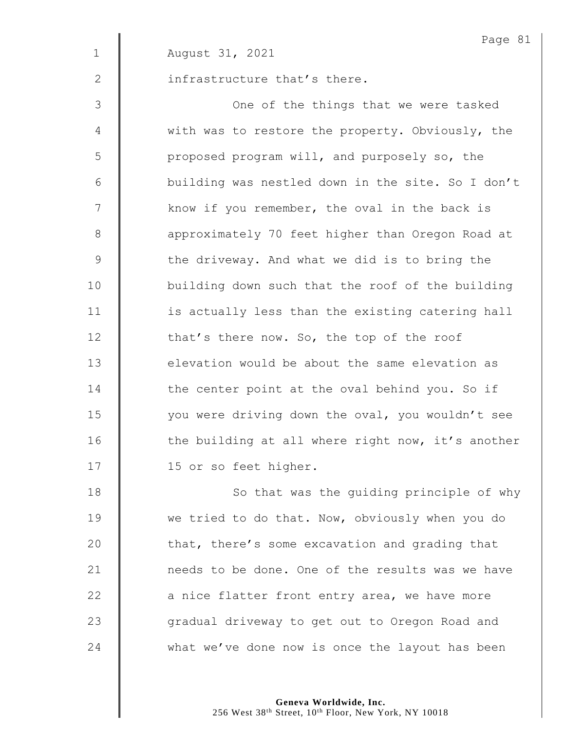|               | Page 81                                           |
|---------------|---------------------------------------------------|
| $\mathbf 1$   | August 31, 2021                                   |
| 2             | infrastructure that's there.                      |
| 3             | One of the things that we were tasked             |
| 4             | with was to restore the property. Obviously, the  |
| 5             | proposed program will, and purposely so, the      |
| 6             | building was nestled down in the site. So I don't |
| 7             | know if you remember, the oval in the back is     |
| $8\,$         | approximately 70 feet higher than Oregon Road at  |
| $\mathcal{G}$ | the driveway. And what we did is to bring the     |
| 10            | building down such that the roof of the building  |
| 11            | is actually less than the existing catering hall  |
| 12            | that's there now. So, the top of the roof         |
| 13            | elevation would be about the same elevation as    |
| 14            | the center point at the oval behind you. So if    |
| 15            | you were driving down the oval, you wouldn't see  |
| 16            | the building at all where right now, it's another |
| 17            | 15 or so feet higher.                             |
| 18            | So that was the guiding principle of why          |
| 19            | we tried to do that. Now, obviously when you do   |

 $\parallel$  that, there's some excavation and grading that 21 | needs to be done. One of the results was we have  $\parallel$  a nice flatter front entry area, we have more 23 | Gradual driveway to get out to Oregon Road and 24 what we've done now is once the layout has been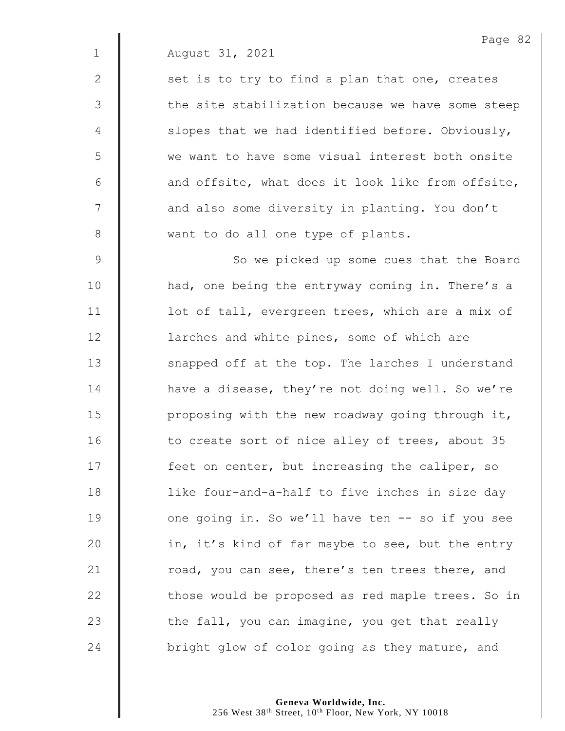2  $\parallel$  set is to try to find a plan that one, creates 3 | the site stabilization because we have some steep  $4 \parallel$  slopes that we had identified before. Obviously, 5 we want to have some visual interest both onsite  $6$  | and offsite, what does it look like from offsite, 7 | and also some diversity in planting. You don't 8 want to do all one type of plants.

9 | So we picked up some cues that the Board 10 | had, one being the entryway coming in. There's a 11 | lot of tall, evergreen trees, which are a mix of 12 **larches and white pines, some of which are** 13 | snapped off at the top. The larches I understand 14 **H** have a disease, they're not doing well. So we're 15  $\parallel$  proposing with the new roadway going through it, 16 | to create sort of nice alley of trees, about 35 17 **feet on center, but increasing the caliper, so** 18 | like four-and-a-half to five inches in size day 19 | one going in. So we'll have ten -- so if you see 20  $\parallel$  in, it's kind of far maybe to see, but the entry 21  $\parallel$  road, you can see, there's ten trees there, and  $22$   $\parallel$  those would be proposed as red maple trees. So in 23  $\parallel$  the fall, you can imagine, you get that really 24 **bright glow of color going as they mature, and**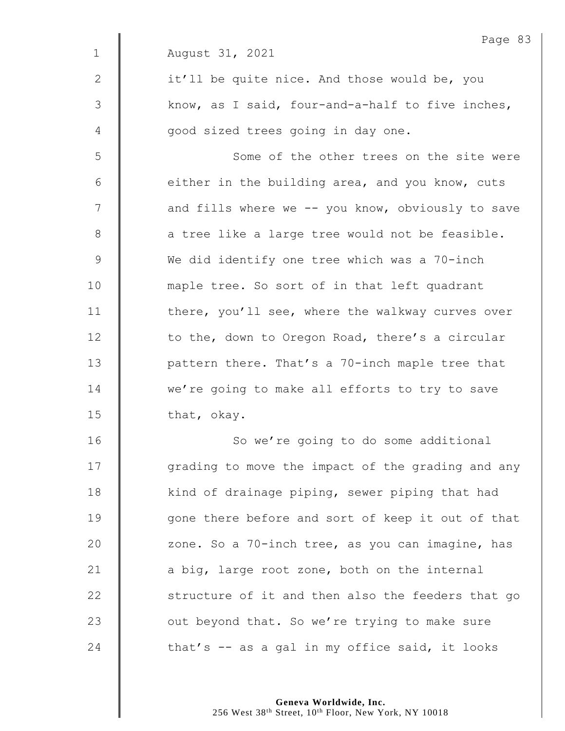|               | Page 83                                           |
|---------------|---------------------------------------------------|
| $\mathbf 1$   | August 31, 2021                                   |
| 2             | it'll be quite nice. And those would be, you      |
| $\mathcal{S}$ | know, as I said, four-and-a-half to five inches,  |
| 4             | good sized trees going in day one.                |
| 5             | Some of the other trees on the site were          |
| 6             | either in the building area, and you know, cuts   |
| 7             | and fills where we -- you know, obviously to save |
| $8\,$         | a tree like a large tree would not be feasible.   |
| $\mathsf 9$   | We did identify one tree which was a 70-inch      |
| 10            | maple tree. So sort of in that left quadrant      |
| 11            | there, you'll see, where the walkway curves over  |
| 12            | to the, down to Oregon Road, there's a circular   |
| 13            | pattern there. That's a 70-inch maple tree that   |
| 14            | we're going to make all efforts to try to save    |
| 15            | that, okay.                                       |
| 16            | So we're going to do some additional              |
| 17            | grading to move the impact of the grading and any |
| 18            | kind of drainage piping, sewer piping that had    |
| 19            | gone there before and sort of keep it out of that |
| 20            | zone. So a 70-inch tree, as you can imagine, has  |
| 21            | a big, large root zone, both on the internal      |
| 22            | structure of it and then also the feeders that go |
| 23            | out beyond that. So we're trying to make sure     |
| 24            | that's $-$ as a gal in my office said, it looks   |
|               |                                                   |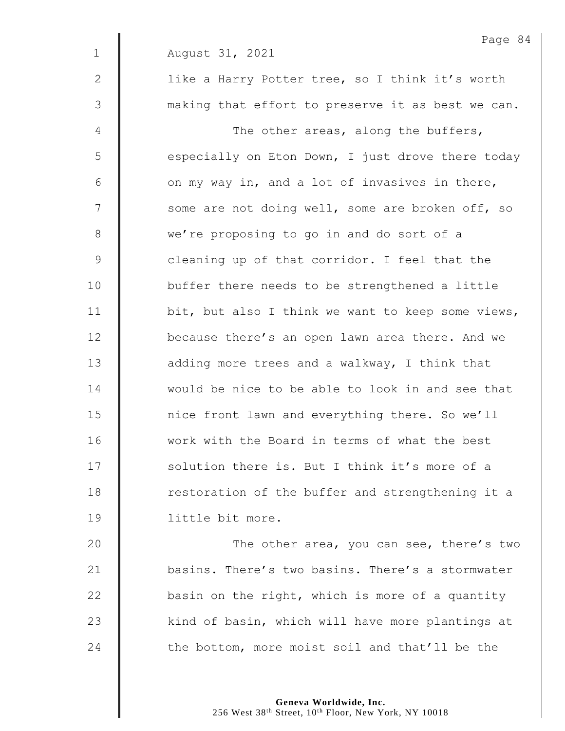Page 84 1 August 31, 2021 2 | like a Harry Potter tree, so I think it's worth 3 | making that effort to preserve it as best we can. 4 || The other areas, along the buffers,  $5 \parallel$  especially on Eton Down, I just drove there today  $6 \parallel$  on my way in, and a lot of invasives in there,  $7 \parallel$  some are not doing well, some are broken off, so 8 we're proposing to go in and do sort of a 9 **cleaning up of that corridor.** I feel that the 10 | buffer there needs to be strengthened a little 11  $\parallel$  bit, but also I think we want to keep some views, 12 **because there's an open lawn area there.** And we 13 **d** adding more trees and a walkway, I think that 14 would be nice to be able to look in and see that 15 | nice front lawn and everything there. So we'll 16 Work with the Board in terms of what the best 17 Solution there is. But I think it's more of a 18 **The Strut Contact** intervalent and strengthening it a 19 little bit more.

20 **The other area, you can see, there's two** 21 basins. There's two basins. There's a stormwater  $22$   $\parallel$  basin on the right, which is more of a quantity  $23$   $\parallel$  kind of basin, which will have more plantings at 24 the bottom, more moist soil and that'll be the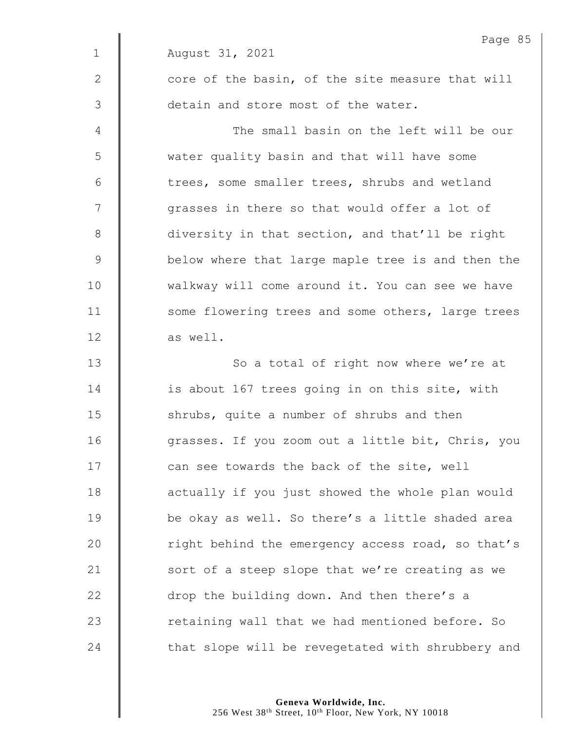|              | Page 85                                           |
|--------------|---------------------------------------------------|
| $\mathbf{1}$ | August 31, 2021                                   |
| 2            | core of the basin, of the site measure that will  |
| 3            | detain and store most of the water.               |
| 4            | The small basin on the left will be our           |
| 5            | water quality basin and that will have some       |
| 6            | trees, some smaller trees, shrubs and wetland     |
| 7            | grasses in there so that would offer a lot of     |
| 8            | diversity in that section, and that'll be right   |
| $\mathsf 9$  | below where that large maple tree is and then the |
| 10           | walkway will come around it. You can see we have  |
| 11           | some flowering trees and some others, large trees |
| 12           | as well.                                          |
| 13           | So a total of right now where we're at            |
| 14           | is about 167 trees going in on this site, with    |
| 15           | shrubs, quite a number of shrubs and then         |
| 16           | grasses. If you zoom out a little bit, Chris, you |
| 17           | can see towards the back of the site, well        |
| 18           | actually if you just showed the whole plan would  |
| 19           | be okay as well. So there's a little shaded area  |
| 20           | right behind the emergency access road, so that's |
| 21           | sort of a steep slope that we're creating as we   |
| 22           | drop the building down. And then there's a        |
| 23           | retaining wall that we had mentioned before. So   |
| 24           | that slope will be revegetated with shrubbery and |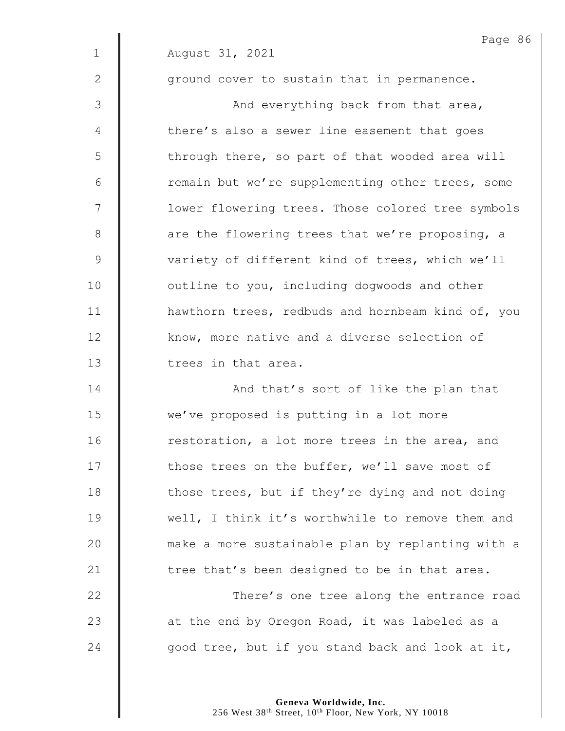|             | Page 86                                           |
|-------------|---------------------------------------------------|
| $\mathbf 1$ | August 31, 2021                                   |
| 2           | ground cover to sustain that in permanence.       |
| 3           | And everything back from that area,               |
| 4           | there's also a sewer line easement that goes      |
| 5           | through there, so part of that wooded area will   |
| 6           | remain but we're supplementing other trees, some  |
| 7           | lower flowering trees. Those colored tree symbols |
| 8           | are the flowering trees that we're proposing, a   |
| 9           | variety of different kind of trees, which we'll   |
| 10          | outline to you, including dogwoods and other      |
| 11          | hawthorn trees, redbuds and hornbeam kind of, you |
| 12          | know, more native and a diverse selection of      |
| 13          | trees in that area.                               |
| 14          | And that's sort of like the plan that             |
| 15          | we've proposed is putting in a lot more           |
| 16          | restoration, a lot more trees in the area, and    |
| 17          | those trees on the buffer, we'll save most of     |
| 18          | those trees, but if they're dying and not doing   |
| 19          | well, I think it's worthwhile to remove them and  |
| 20          | make a more sustainable plan by replanting with a |
| 21          | tree that's been designed to be in that area.     |
| 22          | There's one tree along the entrance road          |
| 23          | at the end by Oregon Road, it was labeled as a    |
| 24          | good tree, but if you stand back and look at it,  |
|             |                                                   |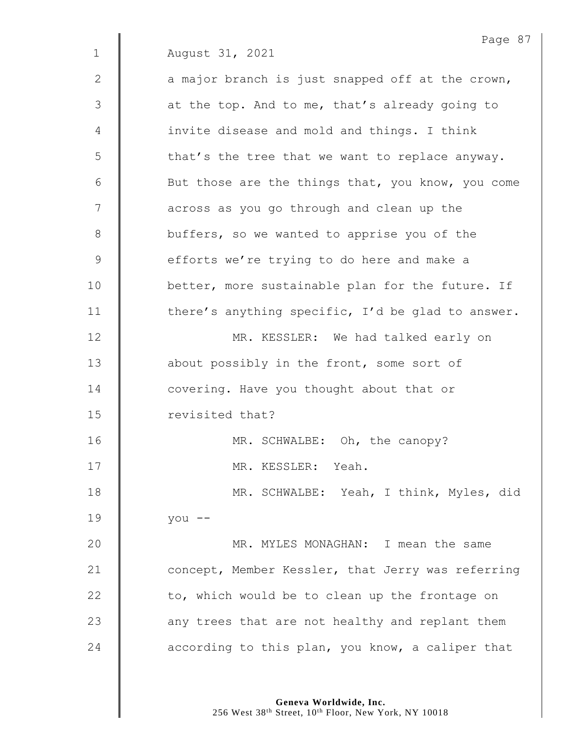Page 87 1 August 31, 2021  $2 \parallel$  a major branch is just snapped off at the crown,  $3 \parallel$  at the top. And to me, that's already going to 4 | invite disease and mold and things. I think  $5 \parallel$  that's the tree that we want to replace anyway. 6 | But those are the things that, you know, you come 7 | across as you go through and clean up the 8 U buffers, so we wanted to apprise you of the 9 efforts we're trying to do here and make a 10 **better, more sustainable plan for the future.** If 11  $\parallel$  there's anything specific, I'd be glad to answer. 12 | MR. KESSLER: We had talked early on 13 **about possibly in the front, some sort of** 14 **dege** covering. Have you thought about that or 15 **I** revisited that? 16 | MR. SCHWALBE: Oh, the canopy? 17 | MR. KESSLER: Yeah. 18 | MR. SCHWALBE: Yeah, I think, Myles, did 19 you -- 20 **MR. MYLES MONAGHAN:** I mean the same 21 **Concept, Member Kessler, that Jerry was referring** 22  $\parallel$  to, which would be to clean up the frontage on  $23$   $\parallel$  any trees that are not healthy and replant them 24  $\parallel$  according to this plan, you know, a caliper that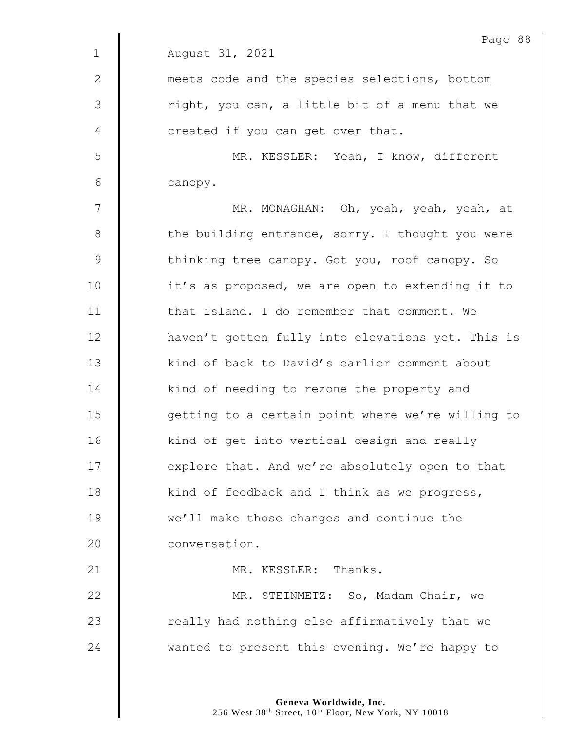|              | Page 88                                           |
|--------------|---------------------------------------------------|
| $\mathbf 1$  | August 31, 2021                                   |
| $\mathbf{2}$ | meets code and the species selections, bottom     |
| 3            | right, you can, a little bit of a menu that we    |
| 4            | created if you can get over that.                 |
| 5            | MR. KESSLER: Yeah, I know, different              |
| 6            | canopy.                                           |
| 7            | MR. MONAGHAN: Oh, yeah, yeah, yeah, at            |
| 8            | the building entrance, sorry. I thought you were  |
| 9            | thinking tree canopy. Got you, roof canopy. So    |
| 10           | it's as proposed, we are open to extending it to  |
| 11           | that island. I do remember that comment. We       |
| 12           | haven't gotten fully into elevations yet. This is |
| 13           | kind of back to David's earlier comment about     |
| 14           | kind of needing to rezone the property and        |
| 15           | getting to a certain point where we're willing to |
| 16           | kind of get into vertical design and really       |
| 17           | explore that. And we're absolutely open to that   |
| 18           | kind of feedback and I think as we progress,      |
| 19           | we'll make those changes and continue the         |
| 20           | conversation.                                     |
| 21           | MR. KESSLER: Thanks.                              |
| 22           | MR. STEINMETZ: So, Madam Chair, we                |
| 23           | really had nothing else affirmatively that we     |
| 24           | wanted to present this evening. We're happy to    |
|              |                                                   |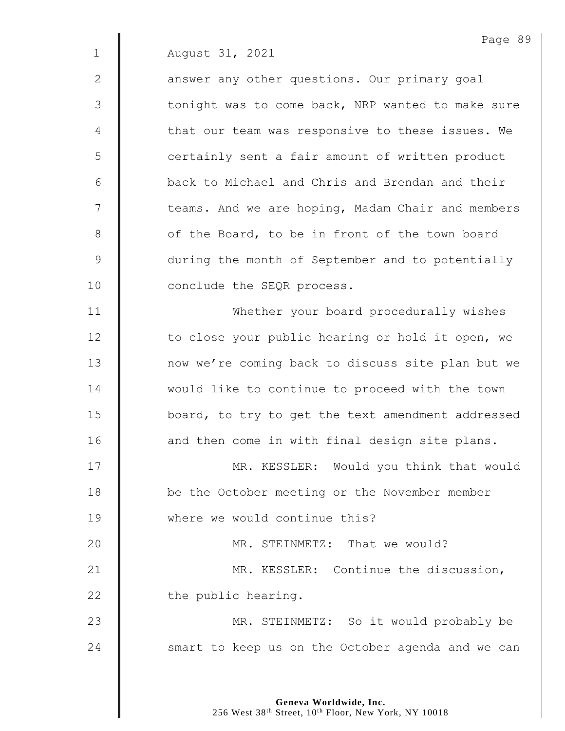2 | answer any other questions. Our primary goal 3 | tonight was to come back, NRP wanted to make sure 4  $\parallel$  that our team was responsive to these issues. We 5 || certainly sent a fair amount of written product 6 back to Michael and Chris and Brendan and their 7 | teams. And we are hoping, Madam Chair and members 8 **6** of the Board, to be in front of the town board 9 during the month of September and to potentially 10 **Conclude** the SEQR process.

11 | Whether your board procedurally wishes 12 | to close your public hearing or hold it open, we 13 | now we're coming back to discuss site plan but we 14 Would like to continue to proceed with the town 15 | board, to try to get the text amendment addressed 16 | and then come in with final design site plans.

17 | MR. KESSLER: Would you think that would 18 **be** the October meeting or the November member 19 **Where we would continue this?** 20 MR. STEINMETZ: That we would? 21 | MR. KESSLER: Continue the discussion,

22 | the public hearing.

23 | MR. STEINMETZ: So it would probably be 24 | smart to keep us on the October agenda and we can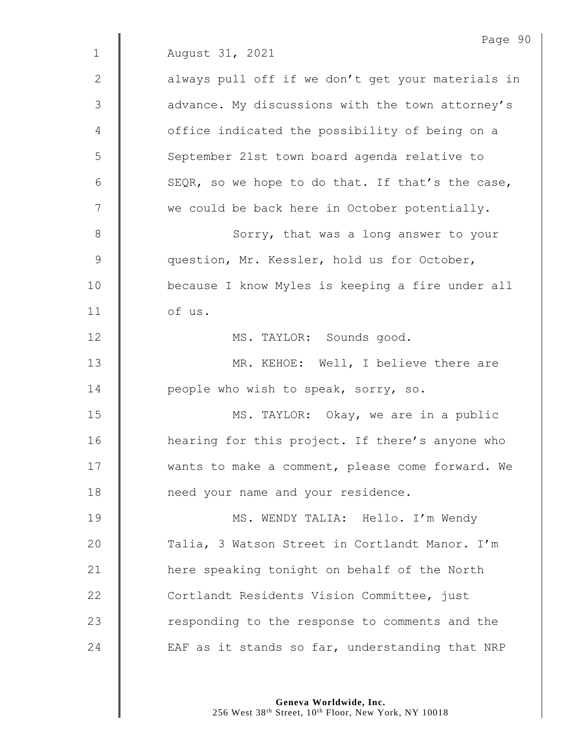|              | Page 90                                           |
|--------------|---------------------------------------------------|
| $\mathbf{1}$ | August 31, 2021                                   |
| $\mathbf{2}$ | always pull off if we don't get your materials in |
| 3            | advance. My discussions with the town attorney's  |
| 4            | office indicated the possibility of being on a    |
| 5            | September 21st town board agenda relative to      |
| 6            | SEQR, so we hope to do that. If that's the case,  |
| 7            | we could be back here in October potentially.     |
| $8\,$        | Sorry, that was a long answer to your             |
| $\mathsf 9$  | question, Mr. Kessler, hold us for October,       |
| 10           | because I know Myles is keeping a fire under all  |
| 11           | of us.                                            |
| 12           | MS. TAYLOR: Sounds good.                          |
| 13           | MR. KEHOE: Well, I believe there are              |
| 14           | people who wish to speak, sorry, so.              |
| 15           | MS. TAYLOR: Okay, we are in a public              |
| 16           | hearing for this project. If there's anyone who   |
| 17           | wants to make a comment, please come forward. We  |
| 18           | need your name and your residence.                |
| 19           | MS. WENDY TALIA: Hello. I'm Wendy                 |
| 20           | Talia, 3 Watson Street in Cortlandt Manor. I'm    |
| 21           | here speaking tonight on behalf of the North      |
| 22           | Cortlandt Residents Vision Committee, just        |
| 23           | responding to the response to comments and the    |
| 24           | EAF as it stands so far, understanding that NRP   |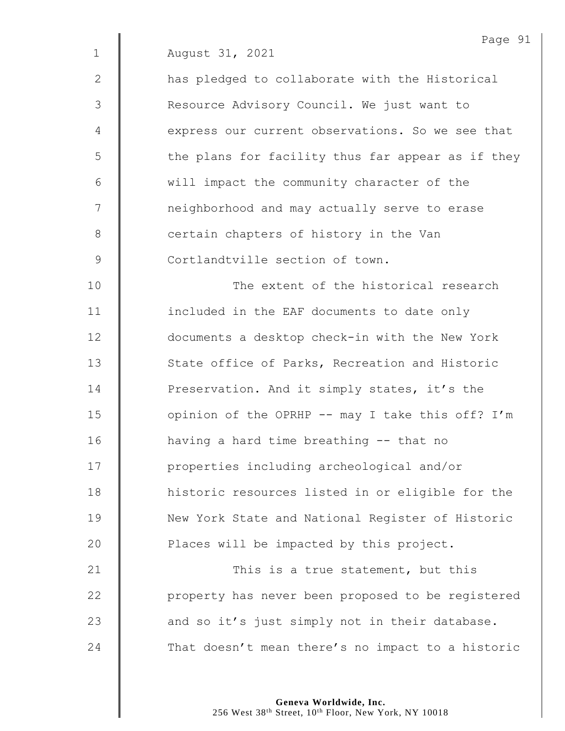2 | has pledged to collaborate with the Historical 3 | Resource Advisory Council. We just want to 4 **express our current observations. So we see that** 5 | the plans for facility thus far appear as if they 6 will impact the community character of the 7 | neighborhood and may actually serve to erase 8 certain chapters of history in the Van 9 Cortlandtville section of town.

10 **The extent of the historical research** 11 | included in the EAF documents to date only 12 **documents a desktop check-in with the New York** 13 State office of Parks, Recreation and Historic 14 **Preservation.** And it simply states, it's the 15 | opinion of the OPRHP -- may I take this off? I'm 16 having a hard time breathing -- that no 17 | properties including archeological and/or 18 | historic resources listed in or eligible for the 19 | New York State and National Register of Historic 20  $\parallel$  Places will be impacted by this project.

21 | This is a true statement, but this 22 | property has never been proposed to be registered 23  $\parallel$  and so it's just simply not in their database. 24 That doesn't mean there's no impact to a historic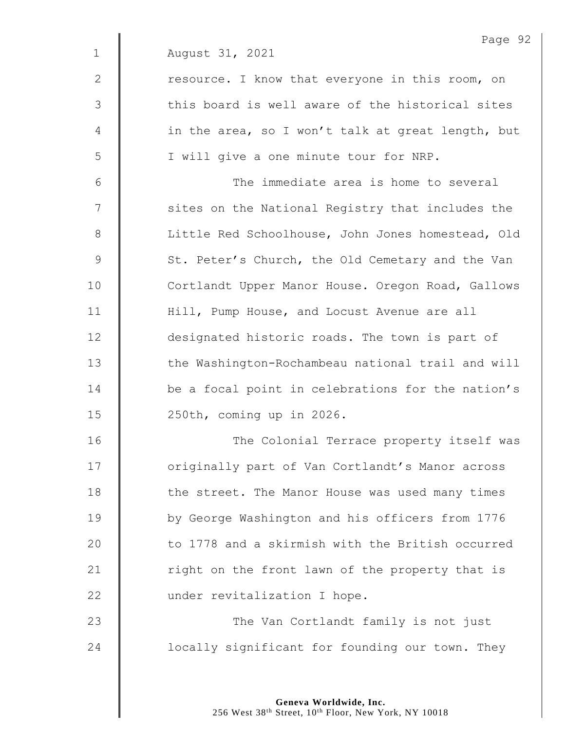|              | Page 92                                           |
|--------------|---------------------------------------------------|
| $\mathbf 1$  | August 31, 2021                                   |
| $\mathbf{2}$ | resource. I know that everyone in this room, on   |
| 3            | this board is well aware of the historical sites  |
| 4            | in the area, so I won't talk at great length, but |
| 5            | I will give a one minute tour for NRP.            |
| 6            | The immediate area is home to several             |
| 7            | sites on the National Registry that includes the  |
| 8            | Little Red Schoolhouse, John Jones homestead, Old |
| 9            | St. Peter's Church, the Old Cemetary and the Van  |
| 10           | Cortlandt Upper Manor House. Oregon Road, Gallows |
| 11           | Hill, Pump House, and Locust Avenue are all       |
| 12           | designated historic roads. The town is part of    |
| 13           | the Washington-Rochambeau national trail and will |
| 14           | be a focal point in celebrations for the nation's |
| 15           | 250th, coming up in 2026.                         |
| 16           | The Colonial Terrace property itself was          |
| 17           | originally part of Van Cortlandt's Manor across   |
| 18           | the street. The Manor House was used many times   |
| 19           | by George Washington and his officers from 1776   |
| 20           | to 1778 and a skirmish with the British occurred  |
| 21           | right on the front lawn of the property that is   |
| 22           | under revitalization I hope.                      |
| 23           | The Van Cortlandt family is not just              |
| 24           | locally significant for founding our town. They   |
|              |                                                   |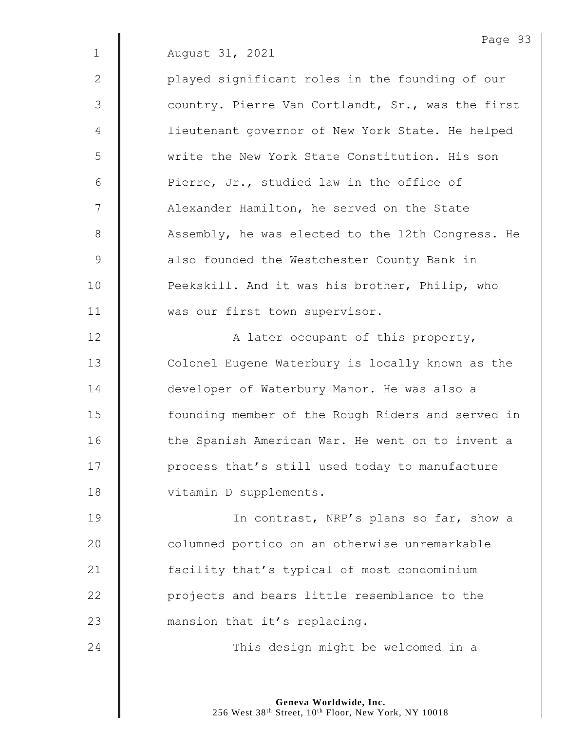2 || played significant roles in the founding of our 3 || country. Pierre Van Cortlandt, Sr., was the first 4 | lieutenant governor of New York State. He helped 5 write the New York State Constitution. His son 6  $\parallel$  Pierre, Jr., studied law in the office of 7 | Alexander Hamilton, he served on the State 8 Assembly, he was elected to the 12th Congress. He 9 **6** also founded the Westchester County Bank in 10 **Peekskill.** And it was his brother, Philip, who 11 | was our first town supervisor.

12 | A later occupant of this property, 13 | Colonel Eugene Waterbury is locally known as the 14 **developer of Waterbury Manor.** He was also a 15 | founding member of the Rough Riders and served in 16 | the Spanish American War. He went on to invent a 17 | process that's still used today to manufacture 18 | vitamin D supplements.

19 | In contrast, NRP's plans so far, show a 20 | columned portico on an otherwise unremarkable 21 **facility that's typical of most condominium** 22 **| projects and bears little resemblance to the** 23 **mansion that it's replacing.** 

24 **This design might be welcomed in a**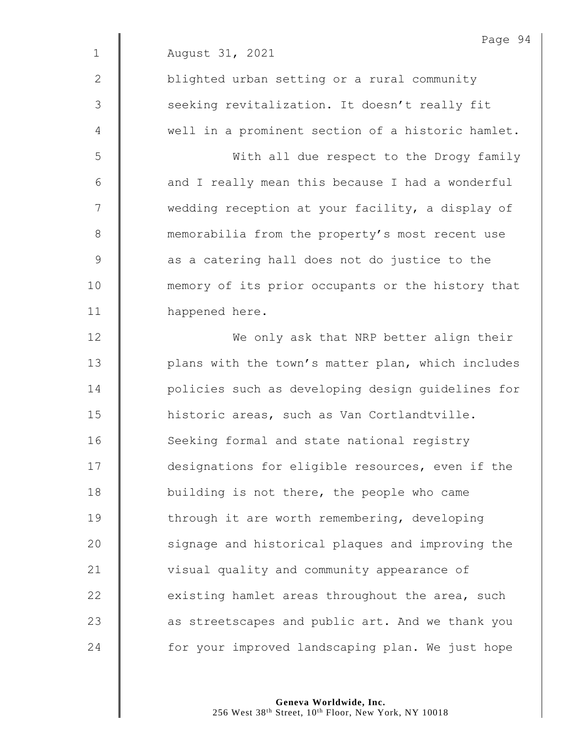|                | Page 94                                           |
|----------------|---------------------------------------------------|
| $\mathbf{1}$   | August 31, 2021                                   |
| $\mathbf{2}$   | blighted urban setting or a rural community       |
| $\mathfrak{Z}$ | seeking revitalization. It doesn't really fit     |
| 4              | well in a prominent section of a historic hamlet. |
| 5              | With all due respect to the Drogy family          |
| 6              | and I really mean this because I had a wonderful  |
| 7              | wedding reception at your facility, a display of  |
| $\,8\,$        | memorabilia from the property's most recent use   |
| $\mathcal{G}$  | as a catering hall does not do justice to the     |
| 10             | memory of its prior occupants or the history that |
| 11             | happened here.                                    |
| 12             | We only ask that NRP better align their           |
| 13             | plans with the town's matter plan, which includes |
| 14             | policies such as developing design guidelines for |
| 15             | historic areas, such as Van Cortlandtville.       |
| 16             | Seeking formal and state national registry        |
| 17             | designations for eligible resources, even if the  |
| 18             | building is not there, the people who came        |
| 19             | through it are worth remembering, developing      |
| 20             | signage and historical plaques and improving the  |
| 21             | visual quality and community appearance of        |
| 22             | existing hamlet areas throughout the area, such   |
| 23             | as streetscapes and public art. And we thank you  |
| 24             | for your improved landscaping plan. We just hope  |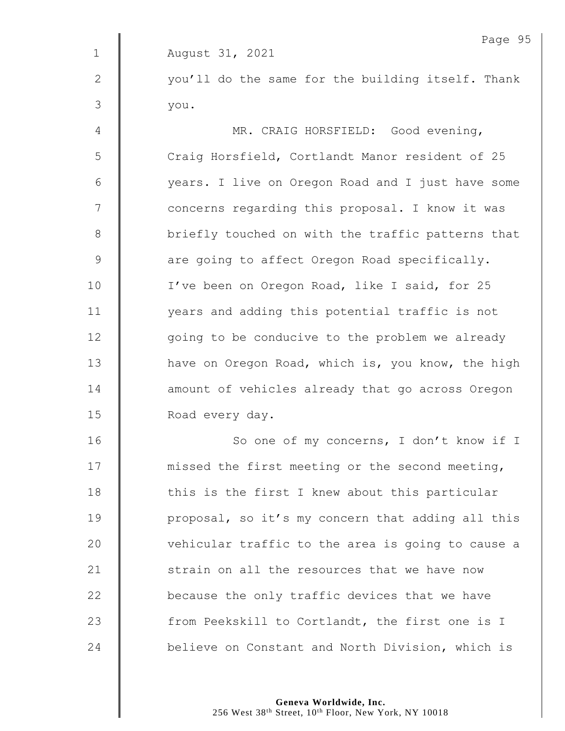Page 95 1 August 31, 2021 2 || vou'll do the same for the building itself. Thank  $3 \parallel$  you. 4 | MR. CRAIG HORSFIELD: Good evening, 5 | Craig Horsfield, Cortlandt Manor resident of 25 6 years. I live on Oregon Road and I just have some 7 | concerns regarding this proposal. I know it was 8 | briefly touched on with the traffic patterns that 9  $\parallel$  are going to affect Oregon Road specifically. 10 | I've been on Oregon Road, like I said, for 25 11 | vears and adding this potential traffic is not 12 | qoing to be conducive to the problem we already 13 | have on Oregon Road, which is, you know, the high 14 **deg** amount of vehicles already that go across Oregon 15 **Noad every day.** 16 | So one of my concerns, I don't know if I 17 | missed the first meeting or the second meeting, 18 | this is the first I knew about this particular 19 | proposal, so it's my concern that adding all this 20 | vehicular traffic to the area is going to cause a 21 Strain on all the resources that we have now 22  $\parallel$  because the only traffic devices that we have 23 Trom Peekskill to Cortlandt, the first one is I 24 **believe on Constant and North Division, which is**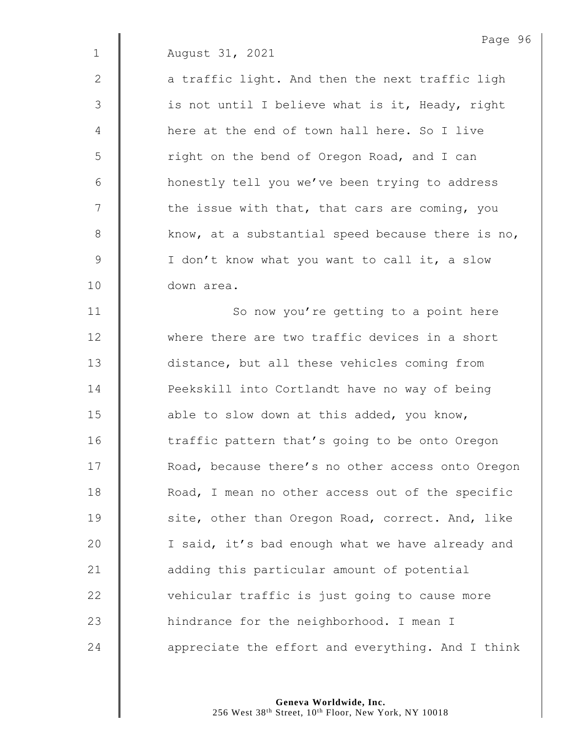2  $\parallel$  a traffic light. And then the next traffic ligh 3 || is not until I believe what is it, Heady, right 4 **Here** at the end of town hall here. So I live 5 | right on the bend of Oregon Road, and I can 6 | honestly tell you we've been trying to address  $7 \parallel$  the issue with that, that cars are coming, you 8 Know, at a substantial speed because there is no, 9 | I don't know what you want to call it, a slow 10 down area.

11 | So now you're getting to a point here 12 where there are two traffic devices in a short 13 | distance, but all these vehicles coming from 14 **| Peekskill into Cortlandt have no way of being** 15 **able to slow down at this added, you know,** 16 | traffic pattern that's going to be onto Oregon 17 | Road, because there's no other access onto Oregon 18 **Noam** Road, I mean no other access out of the specific 19 | site, other than Oregon Road, correct. And, like 20 | I said, it's bad enough what we have already and 21 **adding this particular amount of potential** 22 vehicular traffic is just going to cause more 23 | hindrance for the neighborhood. I mean I 24  $\parallel$  appreciate the effort and everything. And I think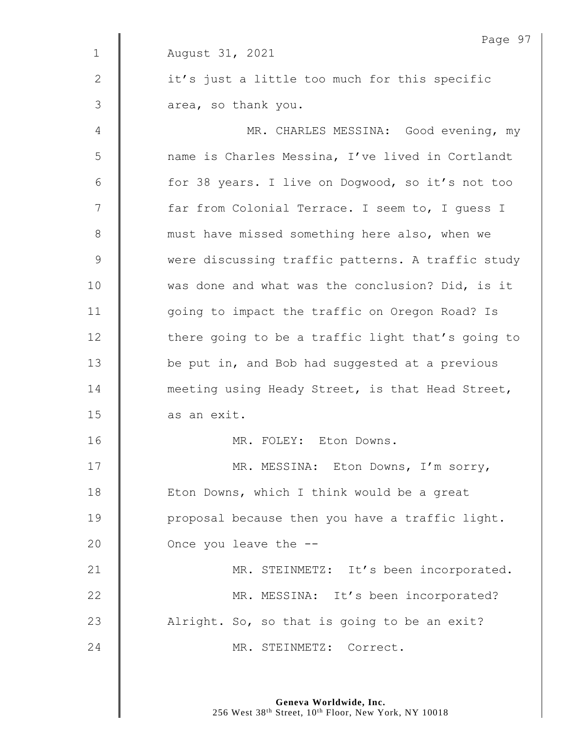|                | Page 97                                           |
|----------------|---------------------------------------------------|
| $\mathbf{1}$   | August 31, 2021                                   |
| $\mathbf{2}$   | it's just a little too much for this specific     |
| $\mathfrak{Z}$ | area, so thank you.                               |
| 4              | MR. CHARLES MESSINA: Good evening, my             |
| 5              | name is Charles Messina, I've lived in Cortlandt  |
| 6              | for 38 years. I live on Dogwood, so it's not too  |
| 7              | far from Colonial Terrace. I seem to, I guess I   |
| $\,8\,$        | must have missed something here also, when we     |
| $\mathsf 9$    | were discussing traffic patterns. A traffic study |
| 10             | was done and what was the conclusion? Did, is it  |
| 11             | going to impact the traffic on Oregon Road? Is    |
| 12             | there going to be a traffic light that's going to |
| 13             | be put in, and Bob had suggested at a previous    |
| 14             | meeting using Heady Street, is that Head Street,  |
| 15             | as an exit.                                       |
| 16             | MR. FOLEY: Eton Downs.                            |
| 17             | MR. MESSINA: Eton Downs, I'm sorry,               |
| 18             | Eton Downs, which I think would be a great        |
| 19             | proposal because then you have a traffic light.   |
| 20             | Once you leave the --                             |
| 21             | MR. STEINMETZ: It's been incorporated.            |
| 22             | MR. MESSINA: It's been incorporated?              |
| 23             | Alright. So, so that is going to be an exit?      |
| 24             | MR. STEINMETZ: Correct.                           |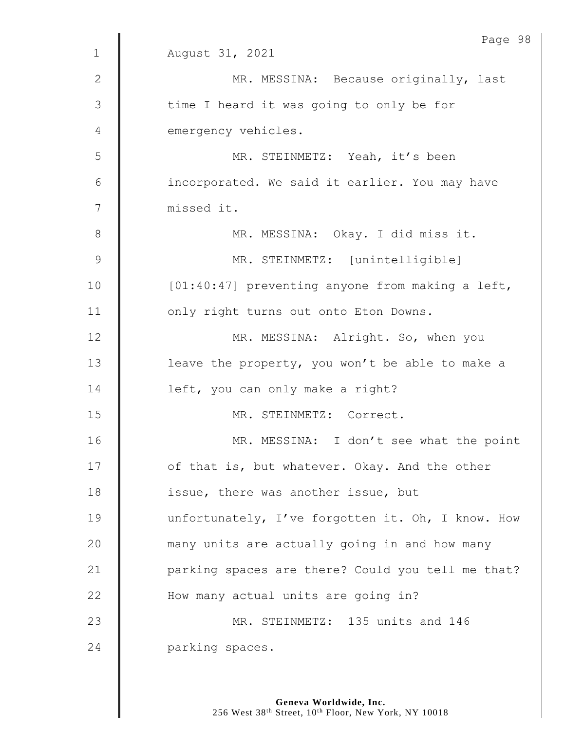|               | Page 98                                           |
|---------------|---------------------------------------------------|
| $\mathbf{1}$  | August 31, 2021                                   |
| $\mathbf{2}$  | MR. MESSINA: Because originally, last             |
| 3             | time I heard it was going to only be for          |
| 4             | emergency vehicles.                               |
| 5             | MR. STEINMETZ: Yeah, it's been                    |
| 6             | incorporated. We said it earlier. You may have    |
| 7             | missed it.                                        |
| $\,8\,$       | MR. MESSINA: Okay. I did miss it.                 |
| $\mathcal{G}$ | MR. STEINMETZ: [unintelligible]                   |
| 10            | [01:40:47] preventing anyone from making a left,  |
| 11            | only right turns out onto Eton Downs.             |
| 12            | MR. MESSINA: Alright. So, when you                |
| 13            | leave the property, you won't be able to make a   |
| 14            | left, you can only make a right?                  |
| 15            | MR. STEINMETZ: Correct.                           |
| 16            | MR. MESSINA: I don't see what the point           |
| 17            | of that is, but whatever. Okay. And the other     |
| 18            | issue, there was another issue, but               |
| 19            | unfortunately, I've forgotten it. Oh, I know. How |
| 20            | many units are actually going in and how many     |
| 21            | parking spaces are there? Could you tell me that? |
| 22            | How many actual units are going in?               |
| 23            | MR. STEINMETZ: 135 units and 146                  |
| 24            | parking spaces.                                   |
|               |                                                   |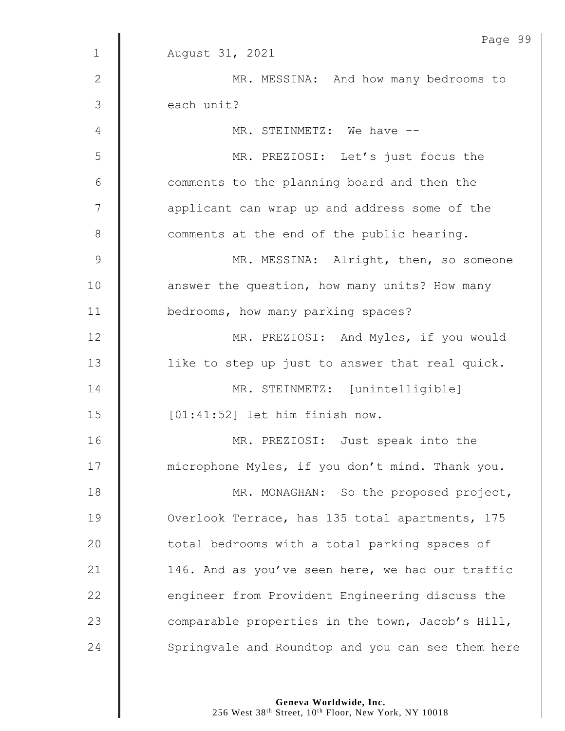|               | Page 9!                                           |
|---------------|---------------------------------------------------|
| $\mathbf 1$   | August 31, 2021                                   |
| $\mathbf{2}$  | MR. MESSINA: And how many bedrooms to             |
| 3             | each unit?                                        |
| 4             | MR. STEINMETZ: We have --                         |
| 5             | MR. PREZIOSI: Let's just focus the                |
| 6             | comments to the planning board and then the       |
| 7             | applicant can wrap up and address some of the     |
| $\,8\,$       | comments at the end of the public hearing.        |
| $\mathcal{G}$ | MR. MESSINA: Alright, then, so someone            |
| 10            | answer the question, how many units? How many     |
| 11            | bedrooms, how many parking spaces?                |
| 12            | MR. PREZIOSI: And Myles, if you would             |
| 13            | like to step up just to answer that real quick.   |
| 14            | MR. STEINMETZ: [unintelligible]                   |
| 15            | [01:41:52] let him finish now.                    |
| 16            | MR. PREZIOSI: Just speak into the                 |
| 17            | microphone Myles, if you don't mind. Thank you.   |
| 18            | MR. MONAGHAN: So the proposed project,            |
| 19            | Overlook Terrace, has 135 total apartments, 175   |
| 20            | total bedrooms with a total parking spaces of     |
| 21            | 146. And as you've seen here, we had our traffic  |
| 22            | engineer from Provident Engineering discuss the   |
| 23            | comparable properties in the town, Jacob's Hill,  |
| 24            | Springvale and Roundtop and you can see them here |

Page 99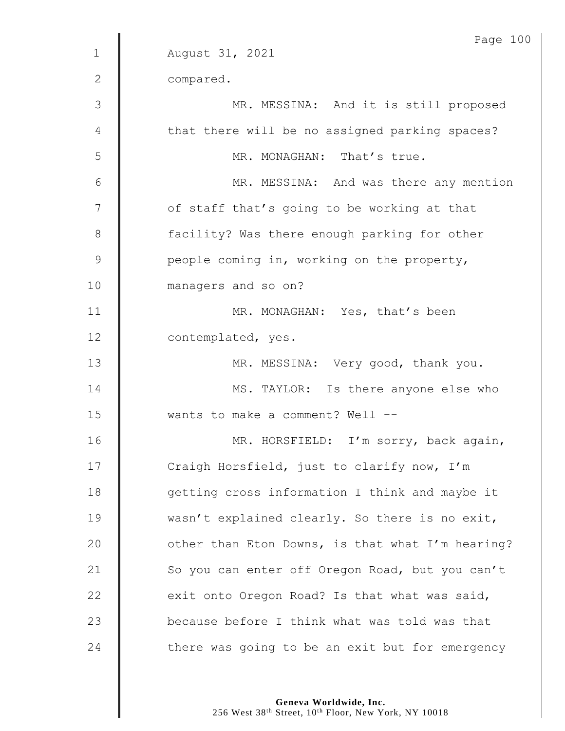|              | Page 100                                         |
|--------------|--------------------------------------------------|
| $\mathbf{1}$ | August 31, 2021                                  |
| $\mathbf{2}$ | compared.                                        |
| 3            | MR. MESSINA: And it is still proposed            |
| 4            | that there will be no assigned parking spaces?   |
| 5            | MR. MONAGHAN: That's true.                       |
| $6\,$        | MR. MESSINA: And was there any mention           |
| 7            | of staff that's going to be working at that      |
| $8\,$        | facility? Was there enough parking for other     |
| $\mathsf 9$  | people coming in, working on the property,       |
| 10           | managers and so on?                              |
| 11           | MR. MONAGHAN: Yes, that's been                   |
| 12           | contemplated, yes.                               |
| 13           | MR. MESSINA: Very good, thank you.               |
| 14           | MS. TAYLOR: Is there anyone else who             |
| 15           | wants to make a comment? Well --                 |
| 16           | MR. HORSFIELD: I'm sorry, back again,            |
| 17           | Craigh Horsfield, just to clarify now, I'm       |
| 18           | getting cross information I think and maybe it   |
| 19           | wasn't explained clearly. So there is no exit,   |
| 20           | other than Eton Downs, is that what I'm hearing? |
| 21           | So you can enter off Oregon Road, but you can't  |
| 22           | exit onto Oregon Road? Is that what was said,    |
| 23           | because before I think what was told was that    |
| 24           | there was going to be an exit but for emergency  |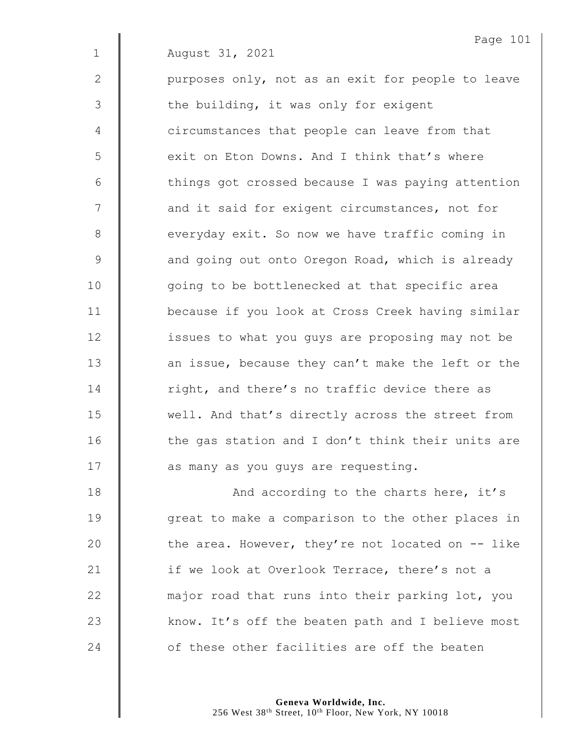2 | purposes only, not as an exit for people to leave 3 | the building, it was only for exigent 4 **d** circumstances that people can leave from that 5 S exit on Eton Downs. And I think that's where 6 | things got crossed because I was paying attention 7 | and it said for exigent circumstances, not for 8 everyday exit. So now we have traffic coming in 9 **A** and going out onto Oregon Road, which is already 10 | qoing to be bottlenecked at that specific area 11 because if you look at Cross Creek having similar 12 | issues to what you quys are proposing may not be 13 **an** issue, because they can't make the left or the 14 Tight, and there's no traffic device there as 15 well. And that's directly across the street from  $16$  | the gas station and I don't think their units are 17 | as many as you guys are requesting.

18 **And according to the charts here, it's** 19 | qreat to make a comparison to the other places in 20  $\parallel$  the area. However, they're not located on  $-$  like 21 | if we look at Overlook Terrace, there's not a  $22$   $\parallel$  major road that runs into their parking lot, you 23 Know. It's off the beaten path and I believe most 24  $\parallel$  of these other facilities are off the beaten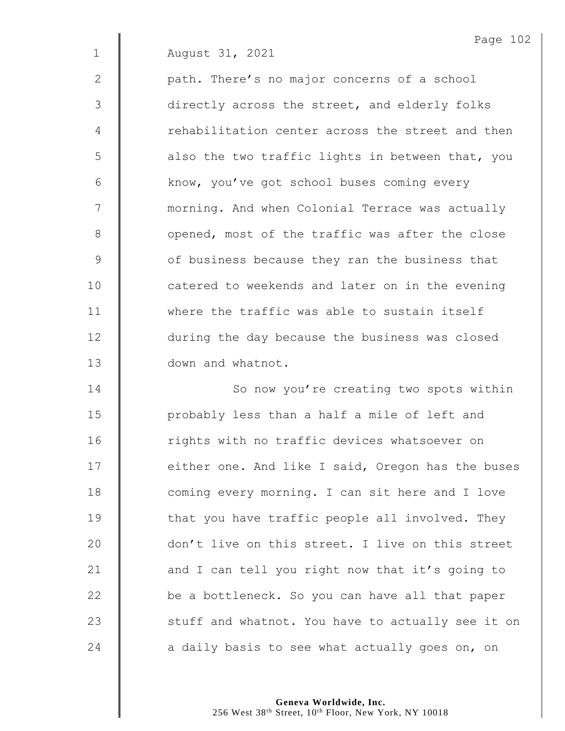2 | path. There's no major concerns of a school 3 | directly across the street, and elderly folks 4 The rehabilitation center across the street and then  $5 \parallel$  also the two traffic lights in between that, you 6 | know, you've got school buses coming every 7 | morning. And when Colonial Terrace was actually 8 | opened, most of the traffic was after the close 9 **J** of business because they ran the business that 10 **catered to weekends and later on in the evening** 11 **where the traffic was able to sustain itself** 12 **during the day because the business was closed** 13 **down** and whatnot.

14 | So now you're creating two spots within 15 | probably less than a half a mile of left and 16 **The Rep is in the U.S.** 16 random values whatsoever on 17 | either one. And like I said, Oregon has the buses 18 coming every morning. I can sit here and I love 19 That you have traffic people all involved. They 20 | don't live on this street. I live on this street 21  $\parallel$  and I can tell you right now that it's going to  $22$   $\parallel$  be a bottleneck. So you can have all that paper  $23$   $\parallel$  stuff and whatnot. You have to actually see it on 24  $\parallel$  a daily basis to see what actually goes on, on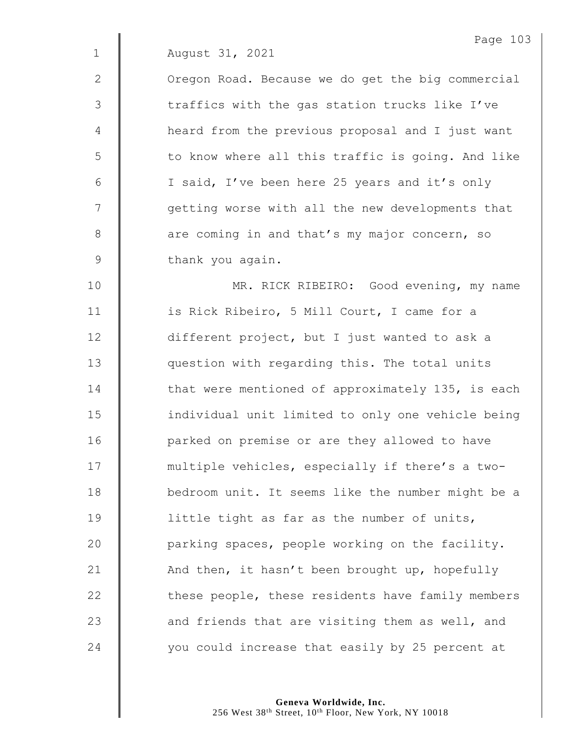2 | Oregon Road. Because we do get the big commercial 3 | traffics with the gas station trucks like I've 4 | heard from the previous proposal and I just want 5 | to know where all this traffic is going. And like 6 | I said, I've been here 25 years and it's only 7 || qetting worse with all the new developments that 8 are coming in and that's my major concern, so 9 | thank you again.

10 | MR. RICK RIBEIRO: Good evening, my name 11 | is Rick Ribeiro, 5 Mill Court, I came for a 12 | different project, but I just wanted to ask a 13 **question with regarding this.** The total units 14 **that were mentioned of approximately 135, is each** 15 | individual unit limited to only one vehicle being 16 | parked on premise or are they allowed to have 17 | multiple vehicles, especially if there's a two-18 | bedroom unit. It seems like the number might be a 19  $\parallel$  little tight as far as the number of units, 20  $\parallel$  parking spaces, people working on the facility. 21  $\parallel$  And then, it hasn't been brought up, hopefully  $22$   $\parallel$  these people, these residents have family members 23  $\parallel$  and friends that are visiting them as well, and 24 vou could increase that easily by 25 percent at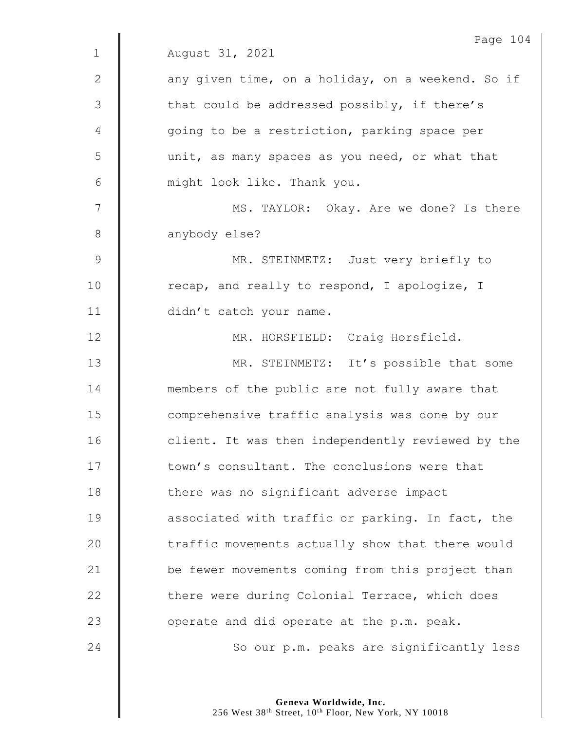|              | Page 104                                          |
|--------------|---------------------------------------------------|
| $\mathbf{1}$ | August 31, 2021                                   |
| $\mathbf{2}$ | any given time, on a holiday, on a weekend. So if |
| 3            | that could be addressed possibly, if there's      |
| 4            | going to be a restriction, parking space per      |
| 5            | unit, as many spaces as you need, or what that    |
| $6\,$        | might look like. Thank you.                       |
| 7            | MS. TAYLOR: Okay. Are we done? Is there           |
| $8\,$        | anybody else?                                     |
| $\mathsf 9$  | MR. STEINMETZ: Just very briefly to               |
| 10           | recap, and really to respond, I apologize, I      |
| 11           | didn't catch your name.                           |
| 12           | MR. HORSFIELD: Craig Horsfield.                   |
| 13           | MR. STEINMETZ: It's possible that some            |
| 14           | members of the public are not fully aware that    |
| 15           | comprehensive traffic analysis was done by our    |
| 16           | client. It was then independently reviewed by the |
| 17           | town's consultant. The conclusions were that      |
| 18           | there was no significant adverse impact           |
| 19           | associated with traffic or parking. In fact, the  |
| 20           | traffic movements actually show that there would  |
| 21           | be fewer movements coming from this project than  |
| 22           | there were during Colonial Terrace, which does    |
| 23           | operate and did operate at the p.m. peak.         |
| 24           | So our p.m. peaks are significantly less          |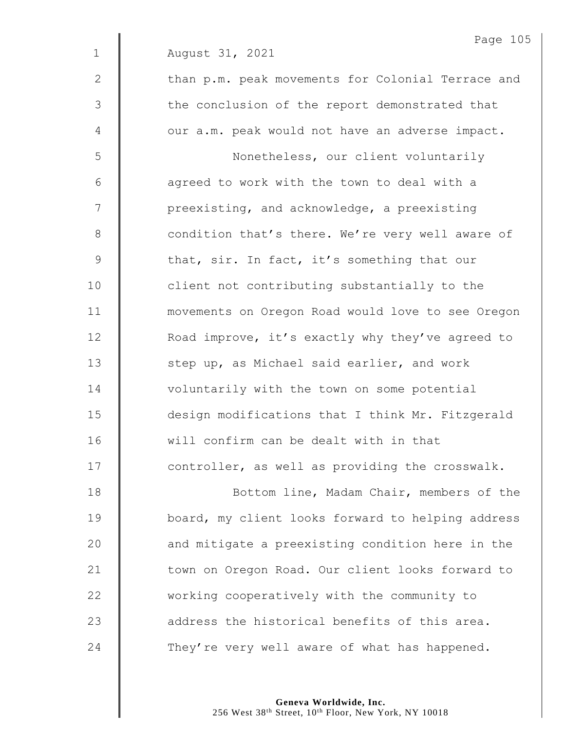|              | Page 105                                          |
|--------------|---------------------------------------------------|
| $\mathbf 1$  | August 31, 2021                                   |
| $\mathbf{2}$ | than p.m. peak movements for Colonial Terrace and |
| 3            | the conclusion of the report demonstrated that    |
| 4            | our a.m. peak would not have an adverse impact.   |
| 5            | Nonetheless, our client voluntarily               |
| 6            | agreed to work with the town to deal with a       |
| 7            | preexisting, and acknowledge, a preexisting       |
| $\,8\,$      | condition that's there. We're very well aware of  |
| 9            | that, sir. In fact, it's something that our       |
| 10           | client not contributing substantially to the      |
| 11           | movements on Oregon Road would love to see Oregon |
| 12           | Road improve, it's exactly why they've agreed to  |
| 13           | step up, as Michael said earlier, and work        |
| 14           | voluntarily with the town on some potential       |
| 15           | design modifications that I think Mr. Fitzgerald  |
| 16           | will confirm can be dealt with in that            |
| 17           | controller, as well as providing the crosswalk.   |
| 18           | Bottom line, Madam Chair, members of the          |
| 19           | board, my client looks forward to helping address |
| 20           | and mitigate a preexisting condition here in the  |
| 21           | town on Oregon Road. Our client looks forward to  |
| 22           | working cooperatively with the community to       |
| 23           | address the historical benefits of this area.     |

24 They're very well aware of what has happened.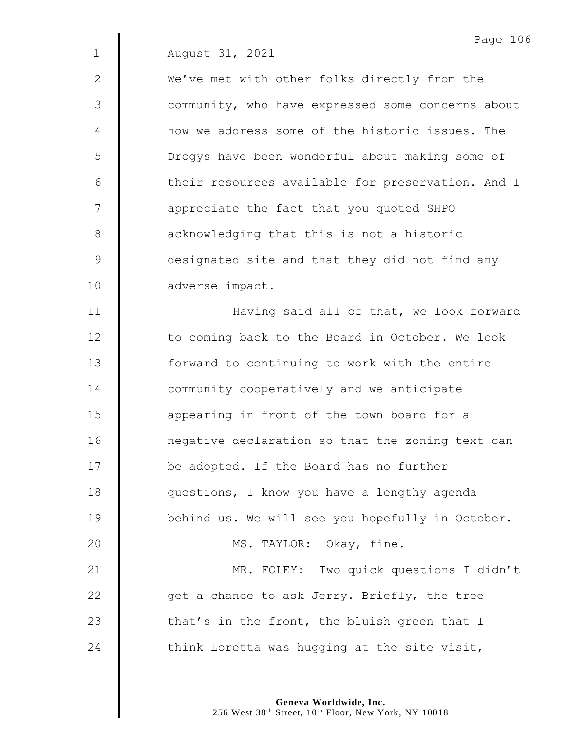2 We've met with other folks directly from the 3  $\parallel$  community, who have expressed some concerns about 4 **Hemica** how we address some of the historic issues. The 5 | Drogys have been wonderful about making some of 6 | their resources available for preservation. And I 7 || appreciate the fact that you quoted SHPO 8 **a** acknowledging that this is not a historic 9 designated site and that they did not find any 10 adverse impact.

11 | Having said all of that, we look forward 12 | to coming back to the Board in October. We look 13 | forward to continuing to work with the entire 14 **Community** cooperatively and we anticipate 15 **a** appearing in front of the town board for a 16 | negative declaration so that the zoning text can 17 **be adopted.** If the Board has no further 18 **questions, I know you have a lengthy agenda** 19 | behind us. We will see you hopefully in October. 20 | MS. TAYLOR: Okay, fine. 21 | MR. FOLEY: Two quick questions I didn't 22  $\parallel$  get a chance to ask Jerry. Briefly, the tree 23  $\parallel$  that's in the front, the bluish green that I 24  $\parallel$  think Loretta was hugging at the site visit,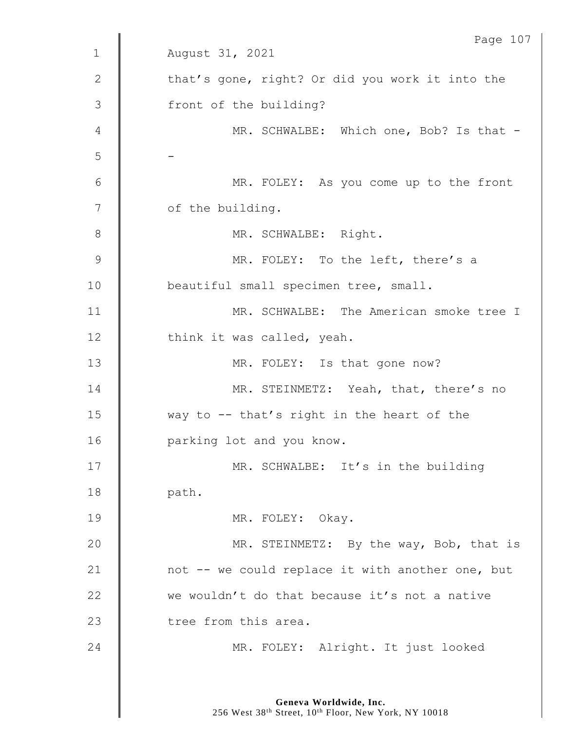| Page 107                                         |
|--------------------------------------------------|
| August 31, 2021                                  |
| that's gone, right? Or did you work it into the  |
| front of the building?                           |
| MR. SCHWALBE: Which one, Bob? Is that -          |
|                                                  |
| MR. FOLEY: As you come up to the front           |
| of the building.                                 |
| MR. SCHWALBE: Right.                             |
| MR. FOLEY: To the left, there's a                |
| beautiful small specimen tree, small.            |
| MR. SCHWALBE: The American smoke tree I          |
| think it was called, yeah.                       |
| MR. FOLEY: Is that gone now?                     |
| MR. STEINMETZ: Yeah, that, there's no            |
| way to $-$ - that's right in the heart of the    |
| parking lot and you know.                        |
| MR. SCHWALBE: It's in the building               |
| path.                                            |
| MR. FOLEY: Okay.                                 |
| MR. STEINMETZ: By the way, Bob, that is          |
| not -- we could replace it with another one, but |
| we wouldn't do that because it's not a native    |
| tree from this area.                             |
| MR. FOLEY: Alright. It just looked               |
|                                                  |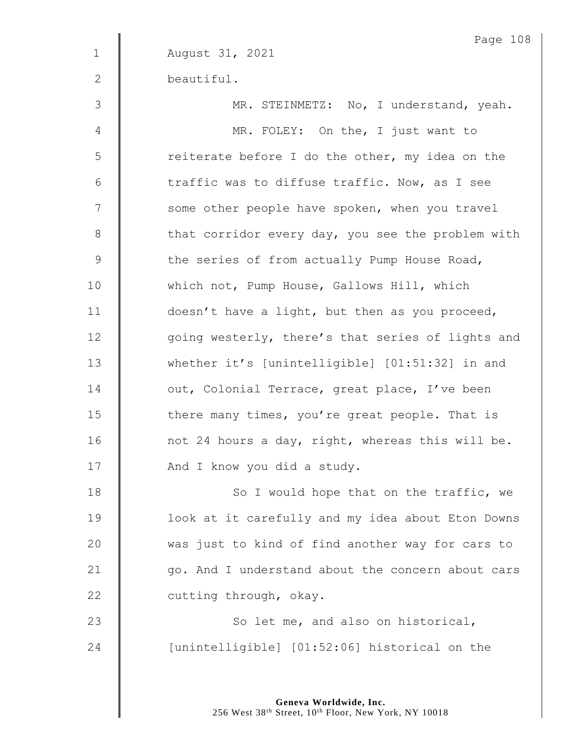|              | Page 108                                          |
|--------------|---------------------------------------------------|
| $\mathbf 1$  | August 31, 2021                                   |
| $\mathbf{2}$ | beautiful.                                        |
| 3            | MR. STEINMETZ: No, I understand, yeah.            |
| 4            | MR. FOLEY: On the, I just want to                 |
| 5            | reiterate before I do the other, my idea on the   |
| 6            | traffic was to diffuse traffic. Now, as I see     |
| 7            | some other people have spoken, when you travel    |
| $8\,$        | that corridor every day, you see the problem with |
| $\mathsf 9$  | the series of from actually Pump House Road,      |
| 10           | which not, Pump House, Gallows Hill, which        |
| 11           | doesn't have a light, but then as you proceed,    |
| 12           | going westerly, there's that series of lights and |
| 13           | whether it's [unintelligible] [01:51:32] in and   |
| 14           | out, Colonial Terrace, great place, I've been     |
| 15           | there many times, you're great people. That is    |
| 16           | not 24 hours a day, right, whereas this will be.  |
| 17           | And I know you did a study.                       |
| 18           | So I would hope that on the traffic, we           |
| 19           | look at it carefully and my idea about Eton Downs |
| 20           | was just to kind of find another way for cars to  |
| 21           | go. And I understand about the concern about cars |
| 22           | cutting through, okay.                            |
| 23           | So let me, and also on historical,                |
| 24           | [unintelligible] [01:52:06] historical on the     |
|              |                                                   |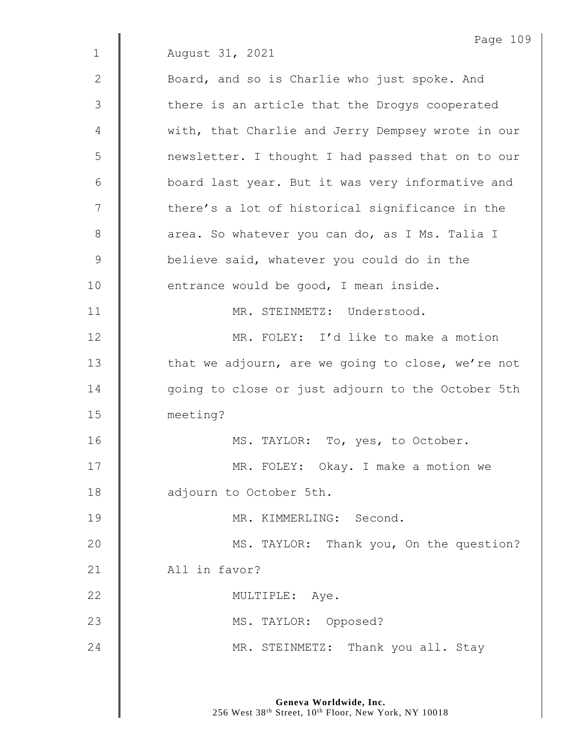Page 109 1 August 31, 2021 2 **Board, and so is Charlie who just spoke. And** 3 | there is an article that the Drogys cooperated 4 With, that Charlie and Jerry Dempsey wrote in our 5 newsletter. I thought I had passed that on to our 6 | board last year. But it was very informative and 7 | there's a lot of historical significance in the 8 area. So whatever you can do, as I Ms. Talia I 9 **believe said, whatever you could do in the**  $10$   $\parallel$  entrance would be good, I mean inside. 11 | MR. STEINMETZ: Understood. 12 || MR. FOLEY: I'd like to make a motion 13  $\parallel$  that we adjourn, are we going to close, we're not 14 | going to close or just adjourn to the October 5th 15 meeting? 16 | MS. TAYLOR: To, yes, to October. 17 | MR. FOLEY: Okay. I make a motion we 18 **adjourn** to October 5th. 19 || MR. KIMMERLING: Second. 20 **MS. TAYLOR:** Thank you, On the question? 21 | All in favor? 22 | MULTIPLE: Aye. 23 | MS. TAYLOR: Opposed? 24 | MR. STEINMETZ: Thank you all. Stay

> **Geneva Worldwide, Inc.** 256 West 38<sup>th</sup> Street, 10<sup>th</sup> Floor, New York, NY 10018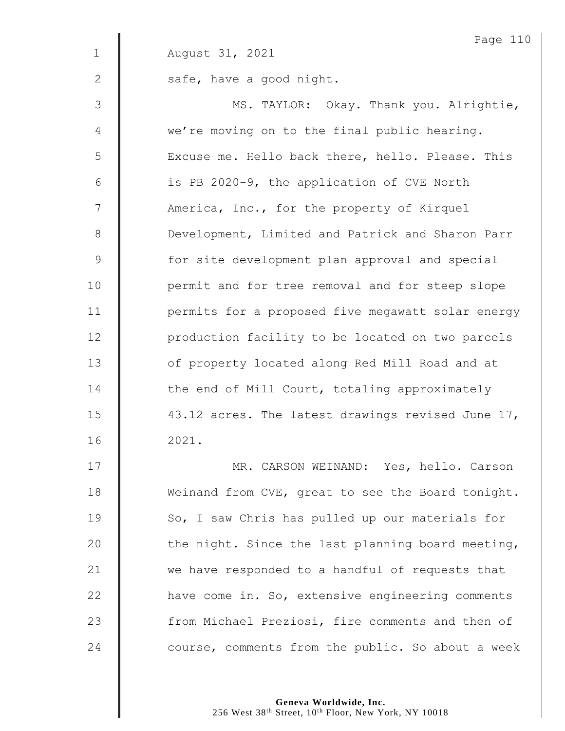|                | Page 110                                          |
|----------------|---------------------------------------------------|
| $\mathbf 1$    | August 31, 2021                                   |
| $\mathbf{2}$   | safe, have a good night.                          |
| 3              | MS. TAYLOR: Okay. Thank you. Alrightie,           |
| $\overline{4}$ | we're moving on to the final public hearing.      |
| 5              | Excuse me. Hello back there, hello. Please. This  |
| $6\,$          | is PB 2020-9, the application of CVE North        |
| 7              | America, Inc., for the property of Kirquel        |
| $8\,$          | Development, Limited and Patrick and Sharon Parr  |
| $\mathsf 9$    | for site development plan approval and special    |
| 10             | permit and for tree removal and for steep slope   |
| 11             | permits for a proposed five megawatt solar energy |
| 12             | production facility to be located on two parcels  |
| 13             | of property located along Red Mill Road and at    |
| 14             | the end of Mill Court, totaling approximately     |
| 15             | 43.12 acres. The latest drawings revised June 17, |
| 16             | 2021.                                             |
| 17             | CARCON WEINAND, Vos bollo Carson<br>MD            |

 $\mathbf{u}$ 

17 | MR. CARSON WEINAND: Yes, hello. Carson 18 Weinand from CVE, great to see the Board tonight. 19 | So, I saw Chris has pulled up our materials for  $\parallel$  the night. Since the last planning board meeting,  $\parallel$  we have responded to a handful of requests that **have come in. So, extensive engineering comments** 23 Trom Michael Preziosi, fire comments and then of  $\parallel$  course, comments from the public. So about a week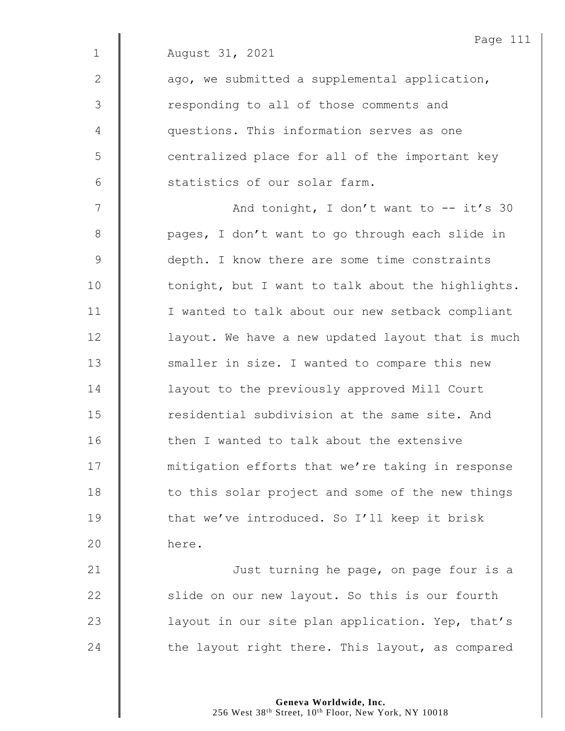|                | Page 111                                          |
|----------------|---------------------------------------------------|
| $\mathbf 1$    | August 31, 2021                                   |
| $\mathbf{2}$   | ago, we submitted a supplemental application,     |
| 3              | responding to all of those comments and           |
| $\overline{4}$ | questions. This information serves as one         |
| 5              | centralized place for all of the important key    |
| 6              | statistics of our solar farm.                     |
| 7              | And tonight, I don't want to $--$ it's 30         |
| $8\,$          | pages, I don't want to go through each slide in   |
| $\mathcal{G}$  | depth. I know there are some time constraints     |
| 10             | tonight, but I want to talk about the highlights. |
| 11             | I wanted to talk about our new setback compliant  |
| 12             | layout. We have a new updated layout that is much |
| 13             | smaller in size. I wanted to compare this new     |
| 14             | layout to the previously approved Mill Court      |
| 15             | residential subdivision at the same site. And     |
| 16             | then I wanted to talk about the extensive         |
| 17             | mitigation efforts that we're taking in response  |
| 18             | to this solar project and some of the new things  |
| 19             | that we've introduced. So I'll keep it brisk      |
| 20             | here.                                             |
| 21             | Just turning he page, on page four is a           |
| 22             | slide on our new layout. So this is our fourth    |
|                |                                                   |

24  $\parallel$  the layout right there. This layout, as compared

23  $\parallel$  layout in our site plan application. Yep, that's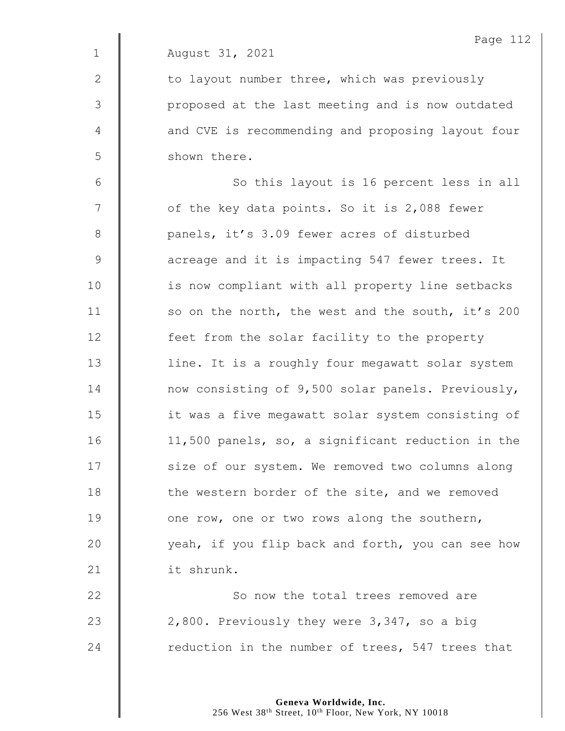|                | Page 112                                          |
|----------------|---------------------------------------------------|
| $\mathbf 1$    | August 31, 2021                                   |
| $\mathbf{2}$   | to layout number three, which was previously      |
| 3              | proposed at the last meeting and is now outdated  |
| 4              | and CVE is recommending and proposing layout four |
| 5              | shown there.                                      |
| $6\,$          | So this layout is 16 percent less in all          |
| $\overline{7}$ | of the key data points. So it is 2,088 fewer      |
| $8\,$          | panels, it's 3.09 fewer acres of disturbed        |
| 9              | acreage and it is impacting 547 fewer trees. It   |
| 10             | is now compliant with all property line setbacks  |
| 11             | so on the north, the west and the south, it's 200 |
| 12             | feet from the solar facility to the property      |
| 13             | line. It is a roughly four megawatt solar system  |
| 14             | now consisting of 9,500 solar panels. Previously, |
| 15             | it was a five megawatt solar system consisting of |
| 16             | 11,500 panels, so, a significant reduction in the |
| 17             | size of our system. We removed two columns along  |
| 18             | the western border of the site, and we removed    |
| 19             | one row, one or two rows along the southern,      |
| 20             | yeah, if you flip back and forth, you can see how |
| 21             | it shrunk.                                        |
| 22             | So now the total trees removed are                |
| 23             | 2,800. Previously they were 3,347, so a big       |
| 24             | reduction in the number of trees, 547 trees that  |
|                |                                                   |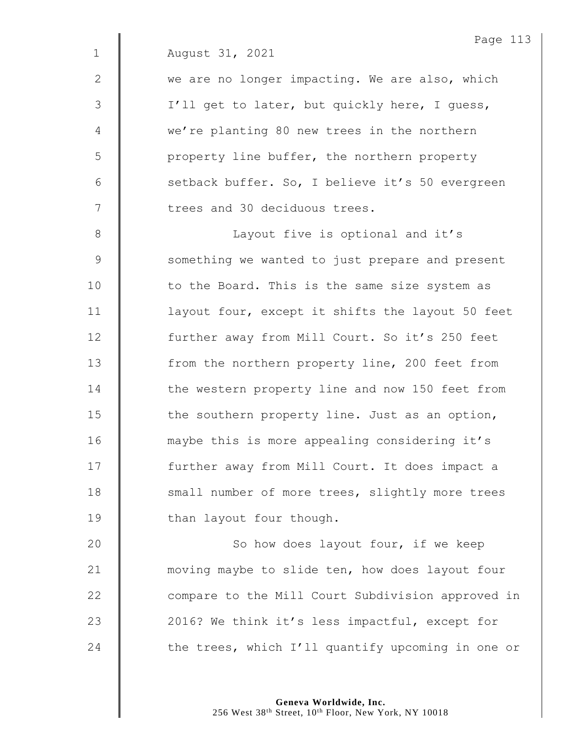| August 31, 2021 |  |  |
|-----------------|--|--|
|                 |  |  |

2  $\parallel$  we are no longer impacting. We are also, which 3 | I'll get to later, but quickly here, I guess, 4 we're planting 80 new trees in the northern 5 | property line buffer, the northern property 6  $\parallel$  setback buffer. So, I believe it's 50 evergreen 7 | trees and 30 deciduous trees.

8 || Cayout five is optional and it's 9 Something we wanted to just prepare and present 10 | to the Board. This is the same size system as 11  $\parallel$  layout four, except it shifts the layout 50 feet 12 **further away from Mill Court. So it's 250 feet** 13 Trom the northern property line, 200 feet from 14 The western property line and now 150 feet from 15 **the southern property line.** Just as an option, 16 | maybe this is more appealing considering it's 17 | further away from Mill Court. It does impact a 18 Small number of more trees, slightly more trees 19 **than layout four though.** 

20 | So how does layout four, if we keep 21 **wave moving maybe to slide ten, how does layout four** 22 **| compare to the Mill Court Subdivision approved in** 23 | 2016? We think it's less impactful, except for 24  $\parallel$  the trees, which I'll quantify upcoming in one or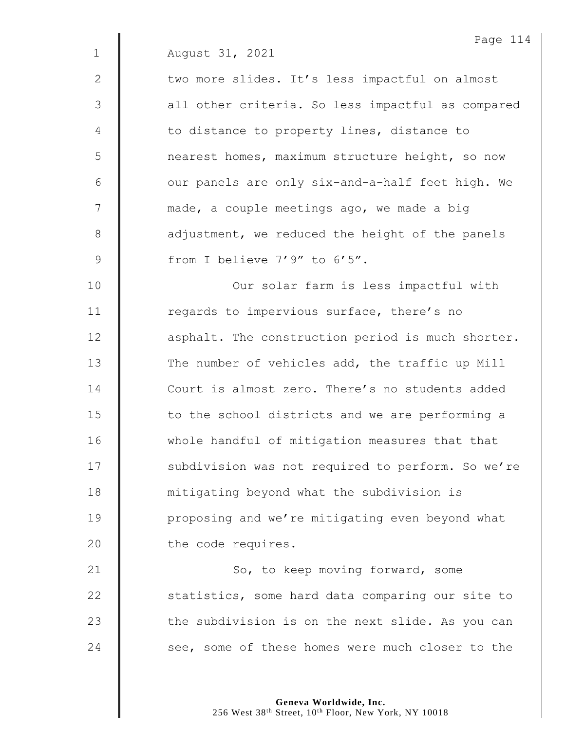|              | Page 114                                          |
|--------------|---------------------------------------------------|
| $\mathbf 1$  | August 31, 2021                                   |
| $\mathbf{2}$ | two more slides. It's less impactful on almost    |
| 3            | all other criteria. So less impactful as compared |
| 4            | to distance to property lines, distance to        |
| 5            | nearest homes, maximum structure height, so now   |
| 6            | our panels are only six-and-a-half feet high. We  |
| 7            | made, a couple meetings ago, we made a big        |
| 8            | adjustment, we reduced the height of the panels   |
| 9            | from I believe 7'9" to 6'5".                      |
| 10           | Our solar farm is less impactful with             |
| 11           | regards to impervious surface, there's no         |
| 12           | asphalt. The construction period is much shorter. |
| 13           | The number of vehicles add, the traffic up Mill   |
| 14           | Court is almost zero. There's no students added   |
| 15           | to the school districts and we are performing a   |
| 16           | whole handful of mitigation measures that that    |
| 17           | subdivision was not required to perform. So we're |
| 18           | mitigating beyond what the subdivision is         |
| 19           | proposing and we're mitigating even beyond what   |
| 20           | the code requires.                                |
| 21           | So, to keep moving forward, some                  |
| 22           | statistics, some hard data comparing our site to  |
|              |                                                   |

24 See, some of these homes were much closer to the

 $\parallel$  the subdivision is on the next slide. As you can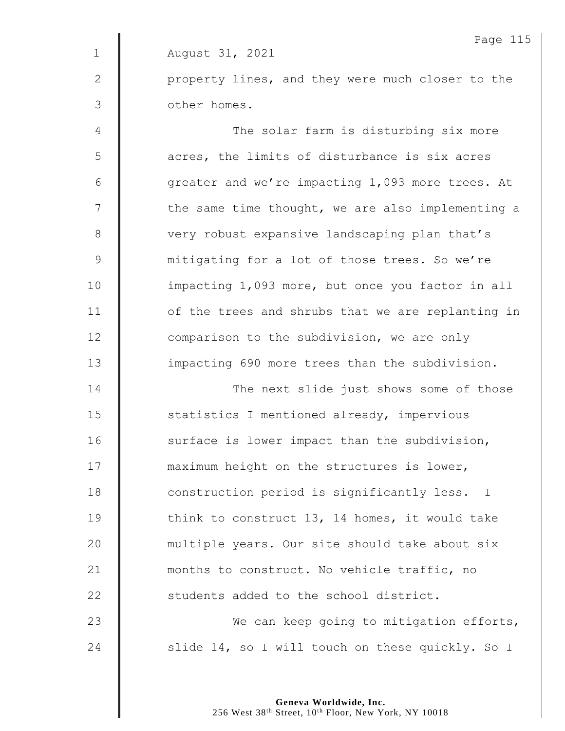Page 115 1 August 31, 2021 2 | property lines, and they were much closer to the 3 other homes.

4 || The solar farm is disturbing six more 5 | acres, the limits of disturbance is six acres 6 | Generater and we're impacting 1,093 more trees. At  $7 \parallel$  the same time thought, we are also implementing a 8 very robust expansive landscaping plan that's 9 mitigating for a lot of those trees. So we're 10 | impacting 1,093 more, but once you factor in all  $11$   $\parallel$  of the trees and shrubs that we are replanting in 12 **comparison to the subdivision, we are only** 13 | impacting 690 more trees than the subdivision.

**The next slide just shows some of those S** statistics I mentioned already, impervious 16 | surface is lower impact than the subdivision, **maximum** height on the structures is lower, **Construction period is significantly less.** I **think to construct 13, 14 homes, it would take** 20 | multiple years. Our site should take about six **| months to construct.** No vehicle traffic, no **Students** added to the school district. 23 We can keep going to mitigation efforts,

24  $\parallel$  slide 14, so I will touch on these quickly. So I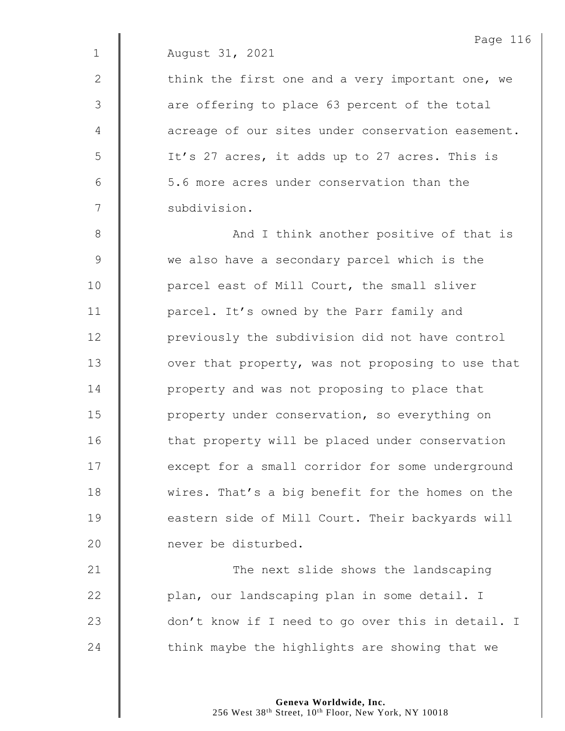$\parallel$  think the first one and a very important one, we  $\parallel$  are offering to place 63 percent of the total **d** acreage of our sites under conservation easement. 5 | It's 27 acres, it adds up to 27 acres. This is **6** 5.6 more acres under conservation than the 7 | subdivision.

8 || And I think another positive of that is 9 We also have a secondary parcel which is the 10 | parcel east of Mill Court, the small sliver 11 | parcel. It's owned by the Parr family and 12 **previously the subdivision did not have control**  $13$   $\parallel$  over that property, was not proposing to use that 14 **deg** property and was not proposing to place that 15 | property under conservation, so everything on 16 | that property will be placed under conservation 17 **except for a small corridor for some underground** 18 Wires. That's a big benefit for the homes on the 19 **eastern side of Mill Court. Their backyards will** 20 **I** never be disturbed.

21 | The next slide shows the landscaping 22 | plan, our landscaping plan in some detail. I 23 don't know if I need to go over this in detail. I 24  $\parallel$  think maybe the highlights are showing that we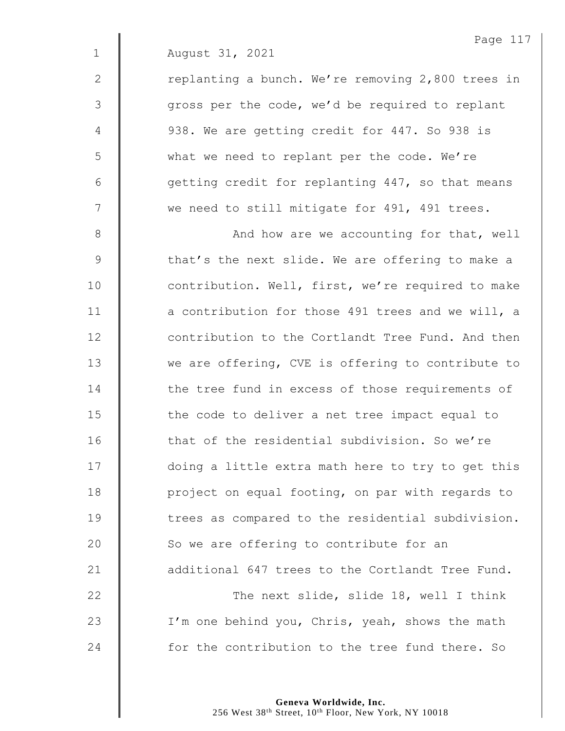2 | replanting a bunch. We're removing 2,800 trees in 3 || gross per the code, we'd be required to replant 4 **| 938.** We are getting credit for 447. So 938 is 5 | what we need to replant per the code. We're 6  $\parallel$  getting credit for replanting 447, so that means 7 We need to still mitigate for 491, 491 trees.

8 || And how are we accounting for that, well 9 | that's the next slide. We are offering to make a 10 | contribution. Well, first, we're required to make 11 **a** contribution for those 491 trees and we will, a 12 **Contribution to the Cortlandt Tree Fund. And then** 13 We are offering, CVE is offering to contribute to 14 The tree fund in excess of those requirements of 15 | the code to deliver a net tree impact equal to 16 That of the residential subdivision. So we're 17 | doing a little extra math here to try to get this 18 **project on equal footing, on par with regards to** 19 **f** trees as compared to the residential subdivision. 20 So we are offering to contribute for an 21 **additional 647 trees to the Cortlandt Tree Fund.** 22 **| The next slide, slide 18, well I think** 23 | I'm one behind you, Chris, yeah, shows the math 24 for the contribution to the tree fund there. So

> **Geneva Worldwide, Inc.** 256 West 38<sup>th</sup> Street, 10<sup>th</sup> Floor, New York, NY 10018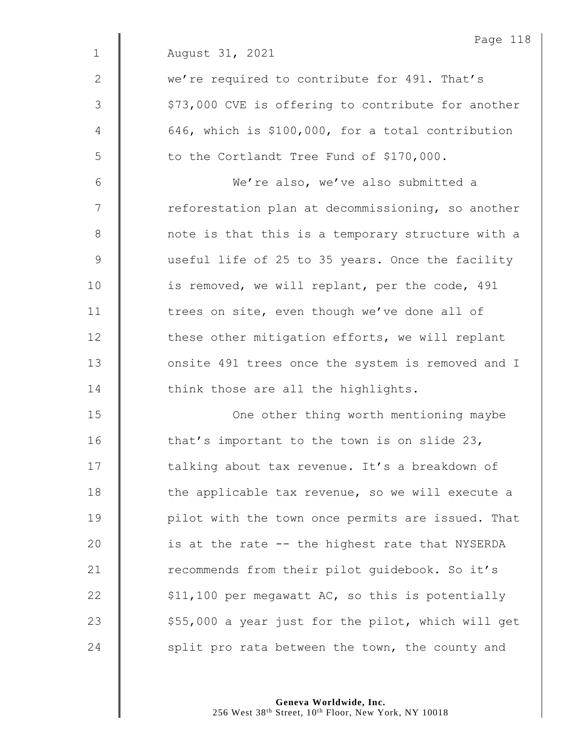|              | Page 118                                           |
|--------------|----------------------------------------------------|
| $\mathbf{1}$ | August 31, 2021                                    |
| $\mathbf{2}$ | we're required to contribute for 491. That's       |
| 3            | \$73,000 CVE is offering to contribute for another |
| 4            | 646, which is \$100,000, for a total contribution  |
| 5            | to the Cortlandt Tree Fund of \$170,000.           |
| 6            | We're also, we've also submitted a                 |
| 7            | reforestation plan at decommissioning, so another  |
| $\,8\,$      | note is that this is a temporary structure with a  |
| $\mathsf 9$  | useful life of 25 to 35 years. Once the facility   |
| 10           | is removed, we will replant, per the code, 491     |
| 11           | trees on site, even though we've done all of       |
| 12           | these other mitigation efforts, we will replant    |
| 13           | onsite 491 trees once the system is removed and I  |
| 14           | think those are all the highlights.                |
| 15           | One other thing worth mentioning maybe             |
| 16           | that's important to the town is on slide 23,       |
| 17           | talking about tax revenue. It's a breakdown of     |
| 18           | the applicable tax revenue, so we will execute a   |
| 19           | pilot with the town once permits are issued. That  |
| 20           | is at the rate -- the highest rate that NYSERDA    |
| 21           | recommends from their pilot guidebook. So it's     |
| 22           | \$11,100 per megawatt AC, so this is potentially   |
| 23           | \$55,000 a year just for the pilot, which will get |
| 24           | split pro rata between the town, the county and    |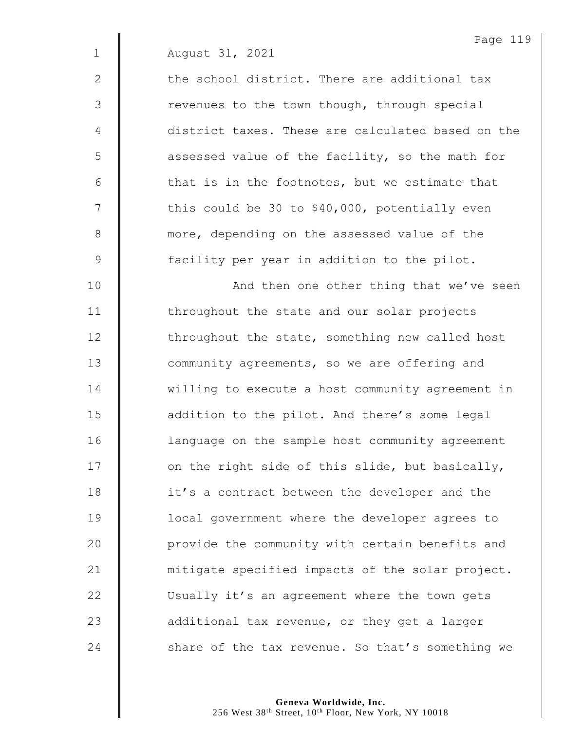|               | Page 119                                          |
|---------------|---------------------------------------------------|
| $\mathbf 1$   | August 31, 2021                                   |
| 2             | the school district. There are additional tax     |
| 3             | revenues to the town though, through special      |
| 4             | district taxes. These are calculated based on the |
| 5             | assessed value of the facility, so the math for   |
| 6             | that is in the footnotes, but we estimate that    |
| 7             | this could be 30 to \$40,000, potentially even    |
| $8\,$         | more, depending on the assessed value of the      |
| $\mathcal{G}$ | facility per year in addition to the pilot.       |
| 10            | And then one other thing that we've seen          |
| 11            | throughout the state and our solar projects       |
| 12            | throughout the state, something new called host   |
| 13            | community agreements, so we are offering and      |
| 14            | willing to execute a host community agreement in  |
| 15            | addition to the pilot. And there's some legal     |
| 16            | language on the sample host community agreement   |
| 17            | on the right side of this slide, but basically,   |
| 18            | it's a contract between the developer and the     |
| 19            | local government where the developer agrees to    |
| 20            | provide the community with certain benefits and   |
| 21            | mitigate specified impacts of the solar project.  |
| 22            | Usually it's an agreement where the town gets     |
| 23            | additional tax revenue, or they get a larger      |
| 24            | share of the tax revenue. So that's something we  |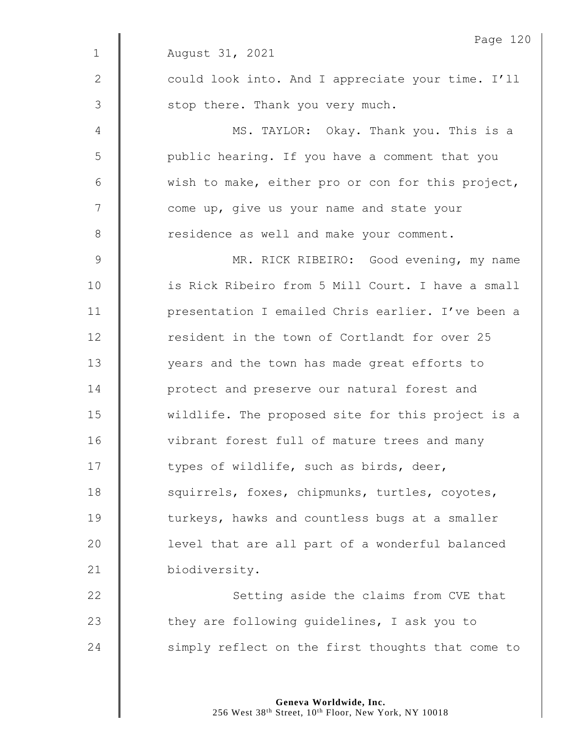| Page 120                                          |
|---------------------------------------------------|
| August 31, 2021                                   |
| could look into. And I appreciate your time. I'll |
| stop there. Thank you very much.                  |
| MS. TAYLOR: Okay. Thank you. This is a            |
| public hearing. If you have a comment that you    |
| wish to make, either pro or con for this project, |
| come up, give us your name and state your         |
| residence as well and make your comment.          |
| MR. RICK RIBEIRO: Good evening, my name           |
| is Rick Ribeiro from 5 Mill Court. I have a small |
| presentation I emailed Chris earlier. I've been a |
| resident in the town of Cortlandt for over 25     |
| years and the town has made great efforts to      |
| protect and preserve our natural forest and       |
| wildlife. The proposed site for this project is a |
| vibrant forest full of mature trees and many      |
| types of wildlife, such as birds, deer,           |
| squirrels, foxes, chipmunks, turtles, coyotes,    |
| turkeys, hawks and countless bugs at a smaller    |
| level that are all part of a wonderful balanced   |
| biodiversity.                                     |
| Setting aside the claims from CVE that            |
| they are following guidelines, I ask you to       |
| simply reflect on the first thoughts that come to |
|                                                   |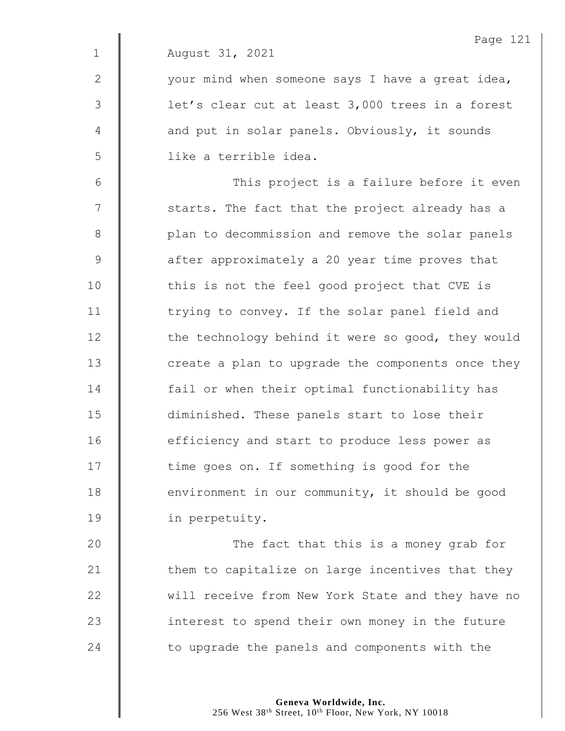|              | Page 121                                                 |
|--------------|----------------------------------------------------------|
| $\mathbf 1$  | August 31, 2021                                          |
| $\mathbf{2}$ | your mind when someone says I have a great idea,         |
| 3            | let's clear cut at least 3,000 trees in a forest         |
| 4            | and put in solar panels. Obviously, it sounds            |
| 5            | like a terrible idea.                                    |
| 6            | This project is a failure before it even                 |
| 7            | starts. The fact that the project already has a          |
| 8            | plan to decommission and remove the solar panels         |
| 9            | after approximately a 20 year time proves that           |
| 10           | this is not the feel good project that CVE is            |
| 11           | trying to convey. If the solar panel field and           |
| 12           | the technology behind it were so good, they would        |
| 13           | create a plan to upgrade the components once they        |
| 14           | fail or when their optimal functionability has           |
| 15           | diminished. These panels start to lose their             |
| 16           | efficiency and start to produce less power as            |
| 17           | time goes on. If something is good for the               |
| 18           | environment in our community, it should be good          |
| 19           | in perpetuity.                                           |
| $\Omega$     | $f \circ \alpha + f h \circ f + h h h \circ f \circ f h$ |

**The fact that this is a money grab for**   $\parallel$  them to capitalize on large incentives that they 22 | will receive from New York State and they have no **interest to spend their own money in the future**  $\parallel$  to upgrade the panels and components with the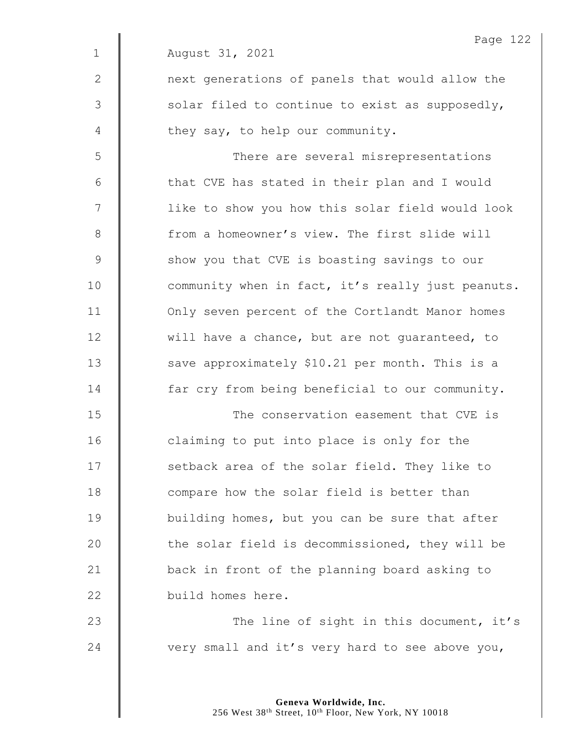|                | Page 122                                          |
|----------------|---------------------------------------------------|
| $\mathbf 1$    | August 31, 2021                                   |
| 2              | next generations of panels that would allow the   |
| $\mathfrak{Z}$ | solar filed to continue to exist as supposedly,   |
| 4              | they say, to help our community.                  |
| 5              | There are several misrepresentations              |
| 6              | that CVE has stated in their plan and I would     |
| 7              | like to show you how this solar field would look  |
| 8              | from a homeowner's view. The first slide will     |
| $\mathsf 9$    | show you that CVE is boasting savings to our      |
| 10             | community when in fact, it's really just peanuts. |
| 11             | Only seven percent of the Cortlandt Manor homes   |
| 12             | will have a chance, but are not guaranteed, to    |
| 13             | save approximately \$10.21 per month. This is a   |
| 14             | far cry from being beneficial to our community.   |
| 15             | The conservation easement that CVE is             |
| 16             | claiming to put into place is only for the        |
| 17             | setback area of the solar field. They like to     |
| 18             | compare how the solar field is better than        |
| 19             | building homes, but you can be sure that after    |
| 20             | the solar field is decommissioned, they will be   |
| 21             | back in front of the planning board asking to     |
| 22             | build homes here.                                 |
| 23             | The line of sight in this document, it's          |
| 24             | very small and it's very hard to see above you,   |

Page 122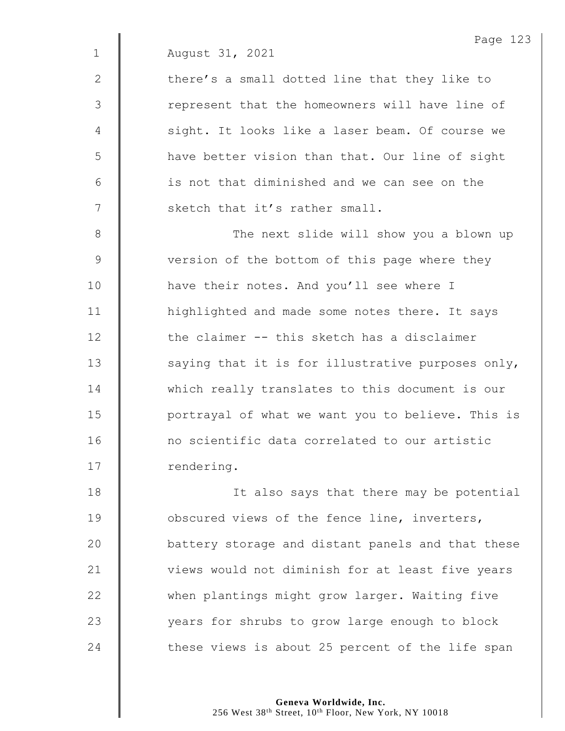|              | Page 123                                          |
|--------------|---------------------------------------------------|
| $\mathbf 1$  | August 31, 2021                                   |
| $\mathbf{2}$ | there's a small dotted line that they like to     |
| 3            | represent that the homeowners will have line of   |
| 4            | sight. It looks like a laser beam. Of course we   |
| 5            | have better vision than that. Our line of sight   |
| 6            | is not that diminished and we can see on the      |
| 7            | sketch that it's rather small.                    |
| 8            | The next slide will show you a blown up           |
| 9            | version of the bottom of this page where they     |
| 10           | have their notes. And you'll see where I          |
| 11           | highlighted and made some notes there. It says    |
| 12           | the claimer -- this sketch has a disclaimer       |
| 13           | saying that it is for illustrative purposes only, |
| 14           | which really translates to this document is our   |
| 15           | portrayal of what we want you to believe. This is |
| 16           | no scientific data correlated to our artistic     |
| 17           | rendering.                                        |
| 18           | It also says that there may be potential          |
| 19           | obscured views of the fence line, inverters,      |
| 20           | battery storage and distant panels and that these |
| 21           | views would not diminish for at least five years  |
| 22           | when plantings might grow larger. Waiting five    |
| 23           | years for shrubs to grow large enough to block    |
|              |                                                   |

 $\parallel$  these views is about 25 percent of the life span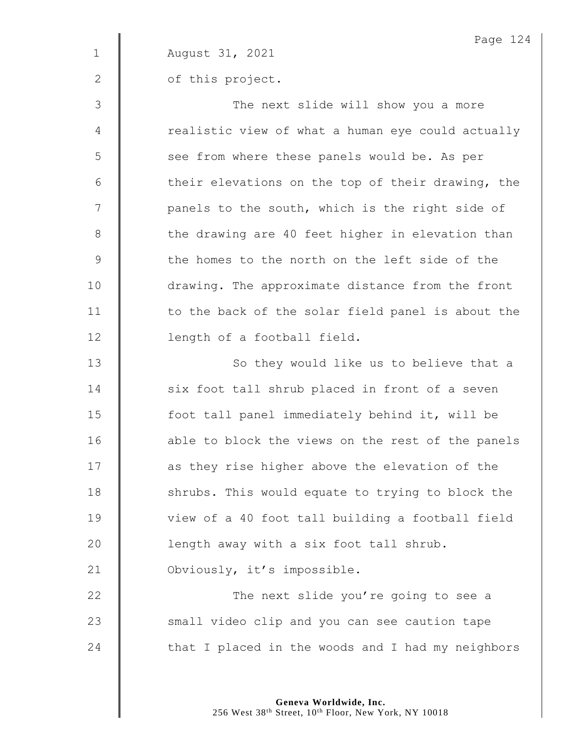|              | Page 124                                          |
|--------------|---------------------------------------------------|
| $\mathbf{1}$ | August 31, 2021                                   |
| 2            | of this project.                                  |
| 3            | The next slide will show you a more               |
| 4            | realistic view of what a human eye could actually |
| 5            | see from where these panels would be. As per      |
| 6            | their elevations on the top of their drawing, the |
| 7            | panels to the south, which is the right side of   |
| $8\,$        | the drawing are 40 feet higher in elevation than  |
| 9            | the homes to the north on the left side of the    |
| 10           | drawing. The approximate distance from the front  |
| 11           | to the back of the solar field panel is about the |
| 12           | length of a football field.                       |
| 13           | So they would like us to believe that a           |
| 14           | six foot tall shrub placed in front of a seven    |
| 15           | foot tall panel immediately behind it, will be    |
| 16           | able to block the views on the rest of the panels |
| 17           | as they rise higher above the elevation of the    |
| 18           | shrubs. This would equate to trying to block the  |
| 19           | view of a 40 foot tall building a football field  |
| 20           | length away with a six foot tall shrub.           |
| 21           | Obviously, it's impossible.                       |
| 22           | The next slide you're going to see a              |
| 23           | small video clip and you can see caution tape     |
| 24           | that I placed in the woods and I had my neighbors |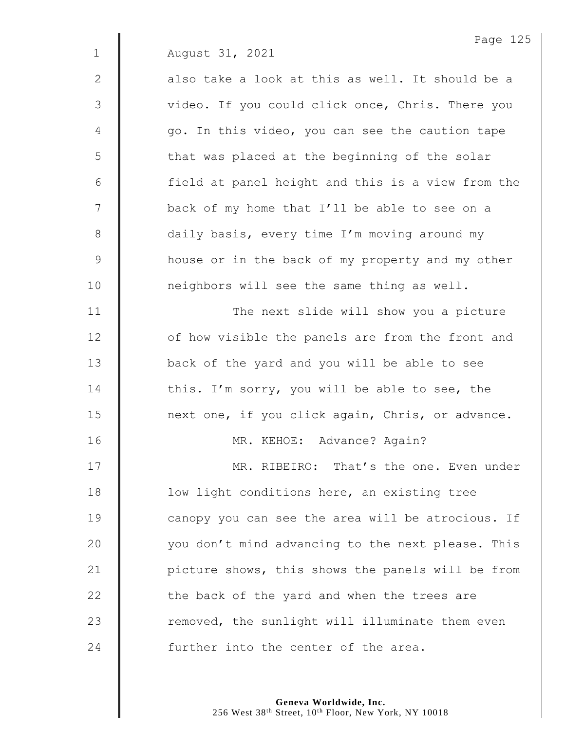|              | Page 125                                          |
|--------------|---------------------------------------------------|
| $\mathbf{1}$ | August 31, 2021                                   |
| $\mathbf{2}$ | also take a look at this as well. It should be a  |
| 3            | video. If you could click once, Chris. There you  |
| 4            | go. In this video, you can see the caution tape   |
| 5            | that was placed at the beginning of the solar     |
| 6            | field at panel height and this is a view from the |
| 7            | back of my home that I'll be able to see on a     |
| 8            | daily basis, every time I'm moving around my      |
| 9            | house or in the back of my property and my other  |
| 10           | neighbors will see the same thing as well.        |
| 11           | The next slide will show you a picture            |
| 12           | of how visible the panels are from the front and  |
| 13           | back of the yard and you will be able to see      |
| 14           | this. I'm sorry, you will be able to see, the     |
| 15           | next one, if you click again, Chris, or advance.  |
| 16           | MR. KEHOE: Advance? Again?                        |
| 17           | MR. RIBEIRO: That's the one. Even under           |
| 18           | low light conditions here, an existing tree       |
| 19           | canopy you can see the area will be atrocious. If |
| 20           | you don't mind advancing to the next please. This |
| 21           | picture shows, this shows the panels will be from |
| 22           | the back of the yard and when the trees are       |
| 23           | removed, the sunlight will illuminate them even   |
| 24           | further into the center of the area.              |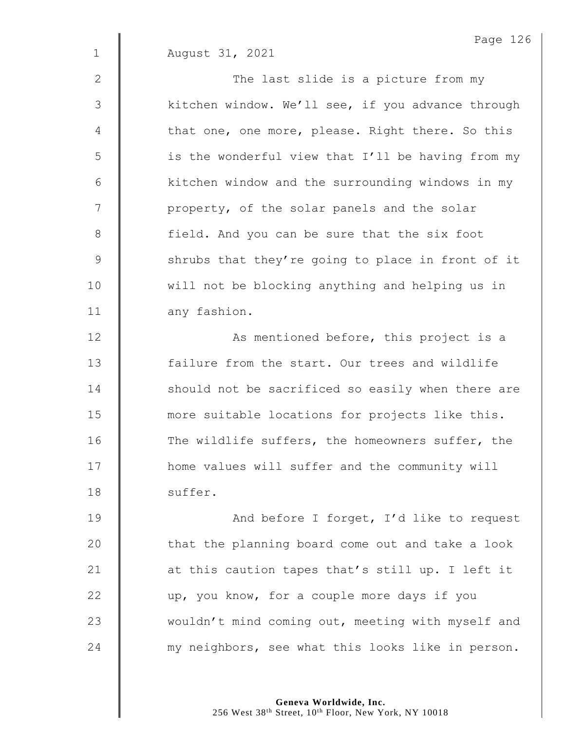2 || The last slide is a picture from my 3 | kitchen window. We'll see, if you advance through  $4 \parallel$  that one, one more, please. Right there. So this 5 | is the wonderful view that I'll be having from my  $6$  | kitchen window and the surrounding windows in my 7 | property, of the solar panels and the solar 8 | field. And you can be sure that the six foot 9 Shrubs that they're going to place in front of it 10 | will not be blocking anything and helping us in 11 any fashion.

12 | As mentioned before, this project is a 13 **failure from the start.** Our trees and wildlife 14 Should not be sacrificed so easily when there are 15 **more suitable locations for projects like this.** 16 The wildlife suffers, the homeowners suffer, the 17 | home values will suffer and the community will 18 | suffer.

19 | And before I forget, I'd like to request  $20$   $\parallel$  that the planning board come out and take a look 21  $\parallel$  at this caution tapes that's still up. I left it 22 up, you know, for a couple more days if you 23 | wouldn't mind coming out, meeting with myself and 24 **wave in the my neighbors, see what this looks like in person.** 

> **Geneva Worldwide, Inc.** 256 West 38<sup>th</sup> Street, 10<sup>th</sup> Floor, New York, NY 10018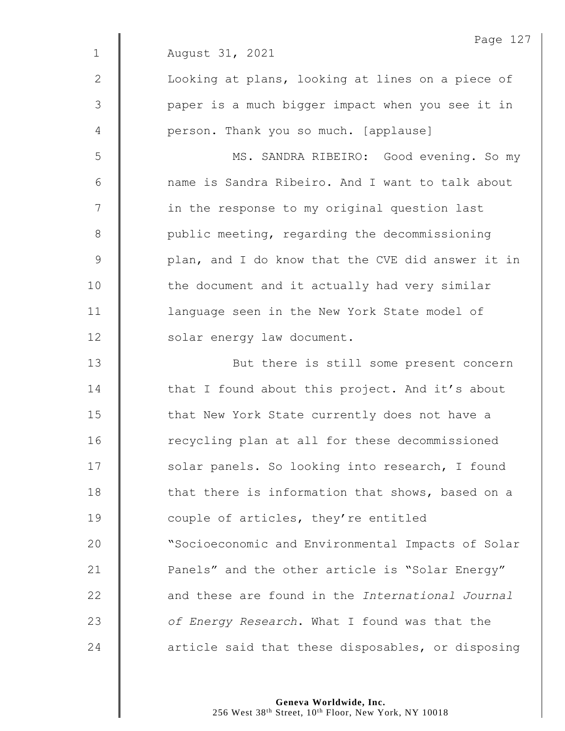|                | Page 127                                          |
|----------------|---------------------------------------------------|
| $\mathbf{1}$   | August 31, 2021                                   |
| $\mathbf{2}$   | Looking at plans, looking at lines on a piece of  |
| $\mathfrak{Z}$ | paper is a much bigger impact when you see it in  |
| 4              | person. Thank you so much. [applause]             |
| 5              | MS. SANDRA RIBEIRO: Good evening. So my           |
| $6\,$          | name is Sandra Ribeiro. And I want to talk about  |
| 7              | in the response to my original question last      |
| $8\,$          | public meeting, regarding the decommissioning     |
| $\mathcal{G}$  | plan, and I do know that the CVE did answer it in |
| 10             | the document and it actually had very similar     |
| 11             | language seen in the New York State model of      |
| 12             | solar energy law document.                        |
| 13             | But there is still some present concern           |
| 14             | that I found about this project. And it's about   |
| 15             | that New York State currently does not have a     |
| 16             | recycling plan at all for these decommissioned    |
| 17             | solar panels. So looking into research, I found   |
| 18             | that there is information that shows, based on a  |
| 19             | couple of articles, they're entitled              |
| 20             | "Socioeconomic and Environmental Impacts of Solar |
| 21             | Panels" and the other article is "Solar Energy"   |
| 22             | and these are found in the International Journal  |
| 23             | of Energy Research. What I found was that the     |
| 24             | article said that these disposables, or disposing |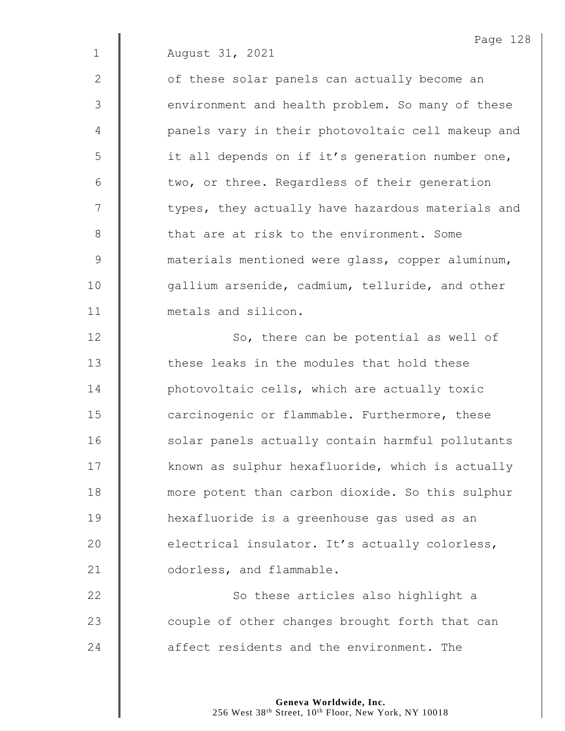2 || of these solar panels can actually become an 3 | environment and health problem. So many of these 4 | panels vary in their photovoltaic cell makeup and 5 | it all depends on if it's generation number one,  $6$   $\parallel$  two, or three. Regardless of their generation 7 | types, they actually have hazardous materials and 8 **that are at risk to the environment. Some** 9 **M** materials mentioned were glass, copper aluminum, 10 | gallium arsenide, cadmium, telluride, and other 11 **I** metals and silicon.

12 | So, there can be potential as well of **fight** these leaks in the modules that hold these **photovoltaic cells, which are actually toxic carcinogenic or flammable. Furthermore, these** 16 | solar panels actually contain harmful pollutants  $\parallel$  known as sulphur hexafluoride, which is actually **more potent than carbon dioxide.** So this sulphur hexafluoride is a greenhouse gas used as an 20 electrical insulator. It's actually colorless, **C** odorless, and flammable.

22 | So these articles also highlight a 23 **Couple of other changes brought forth that can** 24 **a** affect residents and the environment. The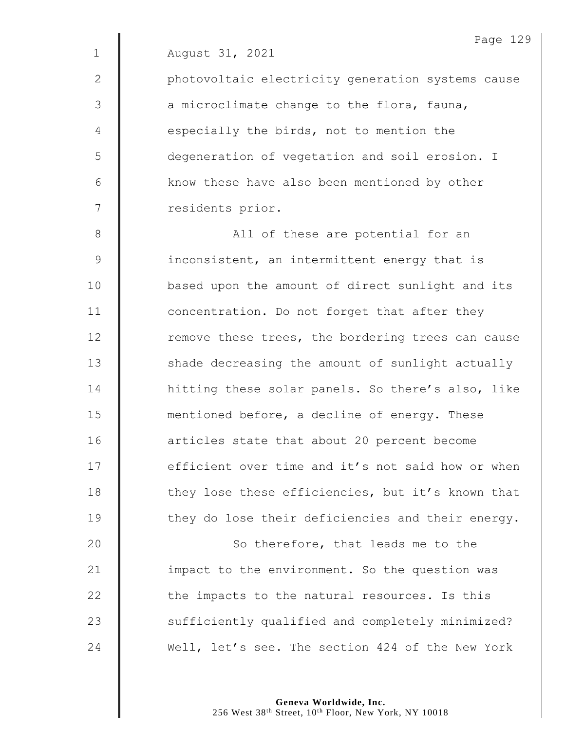|             | Page 129                                          |
|-------------|---------------------------------------------------|
| $\mathbf 1$ | August 31, 2021                                   |
| 2           | photovoltaic electricity generation systems cause |
| 3           | a microclimate change to the flora, fauna,        |
| 4           | especially the birds, not to mention the          |
| 5           | degeneration of vegetation and soil erosion. I    |
| 6           | know these have also been mentioned by other      |
| 7           | residents prior.                                  |
| 8           | All of these are potential for an                 |
| 9           | inconsistent, an intermittent energy that is      |
| 10          | based upon the amount of direct sunlight and its  |
| 11          | concentration. Do not forget that after they      |
| 12          | remove these trees, the bordering trees can cause |
| 13          | shade decreasing the amount of sunlight actually  |
| 14          | hitting these solar panels. So there's also, like |
| 15          | mentioned before, a decline of energy. These      |
| 16          | articles state that about 20 percent become       |
| 17          | efficient over time and it's not said how or when |
| 18          | they lose these efficiencies, but it's known that |
| 19          | they do lose their deficiencies and their energy. |
| 20          | So therefore, that leads me to the                |
| 21          | impact to the environment. So the question was    |
| 22          | the impacts to the natural resources. Is this     |
|             |                                                   |

24 Well, let's see. The section 424 of the New York

23 Sufficiently qualified and completely minimized?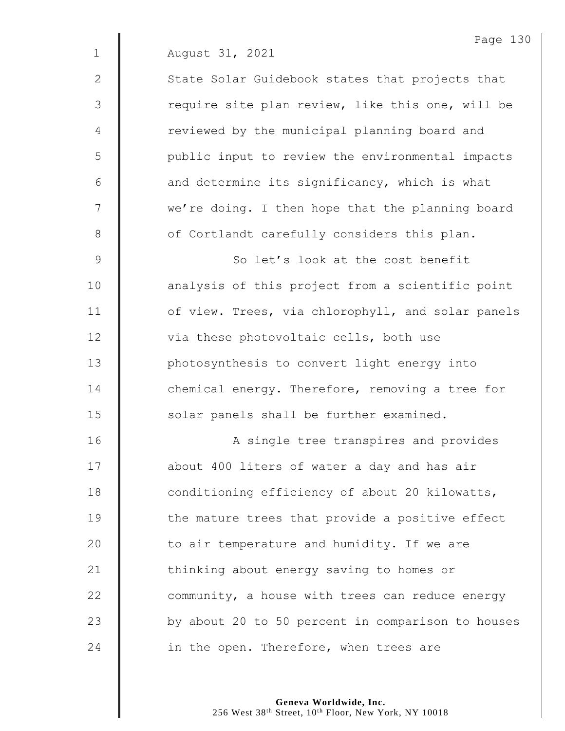2 | State Solar Guidebook states that projects that 3 | require site plan review, like this one, will be 4 | reviewed by the municipal planning board and 5 || public input to review the environmental impacts  $6$  | and determine its significancy, which is what 7 | we're doing. I then hope that the planning board 8 | of Cortlandt carefully considers this plan.

9 So let's look at the cost benefit 10 | analysis of this project from a scientific point 11 | of view. Trees, via chlorophyll, and solar panels 12 via these photovoltaic cells, both use 13 **photosynthesis to convert light energy into** 14 **deg** chemical energy. Therefore, removing a tree for 15 | solar panels shall be further examined.

16 | A single tree transpires and provides 17 | about 400 liters of water a day and has air 18 **conditioning efficiency of about 20 kilowatts,** 19 **the mature trees that provide a positive effect** 20  $\parallel$  to air temperature and humidity. If we are 21 | thinking about energy saving to homes or 22 | community, a house with trees can reduce energy 23 | by about 20 to 50 percent in comparison to houses 24  $\parallel$  in the open. Therefore, when trees are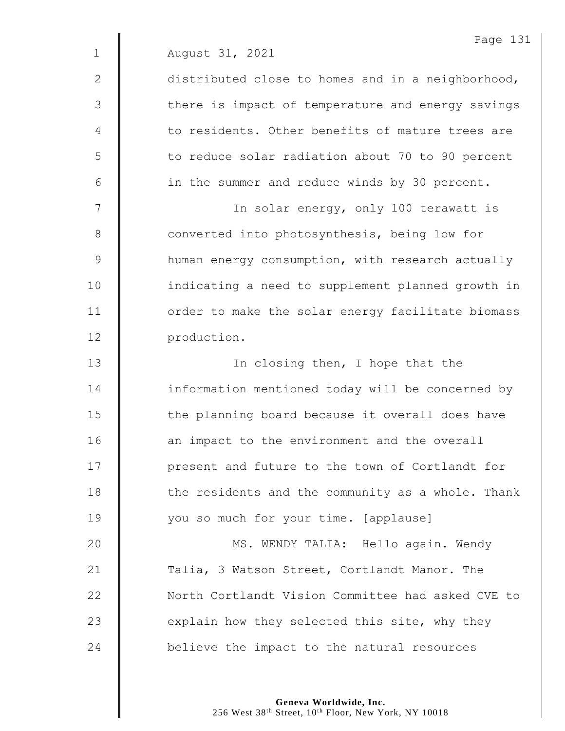|              | Page 131                                          |
|--------------|---------------------------------------------------|
| $\mathbf{1}$ | August 31, 2021                                   |
| 2            | distributed close to homes and in a neighborhood, |
| 3            | there is impact of temperature and energy savings |
| 4            | to residents. Other benefits of mature trees are  |
| 5            | to reduce solar radiation about 70 to 90 percent  |
| 6            | in the summer and reduce winds by 30 percent.     |
| 7            | In solar energy, only 100 terawatt is             |
| $8\,$        | converted into photosynthesis, being low for      |
| $\mathsf 9$  | human energy consumption, with research actually  |
| 10           | indicating a need to supplement planned growth in |
| 11           | order to make the solar energy facilitate biomass |
| 12           | production.                                       |
| 13           | In closing then, I hope that the                  |
| 14           | information mentioned today will be concerned by  |
| 15           | the planning board because it overall does have   |
| 16           | an impact to the environment and the overall      |
| 17           | present and future to the town of Cortlandt for   |
| 18           | the residents and the community as a whole. Thank |
| 19           | you so much for your time. [applause]             |
| 20           | MS. WENDY TALIA: Hello again. Wendy               |
| 21           | Talia, 3 Watson Street, Cortlandt Manor. The      |
| 22           | North Cortlandt Vision Committee had asked CVE to |
| 23           | explain how they selected this site, why they     |
| 24           | believe the impact to the natural resources       |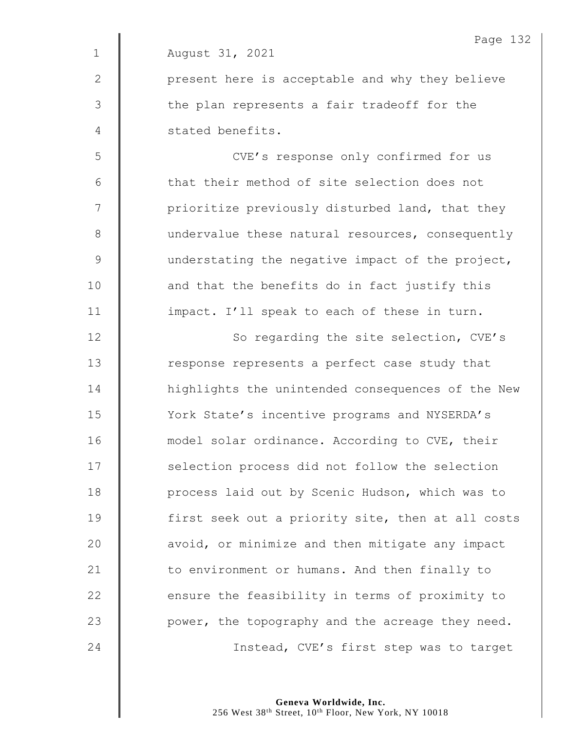|             | Page 132                                          |
|-------------|---------------------------------------------------|
| $\mathbf 1$ | August 31, 2021                                   |
| 2           | present here is acceptable and why they believe   |
| 3           | the plan represents a fair tradeoff for the       |
| 4           | stated benefits.                                  |
| 5           | CVE's response only confirmed for us              |
| 6           | that their method of site selection does not      |
| 7           | prioritize previously disturbed land, that they   |
| 8           | undervalue these natural resources, consequently  |
| $\mathsf 9$ | understating the negative impact of the project,  |
| 10          | and that the benefits do in fact justify this     |
| 11          | impact. I'll speak to each of these in turn.      |
| 12          | So regarding the site selection, CVE's            |
| 13          | response represents a perfect case study that     |
| 14          | highlights the unintended consequences of the New |
| 15          | York State's incentive programs and NYSERDA's     |
| 16          | model solar ordinance. According to CVE, their    |
| 17          | selection process did not follow the selection    |
| 18          | process laid out by Scenic Hudson, which was to   |
| 19          | first seek out a priority site, then at all costs |
| 20          | avoid, or minimize and then mitigate any impact   |
| 21          | to environment or humans. And then finally to     |
| 22          | ensure the feasibility in terms of proximity to   |
| 23          | power, the topography and the acreage they need.  |
| 24          | Instead, CVE's first step was to target           |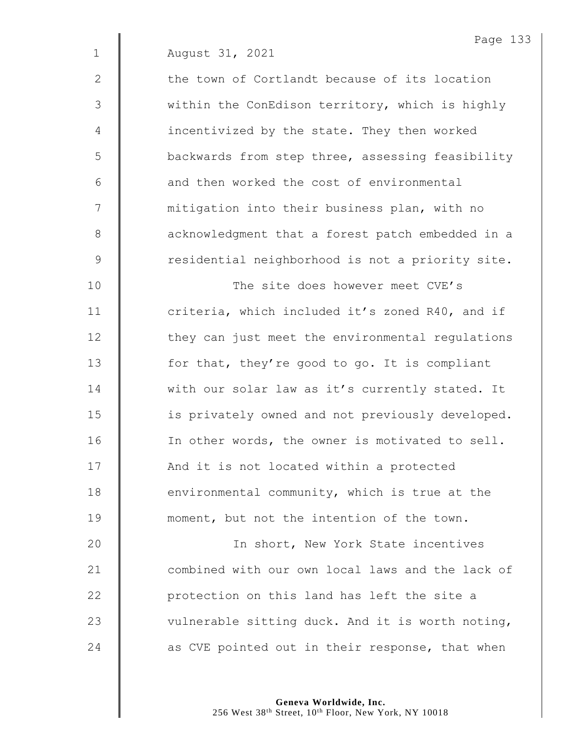2  $\parallel$  the town of Cortlandt because of its location 3 | within the ConEdison territory, which is highly 4 | incentivized by the state. They then worked 5 | backwards from step three, assessing feasibility 6 **6** and then worked the cost of environmental 7 | mitigation into their business plan, with no 8 **a** acknowledgment that a forest patch embedded in a 9 | residential neighborhood is not a priority site.

 The site does however meet CVE's **deg 11** criteria, which included it's zoned R40, and if  $\parallel$  they can just meet the environmental regulations **for that, they're good to go.** It is compliant 14 With our solar law as it's currently stated. It **is privately owned and not previously developed. IDED** In other words, the owner is motivated to sell. 17 | And it is not located within a protected **environmental community, which is true at the moment**, but not the intention of the town.

20 | The Short, New York State incentives 21 **combined with our own local laws and the lack of** 22 **protection on this land has left the site a** 23  $\parallel$  vulnerable sitting duck. And it is worth noting, 24 as CVE pointed out in their response, that when

> **Geneva Worldwide, Inc.** 256 West 38<sup>th</sup> Street, 10<sup>th</sup> Floor, New York, NY 10018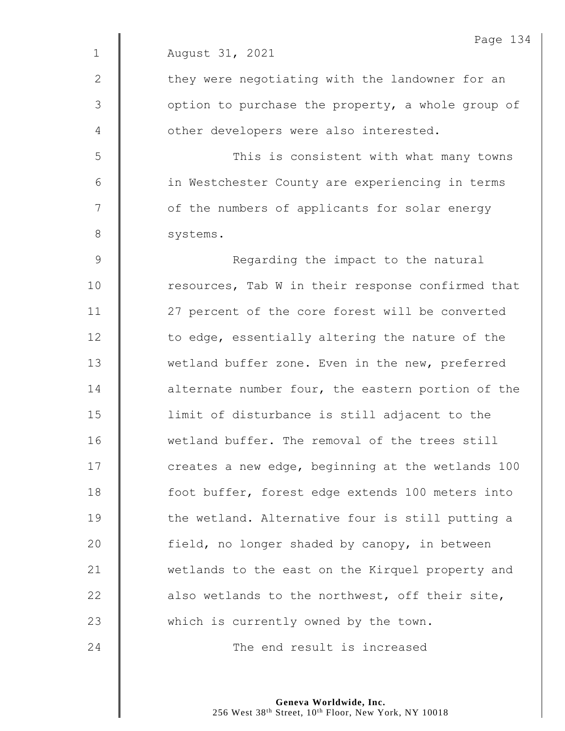|              | Page 134                                          |
|--------------|---------------------------------------------------|
| $\mathbf{1}$ | August 31, 2021                                   |
| $\mathbf{2}$ | they were negotiating with the landowner for an   |
| 3            | option to purchase the property, a whole group of |
| 4            | other developers were also interested.            |
| 5            | This is consistent with what many towns           |
| $6\,$        | in Westchester County are experiencing in terms   |
| 7            | of the numbers of applicants for solar energy     |
| $8\,$        | systems.                                          |
| 9            | Regarding the impact to the natural               |
| 10           | resources, Tab W in their response confirmed that |
| 11           | 27 percent of the core forest will be converted   |
| 12           | to edge, essentially altering the nature of the   |
| 13           | wetland buffer zone. Even in the new, preferred   |
| 14           | alternate number four, the eastern portion of the |
| 15           | limit of disturbance is still adjacent to the     |
| 16           | wetland buffer. The removal of the trees still    |
| 17           | creates a new edge, beginning at the wetlands 100 |
| 18           | foot buffer, forest edge extends 100 meters into  |
| 19           | the wetland. Alternative four is still putting a  |
| 20           | field, no longer shaded by canopy, in between     |
| 21           | wetlands to the east on the Kirquel property and  |
| 22           | also wetlands to the northwest, off their site,   |
| 23           | which is currently owned by the town.             |
| 24           | The end result is increased                       |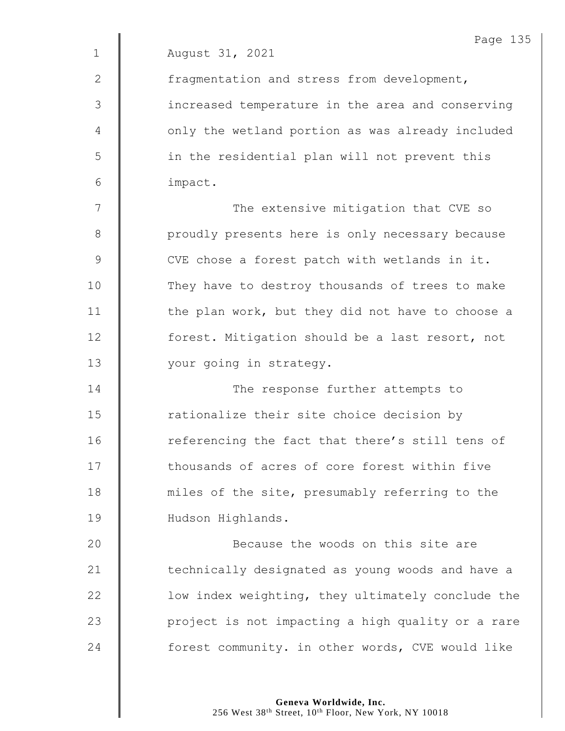2 | fragmentation and stress from development, 3 || increased temperature in the area and conserving 4 | only the wetland portion as was already included 5 || in the residential plan will not prevent this 6 impact.

7 | The extensive mitigation that CVE so 8 | proudly presents here is only necessary because 9 | CVE chose a forest patch with wetlands in it. 10 They have to destroy thousands of trees to make 11  $\parallel$  the plan work, but they did not have to choose a 12 **forest.** Mitigation should be a last resort, not 13 | your going in strategy.

14 **The response further attempts to** 15 | rationalize their site choice decision by 16 Teferencing the fact that there's still tens of 17 **thousands of acres of core forest within five** 18 miles of the site, presumably referring to the 19 | Hudson Highlands.

20 **Because the woods on this site are** 21 | technically designated as young woods and have a 22 | low index weighting, they ultimately conclude the 23 | project is not impacting a high quality or a rare 24 **forest community.** in other words, CVE would like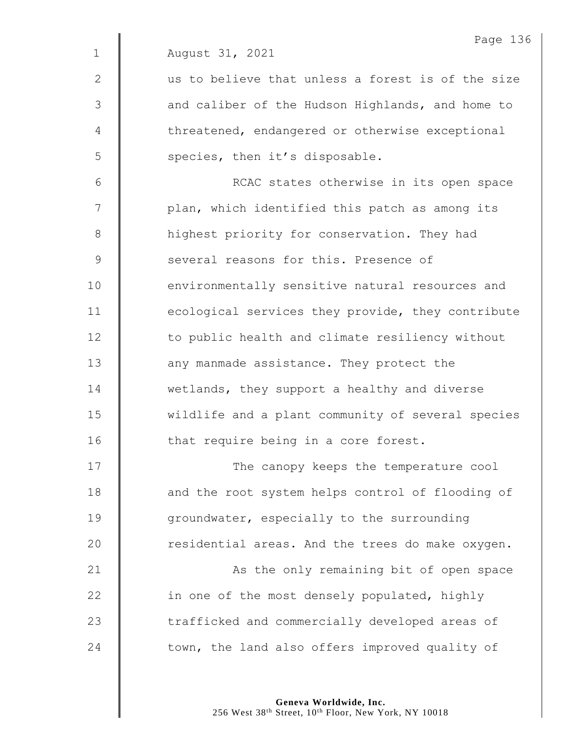|                | Page 13                                           |
|----------------|---------------------------------------------------|
| $\mathbf 1$    | August 31, 2021                                   |
| $\mathbf{2}$   | us to believe that unless a forest is of the size |
| 3              | and caliber of the Hudson Highlands, and home to  |
| $\overline{4}$ | threatened, endangered or otherwise exceptional   |
| 5              | species, then it's disposable.                    |
| $6\,$          | RCAC states otherwise in its open space           |
| 7              | plan, which identified this patch as among its    |
| $8\,$          | highest priority for conservation. They had       |
| $\mathcal{G}$  | several reasons for this. Presence of             |
| 10             | environmentally sensitive natural resources and   |
| 11             | ecological services they provide, they contribute |
| 12             | to public health and climate resiliency without   |
| 13             | any manmade assistance. They protect the          |
| 14             | wetlands, they support a healthy and diverse      |
| 15             | wildlife and a plant community of several species |
| 16             | that require being in a core forest.              |
| 17             | The canopy keeps the temperature cool             |
| 18             | and the root system helps control of flooding of  |
| 19             | groundwater, especially to the surrounding        |
| 20             | residential areas. And the trees do make oxygen.  |
| 21             | As the only remaining bit of open space           |
| 22             | in one of the most densely populated, highly      |
| 23             | trafficked and commercially developed areas of    |
| 24             | town, the land also offers improved quality of    |

Page 136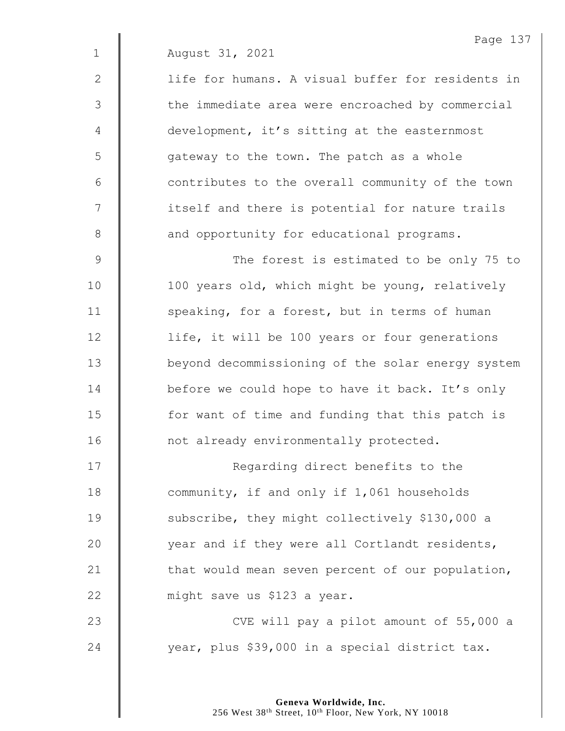| August 31, 2021 |  |
|-----------------|--|

2 | life for humans. A visual buffer for residents in 3 || the immediate area were encroached by commercial 4 development, it's sitting at the easternmost 5 | gateway to the town. The patch as a whole  $6 \parallel$  contributes to the overall community of the town 7 | itself and there is potential for nature trails 8 and opportunity for educational programs.

9 | The forest is estimated to be only 75 to 10 | 100 years old, which might be young, relatively 11  $\parallel$  speaking, for a forest, but in terms of human 12 | life, it will be 100 years or four generations 13 | beyond decommissioning of the solar energy system 14 **before we could hope to have it back.** It's only 15 | for want of time and funding that this patch is 16 | not already environmentally protected.

17 | Regarding direct benefits to the 18 **Community, if and only if 1,061 households** 19 Subscribe, they might collectively \$130,000 a 20 year and if they were all Cortlandt residents, 21  $\parallel$  that would mean seven percent of our population, 22 | might save us \$123 a year. 23 | CVE will pay a pilot amount of 55,000 a

24 vear, plus \$39,000 in a special district tax.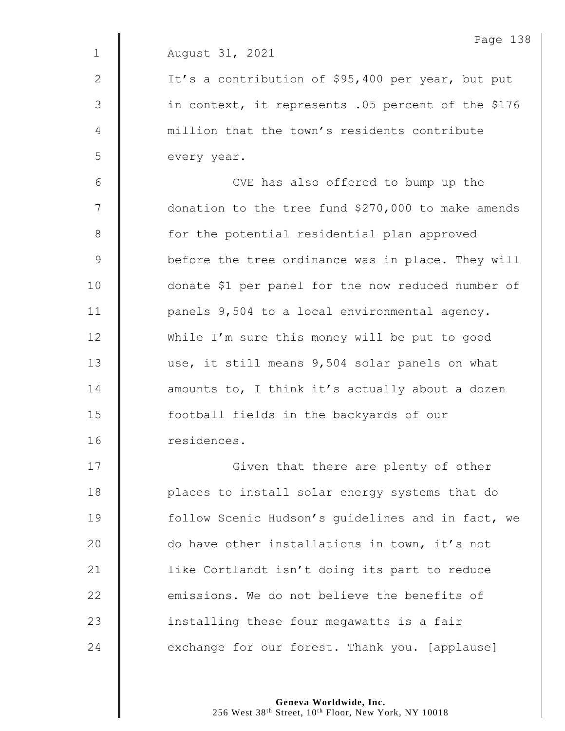|              | Page 138                                           |
|--------------|----------------------------------------------------|
| $\mathbf 1$  | August 31, 2021                                    |
| $\mathbf{2}$ | It's a contribution of \$95,400 per year, but put  |
| 3            | in context, it represents .05 percent of the \$176 |
| 4            | million that the town's residents contribute       |
| 5            | every year.                                        |
| 6            | CVE has also offered to bump up the                |
| 7            | donation to the tree fund \$270,000 to make amends |
| $8\,$        | for the potential residential plan approved        |
| $\mathsf 9$  | before the tree ordinance was in place. They will  |
| 10           | donate \$1 per panel for the now reduced number of |
| 11           | panels 9,504 to a local environmental agency.      |
| 12           | While I'm sure this money will be put to good      |
| 13           | use, it still means 9,504 solar panels on what     |
| 14           | amounts to, I think it's actually about a dozen    |
| 15           | football fields in the backyards of our            |
| 16           | residences.                                        |
| 17           | Given that there are plenty of other               |
| 18           | places to install solar energy systems that do     |
| 19           | follow Scenic Hudson's guidelines and in fact, we  |
| 20           | do have other installations in town, it's not      |
| 21           | like Cortlandt isn't doing its part to reduce      |

**emissions.** We do not believe the benefits of

24 exchange for our forest. Thank you. [applause]

 $\parallel$  installing these four megawatts is a fair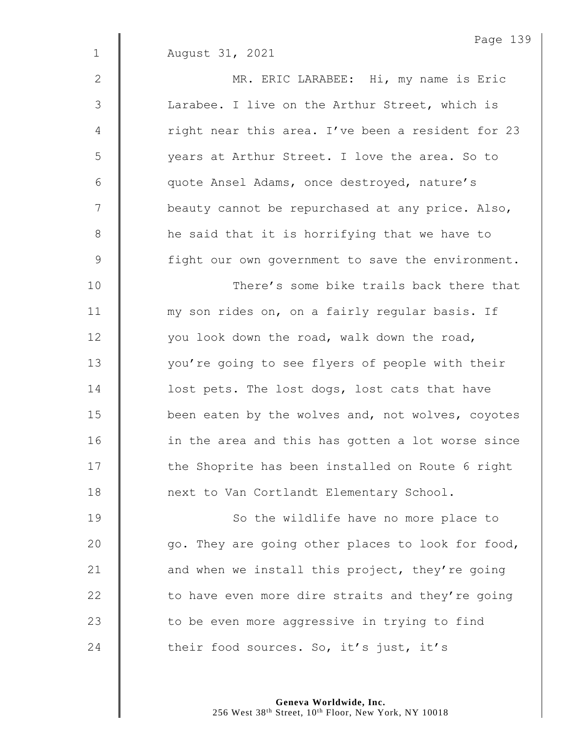2 MR. ERIC LARABEE: Hi, my name is Eric 3 | Larabee. I live on the Arthur Street, which is 4 | right near this area. I've been a resident for 23 5 years at Arthur Street. I love the area. So to 6 quote Ansel Adams, once destroyed, nature's 7 | beauty cannot be repurchased at any price. Also, 8 **h** he said that it is horrifying that we have to 9 | fight our own government to save the environment.

10 **Number 1** There's some bike trails back there that 11 | my son rides on, on a fairly regular basis. If 12 | vou look down the road, walk down the road, 13 | vou're going to see flyers of people with their 14 **dec** lost pets. The lost dogs, lost cats that have 15 **been eaten by the wolves and, not wolves, coyotes** 16 | in the area and this has gotten a lot worse since 17 | the Shoprite has been installed on Route 6 right 18 **next to Van Cortlandt Elementary School.** 

19 | So the wildlife have no more place to  $\parallel$  go. They are going other places to look for food,  $\parallel$  and when we install this project, they're going  $\parallel$  to have even more dire straits and they're going  $\parallel$  to be even more aggressive in trying to find  $\parallel$  their food sources. So, it's just, it's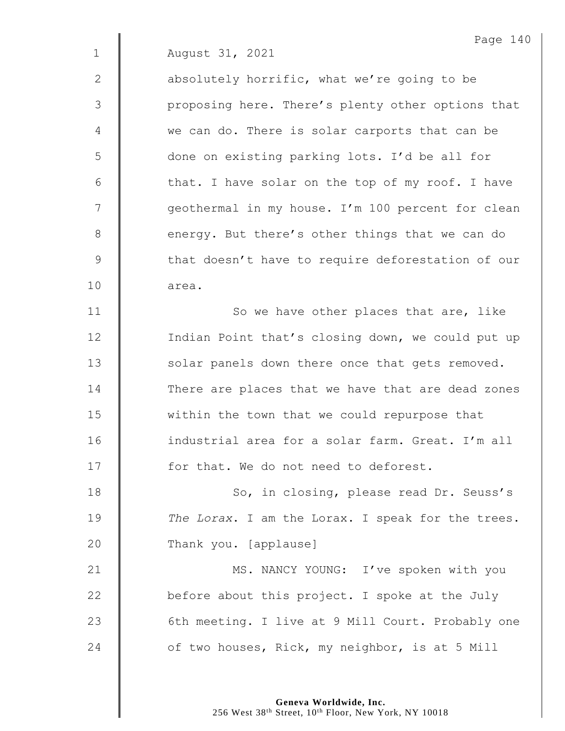2  $\parallel$  absolutely horrific, what we're going to be 3 | proposing here. There's plenty other options that 4 we can do. There is solar carports that can be 5 done on existing parking lots. I'd be all for  $6 \parallel$  that. I have solar on the top of my roof. I have 7 | qeothermal in my house. I'm 100 percent for clean 8 energy. But there's other things that we can do 9 | that doesn't have to require deforestation of our 10 | area.

Page 140

11 | So we have other places that are, like 12 | Indian Point that's closing down, we could put up 13 | solar panels down there once that gets removed. 14 There are places that we have that are dead zones 15 **within** the town that we could repurpose that 16 **industrial area for a solar farm. Great.** I'm all 17 **for that.** We do not need to deforest.

18 | So, in closing, please read Dr. Seuss's 19 *The Lorax*. I am the Lorax. I speak for the trees. 20 Thank you. [applause]

21 | MS. NANCY YOUNG: I've spoken with you 22  $\parallel$  before about this project. I spoke at the July 23 | 6th meeting. I live at 9 Mill Court. Probably one 24 **July 24** of two houses, Rick, my neighbor, is at 5 Mill

> **Geneva Worldwide, Inc.** 256 West 38<sup>th</sup> Street, 10<sup>th</sup> Floor, New York, NY 10018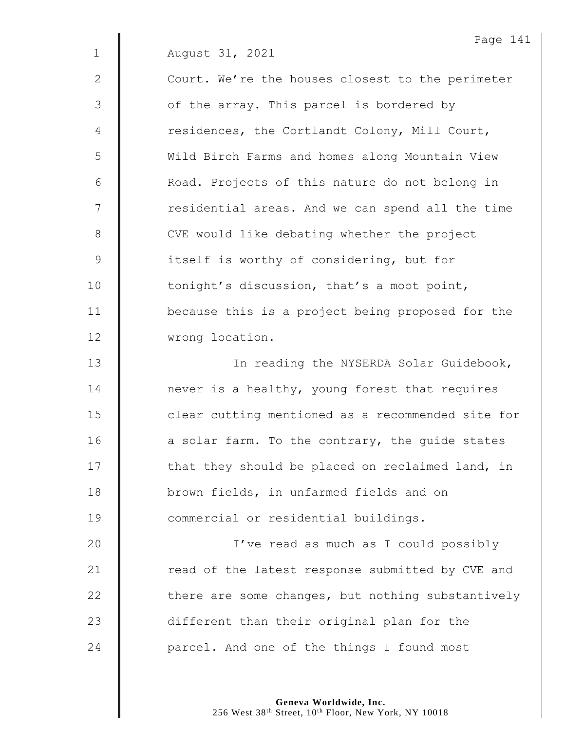|               | Page 141                                          |
|---------------|---------------------------------------------------|
| $\mathbf 1$   | August 31, 2021                                   |
| $\mathbf{2}$  | Court. We're the houses closest to the perimeter  |
| 3             | of the array. This parcel is bordered by          |
| 4             | residences, the Cortlandt Colony, Mill Court,     |
| 5             | Wild Birch Farms and homes along Mountain View    |
| 6             | Road. Projects of this nature do not belong in    |
| 7             | residential areas. And we can spend all the time  |
| 8             | CVE would like debating whether the project       |
| $\mathcal{G}$ | itself is worthy of considering, but for          |
| 10            | tonight's discussion, that's a moot point,        |
| 11            | because this is a project being proposed for the  |
| 12            | wrong location.                                   |
| 13            | In reading the NYSERDA Solar Guidebook,           |
| 14            | never is a healthy, young forest that requires    |
| 15            | clear cutting mentioned as a recommended site for |
| 16            | a solar farm. To the contrary, the quide states   |
| 17            | that they should be placed on reclaimed land, in  |
| 18            | brown fields, in unfarmed fields and on           |
| 19            | commercial or residential buildings.              |
| 20            | I've read as much as I could possibly             |
| 21            | read of the latest response submitted by CVE and  |
| 22            | there are some changes, but nothing substantively |
| 23            | different than their original plan for the        |
| 24            | parcel. And one of the things I found most        |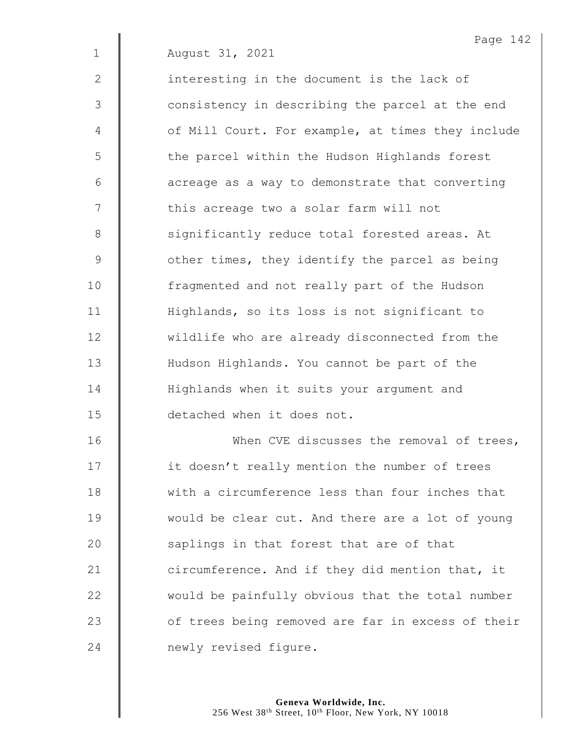2 | interesting in the document is the lack of 3 | consistency in describing the parcel at the end 4 | of Mill Court. For example, at times they include 5 | the parcel within the Hudson Highlands forest  $6$  |  $\Box$  acreage as a way to demonstrate that converting 7 | Chis acreage two a solar farm will not 8 Significantly reduce total forested areas. At 9 Souther times, they identify the parcel as being 10 | fragmented and not really part of the Hudson 11 | Highlands, so its loss is not significant to 12 | wildlife who are already disconnected from the 13 | Hudson Highlands. You cannot be part of the 14 | Highlands when it suits your argument and 15 detached when it does not.

16 | When CVE discusses the removal of trees,  $\parallel$  it doesn't really mention the number of trees 18 We with a circumference less than four inches that **would be clear cut. And there are a lot of young**  $\parallel$  saplings in that forest that are of that  $\parallel$  circumference. And if they did mention that, it  $\parallel$  would be painfully obvious that the total number  $\parallel$  of trees being removed are far in excess of their **newly** revised figure.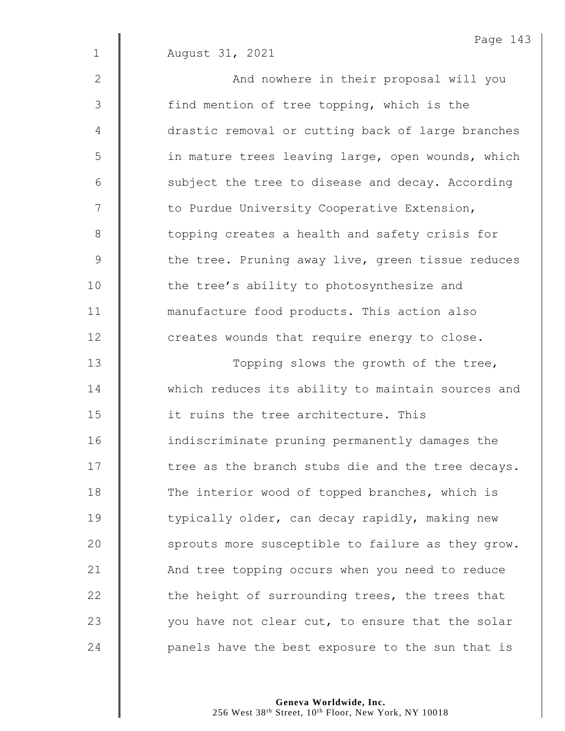1 August 31, 2021 2 || And nowhere in their proposal will you 3 | find mention of tree topping, which is the 4 | drastic removal or cutting back of large branches 5 | in mature trees leaving large, open wounds, which  $6$   $\parallel$  subject the tree to disease and decay. According 7 | to Purdue University Cooperative Extension, 8 | topping creates a health and safety crisis for 9 the tree. Pruning away live, green tissue reduces 10 | the tree's ability to photosynthesize and 11 **manufacture food products.** This action also  $12$   $\parallel$  creates wounds that require energy to close. 13 | Topping slows the growth of the tree, 14 Which reduces its ability to maintain sources and 15  $\parallel$  it ruins the tree architecture. This 16 indiscriminate pruning permanently damages the  $17$   $\parallel$  tree as the branch stubs die and the tree decays. 18 The interior wood of topped branches, which is 19 | typically older, can decay rapidly, making new  $20$  | sprouts more susceptible to failure as they grow. 21 | And tree topping occurs when you need to reduce 22  $\parallel$  the height of surrounding trees, the trees that 23  $\parallel$  you have not clear cut, to ensure that the solar 24  $\parallel$  panels have the best exposure to the sun that is

Page 143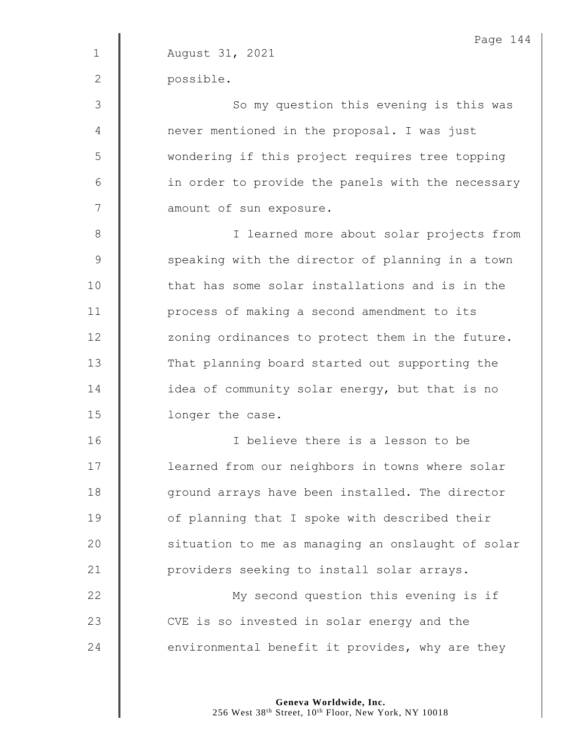|             | Page 144                                          |
|-------------|---------------------------------------------------|
| $\mathbf 1$ | August 31, 2021                                   |
| 2           | possible.                                         |
| 3           | So my question this evening is this was           |
| 4           | never mentioned in the proposal. I was just       |
| 5           | wondering if this project requires tree topping   |
| 6           | in order to provide the panels with the necessary |
| 7           | amount of sun exposure.                           |
| $8\,$       | I learned more about solar projects from          |
| $\mathsf 9$ | speaking with the director of planning in a town  |
| 10          | that has some solar installations and is in the   |
| 11          | process of making a second amendment to its       |
| 12          | zoning ordinances to protect them in the future.  |
| 13          | That planning board started out supporting the    |
| 14          | idea of community solar energy, but that is no    |
| 15          | longer the case.                                  |
| 16          | I believe there is a lesson to be                 |
| 17          | learned from our neighbors in towns where solar   |
| 18          | ground arrays have been installed. The director   |
| 19          | of planning that I spoke with described their     |
| 20          | situation to me as managing an onslaught of solar |
| 21          | providers seeking to install solar arrays.        |
| 22          | My second question this evening is if             |
| 23          | CVE is so invested in solar energy and the        |
| 24          | environmental benefit it provides, why are they   |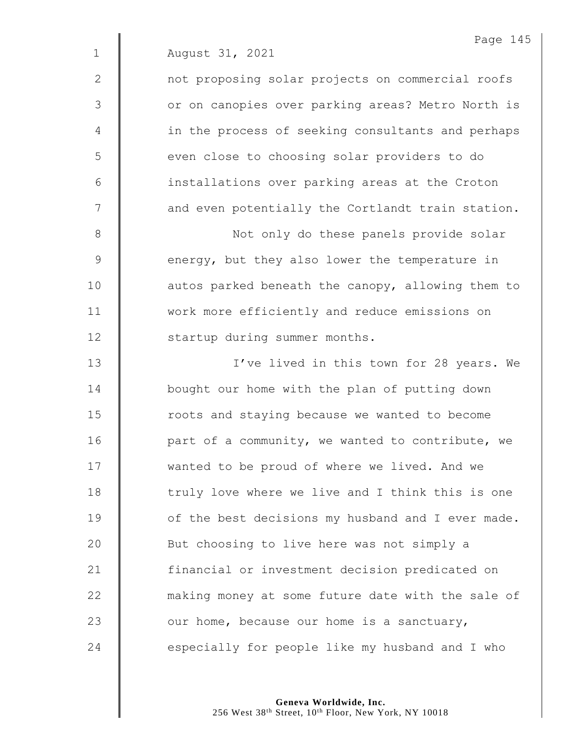2 | not proposing solar projects on commercial roofs 3 | Or on canopies over parking areas? Metro North is 4 | in the process of seeking consultants and perhaps 5 | even close to choosing solar providers to do 6 | installations over parking areas at the Croton  $7 \parallel$  and even potentially the Cortlandt train station.

8 || Not only do these panels provide solar 9 energy, but they also lower the temperature in 10 | autos parked beneath the canopy, allowing them to 11 **W** work more efficiently and reduce emissions on 12 | startup during summer months.

13 || I've lived in this town for 28 years. We 14 | bought our home with the plan of putting down 15 **I** roots and staying because we wanted to become 16  $\parallel$  part of a community, we wanted to contribute, we 17 | wanted to be proud of where we lived. And we  $18$   $\parallel$  truly love where we live and I think this is one 19 **J** of the best decisions my husband and I ever made. 20 | But choosing to live here was not simply a 21 | financial or investment decision predicated on 22 **M** making money at some future date with the sale of 23  $\parallel$  our home, because our home is a sanctuary,  $24$  especially for people like my husband and I who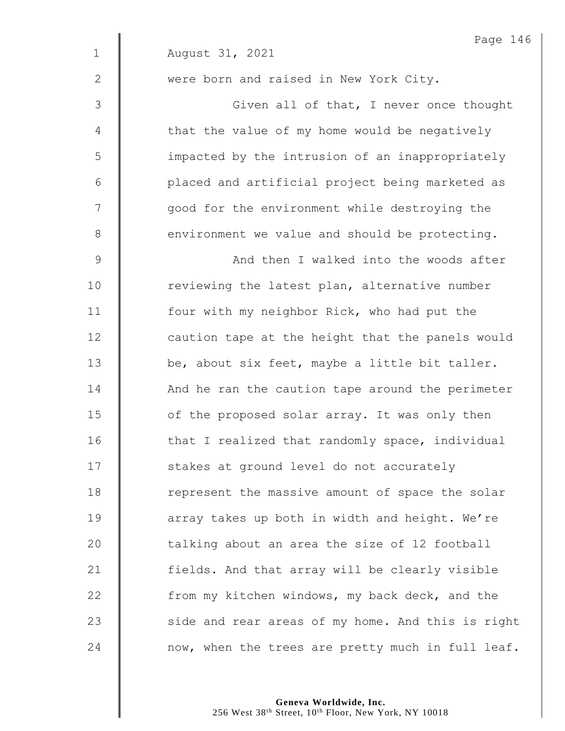|              | Page 146                                          |
|--------------|---------------------------------------------------|
| $\mathbf{1}$ | August 31, 2021                                   |
| $\mathbf{2}$ | were born and raised in New York City.            |
| 3            | Given all of that, I never once thought           |
| 4            | that the value of my home would be negatively     |
| 5            | impacted by the intrusion of an inappropriately   |
| 6            | placed and artificial project being marketed as   |
| 7            | good for the environment while destroying the     |
| $\,8\,$      | environment we value and should be protecting.    |
| $\mathsf 9$  | And then I walked into the woods after            |
| 10           | reviewing the latest plan, alternative number     |
| 11           | four with my neighbor Rick, who had put the       |
| 12           | caution tape at the height that the panels would  |
| 13           | be, about six feet, maybe a little bit taller.    |
| 14           | And he ran the caution tape around the perimeter  |
| 15           | of the proposed solar array. It was only then     |
| 16           | that I realized that randomly space, individual   |
| 17           | stakes at ground level do not accurately          |
| 18           | represent the massive amount of space the solar   |
| 19           | array takes up both in width and height. We're    |
| 20           | talking about an area the size of 12 football     |
| 21           | fields. And that array will be clearly visible    |
| 22           | from my kitchen windows, my back deck, and the    |
| 23           | side and rear areas of my home. And this is right |
| 24           | now, when the trees are pretty much in full leaf. |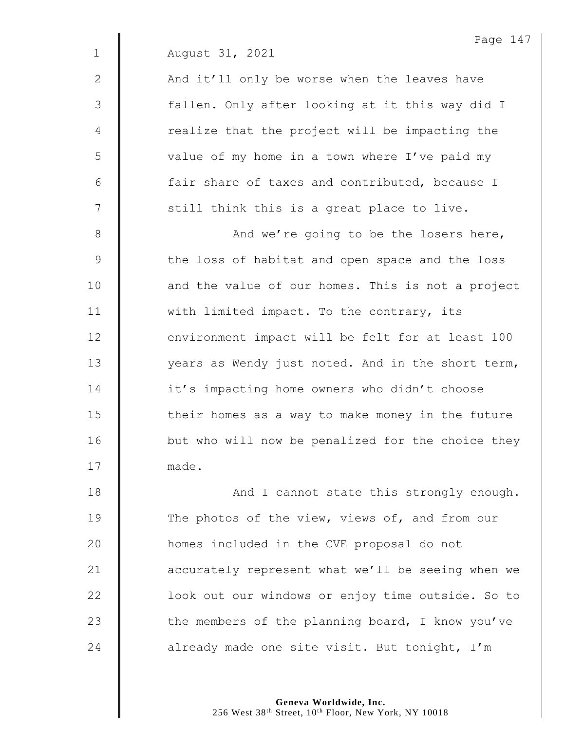2 | And it'll only be worse when the leaves have 3 || fallen. Only after looking at it this way did I  $4 \parallel$  realize that the project will be impacting the 5 | value of my home in a town where I've paid my  $6$  | fair share of taxes and contributed, because I  $7 \parallel$  still think this is a great place to live.

8 And we're going to be the losers here, 9 the loss of habitat and open space and the loss 10 | and the value of our homes. This is not a project 11 | with limited impact. To the contrary, its 12 **environment impact will be felt for at least 100** 13 | vears as Wendy just noted. And in the short term, 14 | it's impacting home owners who didn't choose  $15$   $\parallel$  their homes as a way to make money in the future 16 | but who will now be penalized for the choice they 17 made.

18 | And I cannot state this strongly enough. 19 The photos of the view, views of, and from our homes included in the CVE proposal do not **accurately represent what we'll be seeing when we lack** look out our windows or enjoy time outside. So to  $\parallel$  the members of the planning board, I know you've  $\parallel$  already made one site visit. But tonight, I'm

> **Geneva Worldwide, Inc.** 256 West 38<sup>th</sup> Street, 10<sup>th</sup> Floor, New York, NY 10018

Page 147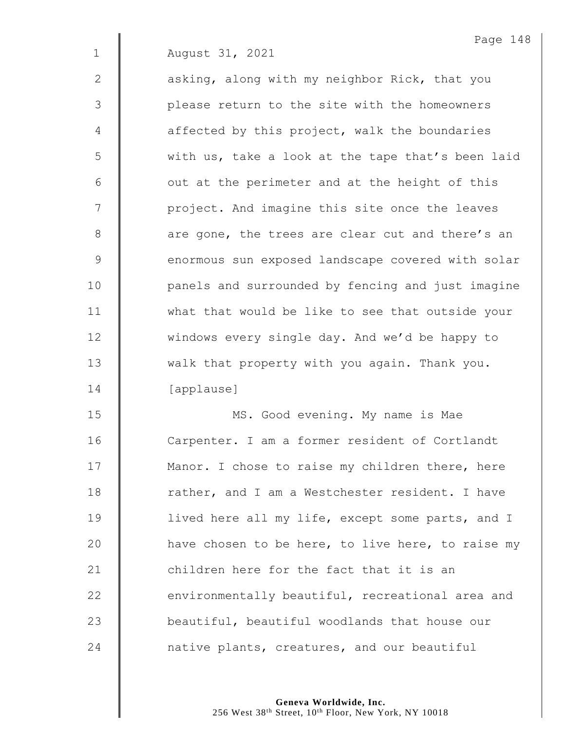2 **asking, along with my neighbor Rick, that you** 3 || please return to the site with the homeowners  $4 \parallel$  affected by this project, walk the boundaries 5 | with us, take a look at the tape that's been laid  $6 \parallel$  out at the perimeter and at the height of this 7 | project. And imagine this site once the leaves 8 are gone, the trees are clear cut and there's an 9 enormous sun exposed landscape covered with solar 10 | panels and surrounded by fencing and just imagine 11 | what that would be like to see that outside your 12 | windows every single day. And we'd be happy to 13 Wedget all that property with you again. Thank you. 14 [applause]

15 | MS. Good evening. My name is Mae 16 | Carpenter. I am a former resident of Cortlandt 17 | Manor. I chose to raise my children there, here 18 Trather, and I am a Westchester resident. I have 19 | lived here all my life, except some parts, and I 20  $\parallel$  have chosen to be here, to live here, to raise my 21 **children here for the fact that it is an** 22 **e**nvironmentally beautiful, recreational area and 23 **beautiful, beautiful woodlands that house our** 24 **native plants, creatures, and our beautiful**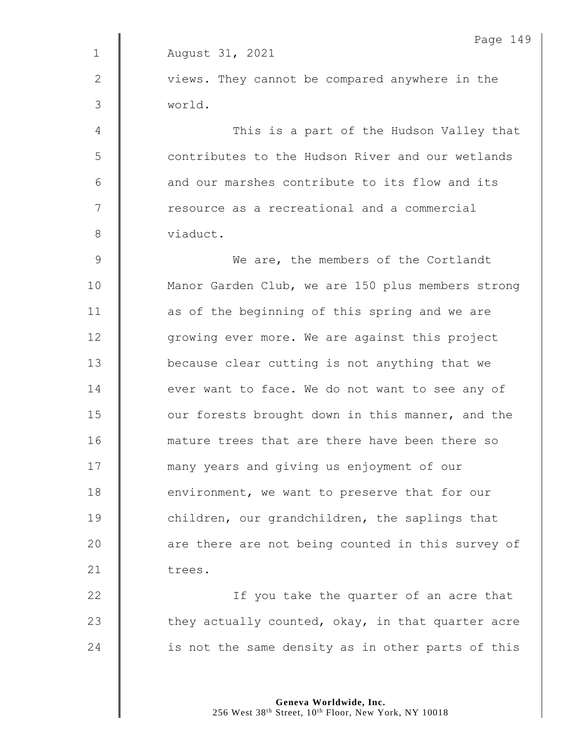Page 149 1 August 31, 2021  $2 \parallel$  views. They cannot be compared anywhere in the 3 world. 4 This is a part of the Hudson Valley that 5  $\parallel$  contributes to the Hudson River and our wetlands  $6 \parallel$  and our marshes contribute to its flow and its 7 | resource as a recreational and a commercial 8 viaduct. 9 We are, the members of the Cortlandt 10 | Manor Garden Club, we are 150 plus members strong 11 | as of the beginning of this spring and we are 12 **qrowing ever more.** We are against this project 13 **J** because clear cutting is not anything that we 14 **deta** ever want to face. We do not want to see any of 15 **J** our forests brought down in this manner, and the 16 **dec** mature trees that are there have been there so 17 many years and giving us enjoyment of our  $18$   $\parallel$  environment, we want to preserve that for our 19 **children, our grandchildren, the saplings that** 20 | are there are not being counted in this survey of 21 trees. 22 | If you take the quarter of an acre that 23  $\parallel$  they actually counted, okay, in that quarter acre 24 | is not the same density as in other parts of this

> **Geneva Worldwide, Inc.** 256 West 38<sup>th</sup> Street, 10<sup>th</sup> Floor, New York, NY 10018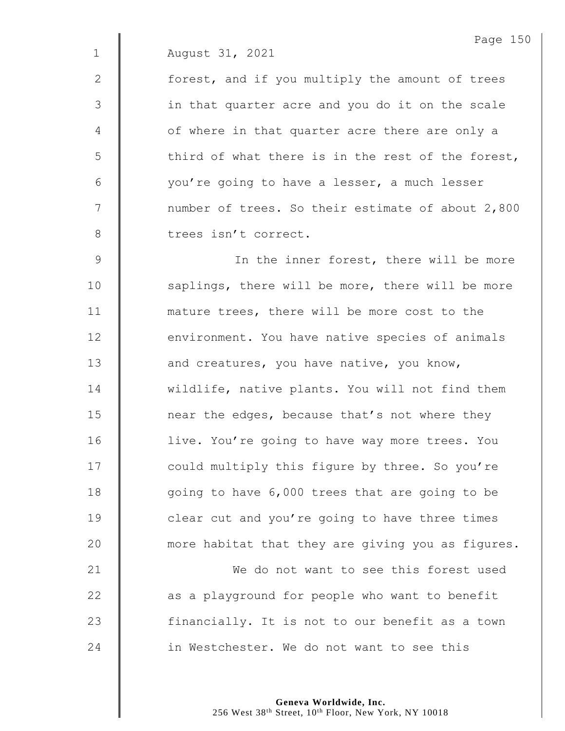2 | forest, and if you multiply the amount of trees 3 || in that quarter acre and you do it on the scale 4 | of where in that quarter acre there are only a  $5 \parallel$  third of what there is in the rest of the forest, 6 | vou're going to have a lesser, a much lesser 7 | number of trees. So their estimate of about 2,800 8 | trees isn't correct.

9 | In the inner forest, there will be more 10 | saplings, there will be more, there will be more 11 **| mature trees, there will be more cost to the** 12 **environment.** You have native species of animals 13 **and creatures,** you have native, you know, 14 wildlife, native plants. You will not find them 15  $\parallel$  near the edges, because that's not where they 16 | live. You're going to have way more trees. You 17 | could multiply this figure by three. So you're 18 | qoing to have 6,000 trees that are going to be 19 **clear cut and you're going to have three times** 20 **wave 10** more habitat that they are giving you as figures. 21 We do not want to see this forest used

22  $\parallel$  as a playground for people who want to benefit 23 | financially. It is not to our benefit as a town 24 **decive** in Westchester. We do not want to see this

> **Geneva Worldwide, Inc.** 256 West 38<sup>th</sup> Street, 10<sup>th</sup> Floor, New York, NY 10018

Page 150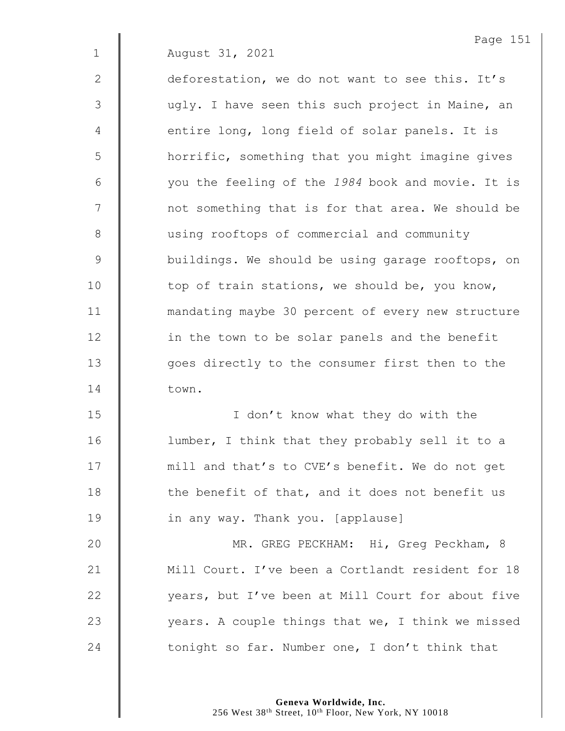Page 151 1 August 31, 2021 2 deforestation, we do not want to see this. It's 3 | ugly. I have seen this such project in Maine, an 4 | entire long, long field of solar panels. It is 5 | horrific, something that you might imagine gives 6 you the feeling of the *1984* book and movie. It is 7 | not something that is for that area. We should be 8 | using rooftops of commercial and community 9 **buildings.** We should be using garage rooftops, on 10 | top of train stations, we should be, you know, 11 mandating maybe 30 percent of every new structure 12 | in the town to be solar panels and the benefit 13 | goes directly to the consumer first then to the 14 town. 15 | I don't know what they do with the 16 | lumber, I think that they probably sell it to a 17 | mill and that's to CVE's benefit. We do not get  $18$   $\parallel$  the benefit of that, and it does not benefit us 19 **I** in any way. Thank you. [applause] 20 MR. GREG PECKHAM: Hi, Greg Peckham, 8 21 | Mill Court. I've been a Cortlandt resident for 18 22  $\parallel$  vears, but I've been at Mill Court for about five 23  $\parallel$  years. A couple things that we, I think we missed

24  $\parallel$  tonight so far. Number one, I don't think that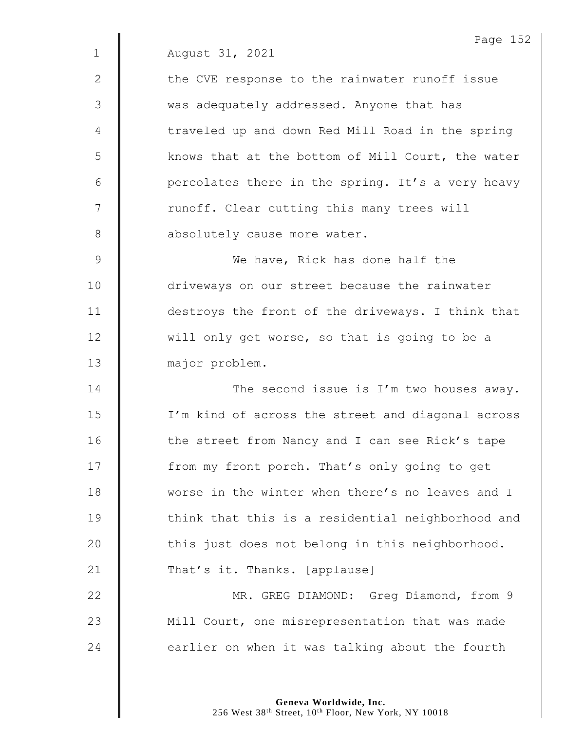|               | Page 152                                          |
|---------------|---------------------------------------------------|
| $\mathbf 1$   | August 31, 2021                                   |
| 2             | the CVE response to the rainwater runoff issue    |
| 3             | was adequately addressed. Anyone that has         |
| 4             | traveled up and down Red Mill Road in the spring  |
| 5             | knows that at the bottom of Mill Court, the water |
| 6             | percolates there in the spring. It's a very heavy |
| 7             | runoff. Clear cutting this many trees will        |
| 8             | absolutely cause more water.                      |
| $\mathcal{G}$ | We have, Rick has done half the                   |
| 10            | driveways on our street because the rainwater     |
| 11            | destroys the front of the driveways. I think that |
| 12            | will only get worse, so that is going to be a     |
| 13            | major problem.                                    |
| 14            | The second issue is I'm two houses away.          |
| 15            | I'm kind of across the street and diagonal across |
| 16            | the street from Nancy and I can see Rick's tape   |
| 17            | from my front porch. That's only going to get     |
| 18            | worse in the winter when there's no leaves and I  |
| 19            | think that this is a residential neighborhood and |
| 20            | this just does not belong in this neighborhood.   |
| 21            | That's it. Thanks. [applause]                     |
| 22            | MR. GREG DIAMOND: Greg Diamond, from 9            |
| 23            | Mill Court, one misrepresentation that was made   |
| 24            | earlier on when it was talking about the fourth   |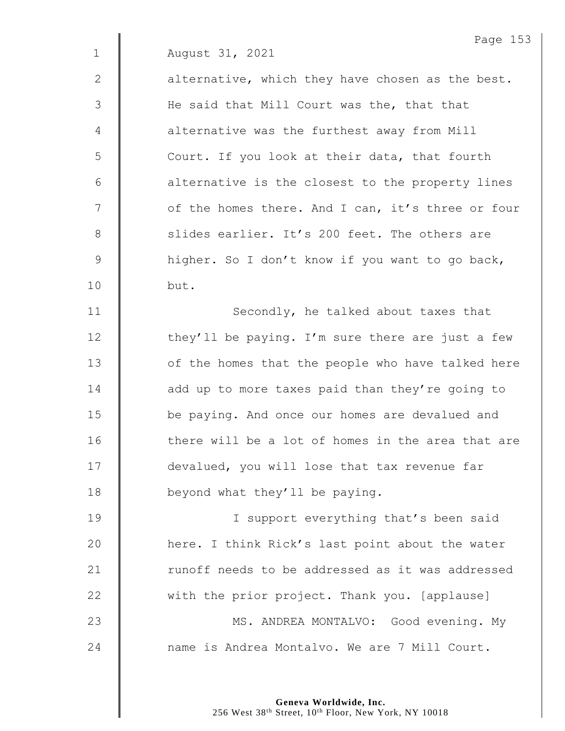|              | Page 153                                          |
|--------------|---------------------------------------------------|
| $\mathbf 1$  | August 31, 2021                                   |
| $\mathbf{2}$ | alternative, which they have chosen as the best.  |
| 3            | He said that Mill Court was the, that that        |
| 4            | alternative was the furthest away from Mill       |
| 5            | Court. If you look at their data, that fourth     |
| 6            | alternative is the closest to the property lines  |
| 7            | of the homes there. And I can, it's three or four |
| $\,8\,$      | slides earlier. It's 200 feet. The others are     |
| $\mathsf 9$  | higher. So I don't know if you want to go back,   |
| 10           | but.                                              |
| 11           | Secondly, he talked about taxes that              |
| 12           | they'll be paying. I'm sure there are just a few  |
| 13           | of the homes that the people who have talked here |
| 14           | add up to more taxes paid than they're going to   |
| 15           | be paying. And once our homes are devalued and    |
| 16           | there will be a lot of homes in the area that are |
| 17           | devalued, you will lose that tax revenue far      |
| 18           | beyond what they'll be paying.                    |
| 19           | I support everything that's been said             |
| 20           | here. I think Rick's last point about the water   |
| 21           | runoff needs to be addressed as it was addressed  |
| 22           | with the prior project. Thank you. [applause]     |
| 23           | MS. ANDREA MONTALVO: Good evening. My             |

24  $\parallel$  name is Andrea Montalvo. We are 7 Mill Court.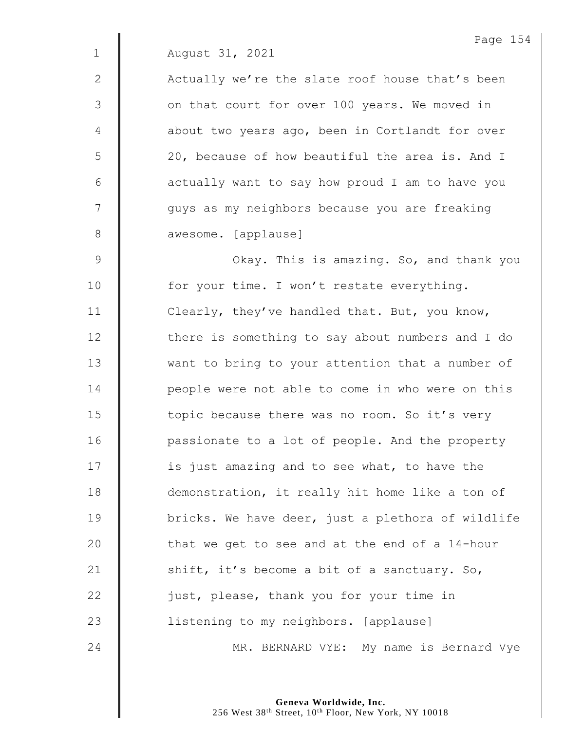2 | Actually we're the slate roof house that's been 3 | on that court for over 100 years. We moved in 4 | about two years ago, been in Cortlandt for over 5 | 20, because of how beautiful the area is. And I  $6 \parallel$  actually want to say how proud I am to have you 7 | quys as my neighbors because you are freaking 8 **awesome.** [applause]

9 | Okay. This is amazing. So, and thank you 10 | for your time. I won't restate everything. 11 **Clearly, they've handled that. But, you know,** 12 | there is something to say about numbers and I do 13 We want to bring to your attention that a number of 14 | people were not able to come in who were on this 15 | topic because there was no room. So it's very 16 | passionate to a lot of people. And the property 17  $\parallel$  is just amazing and to see what, to have the 18 demonstration, it really hit home like a ton of 19 **bricks.** We have deer, just a plethora of wildlife 20  $\parallel$  that we get to see and at the end of a 14-hour 21  $\parallel$  shift, it's become a bit of a sanctuary. So, 22 | just, please, thank you for your time in 23 | listening to my neighbors. [applause] 24 | MR. BERNARD VYE: My name is Bernard Vye

> **Geneva Worldwide, Inc.** 256 West 38<sup>th</sup> Street, 10<sup>th</sup> Floor, New York, NY 10018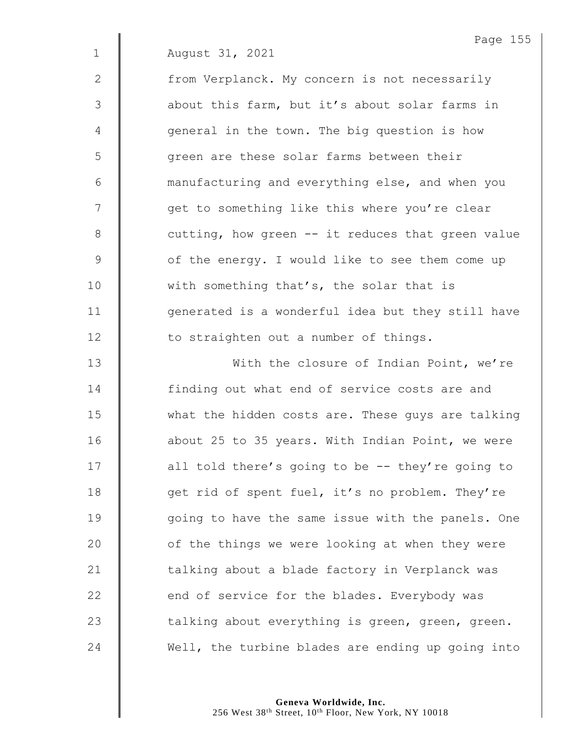2 | from Verplanck. My concern is not necessarily 3 **a**bout this farm, but it's about solar farms in 4 | qeneral in the town. The big question is how 5 | qreen are these solar farms between their 6 **6** manufacturing and everything else, and when you 7 | qet to something like this where you're clear  $8 \parallel$  cutting, how green -- it reduces that green value 9 | of the energy. I would like to see them come up 10 | with something that's, the solar that is 11 | generated is a wonderful idea but they still have 12 **to straighten out a number of things.** 

13 | With the closure of Indian Point, we're **finding out what end of service costs are and** 15 What the hidden costs are. These guys are talking 16 | about 25 to 35 years. With Indian Point, we were  $\parallel$  all told there's going to be -- they're going to  $\parallel$  qet rid of spent fuel, it's no problem. They're 19 | qoing to have the same issue with the panels. One  $\parallel$  of the things we were looking at when they were  $\parallel$  talking about a blade factory in Verplanck was  $\parallel$  end of service for the blades. Everybody was  $\parallel$  talking about everything is green, green, green. Well, the turbine blades are ending up going into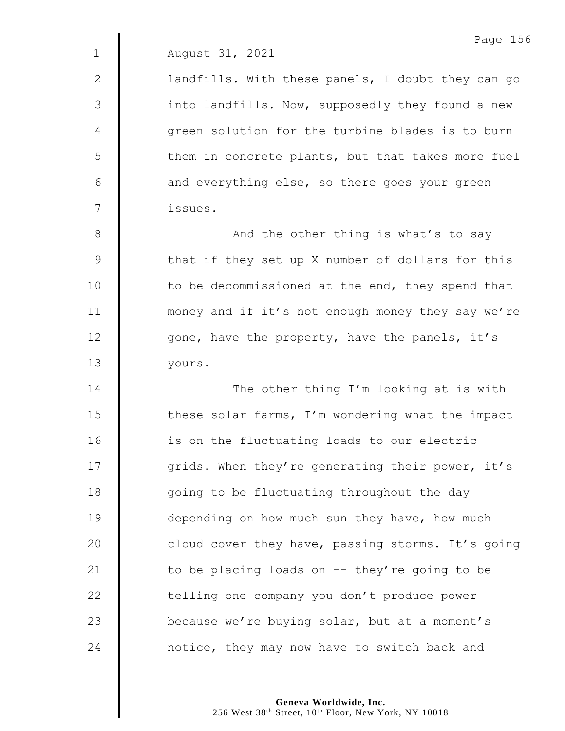2 | landfills. With these panels, I doubt they can go 3 | into landfills. Now, supposedly they found a new 4  $\parallel$  green solution for the turbine blades is to burn 5 | them in concrete plants, but that takes more fuel  $6$  | and everything else, so there goes your green 7 issues.

8 || And the other thing is what's to say 9 that if they set up X number of dollars for this 10 | to be decommissioned at the end, they spend that 11 | money and if it's not enough money they say we're 12 | gone, have the property, have the panels, it's 13 yours.

14 The other thing I'm looking at is with  $15$   $\parallel$  these solar farms, I'm wondering what the impact 16 | is on the fluctuating loads to our electric 17 | grids. When they're generating their power, it's 18 | qoing to be fluctuating throughout the day 19 **depending on how much sun they have, how much** 20 **cloud cover they have, passing storms.** It's going 21  $\parallel$  to be placing loads on -- they're going to be 22 | telling one company you don't produce power 23 **because we're buying solar, but at a moment's** 24 **Number 24** notice, they may now have to switch back and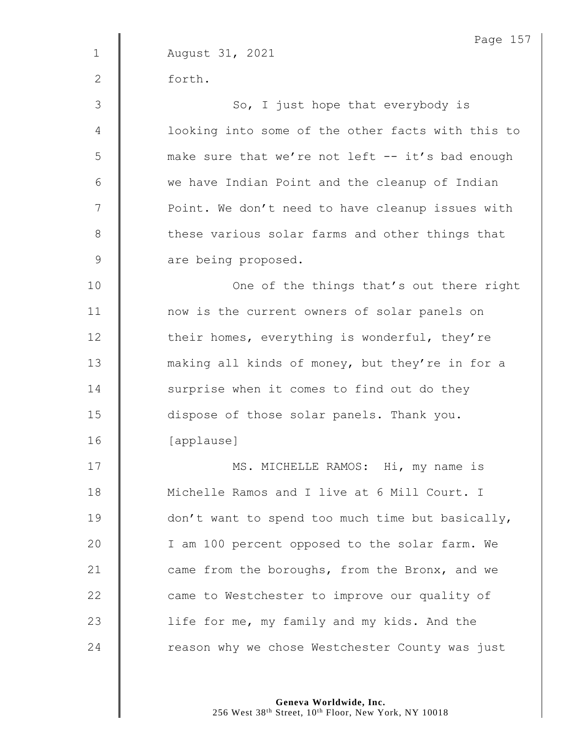Page 157 1 August 31, 2021 2 forth. 3 || So, I just hope that everybody is 4 | looking into some of the other facts with this to 5 || make sure that we're not left -- it's bad enough 6 | we have Indian Point and the cleanup of Indian 7 | Point. We don't need to have cleanup issues with 8 these various solar farms and other things that 9 are being proposed. 10 || Cne of the things that's out there right 11 | now is the current owners of solar panels on 12 | their homes, everything is wonderful, they're 13 making all kinds of money, but they're in for a 14 Surprise when it comes to find out do they 15 dispose of those solar panels. Thank you. 16 [applause] 17 | MS. MICHELLE RAMOS: Hi, my name is 18 **Michelle Ramos and I live at 6 Mill Court. I** 19 **don't** want to spend too much time but basically, 20 | I am 100 percent opposed to the solar farm. We 21 **came from the boroughs, from the Bronx, and we** 22 **Came** to Westchester to improve our quality of 23 | life for me, my family and my kids. And the 24 The asson why we chose Westchester County was just

> **Geneva Worldwide, Inc.** 256 West 38<sup>th</sup> Street, 10<sup>th</sup> Floor, New York, NY 10018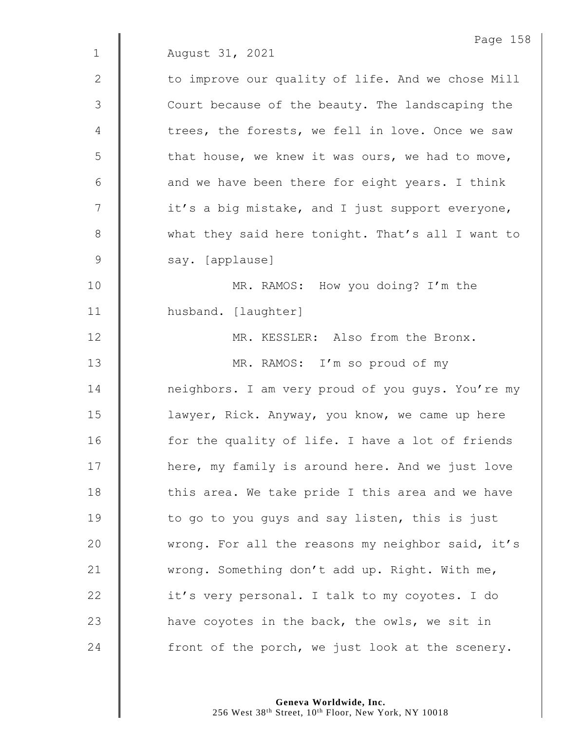|              | Page 158                                          |
|--------------|---------------------------------------------------|
| $\mathbf{1}$ | August 31, 2021                                   |
| $\mathbf{2}$ | to improve our quality of life. And we chose Mill |
| 3            | Court because of the beauty. The landscaping the  |
| 4            | trees, the forests, we fell in love. Once we saw  |
| 5            | that house, we knew it was ours, we had to move,  |
| 6            | and we have been there for eight years. I think   |
| 7            | it's a big mistake, and I just support everyone,  |
| $8\,$        | what they said here tonight. That's all I want to |
| 9            | say. [applause]                                   |
| 10           | MR. RAMOS: How you doing? I'm the                 |
| 11           | husband. [laughter]                               |
| 12           | MR. KESSLER: Also from the Bronx.                 |
| 13           | MR. RAMOS: I'm so proud of my                     |
| 14           | neighbors. I am very proud of you guys. You're my |
| 15           | lawyer, Rick. Anyway, you know, we came up here   |
| 16           | for the quality of life. I have a lot of friends  |
| 17           | here, my family is around here. And we just love  |
| 18           | this area. We take pride I this area and we have  |
| 19           | to go to you guys and say listen, this is just    |
| 20           | wrong. For all the reasons my neighbor said, it's |
| 21           | wrong. Something don't add up. Right. With me,    |
| 22           | it's very personal. I talk to my coyotes. I do    |
| 23           | have coyotes in the back, the owls, we sit in     |
| 24           | front of the porch, we just look at the scenery.  |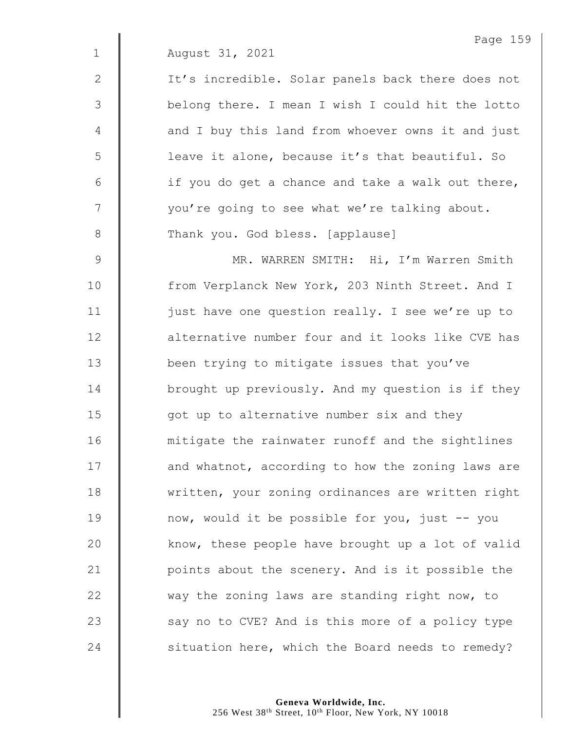2 | It's incredible. Solar panels back there does not 3 | belong there. I mean I wish I could hit the lotto 4 | and I buy this land from whoever owns it and just 5 | leave it alone, because it's that beautiful. So  $6 \parallel$  if you do get a chance and take a walk out there, 7  $\parallel$  vou're going to see what we're talking about. 8 Thank you. God bless. [applause] 9 || MR. WARREN SMITH: Hi, I'm Warren Smith 10 | from Verplanck New York, 203 Ninth Street. And I 11 | just have one question really. I see we're up to 12 **d** alternative number four and it looks like CVE has 13 **been trying to mitigate issues that you've** 14 **brought up previously.** And my question is if they  $15$   $\parallel$  got up to alternative number six and they 16 | mitigate the rainwater runoff and the sightlines 17 | and whatnot, according to how the zoning laws are 18 written, your zoning ordinances are written right 19 **now, would it be possible for you, just -- you** 20  $\parallel$  know, these people have brought up a lot of valid 21 | points about the scenery. And is it possible the 22 way the zoning laws are standing right now, to  $23$   $\parallel$  say no to CVE? And is this more of a policy type  $24$  | situation here, which the Board needs to remedy?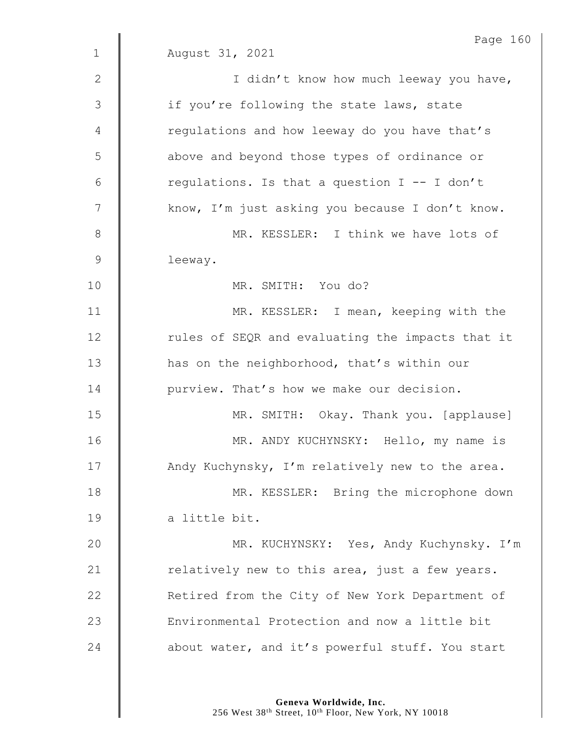|               | Page 160                                         |
|---------------|--------------------------------------------------|
| $\mathbf 1$   | August 31, 2021                                  |
| 2             | I didn't know how much leeway you have,          |
| 3             | if you're following the state laws, state        |
| 4             | regulations and how leeway do you have that's    |
| 5             | above and beyond those types of ordinance or     |
| 6             | regulations. Is that a question I -- I don't     |
| 7             | know, I'm just asking you because I don't know.  |
| $\,8\,$       | MR. KESSLER: I think we have lots of             |
| $\mathcal{G}$ | leeway.                                          |
| 10            | MR. SMITH: You do?                               |
| 11            | MR. KESSLER: I mean, keeping with the            |
| 12            | rules of SEQR and evaluating the impacts that it |
| 13            | has on the neighborhood, that's within our       |
| 14            | purview. That's how we make our decision.        |
| 15            | MR. SMITH: Okay. Thank you. [applause]           |
| 16            | MR. ANDY KUCHYNSKY: Hello, my name is            |
| 17            | Andy Kuchynsky, I'm relatively new to the area.  |
| 18            | MR. KESSLER: Bring the microphone down           |
| 19            | a little bit.                                    |
| 20            | MR. KUCHYNSKY: Yes, Andy Kuchynsky. I'm          |
| 21            | relatively new to this area, just a few years.   |
| 22            | Retired from the City of New York Department of  |
| 23            | Environmental Protection and now a little bit    |
| 24            | about water, and it's powerful stuff. You start  |
|               |                                                  |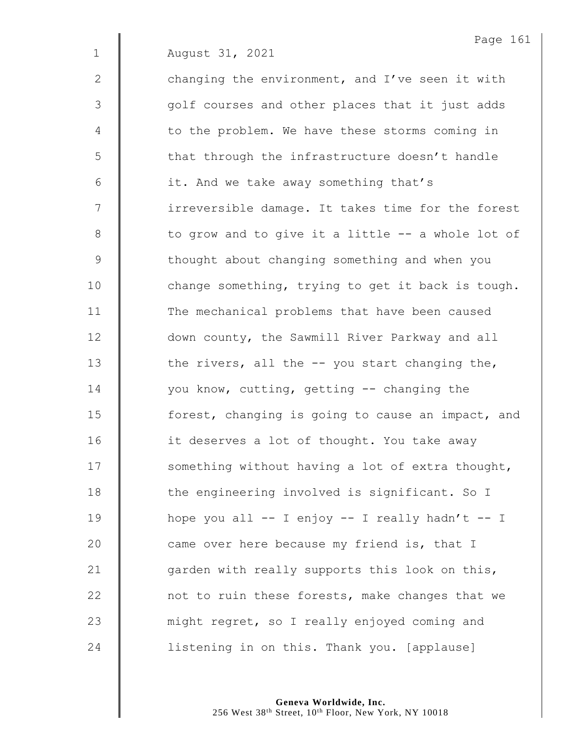1 August 31, 2021 2  $\parallel$  changing the environment, and I've seen it with 3 || golf courses and other places that it just adds 4 | to the problem. We have these storms coming in  $5 \parallel$  that through the infrastructure doesn't handle 6 | it. And we take away something that's 7 | irreversible damage. It takes time for the forest  $8 \parallel$  to grow and to give it a little  $-$  a whole lot of 9 | thought about changing something and when you 10 | change something, trying to get it back is tough. 11 | The mechanical problems that have been caused 12 **down county, the Sawmill River Parkway and all** 13  $\parallel$  the rivers, all the  $-$ - you start changing the, 14 | you know, cutting, getting -- changing the 15 **forest**, changing is going to cause an impact, and 16 | it deserves a lot of thought. You take away  $17$   $\parallel$  something without having a lot of extra thought, 18 **the engineering involved is significant.** So I 19  $\parallel$  hope you all -- I enjoy -- I really hadn't -- I 20  $\parallel$  came over here because my friend is, that I 21  $\parallel$  garden with really supports this look on this, 22 | not to ruin these forests, make changes that we 23 might regret, so I really enjoyed coming and 24 **dege** listening in on this. Thank you. [applause]

Page 161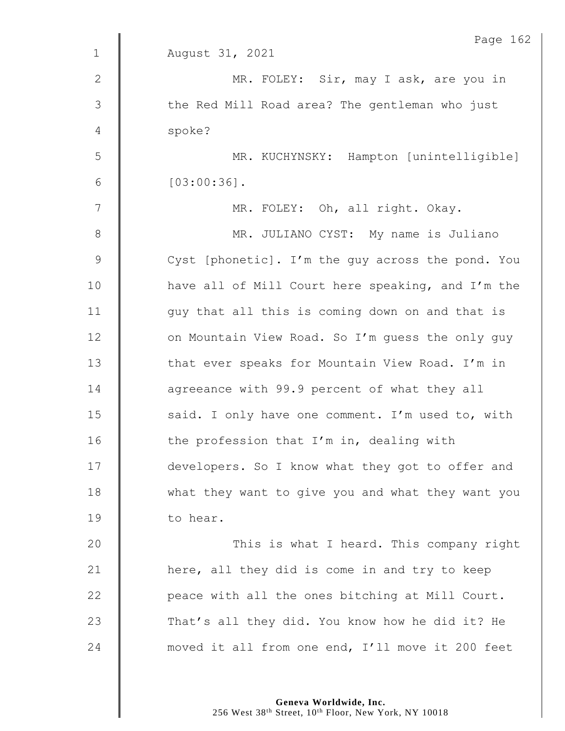|                | Page 162                                          |
|----------------|---------------------------------------------------|
| $\mathbf{1}$   | August 31, 2021                                   |
| 2              | MR. FOLEY: Sir, may I ask, are you in             |
| $\mathfrak{Z}$ | the Red Mill Road area? The gentleman who just    |
| 4              | spoke?                                            |
| 5              | MR. KUCHYNSKY: Hampton [unintelligible]           |
| 6              | $[03:00:36]$ .                                    |
| 7              | MR. FOLEY: Oh, all right. Okay.                   |
| 8              | MR. JULIANO CYST: My name is Juliano              |
| $\mathsf 9$    | Cyst [phonetic]. I'm the guy across the pond. You |
| 10             | have all of Mill Court here speaking, and I'm the |
| 11             | guy that all this is coming down on and that is   |
| 12             | on Mountain View Road. So I'm guess the only guy  |
| 13             | that ever speaks for Mountain View Road. I'm in   |
| 14             | agreeance with 99.9 percent of what they all      |
| 15             | said. I only have one comment. I'm used to, with  |
| 16             | the profession that I'm in, dealing with          |
| 17             | developers. So I know what they got to offer and  |
| 18             | what they want to give you and what they want you |
| 19             | to hear.                                          |
| 20             | This is what I heard. This company right          |
| 21             | here, all they did is come in and try to keep     |
| 22             | peace with all the ones bitching at Mill Court.   |
| 23             | That's all they did. You know how he did it? He   |
| 24             | moved it all from one end, I'll move it 200 feet  |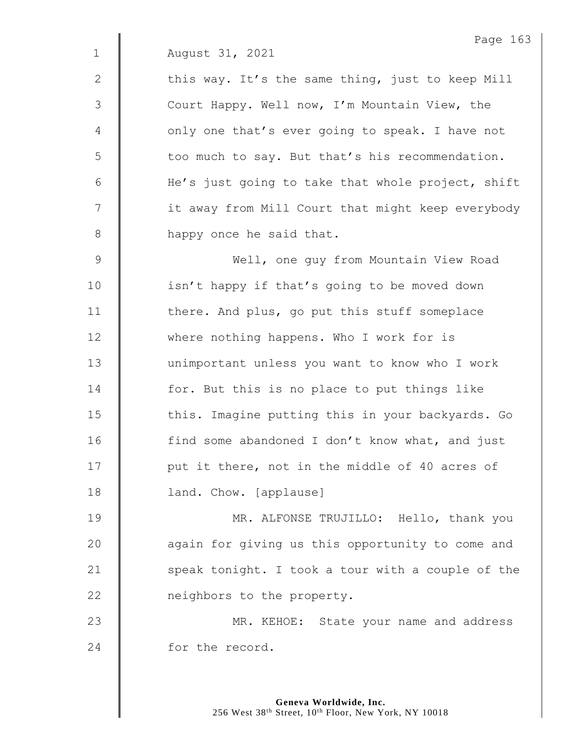2  $\parallel$  this way. It's the same thing, just to keep Mill 3 | Court Happy. Well now, I'm Mountain View, the 4 | only one that's ever going to speak. I have not  $5 \parallel$  too much to say. But that's his recommendation. 6 | He's just going to take that whole project, shift 7 | it away from Mill Court that might keep everybody 8 **happy** once he said that.

9 Well, one guy from Mountain View Road 10 | isn't happy if that's going to be moved down 11 | there. And plus, go put this stuff someplace 12 Where nothing happens. Who I work for is 13 | unimportant unless you want to know who I work 14 **for.** But this is no place to put things like 15 | this. Imagine putting this in your backyards. Go 16 | find some abandoned I don't know what, and just 17 | put it there, not in the middle of 40 acres of 18 **| land. Chow.** [applause]

**MR. ALFONSE TRUJILLO:** Hello, thank you 20 | again for giving us this opportunity to come and  $\parallel$  speak tonight. I took a tour with a couple of the **neighbors** to the property.

23 **MR. KEHOE:** State your name and address 24 for the record.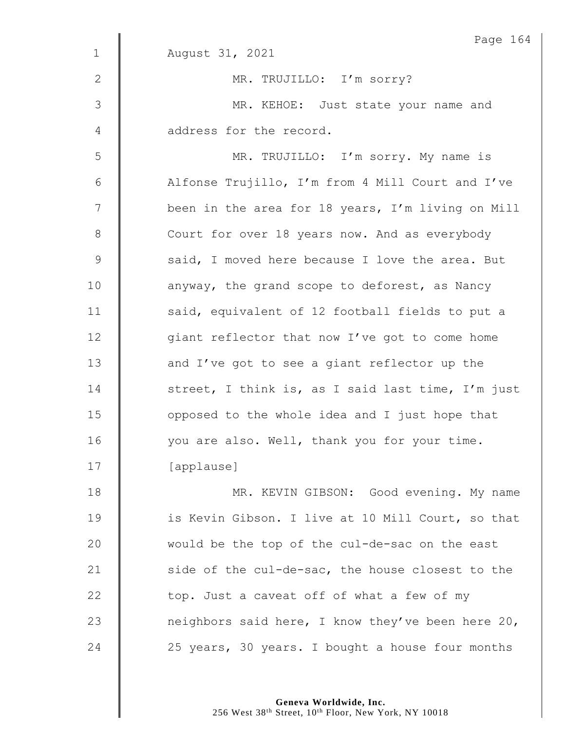|               | Page 164                                          |
|---------------|---------------------------------------------------|
| $\mathbf 1$   | August 31, 2021                                   |
| $\mathbf{2}$  | MR. TRUJILLO: I'm sorry?                          |
| 3             | MR. KEHOE: Just state your name and               |
| 4             | address for the record.                           |
| 5             | MR. TRUJILLO: I'm sorry. My name is               |
| $6\,$         | Alfonse Trujillo, I'm from 4 Mill Court and I've  |
| 7             | been in the area for 18 years, I'm living on Mill |
| $8\,$         | Court for over 18 years now. And as everybody     |
| $\mathcal{G}$ | said, I moved here because I love the area. But   |
| 10            | anyway, the grand scope to deforest, as Nancy     |
| 11            | said, equivalent of 12 football fields to put a   |
| 12            | giant reflector that now I've got to come home    |
| 13            | and I've got to see a giant reflector up the      |
| 14            | street, I think is, as I said last time, I'm just |
| 15            | opposed to the whole idea and I just hope that    |
| 16            | you are also. Well, thank you for your time.      |
| 17            | [applause]                                        |
| 18            | MR. KEVIN GIBSON: Good evening. My name           |
| 19            | is Kevin Gibson. I live at 10 Mill Court, so that |
| 20            | would be the top of the cul-de-sac on the east    |
| 21            | side of the cul-de-sac, the house closest to the  |
| 22            | top. Just a caveat off of what a few of my        |
| 23            | neighbors said here, I know they've been here 20, |
| 24            | 25 years, 30 years. I bought a house four months  |

**Geneva Worldwide, Inc.**

256 West 38th Street, 10th Floor, New York, NY 10018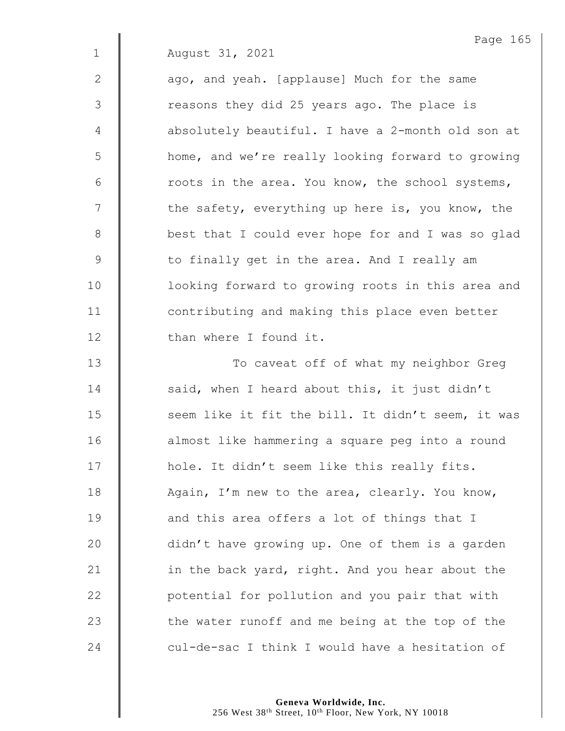$2 \parallel$  ago, and yeah. [applause] Much for the same 3 | The reasons they did 25 years ago. The place is 4 **d** absolutely beautiful. I have a 2-month old son at 5 | home, and we're really looking forward to growing  $6 \parallel$  roots in the area. You know, the school systems,  $7 \parallel$  the safety, everything up here is, you know, the 8 **best that I could ever hope for and I was so glad** 9 | to finally get in the area. And I really am 10 | looking forward to growing roots in this area and 11 **I** contributing and making this place even better 12 | than where I found it.

13 | To caveat off of what my neighbor Greg 14 | said, when I heard about this, it just didn't 15 | seem like it fit the bill. It didn't seem, it was 16 | almost like hammering a square peg into a round 17 | hole. It didn't seem like this really fits. 18 Again, I'm new to the area, clearly. You know, 19 **and this area offers a lot of things that I** 20 didn't have growing up. One of them is a garden 21  $\parallel$  in the back yard, right. And you hear about the  $22$   $\parallel$  potential for pollution and you pair that with 23  $\parallel$  the water runoff and me being at the top of the 24 cul-de-sac I think I would have a hesitation of

> **Geneva Worldwide, Inc.** 256 West 38<sup>th</sup> Street, 10<sup>th</sup> Floor, New York, NY 10018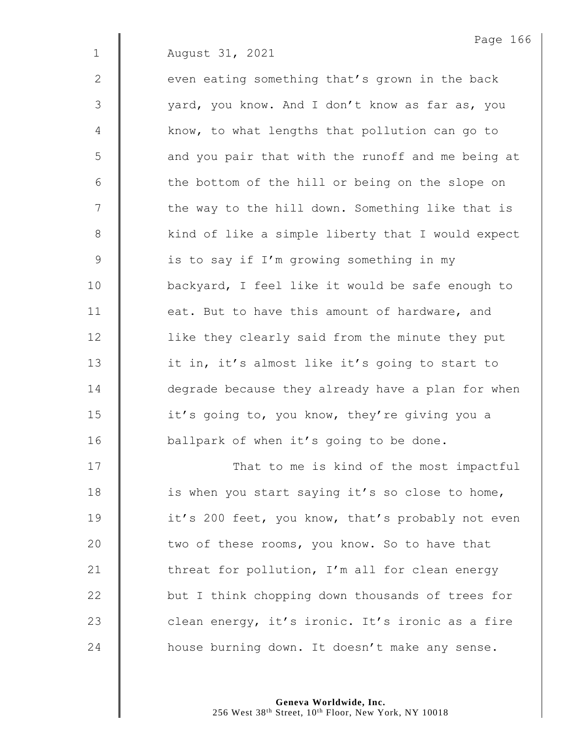$2 \parallel$  even eating something that's grown in the back 3 | vard, you know. And I don't know as far as, you 4 | know, to what lengths that pollution can go to 5 || and you pair that with the runoff and me being at  $6$   $\parallel$  the bottom of the hill or being on the slope on 7 | the way to the hill down. Something like that is 8 | kind of like a simple liberty that I would expect 9 | is to say if I'm growing something in my 10 | backyard, I feel like it would be safe enough to 11  $\parallel$  eat. But to have this amount of hardware, and

12 | like they clearly said from the minute they put 13 | it in, it's almost like it's going to start to 14 **degrade because they already have a plan for when** 15 | it's going to, you know, they're giving you a 16 | ballpark of when it's going to be done.

17 | That to me is kind of the most impactful  $\parallel$  is when you start saying it's so close to home, 19 | it's 200 feet, you know, that's probably not even  $\parallel$  two of these rooms, you know. So to have that  $\parallel$  threat for pollution, I'm all for clean energy **but I** think chopping down thousands of trees for  $\parallel$  clean energy, it's ironic. It's ironic as a fire **house burning down.** It doesn't make any sense.

> **Geneva Worldwide, Inc.** 256 West 38<sup>th</sup> Street, 10<sup>th</sup> Floor, New York, NY 10018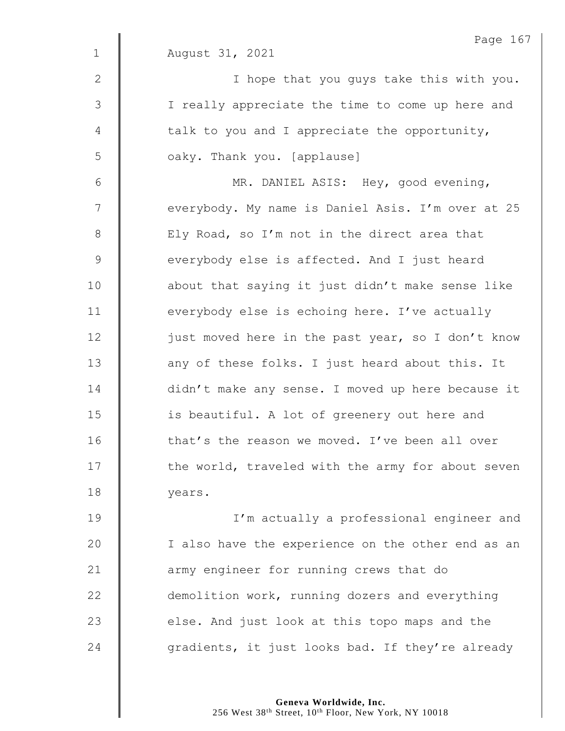|                | Page 16                                           |
|----------------|---------------------------------------------------|
| $\mathbf 1$    | August 31, 2021                                   |
| 2              | I hope that you guys take this with you.          |
| 3              | I really appreciate the time to come up here and  |
| $\overline{4}$ | talk to you and I appreciate the opportunity,     |
| 5              | oaky. Thank you. [applause]                       |
| $\sqrt{6}$     | MR. DANIEL ASIS: Hey, good evening,               |
| $\overline{7}$ | everybody. My name is Daniel Asis. I'm over at 25 |
| $8\,$          | Ely Road, so I'm not in the direct area that      |
| 9              | everybody else is affected. And I just heard      |
| 10             | about that saying it just didn't make sense like  |
| 11             | everybody else is echoing here. I've actually     |
| 12             | just moved here in the past year, so I don't know |
| 13             | any of these folks. I just heard about this. It   |
| 14             | didn't make any sense. I moved up here because it |
| 15             | is beautiful. A lot of greenery out here and      |
| 16             | that's the reason we moved. I've been all over    |
| 17             | the world, traveled with the army for about seven |
| 18             | years.                                            |
| 19             | I'm actually a professional engineer and          |
| 20             | I also have the experience on the other end as an |
| 21             | army engineer for running crews that do           |
| 22             | demolition work, running dozers and everything    |
| 23             | else. And just look at this topo maps and the     |
| 24             | gradients, it just looks bad. If they're already  |

Page 167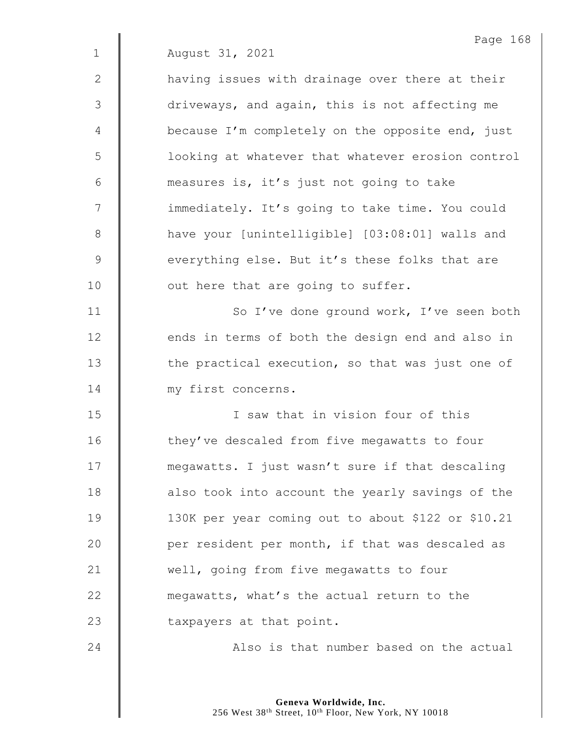1 August 31, 2021 2 | having issues with drainage over there at their

3  $\parallel$  driveways, and again, this is not affecting me  $4 \parallel$  because I'm completely on the opposite end, just 5 | looking at whatever that whatever erosion control 6 measures is, it's just not going to take 7 | immediately. It's going to take time. You could 8 **have your [unintelligible]** [03:08:01] walls and 9 everything else. But it's these folks that are 10 | out here that are going to suffer.

11 | So I've done ground work, I've seen both 12 **dends** in terms of both the design end and also in  $13$   $\parallel$  the practical execution, so that was just one of 14 | my first concerns.

 I saw that in vision four of this 16 | they've descaled from five megawatts to four **megawatts.** I just wasn't sure if that descaling **d** also took into account the yearly savings of the 130K per year coming out to about \$122 or \$10.21 **per resident per month, if that was descaled as well, going from five megawatts to four megawatts, what's the actual return to the taxpayers at that point.** 

24 Also is that number based on the actual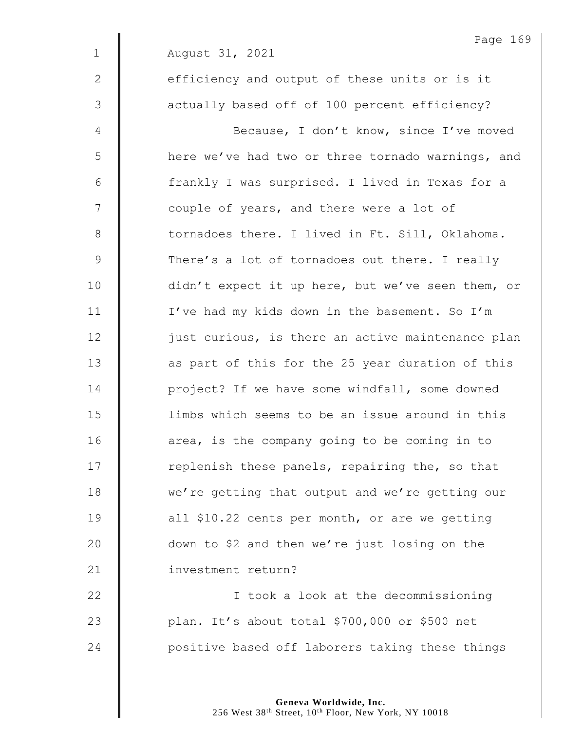2 **e**fficiency and output of these units or is it 3  $\parallel$  actually based off of 100 percent efficiency?

4 | Because, I don't know, since I've moved 5 | here we've had two or three tornado warnings, and 6 | frankly I was surprised. I lived in Texas for a 7 | couple of years, and there were a lot of 8 **tornadoes there.** I lived in Ft. Sill, Oklahoma. 9 There's a lot of tornadoes out there. I really 10 didn't expect it up here, but we've seen them, or 11 | I've had my kids down in the basement. So I'm  $12$   $\parallel$  just curious, is there an active maintenance plan 13 | as part of this for the 25 year duration of this 14 **I** project? If we have some windfall, some downed 15 limbs which seems to be an issue around in this  $16$  | area, is the company going to be coming in to 17  $\parallel$  replenish these panels, repairing the, so that 18 we're getting that output and we're getting our 19 **decive** all \$10.22 cents per month, or are we getting 20 **down** to \$2 and then we're just losing on the 21 | investment return?

22 | I took a look at the decommissioning 23 plan. It's about total \$700,000 or \$500 net 24 **positive based off laborers taking these things**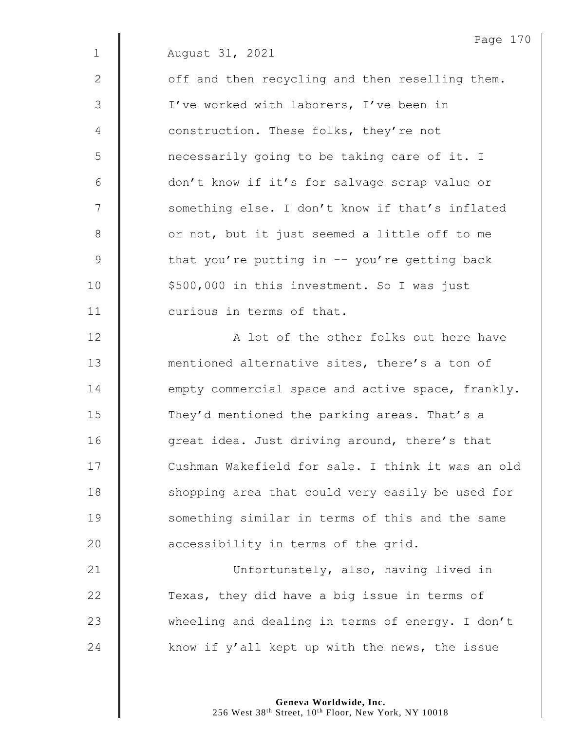|                | Page 170                                          |
|----------------|---------------------------------------------------|
| $\mathbf 1$    | August 31, 2021                                   |
| $\mathbf{2}$   | off and then recycling and then reselling them.   |
| $\mathcal{S}$  | I've worked with laborers, I've been in           |
| $\overline{4}$ | construction. These folks, they're not            |
| 5              | necessarily going to be taking care of it. I      |
| 6              | don't know if it's for salvage scrap value or     |
| 7              | something else. I don't know if that's inflated   |
| $\,8\,$        | or not, but it just seemed a little off to me     |
| $\mathsf 9$    | that you're putting in $-$ you're getting back    |
| 10             | \$500,000 in this investment. So I was just       |
| 11             | curious in terms of that.                         |
| 12             | A lot of the other folks out here have            |
| 13             | mentioned alternative sites, there's a ton of     |
| 14             | empty commercial space and active space, frankly. |
| 15             | They'd mentioned the parking areas. That's a      |
| 16             | great idea. Just driving around, there's that     |
| 17             | Cushman Wakefield for sale. I think it was an old |
| 18             | shopping area that could very easily be used for  |
| 19             | something similar in terms of this and the same   |
| 20             | accessibility in terms of the grid.               |
| 21             | Unfortunately, also, having lived in              |
| 22             | Texas, they did have a big issue in terms of      |
| 23             | wheeling and dealing in terms of energy. I don't  |

24  $\parallel$  know if y'all kept up with the news, the issue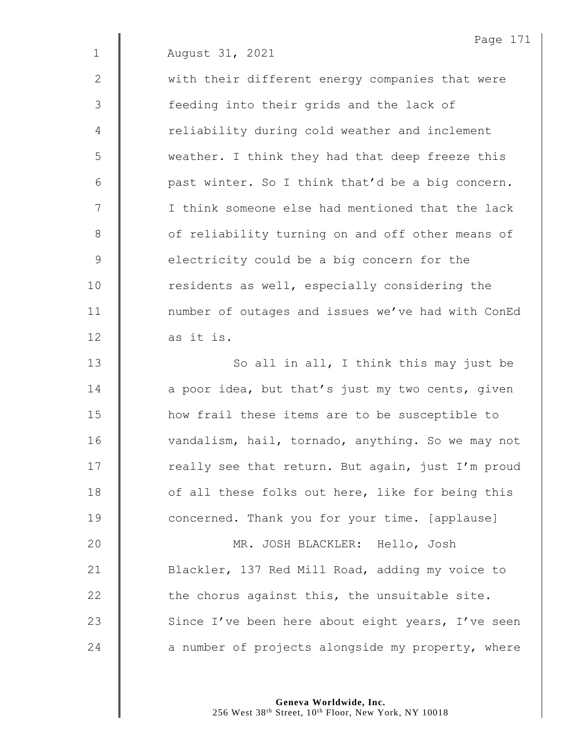2 | with their different energy companies that were 3 || feeding into their grids and the lack of 4 | reliability during cold weather and inclement 5 | weather. I think they had that deep freeze this  $6 \parallel$  past winter. So I think that'd be a big concern. 7 | I think someone else had mentioned that the lack 8 | of reliability turning on and off other means of 9 electricity could be a big concern for the 10 | residents as well, especially considering the 11 | number of outages and issues we've had with ConEd  $12$  as it is.

13 | So all in all, I think this may just be | a poor idea, but that's just my two cents, given **how frail these items are to be susceptible to** 16 | vandalism, hail, tornado, anything. So we may not  $\parallel$  really see that return. But again, just I'm proud  $\parallel$  of all these folks out here, like for being this **Concerned.** Thank you for your time. [applause] MR. JOSH BLACKLER: Hello, Josh 21 | Blackler, 137 Red Mill Road, adding my voice to  $\parallel$  the chorus against this, the unsuitable site.  $\parallel$  Since I've been here about eight years, I've seen  $\parallel$  a number of projects alongside my property, where

> **Geneva Worldwide, Inc.** 256 West 38<sup>th</sup> Street, 10<sup>th</sup> Floor, New York, NY 10018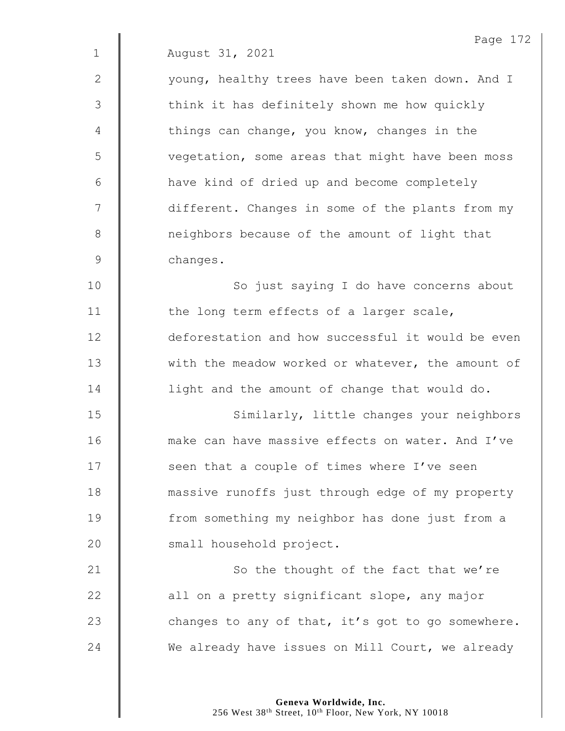|             | Page 172                                          |
|-------------|---------------------------------------------------|
| $\mathbf 1$ | August 31, 2021                                   |
| 2           | young, healthy trees have been taken down. And I  |
| 3           | think it has definitely shown me how quickly      |
| 4           | things can change, you know, changes in the       |
| 5           | vegetation, some areas that might have been moss  |
| 6           | have kind of dried up and become completely       |
| 7           | different. Changes in some of the plants from my  |
| 8           | neighbors because of the amount of light that     |
| $\mathsf 9$ | changes.                                          |
| 10          | So just saying I do have concerns about           |
| 11          | the long term effects of a larger scale,          |
| 12          | deforestation and how successful it would be even |
| 13          | with the meadow worked or whatever, the amount of |
| 14          | light and the amount of change that would do.     |
| 15          | Similarly, little changes your neighbors          |
| 16          | make can have massive effects on water. And I've  |
| 17          | seen that a couple of times where I've seen       |
| 18          | massive runoffs just through edge of my property  |
| 19          | from something my neighbor has done just from a   |
| 20          | small household project.                          |
| 21          | So the thought of the fact that we're             |
| 22          | all on a pretty significant slope, any major      |
| 23          | changes to any of that, it's got to go somewhere. |
| 24          | We already have issues on Mill Court, we already  |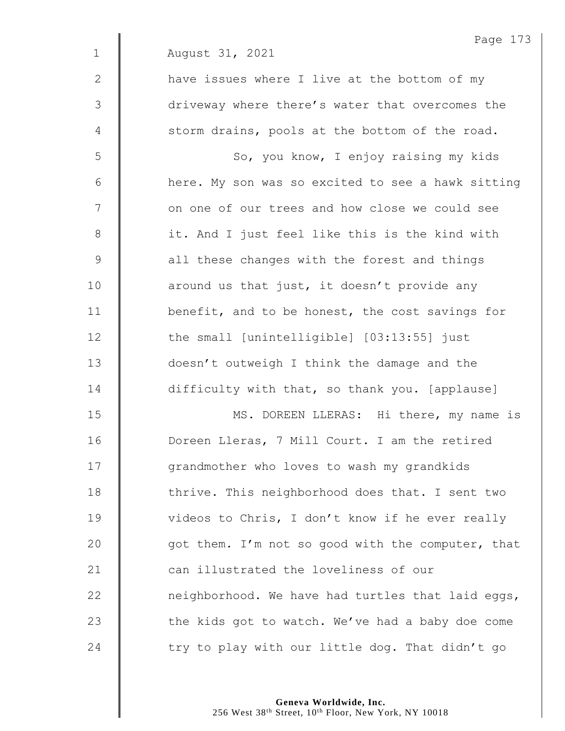|              | Page 173                                          |
|--------------|---------------------------------------------------|
| $\mathbf{1}$ | August 31, 2021                                   |
| 2            | have issues where I live at the bottom of my      |
| 3            | driveway where there's water that overcomes the   |
| 4            | storm drains, pools at the bottom of the road.    |
| 5            | So, you know, I enjoy raising my kids             |
| 6            | here. My son was so excited to see a hawk sitting |
| 7            | on one of our trees and how close we could see    |
| $8\,$        | it. And I just feel like this is the kind with    |
| $\mathsf 9$  | all these changes with the forest and things      |
| 10           | around us that just, it doesn't provide any       |
| 11           | benefit, and to be honest, the cost savings for   |
| 12           | the small [unintelligible] [03:13:55] just        |
| 13           | doesn't outweigh I think the damage and the       |
| 14           | difficulty with that, so thank you. [applause]    |
| 15           | MS. DOREEN LLERAS: Hi there, my name is           |
| 16           | Doreen Lleras, 7 Mill Court. I am the retired     |
| 17           | grandmother who loves to wash my grandkids        |
| 18           | thrive. This neighborhood does that. I sent two   |
| 19           | videos to Chris, I don't know if he ever really   |
| 20           | got them. I'm not so good with the computer, that |
| 21           | can illustrated the loveliness of our             |
| 22           | neighborhood. We have had turtles that laid eggs, |
| 23           | the kids got to watch. We've had a baby doe come  |
| 24           | try to play with our little dog. That didn't go   |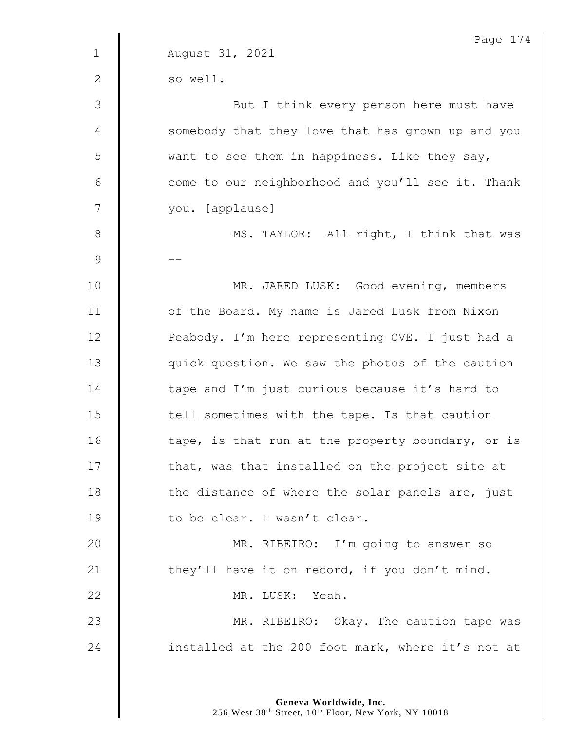|               | Page 174                                          |
|---------------|---------------------------------------------------|
| $\mathbf{1}$  | August 31, 2021                                   |
| $\mathbf{2}$  | so well.                                          |
| $\mathcal{S}$ | But I think every person here must have           |
| 4             | somebody that they love that has grown up and you |
| 5             | want to see them in happiness. Like they say,     |
| 6             | come to our neighborhood and you'll see it. Thank |
| 7             | you. [applause]                                   |
| $8\,$         | MS. TAYLOR: All right, I think that was           |
| $\mathcal{G}$ |                                                   |
| 10            | MR. JARED LUSK: Good evening, members             |
| 11            | of the Board. My name is Jared Lusk from Nixon    |
| 12            | Peabody. I'm here representing CVE. I just had a  |
| 13            | quick question. We saw the photos of the caution  |
| 14            | tape and I'm just curious because it's hard to    |
| 15            | tell sometimes with the tape. Is that caution     |
| 16            | tape, is that run at the property boundary, or is |
| 17            | that, was that installed on the project site at   |
| 18            | the distance of where the solar panels are, just  |
| 19            | to be clear. I wasn't clear.                      |
| 20            | MR. RIBEIRO: I'm going to answer so               |
| 21            | they'll have it on record, if you don't mind.     |
| 22            | MR. LUSK: Yeah.                                   |
| 23            | MR. RIBEIRO: Okay. The caution tape was           |
| 24            | installed at the 200 foot mark, where it's not at |
|               |                                                   |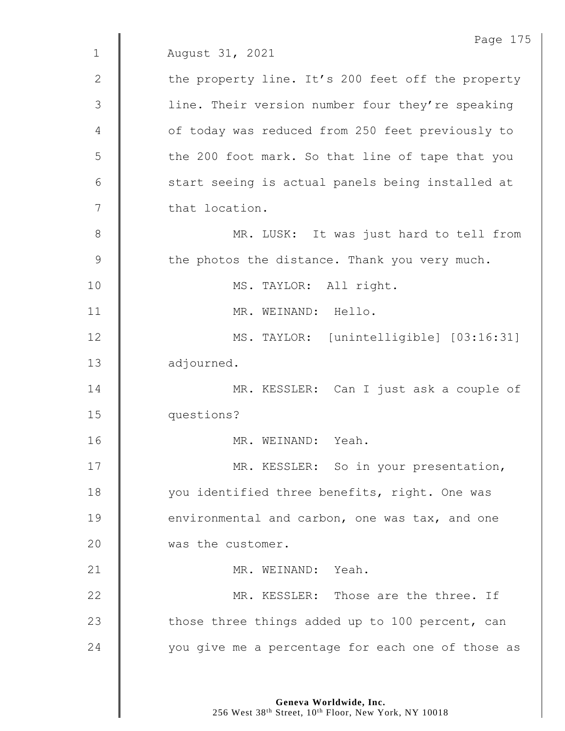|              | Page 175                                          |
|--------------|---------------------------------------------------|
| $\mathbf 1$  | August 31, 2021                                   |
| $\mathbf{2}$ | the property line. It's 200 feet off the property |
| 3            | line. Their version number four they're speaking  |
| 4            | of today was reduced from 250 feet previously to  |
| 5            | the 200 foot mark. So that line of tape that you  |
| 6            | start seeing is actual panels being installed at  |
| 7            | that location.                                    |
| 8            | MR. LUSK: It was just hard to tell from           |
| $\mathsf 9$  | the photos the distance. Thank you very much.     |
| 10           | MS. TAYLOR: All right.                            |
| 11           | MR. WEINAND: Hello.                               |
| 12           | MS. TAYLOR: [unintelligible] [03:16:31]           |
| 13           | adjourned.                                        |
| 14           | MR. KESSLER: Can I just ask a couple of           |
| 15           | questions?                                        |
| 16           | MR. WEINAND: Yeah.                                |
| 17           | MR. KESSLER: So in your presentation,             |
| 18           | you identified three benefits, right. One was     |
| 19           | environmental and carbon, one was tax, and one    |
| 20           | was the customer.                                 |
| 21           | MR. WEINAND: Yeah.                                |
| 22           | MR. KESSLER: Those are the three. If              |
| 23           | those three things added up to 100 percent, can   |
| 24           | you give me a percentage for each one of those as |
|              |                                                   |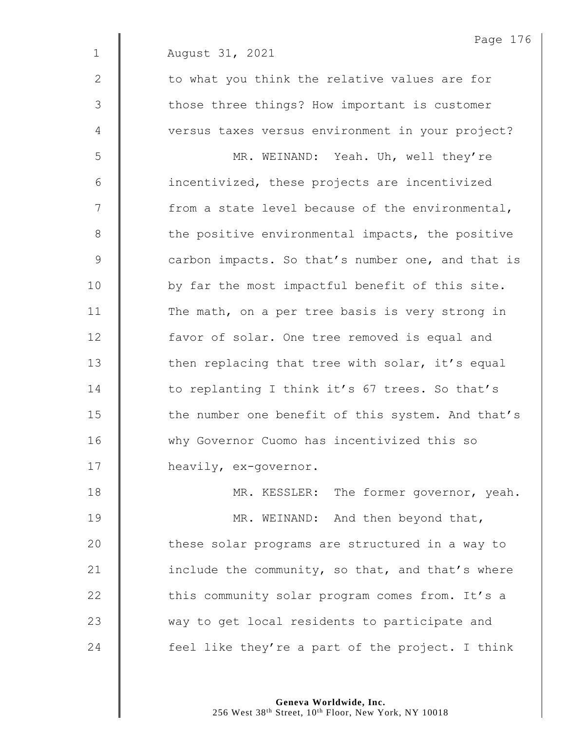Page 176 1 August 31, 2021 2 || to what you think the relative values are for 3 | those three things? How important is customer 4 | versus taxes versus environment in your project? 5 MR. WEINAND: Yeah. Uh, well they're  $6$  | incentivized, these projects are incentivized  $7 \parallel$  from a state level because of the environmental, 8 the positive environmental impacts, the positive 9 Carbon impacts. So that's number one, and that is 10 | by far the most impactful benefit of this site. 11 The math, on a per tree basis is very strong in 12 **favor of solar.** One tree removed is equal and 13  $\parallel$  then replacing that tree with solar, it's equal 14 **to replanting I think it's 67 trees. So that's** 15 The number one benefit of this system. And that's 16 Why Governor Cuomo has incentivized this so 17 **heavily, ex-governor.** 18 **MR. KESSLER:** The former governor, yeah. 19 **MR. WEINAND:** And then beyond that,

20 | these solar programs are structured in a way to 21  $\parallel$  include the community, so that, and that's where 22 | this community solar program comes from. It's a 23 way to get local residents to participate and 24  $\parallel$  feel like they're a part of the project. I think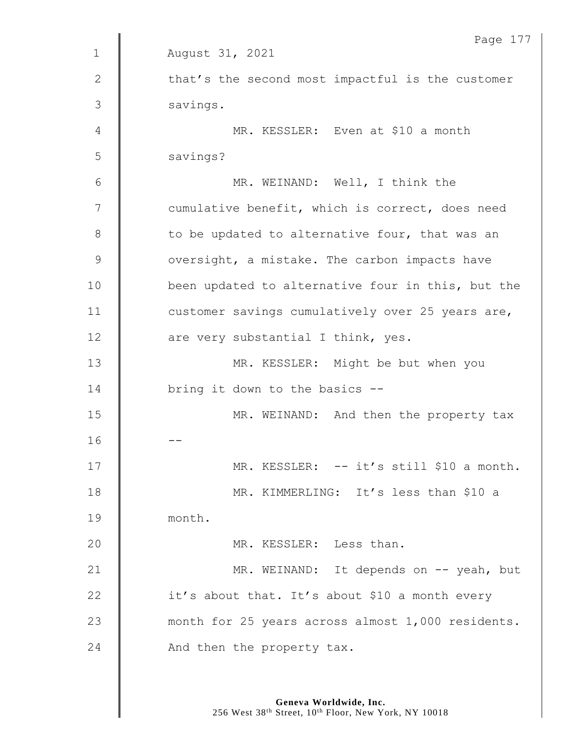|             | Page 177                                          |
|-------------|---------------------------------------------------|
| $\mathbf 1$ | August 31, 2021                                   |
| 2           | that's the second most impactful is the customer  |
| 3           | savings.                                          |
| 4           | MR. KESSLER: Even at \$10 a month                 |
| 5           | savings?                                          |
| 6           | MR. WEINAND: Well, I think the                    |
| 7           | cumulative benefit, which is correct, does need   |
| 8           | to be updated to alternative four, that was an    |
| $\mathsf 9$ | oversight, a mistake. The carbon impacts have     |
| 10          | been updated to alternative four in this, but the |
| 11          | customer savings cumulatively over 25 years are,  |
| 12          | are very substantial I think, yes.                |
| 13          | MR. KESSLER: Might be but when you                |
| 14          | bring it down to the basics --                    |
| 15          | MR. WEINAND: And then the property tax            |
| 16          |                                                   |
| 17          | MR. KESSLER: -- it's still \$10 a month.          |
| 18          | MR. KIMMERLING: It's less than \$10 a             |
| 19          | month.                                            |
| 20          | MR. KESSLER: Less than.                           |
| 21          | MR. WEINAND: It depends on -- yeah, but           |
| 22          | it's about that. It's about \$10 a month every    |
| 23          | month for 25 years across almost 1,000 residents. |
| 24          | And then the property tax.                        |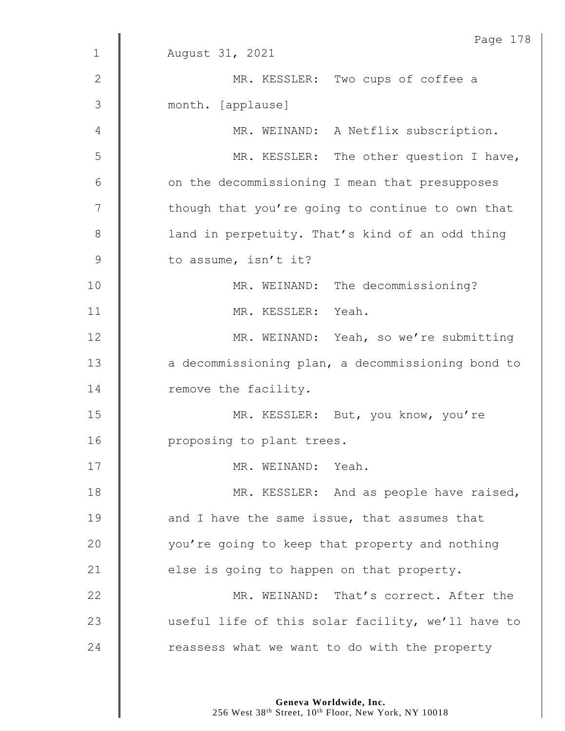|               | Page 178                                          |
|---------------|---------------------------------------------------|
| $\mathbf 1$   | August 31, 2021                                   |
| $\mathbf{2}$  | MR. KESSLER: Two cups of coffee a                 |
| 3             | month. [applause]                                 |
| 4             | MR. WEINAND: A Netflix subscription.              |
| 5             | MR. KESSLER: The other question I have,           |
| 6             | on the decommissioning I mean that presupposes    |
| 7             | though that you're going to continue to own that  |
| 8             | land in perpetuity. That's kind of an odd thing   |
| $\mathcal{G}$ | to assume, isn't it?                              |
| 10            | MR. WEINAND: The decommissioning?                 |
| 11            | MR. KESSLER: Yeah.                                |
| 12            | MR. WEINAND: Yeah, so we're submitting            |
| 13            | a decommissioning plan, a decommissioning bond to |
| 14            | remove the facility.                              |
| 15            | MR. KESSLER: But, you know, you're                |
| 16            | proposing to plant trees.                         |
| 17            | MR. WEINAND: Yeah.                                |
| 18            | MR. KESSLER: And as people have raised,           |
| 19            | and I have the same issue, that assumes that      |
| 20            | you're going to keep that property and nothing    |
| 21            | else is going to happen on that property.         |
| 22            | MR. WEINAND: That's correct. After the            |
| 23            | useful life of this solar facility, we'll have to |
| 24            | reassess what we want to do with the property     |
|               |                                                   |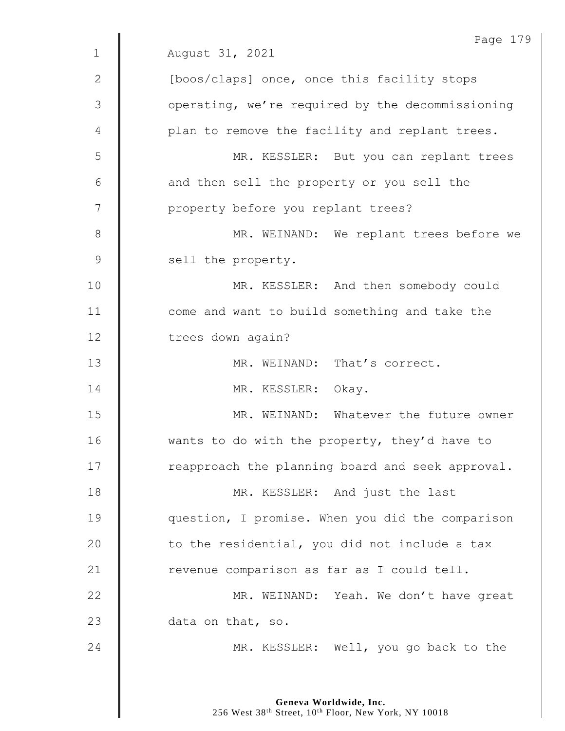|               | Page 179                                         |
|---------------|--------------------------------------------------|
| $\mathbf 1$   | August 31, 2021                                  |
| 2             | [boos/claps] once, once this facility stops      |
| $\mathcal{S}$ | operating, we're required by the decommissioning |
| 4             | plan to remove the facility and replant trees.   |
| 5             | MR. KESSLER: But you can replant trees           |
| 6             | and then sell the property or you sell the       |
| 7             | property before you replant trees?               |
| 8             | MR. WEINAND: We replant trees before we          |
| $\mathsf 9$   | sell the property.                               |
| 10            | MR. KESSLER: And then somebody could             |
| 11            | come and want to build something and take the    |
| 12            | trees down again?                                |
| 13            | MR. WEINAND: That's correct.                     |
| 14            | MR. KESSLER: Okay.                               |
| 15            | MR. WEINAND: Whatever the future owner           |
| 16            | wants to do with the property, they'd have to    |
| 17            | reapproach the planning board and seek approval. |
| 18            | MR. KESSLER: And just the last                   |
| 19            | question, I promise. When you did the comparison |
| 20            | to the residential, you did not include a tax    |
| 21            | revenue comparison as far as I could tell.       |
| 22            | MR. WEINAND: Yeah. We don't have great           |
| 23            | data on that, so.                                |
| 24            | MR. KESSLER: Well, you go back to the            |
|               |                                                  |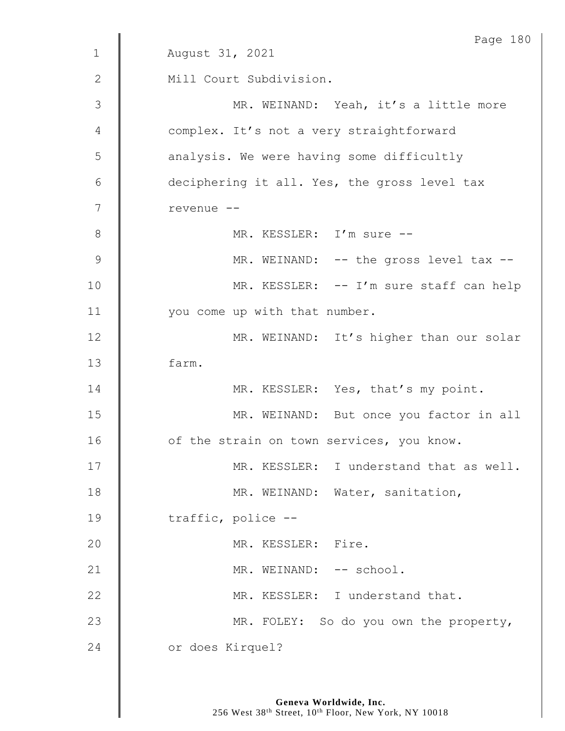|                 | Page 180                                     |
|-----------------|----------------------------------------------|
| $\mathbf 1$     | August 31, 2021                              |
| $\mathbf{2}$    | Mill Court Subdivision.                      |
| 3               | MR. WEINAND: Yeah, it's a little more        |
| 4               | complex. It's not a very straightforward     |
| 5               | analysis. We were having some difficultly    |
| $6\phantom{1}6$ | deciphering it all. Yes, the gross level tax |
| $\overline{7}$  | revenue --                                   |
| $8\,$           | MR. KESSLER: I'm sure --                     |
| 9               | MR. WEINAND: -- the gross level tax --       |
| 10              | MR. KESSLER: -- I'm sure staff can help      |
| 11              | you come up with that number.                |
| 12              | MR. WEINAND: It's higher than our solar      |
| 13              | farm.                                        |
| 14              | MR. KESSLER: Yes, that's my point.           |
| 15              | MR. WEINAND: But once you factor in all      |
| 16              | of the strain on town services, you know.    |
| 17              | MR. KESSLER: I understand that as well.      |
| 18              | MR. WEINAND: Water, sanitation,              |
| 19              | traffic, police --                           |
| 20              | MR. KESSLER: Fire.                           |
| 21              | MR. WEINAND: -- school.                      |
| 22              | MR. KESSLER: I understand that.              |
| 23              | MR. FOLEY: So do you own the property,       |
| 24              | or does Kirquel?                             |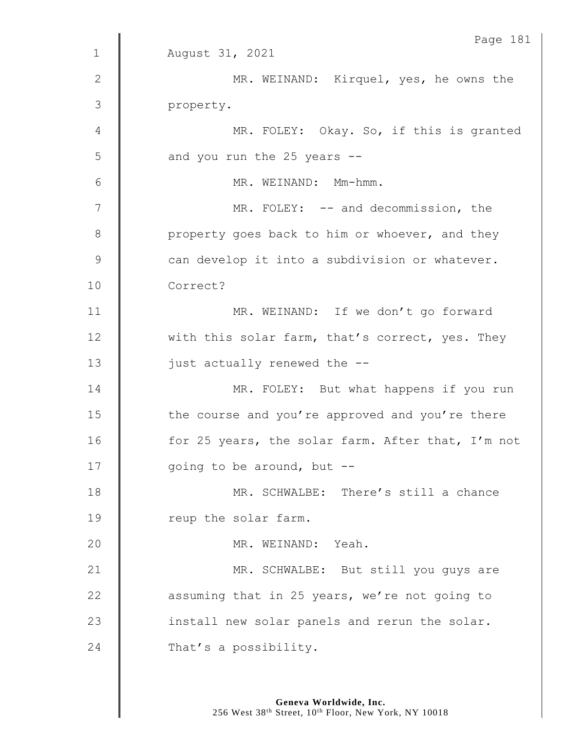|               | Page 181                                          |
|---------------|---------------------------------------------------|
| $1\,$         | August 31, 2021                                   |
| $\mathbf{2}$  | MR. WEINAND: Kirquel, yes, he owns the            |
| 3             | property.                                         |
| 4             | MR. FOLEY: Okay. So, if this is granted           |
| 5             | and you run the 25 years --                       |
| 6             | MR. WEINAND: Mm-hmm.                              |
| 7             | MR. FOLEY: -- and decommission, the               |
| $\,8\,$       | property goes back to him or whoever, and they    |
| $\mathcal{G}$ | can develop it into a subdivision or whatever.    |
| 10            | Correct?                                          |
| 11            | MR. WEINAND: If we don't go forward               |
| 12            | with this solar farm, that's correct, yes. They   |
| 13            | just actually renewed the --                      |
| 14            | MR. FOLEY: But what happens if you run            |
| 15            | the course and you're approved and you're there   |
| 16            | for 25 years, the solar farm. After that, I'm not |
| 17            | going to be around, but --                        |
| 18            | MR. SCHWALBE: There's still a chance              |
| 19            | reup the solar farm.                              |
| 20            | MR. WEINAND: Yeah.                                |
| 21            | MR. SCHWALBE: But still you guys are              |
| 22            | assuming that in 25 years, we're not going to     |
| 23            | install new solar panels and rerun the solar.     |
| 24            | That's a possibility.                             |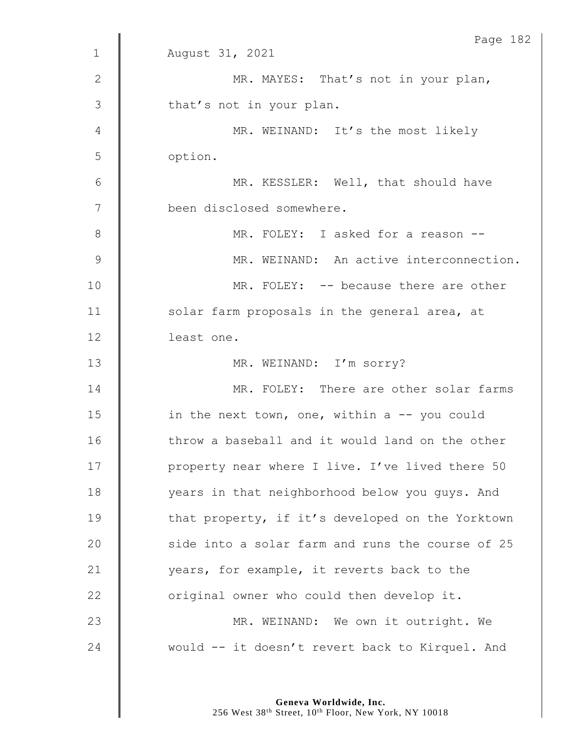|                | Page 182                                         |
|----------------|--------------------------------------------------|
| $\mathbf{1}$   | August 31, 2021                                  |
| $\mathbf{2}$   | MR. MAYES: That's not in your plan,              |
| 3              | that's not in your plan.                         |
| 4              | MR. WEINAND: It's the most likely                |
| 5              | option.                                          |
| 6              | MR. KESSLER: Well, that should have              |
| $\overline{7}$ | been disclosed somewhere.                        |
| $\,8\,$        | MR. FOLEY: I asked for a reason --               |
| $\mathcal{G}$  | MR. WEINAND: An active interconnection.          |
| 10             | MR. FOLEY: -- because there are other            |
| 11             | solar farm proposals in the general area, at     |
| 12             | least one.                                       |
| 13             | MR. WEINAND: I'm sorry?                          |
| 14             | MR. FOLEY: There are other solar farms           |
| 15             | in the next town, one, within a $-$ - you could  |
| 16             | throw a baseball and it would land on the other  |
| 17             | property near where I live. I've lived there 50  |
| 18             | years in that neighborhood below you guys. And   |
| 19             | that property, if it's developed on the Yorktown |
| 20             | side into a solar farm and runs the course of 25 |
| 21             | years, for example, it reverts back to the       |
| 22             | original owner who could then develop it.        |
| 23             | MR. WEINAND: We own it outright. We              |
| 24             | would -- it doesn't revert back to Kirquel. And  |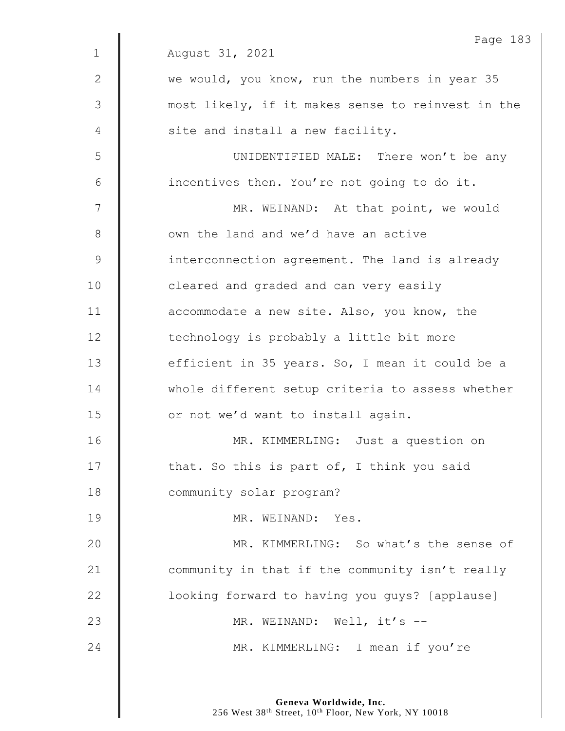|              | Page 183                                          |
|--------------|---------------------------------------------------|
| $\mathbf{1}$ | August 31, 2021                                   |
| 2            | we would, you know, run the numbers in year 35    |
| 3            | most likely, if it makes sense to reinvest in the |
| 4            | site and install a new facility.                  |
| 5            | UNIDENTIFIED MALE: There won't be any             |
| 6            | incentives then. You're not going to do it.       |
| 7            | MR. WEINAND: At that point, we would              |
| 8            | own the land and we'd have an active              |
| $\mathsf 9$  | interconnection agreement. The land is already    |
| 10           | cleared and graded and can very easily            |
| 11           | accommodate a new site. Also, you know, the       |
| 12           | technology is probably a little bit more          |
| 13           | efficient in 35 years. So, I mean it could be a   |
| 14           | whole different setup criteria to assess whether  |
| 15           | or not we'd want to install again.                |
| 16           | MR. KIMMERLING: Just a question on                |
| 17           | that. So this is part of, I think you said        |
| 18           | community solar program?                          |
| 19           | MR. WEINAND: Yes.                                 |
| 20           | MR. KIMMERLING: So what's the sense of            |
| 21           | community in that if the community isn't really   |
| 22           | looking forward to having you guys? [applause]    |
| 23           | MR. WEINAND: Well, it's --                        |
| 24           | MR. KIMMERLING: I mean if you're                  |
|              |                                                   |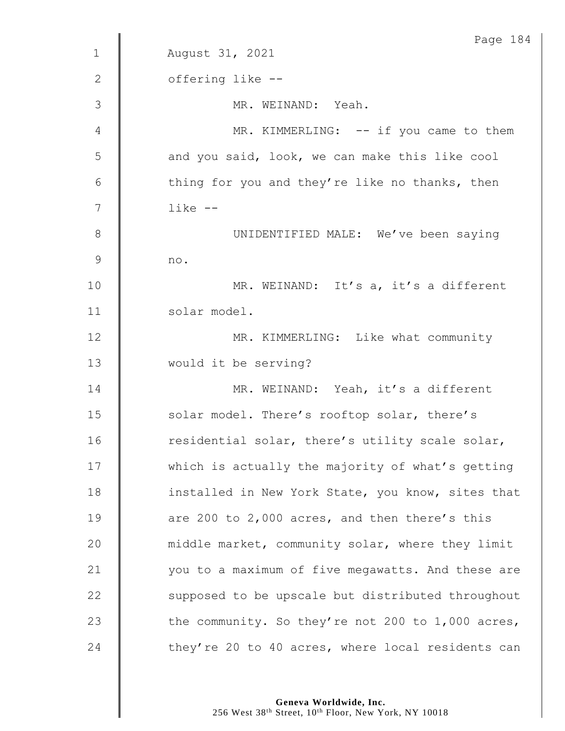|                | Page 184                                          |
|----------------|---------------------------------------------------|
| $\mathbf 1$    | August 31, 2021                                   |
| $\mathbf{2}$   | offering like --                                  |
| 3              | MR. WEINAND: Yeah.                                |
| 4              | MR. KIMMERLING: -- if you came to them            |
| 5              | and you said, look, we can make this like cool    |
| 6              | thing for you and they're like no thanks, then    |
| $\overline{7}$ | $like$ $-$                                        |
| $8\,$          | UNIDENTIFIED MALE: We've been saying              |
| $\mathcal{G}$  | no.                                               |
| 10             | MR. WEINAND: It's a, it's a different             |
| 11             | solar model.                                      |
| 12             | MR. KIMMERLING: Like what community               |
| 13             | would it be serving?                              |
| 14             | MR. WEINAND: Yeah, it's a different               |
| 15             | solar model. There's rooftop solar, there's       |
| 16             | residential solar, there's utility scale solar,   |
| 17             | which is actually the majority of what's getting  |
| 18             | installed in New York State, you know, sites that |
| 19             | are 200 to 2,000 acres, and then there's this     |
| 20             | middle market, community solar, where they limit  |
| 21             | you to a maximum of five megawatts. And these are |
| 22             | supposed to be upscale but distributed throughout |
| 23             | the community. So they're not 200 to 1,000 acres, |
| 24             | they're 20 to 40 acres, where local residents can |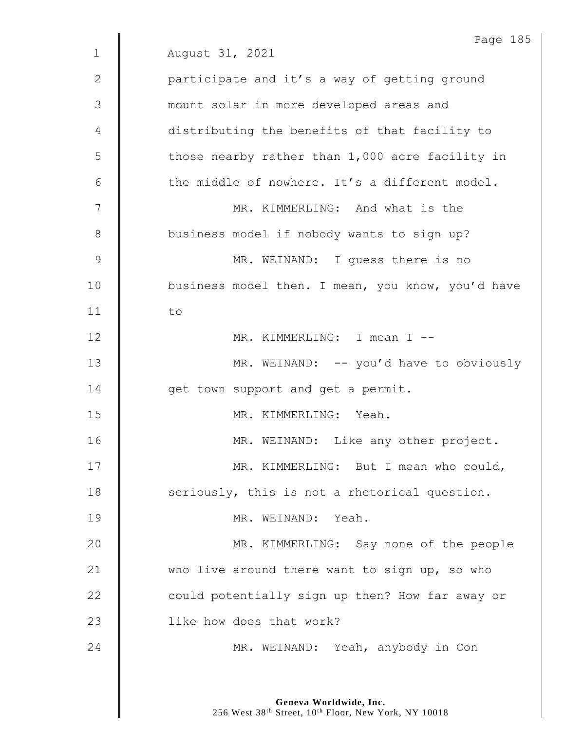|             | Page 185                                          |
|-------------|---------------------------------------------------|
| $\mathbf 1$ | August 31, 2021                                   |
| 2           | participate and it's a way of getting ground      |
| 3           | mount solar in more developed areas and           |
| 4           | distributing the benefits of that facility to     |
| 5           | those nearby rather than 1,000 acre facility in   |
| 6           | the middle of nowhere. It's a different model.    |
| 7           | MR. KIMMERLING: And what is the                   |
| 8           | business model if nobody wants to sign up?        |
| 9           | MR. WEINAND: I guess there is no                  |
| 10          | business model then. I mean, you know, you'd have |
| 11          | to                                                |
| 12          | MR. KIMMERLING: I mean I --                       |
| 13          | MR. WEINAND: -- you'd have to obviously           |
| 14          | get town support and get a permit.                |
| 15          | MR. KIMMERLING: Yeah.                             |
| 16          | MR. WEINAND: Like any other project.              |
| 17          | MR. KIMMERLING: But I mean who could,             |
| 18          | seriously, this is not a rhetorical question.     |
| 19          | MR. WEINAND: Yeah.                                |
| 20          | MR. KIMMERLING: Say none of the people            |
| 21          | who live around there want to sign up, so who     |
| 22          | could potentially sign up then? How far away or   |
| 23          | like how does that work?                          |
| 24          | MR. WEINAND: Yeah, anybody in Con                 |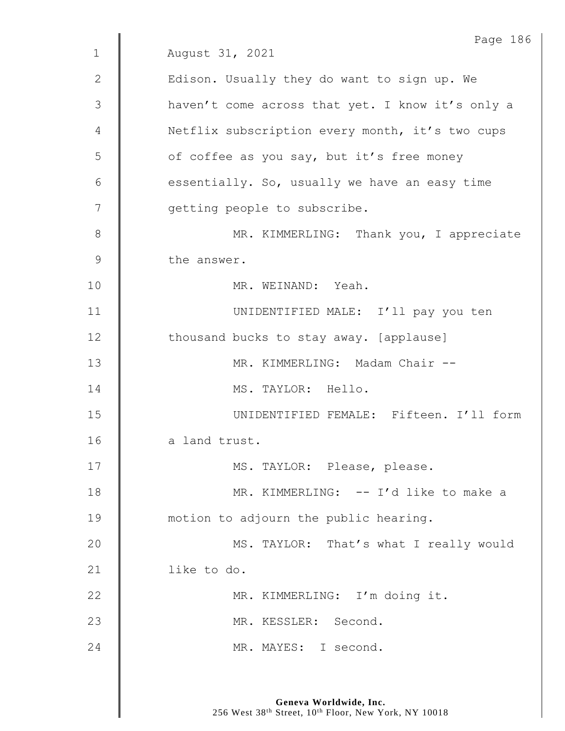|              | Page 186                                         |
|--------------|--------------------------------------------------|
| $\mathbf{1}$ | August 31, 2021                                  |
| $\mathbf{2}$ | Edison. Usually they do want to sign up. We      |
| 3            | haven't come across that yet. I know it's only a |
| 4            | Netflix subscription every month, it's two cups  |
| 5            | of coffee as you say, but it's free money        |
| 6            | essentially. So, usually we have an easy time    |
| 7            | getting people to subscribe.                     |
| 8            | MR. KIMMERLING: Thank you, I appreciate          |
| 9            | the answer.                                      |
| 10           | MR. WEINAND: Yeah.                               |
| 11           | UNIDENTIFIED MALE: I'll pay you ten              |
| 12           | thousand bucks to stay away. [applause]          |
| 13           | MR. KIMMERLING: Madam Chair --                   |
| 14           | MS. TAYLOR: Hello.                               |
| 15           | UNIDENTIFIED FEMALE: Fifteen. I'll form          |
| 16           | a land trust.                                    |
| 17           | MS. TAYLOR: Please, please.                      |
| 18           | MR. KIMMERLING: -- I'd like to make a            |
| 19           | motion to adjourn the public hearing.            |
| 20           | MS. TAYLOR: That's what I really would           |
| 21           | like to do.                                      |
| 22           | MR. KIMMERLING: I'm doing it.                    |
| 23           | MR. KESSLER: Second.                             |
| 24           | MR. MAYES: I second.                             |
|              |                                                  |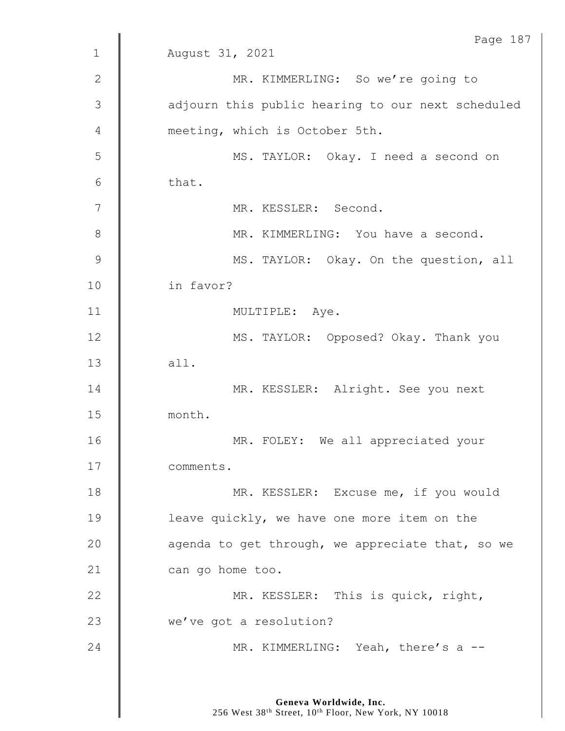|               | Page 187                                          |
|---------------|---------------------------------------------------|
| $\mathbf{1}$  | August 31, 2021                                   |
| $\mathbf{2}$  | MR. KIMMERLING: So we're going to                 |
| 3             | adjourn this public hearing to our next scheduled |
| 4             | meeting, which is October 5th.                    |
| 5             | MS. TAYLOR: Okay. I need a second on              |
| 6             | that.                                             |
| 7             | MR. KESSLER: Second.                              |
| $\,8\,$       | MR. KIMMERLING: You have a second.                |
| $\mathcal{G}$ | MS. TAYLOR: Okay. On the question, all            |
| 10            | in favor?                                         |
| 11            | MULTIPLE: Aye.                                    |
| 12            | MS. TAYLOR: Opposed? Okay. Thank you              |
| 13            | all.                                              |
| 14            | MR. KESSLER: Alright. See you next                |
| 15            | month.                                            |
| 16            | MR. FOLEY: We all appreciated your                |
| 17            | comments.                                         |
| 18            | MR. KESSLER: Excuse me, if you would              |
| 19            | leave quickly, we have one more item on the       |
| 20            | agenda to get through, we appreciate that, so we  |
| 21            | can go home too.                                  |
| 22            | MR. KESSLER: This is quick, right,                |
| 23            | we've got a resolution?                           |
| 24            | MR. KIMMERLING: Yeah, there's a --                |
|               |                                                   |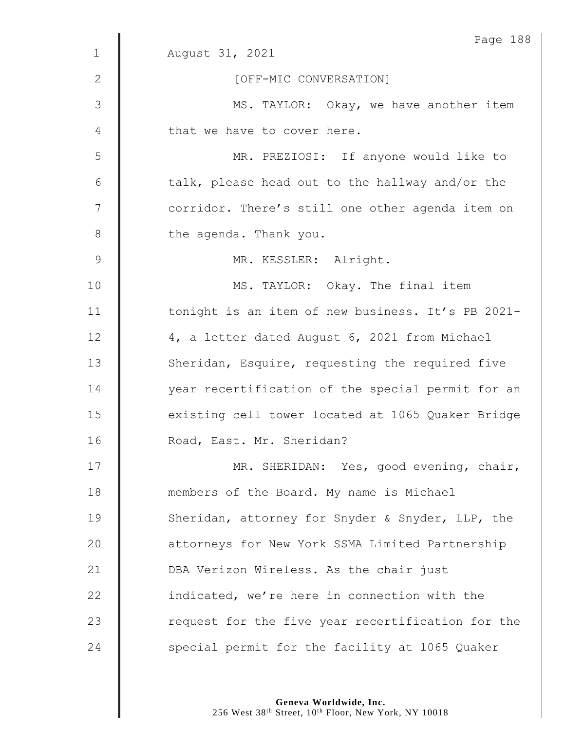|              | Page 188                                          |
|--------------|---------------------------------------------------|
| $\mathbf{1}$ | August 31, 2021                                   |
| 2            | [OFF-MIC CONVERSATION]                            |
| 3            | MS. TAYLOR: Okay, we have another item            |
| 4            | that we have to cover here.                       |
| 5            | MR. PREZIOSI: If anyone would like to             |
| $6\,$        | talk, please head out to the hallway and/or the   |
| 7            | corridor. There's still one other agenda item on  |
| $8\,$        | the agenda. Thank you.                            |
| 9            | MR. KESSLER: Alright.                             |
| 10           | MS. TAYLOR: Okay. The final item                  |
| 11           | tonight is an item of new business. It's PB 2021- |
| 12           | 4, a letter dated August 6, 2021 from Michael     |
| 13           | Sheridan, Esquire, requesting the required five   |
| 14           | year recertification of the special permit for an |
| 15           | existing cell tower located at 1065 Quaker Bridge |
| 16           | Road, East. Mr. Sheridan?                         |
| 17           | MR. SHERIDAN: Yes, good evening, chair,           |
| 18           | members of the Board. My name is Michael          |
| 19           | Sheridan, attorney for Snyder & Snyder, LLP, the  |
| 20           | attorneys for New York SSMA Limited Partnership   |
| 21           | DBA Verizon Wireless. As the chair just           |
| 22           | indicated, we're here in connection with the      |
| 23           | request for the five year recertification for the |
| 24           | special permit for the facility at 1065 Quaker    |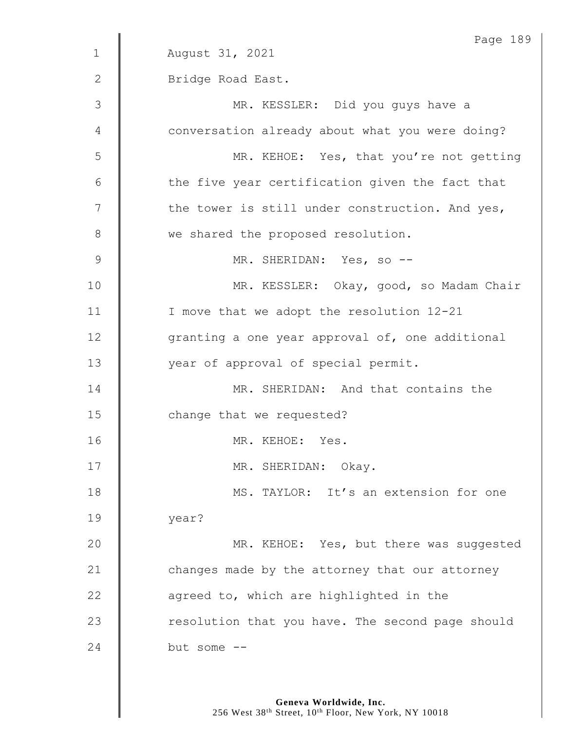|              | Page 189                                         |
|--------------|--------------------------------------------------|
| $\mathbf{1}$ | August 31, 2021                                  |
| $\mathbf{2}$ | Bridge Road East.                                |
| 3            | MR. KESSLER: Did you guys have a                 |
| 4            | conversation already about what you were doing?  |
| 5            | MR. KEHOE: Yes, that you're not getting          |
| 6            | the five year certification given the fact that  |
| 7            | the tower is still under construction. And yes,  |
| $8\,$        | we shared the proposed resolution.               |
| 9            | MR. SHERIDAN: Yes, so --                         |
| 10           | MR. KESSLER: Okay, good, so Madam Chair          |
| 11           | I move that we adopt the resolution 12-21        |
| 12           | granting a one year approval of, one additional  |
| 13           | year of approval of special permit.              |
| 14           | MR. SHERIDAN: And that contains the              |
| 15           | change that we requested?                        |
| 16           | MR. KEHOE: Yes.                                  |
| 17           | MR. SHERIDAN: Okay.                              |
| 18           | MS. TAYLOR: It's an extension for one            |
|              |                                                  |
| 19           | year?                                            |
| 20           | MR. KEHOE: Yes, but there was suggested          |
| 21           | changes made by the attorney that our attorney   |
| 22           | agreed to, which are highlighted in the          |
| 23           | resolution that you have. The second page should |
| 24           | but some $--$                                    |
|              |                                                  |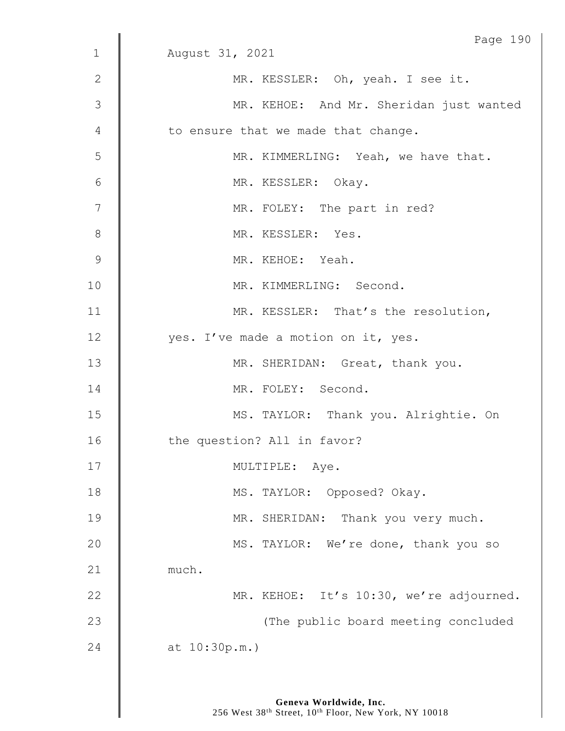|                 | Page 190                                |
|-----------------|-----------------------------------------|
| $\mathbf 1$     | August 31, 2021                         |
| $\mathbf{2}$    | MR. KESSLER: Oh, yeah. I see it.        |
| 3               | MR. KEHOE: And Mr. Sheridan just wanted |
| 4               | to ensure that we made that change.     |
| 5               | MR. KIMMERLING: Yeah, we have that.     |
| $6\phantom{1}6$ | MR. KESSLER: Okay.                      |
| 7               | MR. FOLEY: The part in red?             |
| 8               | MR. KESSLER: Yes.                       |
| 9               | MR. KEHOE: Yeah.                        |
| 10              | MR. KIMMERLING: Second.                 |
| 11              | MR. KESSLER: That's the resolution,     |
| 12              | yes. I've made a motion on it, yes.     |
| 13              | MR. SHERIDAN: Great, thank you.         |
| 14              | MR. FOLEY: Second.                      |
| 15              | MS. TAYLOR: Thank you. Alrightie. On    |
| 16              | the question? All in favor?             |
| 17              | MULTIPLE: Aye.                          |
| 18              | MS. TAYLOR: Opposed? Okay.              |
| 19              | MR. SHERIDAN: Thank you very much.      |
| 20              | MS. TAYLOR: We're done, thank you so    |
| 21              | much.                                   |
| 22              | MR. KEHOE: It's 10:30, we're adjourned. |
| 23              | (The public board meeting concluded     |
| 24              | at $10:30p.m.$ )                        |
|                 |                                         |